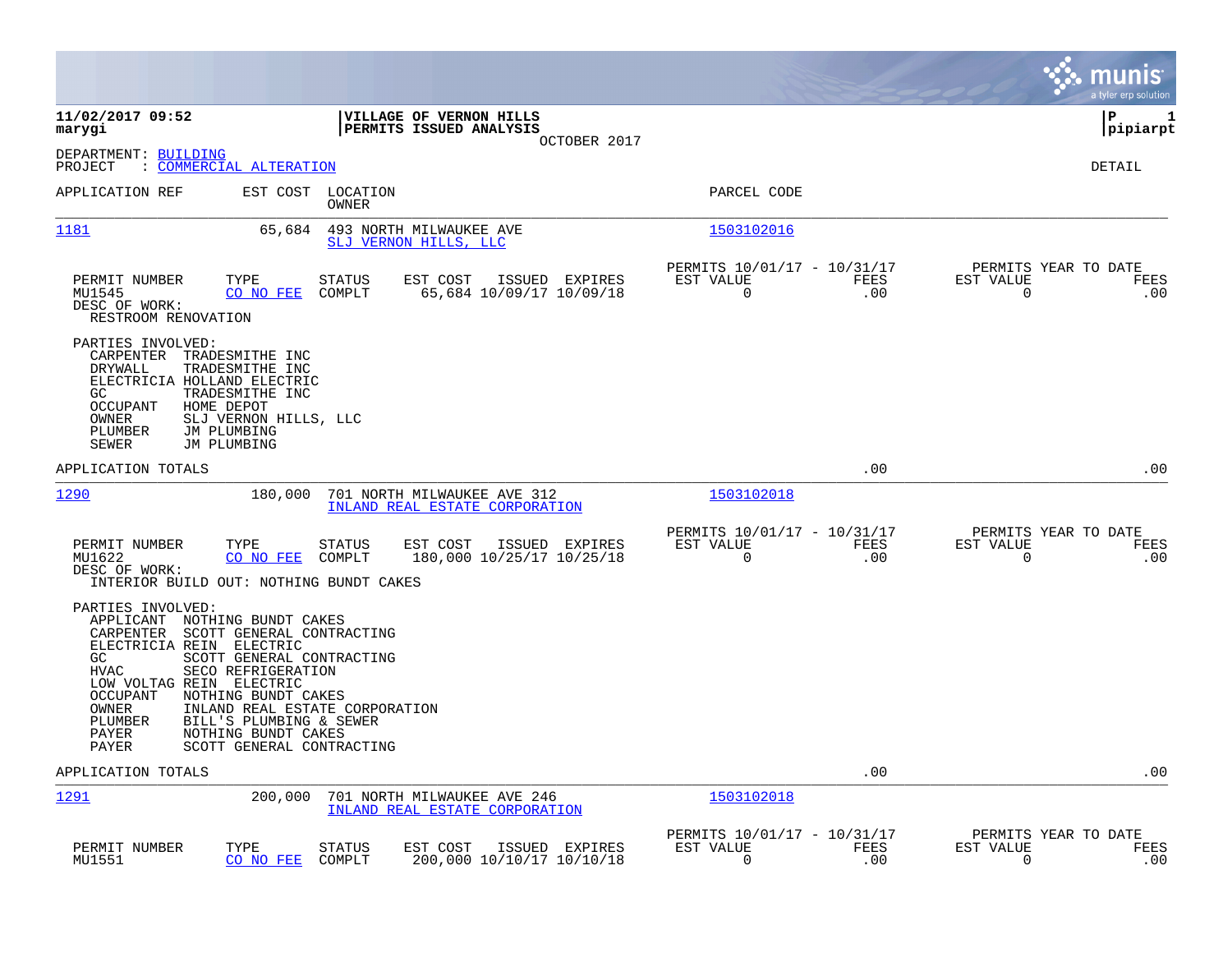|                                                                                                                                                                                                                                      |                                                                                                                                                                                                                      |                                                                    |                                                      |             | munis<br>a tyler erp solution                                   |
|--------------------------------------------------------------------------------------------------------------------------------------------------------------------------------------------------------------------------------------|----------------------------------------------------------------------------------------------------------------------------------------------------------------------------------------------------------------------|--------------------------------------------------------------------|------------------------------------------------------|-------------|-----------------------------------------------------------------|
| 11/02/2017 09:52<br>marygi                                                                                                                                                                                                           |                                                                                                                                                                                                                      | VILLAGE OF VERNON HILLS<br>PERMITS ISSUED ANALYSIS<br>OCTOBER 2017 |                                                      |             | lР<br>1<br> pipiarpt                                            |
| DEPARTMENT: BUILDING<br>: COMMERCIAL ALTERATION<br>PROJECT                                                                                                                                                                           |                                                                                                                                                                                                                      |                                                                    |                                                      |             | <b>DETAIL</b>                                                   |
| APPLICATION REF                                                                                                                                                                                                                      | EST COST<br>LOCATION<br>OWNER                                                                                                                                                                                        |                                                                    | PARCEL CODE                                          |             |                                                                 |
| 1181                                                                                                                                                                                                                                 | 65,684                                                                                                                                                                                                               | 493 NORTH MILWAUKEE AVE<br>SLJ VERNON HILLS, LLC                   | 1503102016                                           |             |                                                                 |
| PERMIT NUMBER<br>TYPE<br>MU1545<br>DESC OF WORK:<br>RESTROOM RENOVATION                                                                                                                                                              | <b>STATUS</b><br>CO NO FEE<br>COMPLT                                                                                                                                                                                 | EST COST<br>ISSUED EXPIRES<br>65,684 10/09/17 10/09/18             | PERMITS 10/01/17 - 10/31/17<br>EST VALUE<br>0        | FEES<br>.00 | PERMITS YEAR TO DATE<br>EST VALUE<br>FEES<br>$\mathbf 0$<br>.00 |
| PARTIES INVOLVED:<br>CARPENTER<br>TRADESMITHE INC<br>DRYWALL<br>TRADESMITHE INC<br>ELECTRICIA HOLLAND ELECTRIC<br>TRADESMITHE INC<br>GC.<br><b>OCCUPANT</b><br>HOME DEPOT<br>OWNER<br>PLUMBER<br>JM PLUMBING<br>SEWER<br>JM PLUMBING | SLJ VERNON HILLS, LLC                                                                                                                                                                                                |                                                                    |                                                      |             |                                                                 |
| APPLICATION TOTALS                                                                                                                                                                                                                   |                                                                                                                                                                                                                      |                                                                    |                                                      | .00         | .00                                                             |
| 1290                                                                                                                                                                                                                                 | 180,000                                                                                                                                                                                                              | 701 NORTH MILWAUKEE AVE 312<br>INLAND REAL ESTATE CORPORATION      | 1503102018                                           |             |                                                                 |
| PERMIT NUMBER<br>TYPE<br>MU1622<br>DESC OF WORK:<br>INTERIOR BUILD OUT: NOTHING BUNDT CAKES                                                                                                                                          | STATUS<br>CO NO FEE<br>COMPLT                                                                                                                                                                                        | EST COST<br>ISSUED EXPIRES<br>180,000 10/25/17 10/25/18            | PERMITS 10/01/17 - 10/31/17<br>EST VALUE<br>0        | FEES<br>.00 | PERMITS YEAR TO DATE<br>EST VALUE<br>FEES<br>.00<br>0           |
| PARTIES INVOLVED:<br>APPLICANT NOTHING BUNDT CAKES<br>CARPENTER<br>ELECTRICIA REIN ELECTRIC<br>GC.<br>HVAC<br>LOW VOLTAG REIN ELECTRIC<br><b>OCCUPANT</b><br>OWNER<br>PLUMBER<br>PAYER<br>PAYER                                      | SCOTT GENERAL CONTRACTING<br>SCOTT GENERAL CONTRACTING<br>SECO REFRIGERATION<br>NOTHING BUNDT CAKES<br>INLAND REAL ESTATE CORPORATION<br>BILL'S PLUMBING & SEWER<br>NOTHING BUNDT CAKES<br>SCOTT GENERAL CONTRACTING |                                                                    |                                                      |             |                                                                 |
| APPLICATION TOTALS                                                                                                                                                                                                                   |                                                                                                                                                                                                                      |                                                                    |                                                      | .00         | .00                                                             |
| 1291                                                                                                                                                                                                                                 | 200,000                                                                                                                                                                                                              | 701 NORTH MILWAUKEE AVE 246<br>INLAND REAL ESTATE CORPORATION      | 1503102018                                           |             |                                                                 |
| PERMIT NUMBER<br>TYPE<br>MU1551                                                                                                                                                                                                      | <b>STATUS</b><br>CO NO FEE<br>COMPLT                                                                                                                                                                                 | EST COST<br>ISSUED EXPIRES<br>200,000 10/10/17 10/10/18            | PERMITS 10/01/17 - 10/31/17<br>EST VALUE<br>$\Omega$ | FEES<br>.00 | PERMITS YEAR TO DATE<br>EST VALUE<br>FEES<br>0<br>.00           |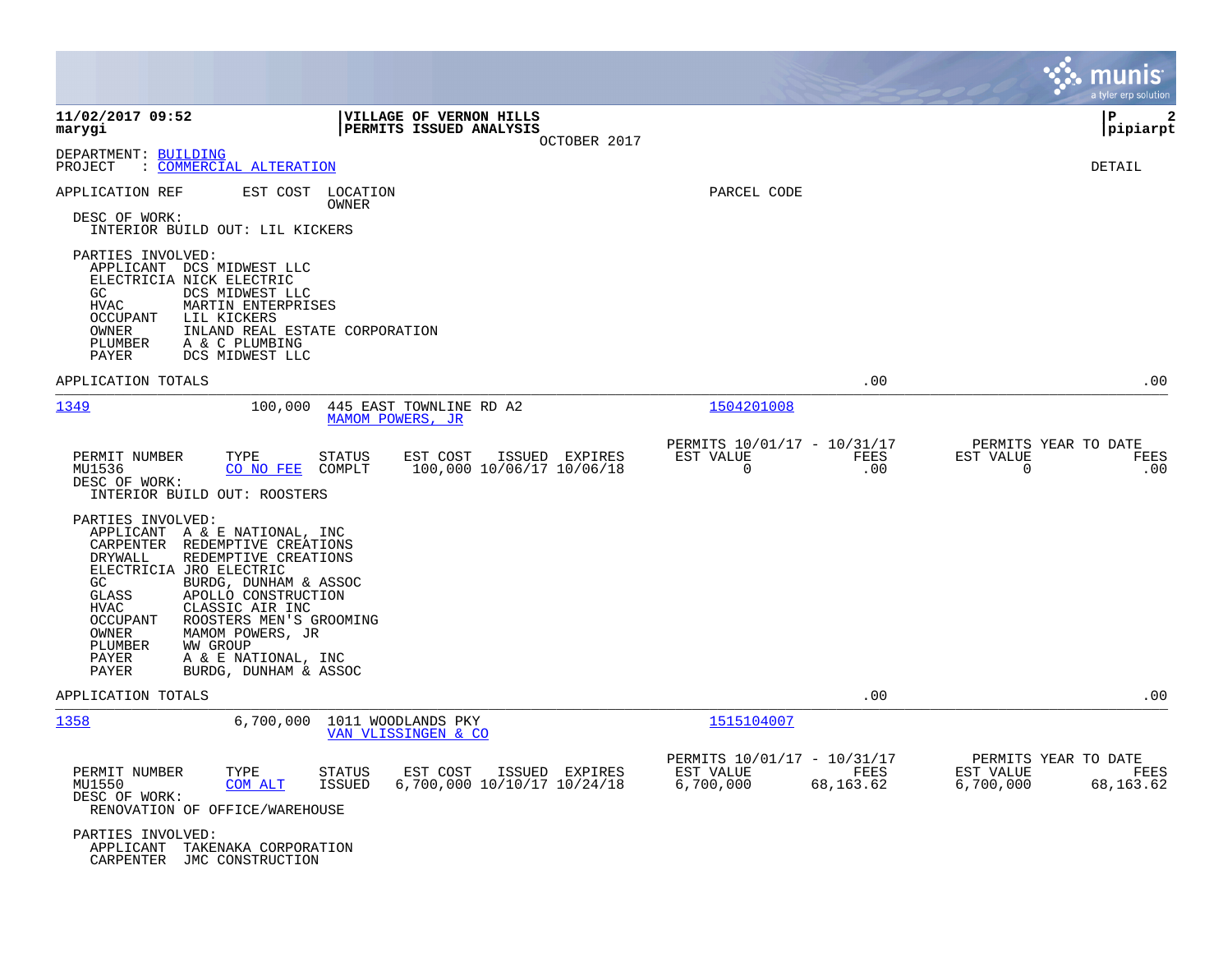|                                                                                                                                                                                                                                                                                                                                                                                                                            |                                                                                             |                                                                    | munis<br>a tyler erp solution                                               |
|----------------------------------------------------------------------------------------------------------------------------------------------------------------------------------------------------------------------------------------------------------------------------------------------------------------------------------------------------------------------------------------------------------------------------|---------------------------------------------------------------------------------------------|--------------------------------------------------------------------|-----------------------------------------------------------------------------|
| 11/02/2017 09:52<br>marygi                                                                                                                                                                                                                                                                                                                                                                                                 | VILLAGE OF VERNON HILLS<br>PERMITS ISSUED ANALYSIS<br>OCTOBER 2017                          |                                                                    | l P<br>2<br> pipiarpt                                                       |
| DEPARTMENT: BUILDING<br><u>COMMERCIAL ALTERATION</u><br>PROJECT                                                                                                                                                                                                                                                                                                                                                            |                                                                                             |                                                                    | DETAIL                                                                      |
| EST COST<br>APPLICATION REF<br>DESC OF WORK:<br>INTERIOR BUILD OUT: LIL KICKERS                                                                                                                                                                                                                                                                                                                                            | LOCATION<br>OWNER                                                                           | PARCEL CODE                                                        |                                                                             |
| PARTIES INVOLVED:<br>APPLICANT DCS MIDWEST LLC<br>ELECTRICIA NICK ELECTRIC<br>GC<br>DCS MIDWEST LLC<br><b>HVAC</b><br>MARTIN ENTERPRISES<br>OCCUPANT<br>LIL KICKERS<br>OWNER<br>INLAND REAL ESTATE CORPORATION<br>PLUMBER<br>A & C PLUMBING<br>PAYER<br>DCS MIDWEST LLC                                                                                                                                                    |                                                                                             |                                                                    |                                                                             |
| APPLICATION TOTALS                                                                                                                                                                                                                                                                                                                                                                                                         |                                                                                             |                                                                    | .00<br>$.00 \,$                                                             |
| 1349<br>100,000                                                                                                                                                                                                                                                                                                                                                                                                            | 445 EAST TOWNLINE RD A2<br>MAMOM POWERS, JR                                                 | 1504201008                                                         |                                                                             |
| PERMIT NUMBER<br>TYPE<br>MU1536<br>CO NO FEE<br>DESC OF WORK:<br>INTERIOR BUILD OUT: ROOSTERS                                                                                                                                                                                                                                                                                                                              | STATUS<br>EST COST<br>ISSUED EXPIRES<br>100,000 10/06/17 10/06/18<br>COMPLT                 | PERMITS 10/01/17 - 10/31/17<br>EST VALUE<br>$\mathbf 0$            | PERMITS YEAR TO DATE<br><b>FEES</b><br>EST VALUE<br>FEES<br>.00<br>0<br>.00 |
| PARTIES INVOLVED:<br>APPLICANT A & E NATIONAL, INC<br>CARPENTER<br>REDEMPTIVE CREATIONS<br>DRYWALL<br>REDEMPTIVE CREATIONS<br>ELECTRICIA JRO ELECTRIC<br>GC<br>BURDG, DUNHAM & ASSOC<br>APOLLO CONSTRUCTION<br>GLASS<br><b>HVAC</b><br>CLASSIC AIR INC<br>OCCUPANT<br>ROOSTERS MEN'S GROOMING<br>OWNER<br>MAMOM POWERS, JR<br>PLUMBER<br><b>WW GROUP</b><br>PAYER<br>A & E NATIONAL, INC<br>BURDG, DUNHAM & ASSOC<br>PAYER |                                                                                             |                                                                    |                                                                             |
| APPLICATION TOTALS                                                                                                                                                                                                                                                                                                                                                                                                         |                                                                                             |                                                                    | .00<br>.00                                                                  |
| 1358<br>6,700,000                                                                                                                                                                                                                                                                                                                                                                                                          | 1011 WOODLANDS PKY<br>VAN VLISSINGEN & CO                                                   | 1515104007                                                         |                                                                             |
| PERMIT NUMBER<br>TYPE<br>COM ALT<br>MU1550<br>DESC OF WORK:<br>RENOVATION OF OFFICE/WAREHOUSE                                                                                                                                                                                                                                                                                                                              | <b>STATUS</b><br>EST COST<br>ISSUED EXPIRES<br>6,700,000 10/10/17 10/24/18<br><b>ISSUED</b> | PERMITS 10/01/17 - 10/31/17<br>EST VALUE<br>6,700,000<br>68,163.62 | PERMITS YEAR TO DATE<br>FEES<br>EST VALUE<br>FEES<br>6,700,000<br>68,163.62 |
| PARTIES INVOLVED:<br>APPLICANT TAKENAKA CORPORATION<br>CARPENTER JMC CONSTRUCTION                                                                                                                                                                                                                                                                                                                                          |                                                                                             |                                                                    |                                                                             |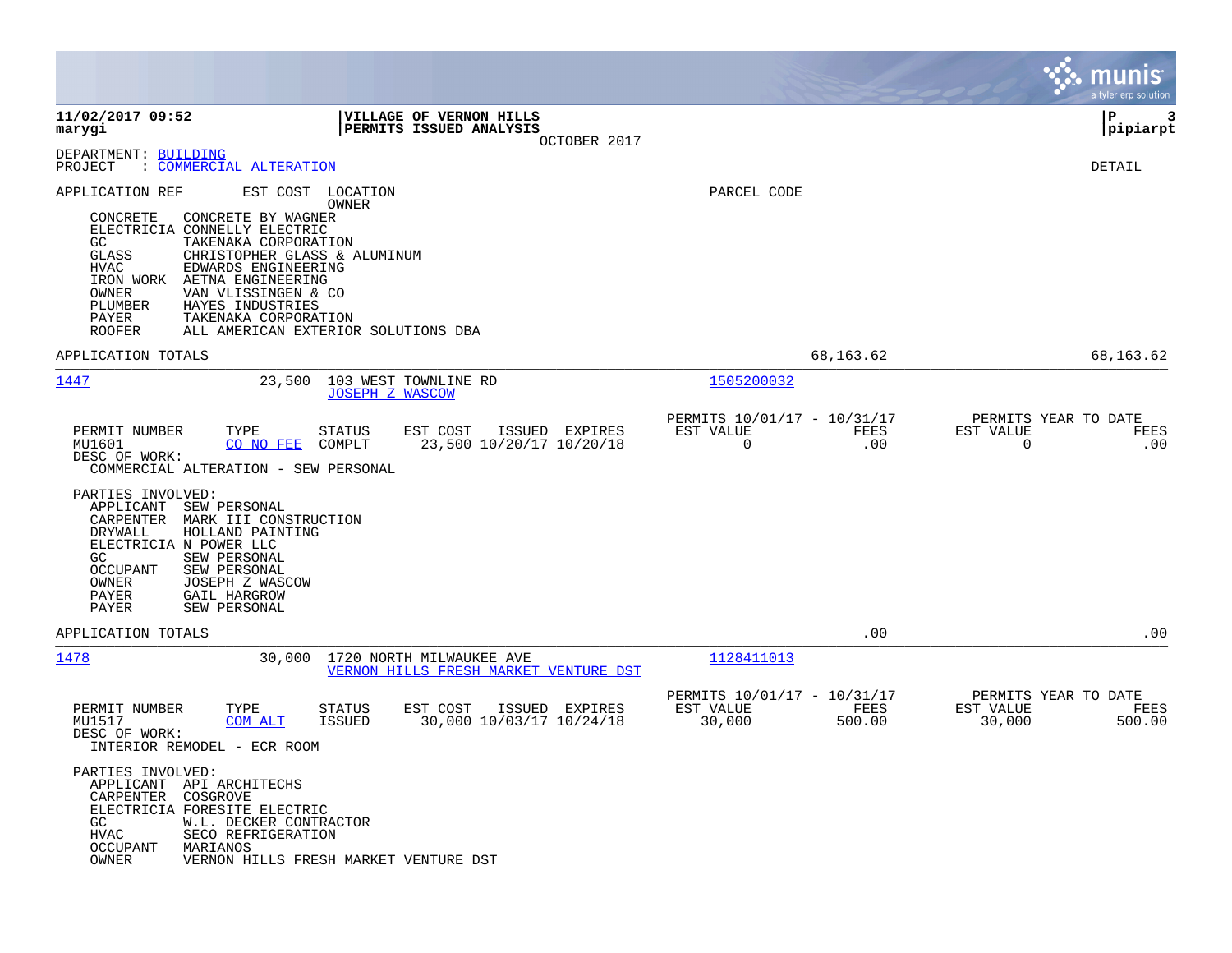|                                                                                                                                                                                                                                                                                                                                                                                                                                                                             |                                                                             | munis<br>a tyler erp solution                                 |
|-----------------------------------------------------------------------------------------------------------------------------------------------------------------------------------------------------------------------------------------------------------------------------------------------------------------------------------------------------------------------------------------------------------------------------------------------------------------------------|-----------------------------------------------------------------------------|---------------------------------------------------------------|
| 11/02/2017 09:52<br>VILLAGE OF VERNON HILLS<br>PERMITS ISSUED ANALYSIS<br>marygi<br>OCTOBER 2017                                                                                                                                                                                                                                                                                                                                                                            |                                                                             | l P<br>3<br> pipiarpt                                         |
| DEPARTMENT: BUILDING<br>COMMERCIAL ALTERATION<br>PROJECT<br>$\ddot{\cdot}$                                                                                                                                                                                                                                                                                                                                                                                                  |                                                                             | DETAIL                                                        |
| APPLICATION REF<br>EST COST<br>LOCATION<br>OWNER<br>CONCRETE<br>CONCRETE BY WAGNER<br>ELECTRICIA CONNELLY ELECTRIC<br>GC<br>TAKENAKA CORPORATION<br>GLASS<br>CHRISTOPHER GLASS & ALUMINUM<br><b>HVAC</b><br>EDWARDS ENGINEERING<br>AETNA ENGINEERING<br>IRON WORK<br>OWNER<br>VAN VLISSINGEN & CO<br>PLUMBER<br>HAYES INDUSTRIES<br>PAYER<br>TAKENAKA CORPORATION<br><b>ROOFER</b><br>ALL AMERICAN EXTERIOR SOLUTIONS DBA                                                   | PARCEL CODE                                                                 |                                                               |
| APPLICATION TOTALS                                                                                                                                                                                                                                                                                                                                                                                                                                                          | 68,163.62                                                                   | 68,163.62                                                     |
| 1447<br>103 WEST TOWNLINE RD<br>23,500<br><b>JOSEPH Z WASCOW</b>                                                                                                                                                                                                                                                                                                                                                                                                            | 1505200032                                                                  |                                                               |
| PERMIT NUMBER<br>TYPE<br>STATUS<br>EST COST<br>ISSUED EXPIRES<br>MU1601<br>CO NO FEE<br>COMPLT<br>23,500 10/20/17 10/20/18<br>DESC OF WORK:<br>COMMERCIAL ALTERATION - SEW PERSONAL<br>PARTIES INVOLVED:<br>APPLICANT<br>SEW PERSONAL<br>CARPENTER<br>MARK III CONSTRUCTION<br>DRYWALL<br>HOLLAND PAINTING<br>ELECTRICIA N POWER LLC<br>SEW PERSONAL<br>GC<br><b>OCCUPANT</b><br>SEW PERSONAL<br>OWNER<br>JOSEPH Z WASCOW<br>PAYER<br>GAIL HARGROW<br>PAYER<br>SEW PERSONAL | PERMITS 10/01/17 - 10/31/17<br>EST VALUE<br>FEES<br>0<br>.00                | PERMITS YEAR TO DATE<br>EST VALUE<br>FEES<br>0<br>.00         |
| APPLICATION TOTALS                                                                                                                                                                                                                                                                                                                                                                                                                                                          | .00                                                                         | .00                                                           |
| 1478<br>1720 NORTH MILWAUKEE AVE<br>30,000<br>VERNON HILLS FRESH MARKET VENTURE DST                                                                                                                                                                                                                                                                                                                                                                                         | 1128411013                                                                  |                                                               |
| PERMIT NUMBER<br>TYPE<br>EST COST<br>ISSUED EXPIRES<br>STATUS<br>30,000 10/03/17 10/24/18<br>MU1517<br><b>COM ALT</b><br><b>ISSUED</b><br>DESC OF WORK:<br>INTERIOR REMODEL - ECR ROOM<br>PARTIES INVOLVED:<br>APPLICANT API ARCHITECHS<br>CARPENTER COSGROVE<br>ELECTRICIA FORESITE ELECTRIC<br>GC<br>W.L. DECKER CONTRACTOR<br>SECO REFRIGERATION<br>HVAC                                                                                                                 | PERMITS 10/01/17 - 10/31/17<br>EST VALUE<br><b>FEES</b><br>30,000<br>500.00 | PERMITS YEAR TO DATE<br>EST VALUE<br>FEES<br>30,000<br>500.00 |
| OCCUPANT<br>MARIANOS<br>OWNER<br>VERNON HILLS FRESH MARKET VENTURE DST                                                                                                                                                                                                                                                                                                                                                                                                      |                                                                             |                                                               |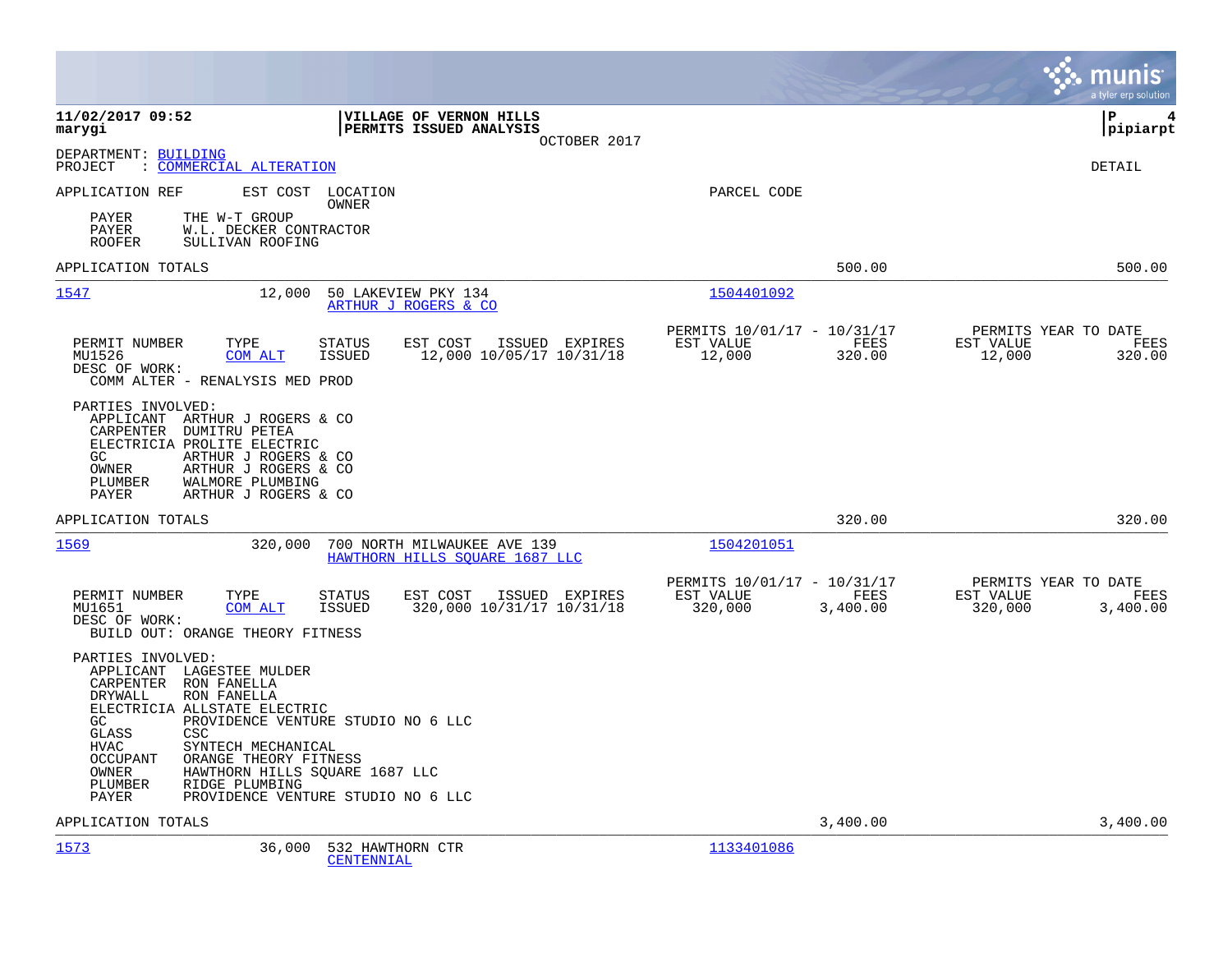|                                                                                                                                                                                                                                                                                                                               |                                                                                           |                                                                         | munis<br>a tyler erp solution                                    |
|-------------------------------------------------------------------------------------------------------------------------------------------------------------------------------------------------------------------------------------------------------------------------------------------------------------------------------|-------------------------------------------------------------------------------------------|-------------------------------------------------------------------------|------------------------------------------------------------------|
| 11/02/2017 09:52<br>marygi                                                                                                                                                                                                                                                                                                    | VILLAGE OF VERNON HILLS<br>PERMITS ISSUED ANALYSIS<br>OCTOBER 2017                        |                                                                         | P<br>4<br> pipiarpt                                              |
| DEPARTMENT: BUILDING<br>: COMMERCIAL ALTERATION<br>PROJECT                                                                                                                                                                                                                                                                    |                                                                                           |                                                                         | <b>DETAIL</b>                                                    |
| APPLICATION REF                                                                                                                                                                                                                                                                                                               | EST COST LOCATION<br>OWNER                                                                | PARCEL CODE                                                             |                                                                  |
| THE W-T GROUP<br>PAYER<br>PAYER<br>W.L. DECKER CONTRACTOR<br><b>ROOFER</b><br>SULLIVAN ROOFING                                                                                                                                                                                                                                |                                                                                           |                                                                         |                                                                  |
| APPLICATION TOTALS                                                                                                                                                                                                                                                                                                            |                                                                                           | 500.00                                                                  | 500.00                                                           |
| 1547<br>12,000                                                                                                                                                                                                                                                                                                                | 50 LAKEVIEW PKY 134<br>ARTHUR J ROGERS & CO                                               | 1504401092                                                              |                                                                  |
| PERMIT NUMBER<br>TYPE<br>MU1526<br>COM ALT<br>DESC OF WORK:<br>COMM ALTER - RENALYSIS MED PROD                                                                                                                                                                                                                                | <b>STATUS</b><br>EST COST<br>ISSUED EXPIRES<br><b>ISSUED</b><br>12,000 10/05/17 10/31/18  | PERMITS 10/01/17 - 10/31/17<br>EST VALUE<br>FEES<br>12,000<br>320.00    | PERMITS YEAR TO DATE<br>EST VALUE<br>FEES<br>12,000<br>320.00    |
| PARTIES INVOLVED:<br>APPLICANT ARTHUR J ROGERS & CO<br>CARPENTER DUMITRU PETEA<br>ELECTRICIA PROLITE ELECTRIC<br>ARTHUR J ROGERS & CO<br>GC.<br>ARTHUR J ROGERS & CO<br>OWNER<br>WALMORE PLUMBING<br>PLUMBER<br>PAYER<br>ARTHUR J ROGERS & CO                                                                                 |                                                                                           |                                                                         |                                                                  |
| APPLICATION TOTALS                                                                                                                                                                                                                                                                                                            |                                                                                           | 320.00                                                                  | 320.00                                                           |
| 1569<br>320,000                                                                                                                                                                                                                                                                                                               | 700 NORTH MILWAUKEE AVE 139<br>HAWTHORN HILLS SQUARE 1687 LLC                             | 1504201051                                                              |                                                                  |
| PERMIT NUMBER<br>TYPE<br>MU1651<br>COM ALT<br>DESC OF WORK:<br>BUILD OUT: ORANGE THEORY FITNESS                                                                                                                                                                                                                               | EST COST<br>ISSUED EXPIRES<br><b>STATUS</b><br><b>ISSUED</b><br>320,000 10/31/17 10/31/18 | PERMITS 10/01/17 - 10/31/17<br>EST VALUE<br>FEES<br>320,000<br>3,400.00 | PERMITS YEAR TO DATE<br>EST VALUE<br>FEES<br>320,000<br>3,400.00 |
| PARTIES INVOLVED:<br>APPLICANT LAGESTEE MULDER<br>RON FANELLA<br>CARPENTER<br>DRYWALL<br>RON FANELLA<br>ELECTRICIA ALLSTATE ELECTRIC<br>GC.<br>CSC<br>GLASS<br><b>HVAC</b><br>SYNTECH MECHANICAL<br><b>OCCUPANT</b><br>ORANGE THEORY FITNESS<br>HAWTHORN HILLS SQUARE 1687 LLC<br>OWNER<br>PLUMBER<br>RIDGE PLUMBING<br>PAYER | PROVIDENCE VENTURE STUDIO NO 6 LLC<br>PROVIDENCE VENTURE STUDIO NO 6 LLC                  |                                                                         |                                                                  |
| APPLICATION TOTALS                                                                                                                                                                                                                                                                                                            |                                                                                           | 3,400.00                                                                | 3,400.00                                                         |
| 1573<br>36,000                                                                                                                                                                                                                                                                                                                | 532 HAWTHORN CTR<br>CENTENNIAL                                                            | 1133401086                                                              |                                                                  |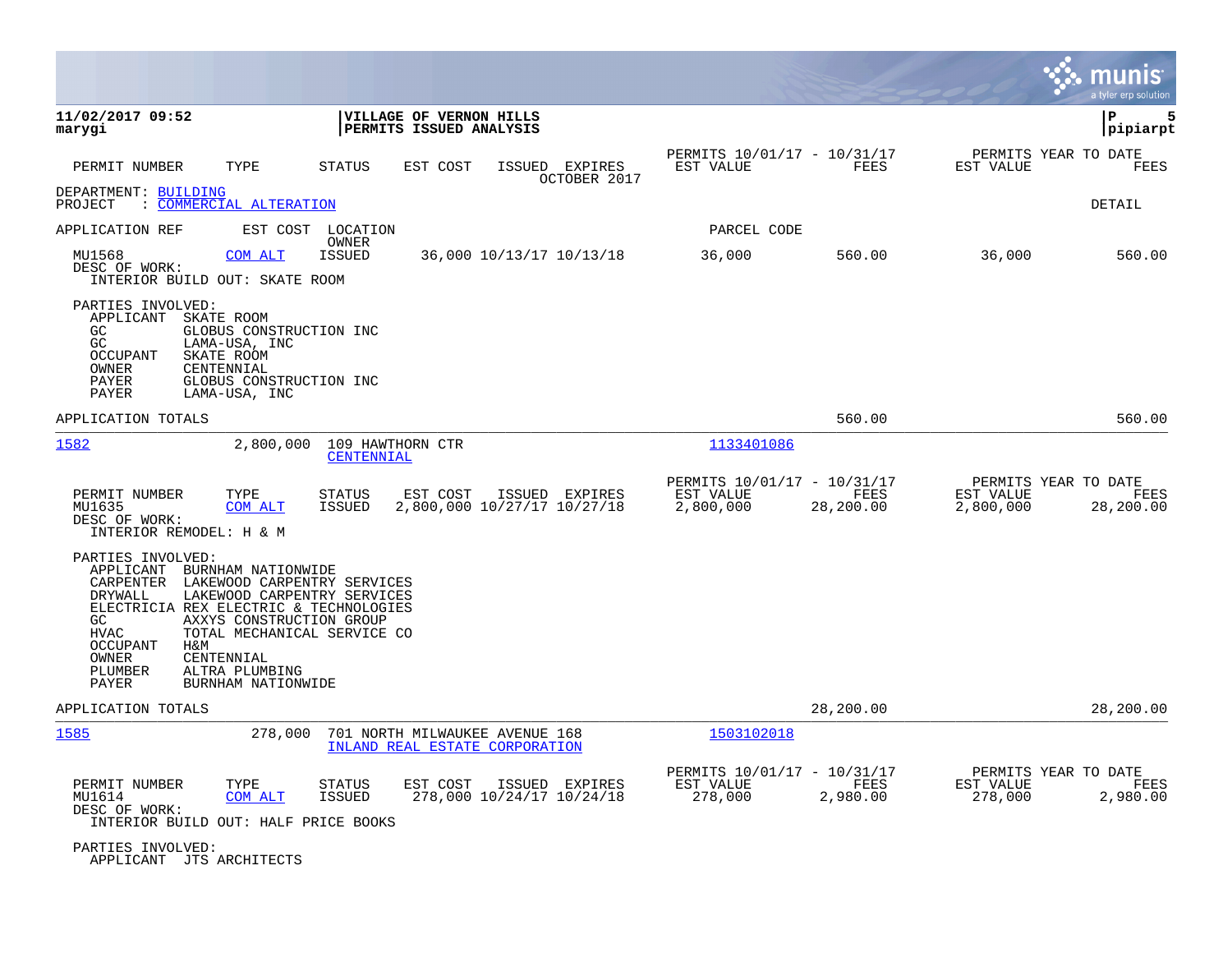|                                                                                                                                                                                                                                                                                       |                                                                                           |                                                       |                                             | munis<br>a tyler erp solution             |
|---------------------------------------------------------------------------------------------------------------------------------------------------------------------------------------------------------------------------------------------------------------------------------------|-------------------------------------------------------------------------------------------|-------------------------------------------------------|---------------------------------------------|-------------------------------------------|
| 11/02/2017 09:52<br>marygi                                                                                                                                                                                                                                                            | VILLAGE OF VERNON HILLS<br>PERMITS ISSUED ANALYSIS                                        |                                                       |                                             | l P<br>5<br> pipiarpt                     |
| TYPE<br>PERMIT NUMBER                                                                                                                                                                                                                                                                 | STATUS<br>ISSUED EXPIRES<br>EST COST<br>OCTOBER 2017                                      | PERMITS 10/01/17 - 10/31/17<br>EST VALUE              | FEES<br>EST VALUE                           | PERMITS YEAR TO DATE<br>FEES              |
| DEPARTMENT: BUILDING<br>: COMMERCIAL ALTERATION<br>PROJECT                                                                                                                                                                                                                            |                                                                                           |                                                       |                                             | DETAIL                                    |
| APPLICATION REF<br>EST COST                                                                                                                                                                                                                                                           | LOCATION                                                                                  | PARCEL CODE                                           |                                             |                                           |
| MU1568<br>COM ALT<br>DESC OF WORK:<br>INTERIOR BUILD OUT: SKATE ROOM                                                                                                                                                                                                                  | OWNER<br><b>ISSUED</b><br>36,000 10/13/17 10/13/18                                        | 36,000                                                | 36,000<br>560.00                            | 560.00                                    |
| PARTIES INVOLVED:<br>APPLICANT<br>SKATE ROOM<br>GC<br>GLOBUS CONSTRUCTION INC<br>GC<br>LAMA-USA, INC<br><b>OCCUPANT</b><br>SKATE ROOM<br>OWNER<br>CENTENNIAL<br>GLOBUS CONSTRUCTION INC<br>PAYER<br>PAYER<br>LAMA-USA, INC                                                            |                                                                                           |                                                       |                                             |                                           |
| APPLICATION TOTALS                                                                                                                                                                                                                                                                    |                                                                                           |                                                       | 560.00                                      | 560.00                                    |
| 1582<br>2,800,000                                                                                                                                                                                                                                                                     | 109 HAWTHORN CTR<br>CENTENNIAL                                                            | 1133401086                                            |                                             |                                           |
| PERMIT NUMBER<br>TYPE<br>MU1635<br>COM ALT<br>DESC OF WORK:<br>INTERIOR REMODEL: H & M                                                                                                                                                                                                | STATUS<br>EST COST<br>ISSUED EXPIRES<br><b>ISSUED</b><br>2,800,000 10/27/17 10/27/18      | PERMITS 10/01/17 - 10/31/17<br>EST VALUE<br>2,800,000 | FEES<br>EST VALUE<br>28,200.00<br>2,800,000 | PERMITS YEAR TO DATE<br>FEES<br>28,200.00 |
| PARTIES INVOLVED:<br>APPLICANT<br>BURNHAM NATIONWIDE<br>CARPENTER<br>DRYWALL<br>ELECTRICIA REX ELECTRIC & TECHNOLOGIES<br>AXXYS CONSTRUCTION GROUP<br>GC.<br><b>HVAC</b><br><b>OCCUPANT</b><br>H&M<br>OWNER<br>CENTENNIAL<br>PLUMBER<br>ALTRA PLUMBING<br>BURNHAM NATIONWIDE<br>PAYER | LAKEWOOD CARPENTRY SERVICES<br>LAKEWOOD CARPENTRY SERVICES<br>TOTAL MECHANICAL SERVICE CO |                                                       |                                             |                                           |
| APPLICATION TOTALS                                                                                                                                                                                                                                                                    |                                                                                           |                                                       | 28,200.00                                   | 28,200.00                                 |
| 1585<br>278,000                                                                                                                                                                                                                                                                       | 701 NORTH MILWAUKEE AVENUE 168<br>INLAND REAL ESTATE CORPORATION                          | 1503102018                                            |                                             |                                           |
| PERMIT NUMBER<br>TYPE<br>MU1614<br>COM ALT<br>DESC OF WORK:<br>INTERIOR BUILD OUT: HALF PRICE BOOKS                                                                                                                                                                                   | STATUS<br>EST COST<br>ISSUED EXPIRES<br>ISSUED<br>278,000 10/24/17 10/24/18               | PERMITS 10/01/17 - 10/31/17<br>EST VALUE<br>278,000   | FEES<br>EST VALUE<br>2,980.00<br>278,000    | PERMITS YEAR TO DATE<br>FEES<br>2,980.00  |
| PARTIES INVOLVED:<br>APPLICANT JTS ARCHITECTS                                                                                                                                                                                                                                         |                                                                                           |                                                       |                                             |                                           |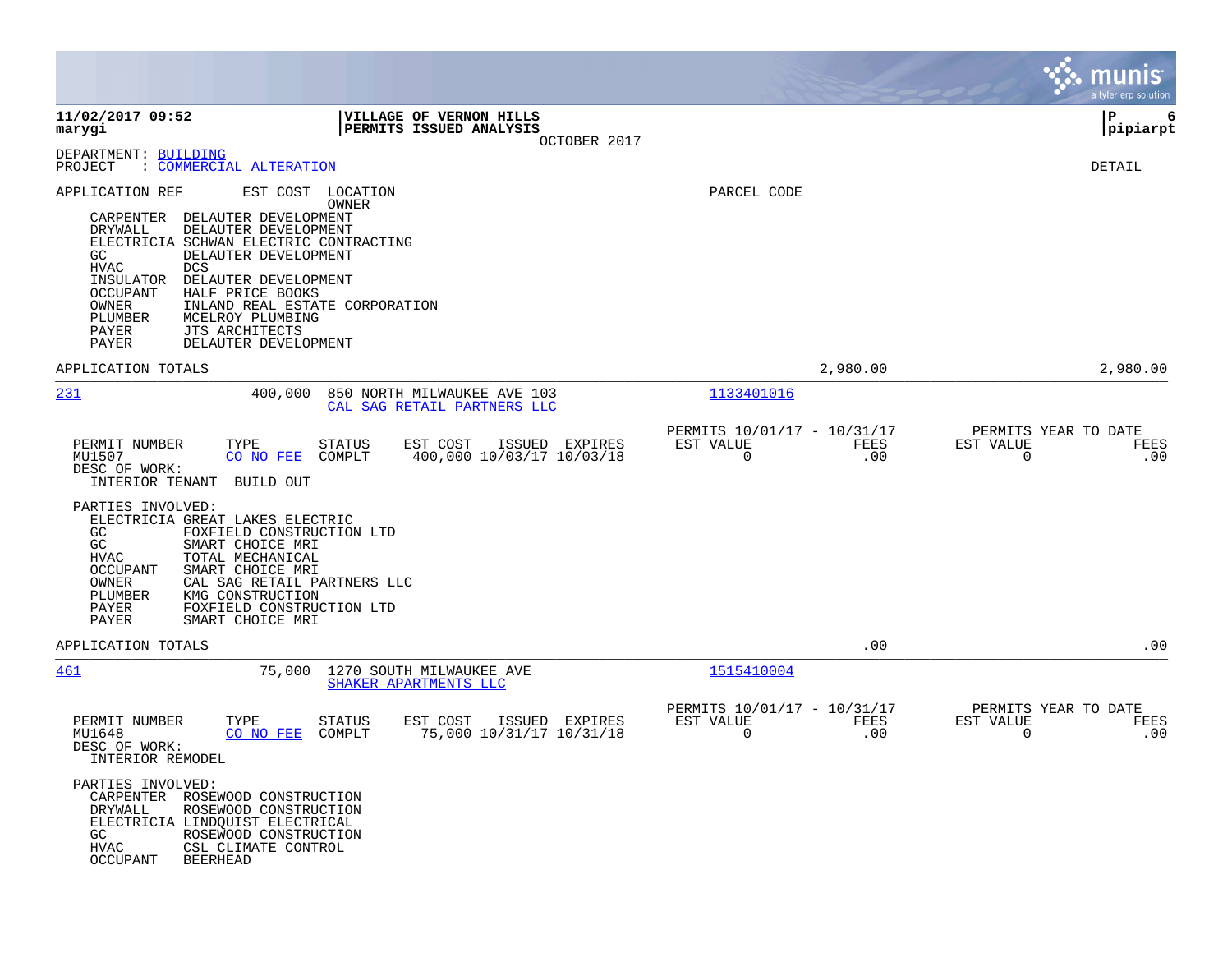|                                                                                                                                                                                                                                                                                                                                                                                                                                                                                                                 |                                                                        | munis<br>a tyler erp solution                                   |
|-----------------------------------------------------------------------------------------------------------------------------------------------------------------------------------------------------------------------------------------------------------------------------------------------------------------------------------------------------------------------------------------------------------------------------------------------------------------------------------------------------------------|------------------------------------------------------------------------|-----------------------------------------------------------------|
| 11/02/2017 09:52<br><b>VILLAGE OF VERNON HILLS</b><br>PERMITS ISSUED ANALYSIS<br>marygi<br>OCTOBER 2017                                                                                                                                                                                                                                                                                                                                                                                                         |                                                                        | P<br>6<br> pipiarpt                                             |
| DEPARTMENT: BUILDING<br>PROJECT<br>: COMMERCIAL ALTERATION                                                                                                                                                                                                                                                                                                                                                                                                                                                      |                                                                        | DETAIL                                                          |
| EST COST<br>APPLICATION REF<br>LOCATION<br>OWNER<br>DELAUTER DEVELOPMENT<br>CARPENTER<br>DRYWALL<br>DELAUTER DEVELOPMENT<br>ELECTRICIA SCHWAN ELECTRIC CONTRACTING<br>GC.<br>DELAUTER DEVELOPMENT<br><b>HVAC</b><br><b>DCS</b><br>INSULATOR<br>DELAUTER DEVELOPMENT<br>OCCUPANT<br>HALF PRICE BOOKS<br>OWNER<br>INLAND REAL ESTATE CORPORATION<br>PLUMBER<br>MCELROY PLUMBING<br>PAYER<br>JTS ARCHITECTS<br>PAYER<br>DELAUTER DEVELOPMENT                                                                       | PARCEL CODE                                                            |                                                                 |
| APPLICATION TOTALS                                                                                                                                                                                                                                                                                                                                                                                                                                                                                              | 2,980.00                                                               | 2,980.00                                                        |
| 400,000<br>231<br>850 NORTH MILWAUKEE AVE 103<br>CAL SAG RETAIL PARTNERS LLC                                                                                                                                                                                                                                                                                                                                                                                                                                    | 1133401016                                                             |                                                                 |
| PERMIT NUMBER<br>TYPE<br><b>STATUS</b><br>EST COST<br>ISSUED EXPIRES<br>MU1507<br>CO NO FEE<br>COMPLT<br>400,000 10/03/17 10/03/18<br>DESC OF WORK:<br>INTERIOR TENANT<br>BUILD OUT<br>PARTIES INVOLVED:<br>ELECTRICIA GREAT LAKES ELECTRIC<br>FOXFIELD CONSTRUCTION LTD<br>GC.<br>GC<br>SMART CHOICE MRI<br>TOTAL MECHANICAL<br>HVAC<br>SMART CHOICE MRI<br>OCCUPANT<br>OWNER<br>CAL SAG RETAIL PARTNERS LLC<br>PLUMBER<br>KMG CONSTRUCTION<br>FOXFIELD CONSTRUCTION LTD<br>PAYER<br>SMART CHOICE MRI<br>PAYER | PERMITS 10/01/17 - 10/31/17<br>EST VALUE<br>FEES<br>$\mathbf 0$<br>.00 | PERMITS YEAR TO DATE<br>EST VALUE<br>FEES<br>$\mathbf 0$<br>.00 |
| APPLICATION TOTALS                                                                                                                                                                                                                                                                                                                                                                                                                                                                                              | .00                                                                    | .00                                                             |
| 461<br>75,000<br>1270 SOUTH MILWAUKEE AVE<br>SHAKER APARTMENTS LLC                                                                                                                                                                                                                                                                                                                                                                                                                                              | 1515410004                                                             |                                                                 |
| PERMIT NUMBER<br>TYPE<br><b>STATUS</b><br>EST COST<br>ISSUED EXPIRES<br>75,000 10/31/17 10/31/18<br>MU1648<br>CO NO FEE<br>COMPLT<br>DESC OF WORK:<br>INTERIOR REMODEL<br>PARTIES INVOLVED:<br>CARPENTER ROSEWOOD CONSTRUCTION<br>DRYWALL<br>ROSEWOOD CONSTRUCTION<br>ELECTRICIA LINDOUIST ELECTRICAL<br>GC<br>ROSEWOOD CONSTRUCTION<br>HVAC<br>CSL CLIMATE CONTROL<br>OCCUPANT<br><b>BEERHEAD</b>                                                                                                              | PERMITS 10/01/17 - 10/31/17<br>EST VALUE<br>FEES<br>0<br>.00           | PERMITS YEAR TO DATE<br>EST VALUE<br>FEES<br>0<br>.00           |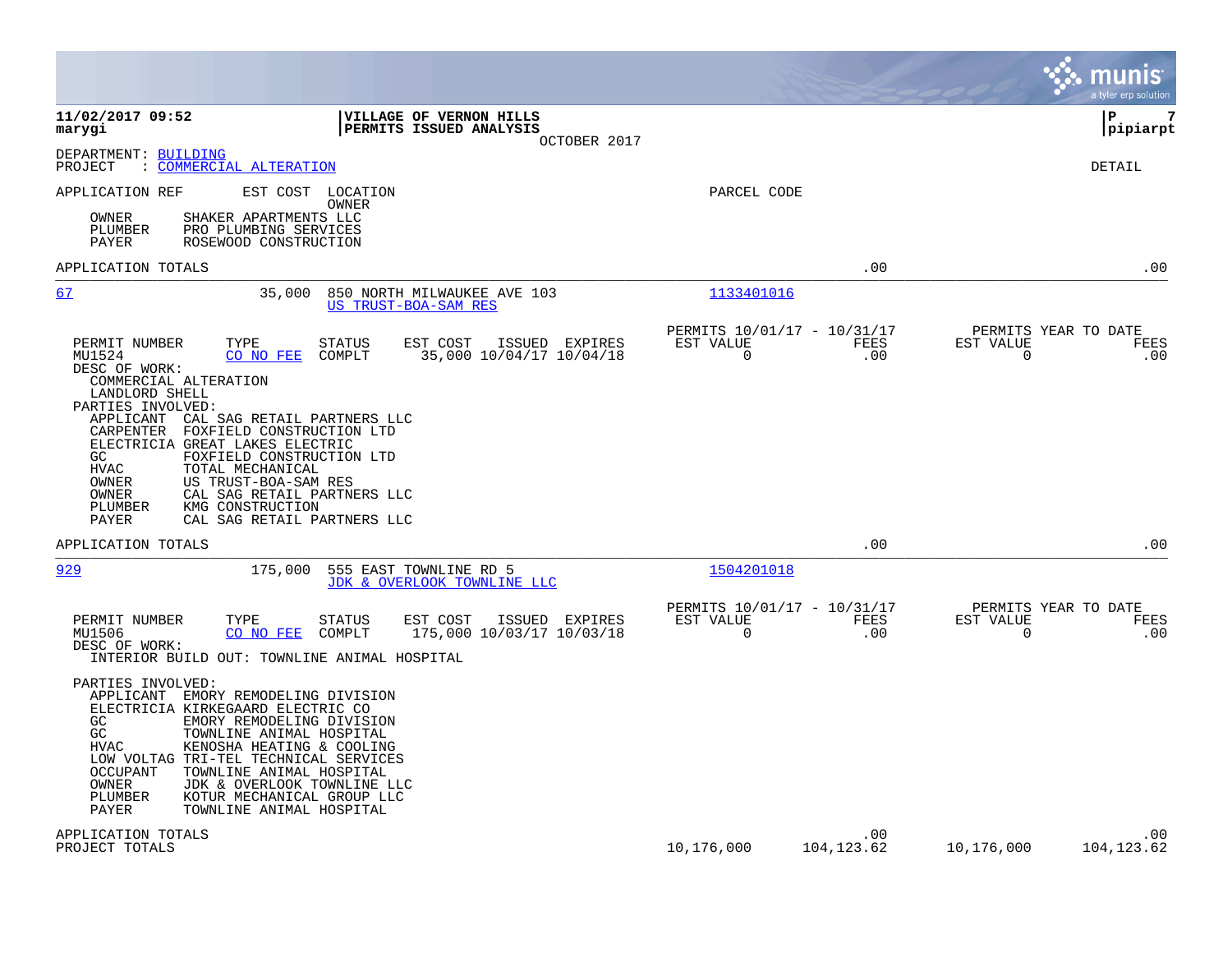|                                                                                                                                                                                                                                                                                                                                                                                                                                                                                                                                                                                                                                 |                                                         |                    |                          | munis<br>a tyler erp solution              |
|---------------------------------------------------------------------------------------------------------------------------------------------------------------------------------------------------------------------------------------------------------------------------------------------------------------------------------------------------------------------------------------------------------------------------------------------------------------------------------------------------------------------------------------------------------------------------------------------------------------------------------|---------------------------------------------------------|--------------------|--------------------------|--------------------------------------------|
| 11/02/2017 09:52<br>VILLAGE OF VERNON HILLS<br>PERMITS ISSUED ANALYSIS<br>marygi<br>OCTOBER 2017                                                                                                                                                                                                                                                                                                                                                                                                                                                                                                                                |                                                         |                    |                          | 7<br>l P<br> pipiarpt                      |
| DEPARTMENT: BUILDING<br><b>COMMERCIAL ALTERATION</b><br>PROJECT<br>$\ddot{\cdot}$                                                                                                                                                                                                                                                                                                                                                                                                                                                                                                                                               |                                                         |                    |                          | DETAIL                                     |
| EST COST<br>APPLICATION REF<br>LOCATION<br>OWNER<br>OWNER<br>SHAKER APARTMENTS LLC<br>PLUMBER<br>PRO PLUMBING SERVICES<br>PAYER<br>ROSEWOOD CONSTRUCTION                                                                                                                                                                                                                                                                                                                                                                                                                                                                        | PARCEL CODE                                             |                    |                          |                                            |
| APPLICATION TOTALS                                                                                                                                                                                                                                                                                                                                                                                                                                                                                                                                                                                                              |                                                         | .00                |                          | .00                                        |
| 67<br>35,000<br>850 NORTH MILWAUKEE AVE 103<br>US TRUST-BOA-SAM RES                                                                                                                                                                                                                                                                                                                                                                                                                                                                                                                                                             | 1133401016                                              |                    |                          |                                            |
| PERMIT NUMBER<br>TYPE<br><b>STATUS</b><br>EST COST<br>ISSUED EXPIRES<br>COMPLT<br>35,000 10/04/17 10/04/18<br>MU1524<br>CO NO FEE<br>DESC OF WORK:<br>COMMERCIAL ALTERATION<br>LANDLORD SHELL<br>PARTIES INVOLVED:<br>APPLICANT<br>CAL SAG RETAIL PARTNERS LLC<br>CARPENTER<br>FOXFIELD CONSTRUCTION LTD<br>ELECTRICIA GREAT LAKES ELECTRIC<br>FOXFIELD CONSTRUCTION LTD<br>GC.<br><b>HVAC</b><br>TOTAL MECHANICAL<br>OWNER<br>US TRUST-BOA-SAM RES<br>CAL SAG RETAIL PARTNERS LLC<br>OWNER<br>PLUMBER<br>KMG CONSTRUCTION<br>CAL SAG RETAIL PARTNERS LLC<br>PAYER                                                              | PERMITS 10/01/17 - 10/31/17<br>EST VALUE<br>$\mathbf 0$ | FEES<br>.00        | EST VALUE<br>0           | PERMITS YEAR TO DATE<br><b>FEES</b><br>.00 |
| APPLICATION TOTALS                                                                                                                                                                                                                                                                                                                                                                                                                                                                                                                                                                                                              |                                                         | .00                |                          | .00                                        |
| 929<br>175,000<br>555 EAST TOWNLINE RD 5<br>JDK & OVERLOOK TOWNLINE LLC                                                                                                                                                                                                                                                                                                                                                                                                                                                                                                                                                         | 1504201018                                              |                    |                          |                                            |
| PERMIT NUMBER<br>TYPE<br><b>STATUS</b><br>EST COST<br>ISSUED EXPIRES<br>MU1506<br>175,000 10/03/17 10/03/18<br>CO NO FEE<br>COMPLT<br>DESC OF WORK:<br>INTERIOR BUILD OUT: TOWNLINE ANIMAL HOSPITAL<br>PARTIES INVOLVED:<br>APPLICANT<br>EMORY REMODELING DIVISION<br>ELECTRICIA KIRKEGAARD ELECTRIC CO<br>GC<br>EMORY REMODELING DIVISION<br>GC<br>TOWNLINE ANIMAL HOSPITAL<br>KENOSHA HEATING & COOLING<br>HVAC<br>LOW VOLTAG TRI-TEL TECHNICAL SERVICES<br><b>OCCUPANT</b><br>TOWNLINE ANIMAL HOSPITAL<br>JDK & OVERLOOK TOWNLINE LLC<br>OWNER<br>PLUMBER<br>KOTUR MECHANICAL GROUP LLC<br>PAYER<br>TOWNLINE ANIMAL HOSPITAL | PERMITS 10/01/17 - 10/31/17<br>EST VALUE<br>$\mathbf 0$ | FEES<br>.00        | EST VALUE<br>$\mathbf 0$ | PERMITS YEAR TO DATE<br>FEES<br>.00        |
| APPLICATION TOTALS<br>PROJECT TOTALS                                                                                                                                                                                                                                                                                                                                                                                                                                                                                                                                                                                            | 10,176,000                                              | .00<br>104, 123.62 | 10,176,000               | .00<br>104, 123.62                         |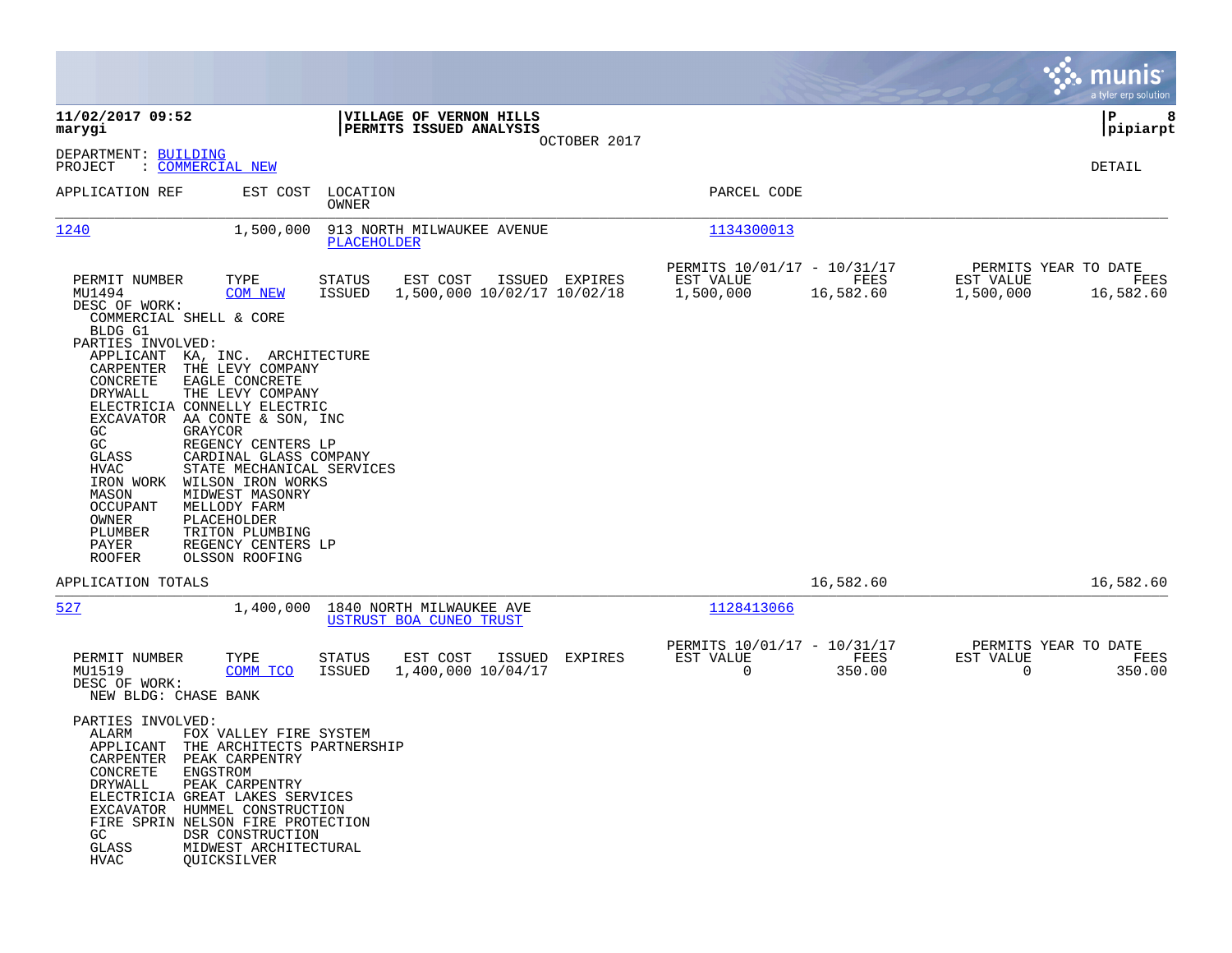|                                                                                                                                                                                                                                                                                                                                                                                                                                                                                                                                                                                                                        |                                                                                                                                      |                                                                    | munis<br>a tyler erp solution                                                            |
|------------------------------------------------------------------------------------------------------------------------------------------------------------------------------------------------------------------------------------------------------------------------------------------------------------------------------------------------------------------------------------------------------------------------------------------------------------------------------------------------------------------------------------------------------------------------------------------------------------------------|--------------------------------------------------------------------------------------------------------------------------------------|--------------------------------------------------------------------|------------------------------------------------------------------------------------------|
| 11/02/2017 09:52<br>marygi                                                                                                                                                                                                                                                                                                                                                                                                                                                                                                                                                                                             | VILLAGE OF VERNON HILLS<br>PERMITS ISSUED ANALYSIS                                                                                   |                                                                    | P<br>8<br> pipiarpt                                                                      |
| DEPARTMENT: BUILDING<br>PROJECT<br>: COMMERCIAL NEW                                                                                                                                                                                                                                                                                                                                                                                                                                                                                                                                                                    |                                                                                                                                      | OCTOBER 2017                                                       | DETAIL                                                                                   |
| APPLICATION REF                                                                                                                                                                                                                                                                                                                                                                                                                                                                                                                                                                                                        | EST COST<br>LOCATION<br>OWNER                                                                                                        | PARCEL CODE                                                        |                                                                                          |
| 1240<br>1,500,000                                                                                                                                                                                                                                                                                                                                                                                                                                                                                                                                                                                                      | 913 NORTH MILWAUKEE AVENUE<br>PLACEHOLDER                                                                                            | 1134300013                                                         |                                                                                          |
| TYPE<br>PERMIT NUMBER<br>MU1494<br><b>COM NEW</b><br>DESC OF WORK:<br>COMMERCIAL SHELL & CORE<br>BLDG G1<br>PARTIES INVOLVED:<br>APPLICANT KA, INC. ARCHITECTURE<br>THE LEVY COMPANY<br>CARPENTER<br>CONCRETE<br>EAGLE CONCRETE<br>DRYWALL<br>THE LEVY COMPANY<br>ELECTRICIA CONNELLY ELECTRIC<br>EXCAVATOR AA CONTE & SON, INC<br>GC<br>GRAYCOR<br>GC<br>REGENCY CENTERS LP<br>GLASS<br>HVAC<br>WILSON IRON WORKS<br>IRON WORK<br>MIDWEST MASONRY<br>MASON<br><b>OCCUPANT</b><br>MELLODY FARM<br>PLACEHOLDER<br>OWNER<br>PLUMBER<br>TRITON PLUMBING<br>PAYER<br>REGENCY CENTERS LP<br><b>ROOFER</b><br>OLSSON ROOFING | STATUS<br>EST COST<br>ISSUED EXPIRES<br>ISSUED<br>1,500,000 10/02/17 10/02/18<br>CARDINAL GLASS COMPANY<br>STATE MECHANICAL SERVICES | PERMITS 10/01/17 - 10/31/17<br>EST VALUE<br>1,500,000              | PERMITS YEAR TO DATE<br>FEES<br>EST VALUE<br>FEES<br>16,582.60<br>1,500,000<br>16,582.60 |
| APPLICATION TOTALS                                                                                                                                                                                                                                                                                                                                                                                                                                                                                                                                                                                                     |                                                                                                                                      |                                                                    | 16,582.60<br>16,582.60                                                                   |
| 527                                                                                                                                                                                                                                                                                                                                                                                                                                                                                                                                                                                                                    | 1840 NORTH MILWAUKEE AVE<br>1,400,000<br>USTRUST BOA CUNEO TRUST                                                                     | 1128413066                                                         |                                                                                          |
| PERMIT NUMBER<br>TYPE<br>MU1519<br>COMM TCO<br>DESC OF WORK:<br>NEW BLDG: CHASE BANK                                                                                                                                                                                                                                                                                                                                                                                                                                                                                                                                   | <b>STATUS</b><br>EST COST<br>ISSUED<br>1,400,000 10/04/17<br>ISSUED                                                                  | PERMITS 10/01/17 - 10/31/17<br>EST VALUE<br>EXPIRES<br>$\mathbf 0$ | PERMITS YEAR TO DATE<br>FEES<br>EST VALUE<br>FEES<br>350.00<br>$\mathbf 0$<br>350.00     |
| PARTIES INVOLVED:<br>ALARM<br>APPLICANT<br>CARPENTER PEAK CARPENTRY<br>CONCRETE<br>ENGSTROM<br>DRYWALL<br>PEAK CARPENTRY<br>ELECTRICIA GREAT LAKES SERVICES<br>EXCAVATOR HUMMEL CONSTRUCTION<br>FIRE SPRIN NELSON FIRE PROTECTION<br>GC<br>DSR CONSTRUCTION<br>GLASS<br>MIDWEST ARCHITECTURAL<br><b>HVAC</b><br>QUICKSILVER                                                                                                                                                                                                                                                                                            | FOX VALLEY FIRE SYSTEM<br>THE ARCHITECTS PARTNERSHIP                                                                                 |                                                                    |                                                                                          |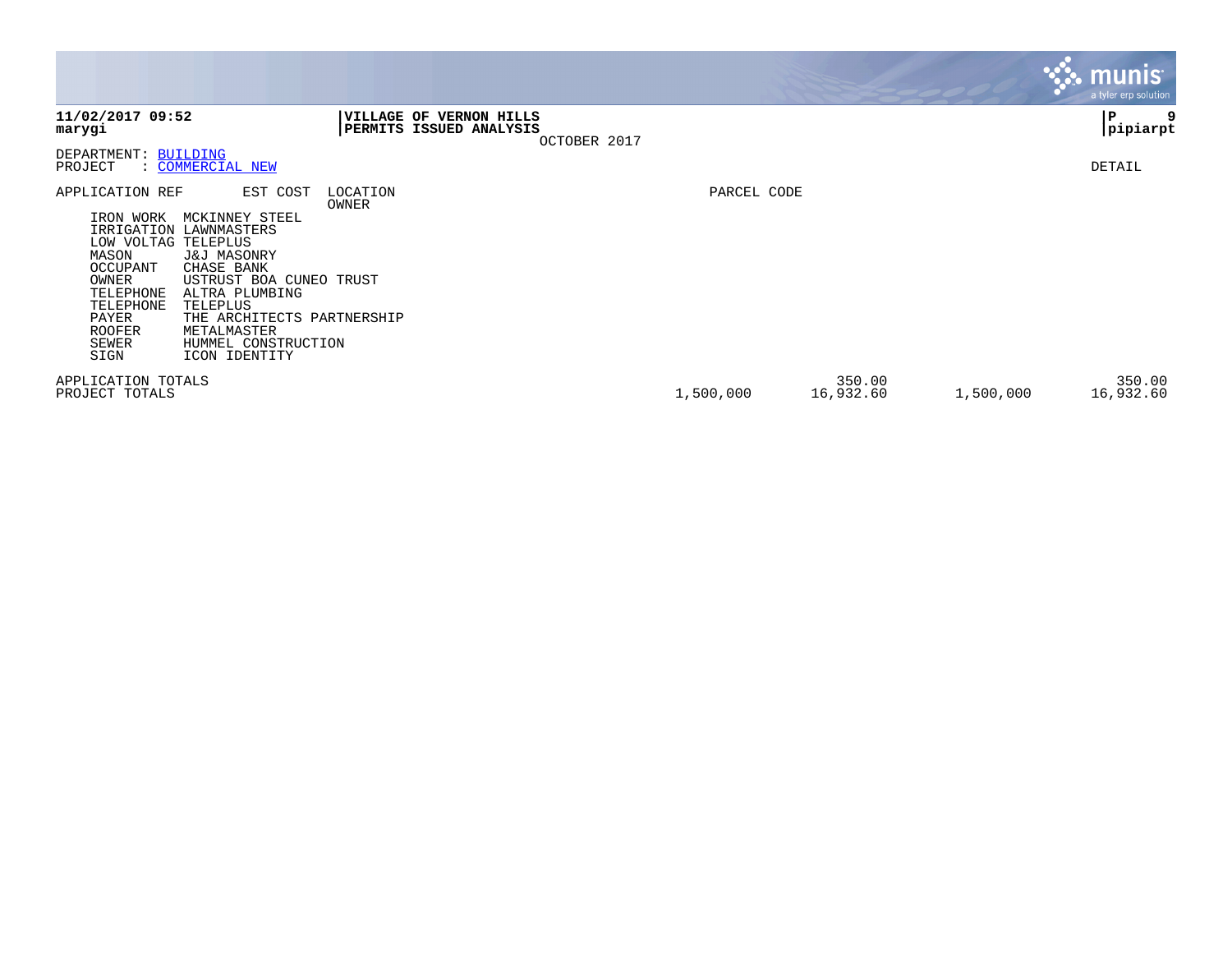|                                                                                                                                                                                                                                                                                                                                                                                           |                   |                                                                |             |                     |           | <b>munis</b><br>a tyler erp solution |
|-------------------------------------------------------------------------------------------------------------------------------------------------------------------------------------------------------------------------------------------------------------------------------------------------------------------------------------------------------------------------------------------|-------------------|----------------------------------------------------------------|-------------|---------------------|-----------|--------------------------------------|
| 11/02/2017 09:52<br>marygi                                                                                                                                                                                                                                                                                                                                                                | <b>VILLAGE OF</b> | <b>VERNON HILLS</b><br>PERMITS ISSUED ANALYSIS<br>OCTOBER 2017 |             |                     |           | 9<br>P<br> pipiarpt                  |
| DEPARTMENT: BUILDING<br>PROJECT<br>: COMMERCIAL NEW                                                                                                                                                                                                                                                                                                                                       |                   |                                                                |             |                     |           | DETAIL                               |
| APPLICATION REF<br>EST COST<br>MCKINNEY STEEL<br>IRON WORK<br>IRRIGATION LAWNMASTERS<br>LOW VOLTAG TELEPLUS<br>MASON<br>J&J MASONRY<br>OCCUPANT<br>CHASE BANK<br>OWNER<br>USTRUST BOA CUNEO TRUST<br>TELEPHONE<br>ALTRA PLUMBING<br>TELEPLUS<br>TELEPHONE<br>PAYER<br>THE ARCHITECTS PARTNERSHIP<br><b>ROOFER</b><br>METALMASTER<br>SEWER<br>HUMMEL CONSTRUCTION<br>SIGN<br>ICON IDENTITY | LOCATION<br>OWNER |                                                                | PARCEL CODE |                     |           |                                      |
| APPLICATION TOTALS<br>PROJECT TOTALS                                                                                                                                                                                                                                                                                                                                                      |                   |                                                                | 1,500,000   | 350.00<br>16,932.60 | 1,500,000 | 350.00<br>16,932.60                  |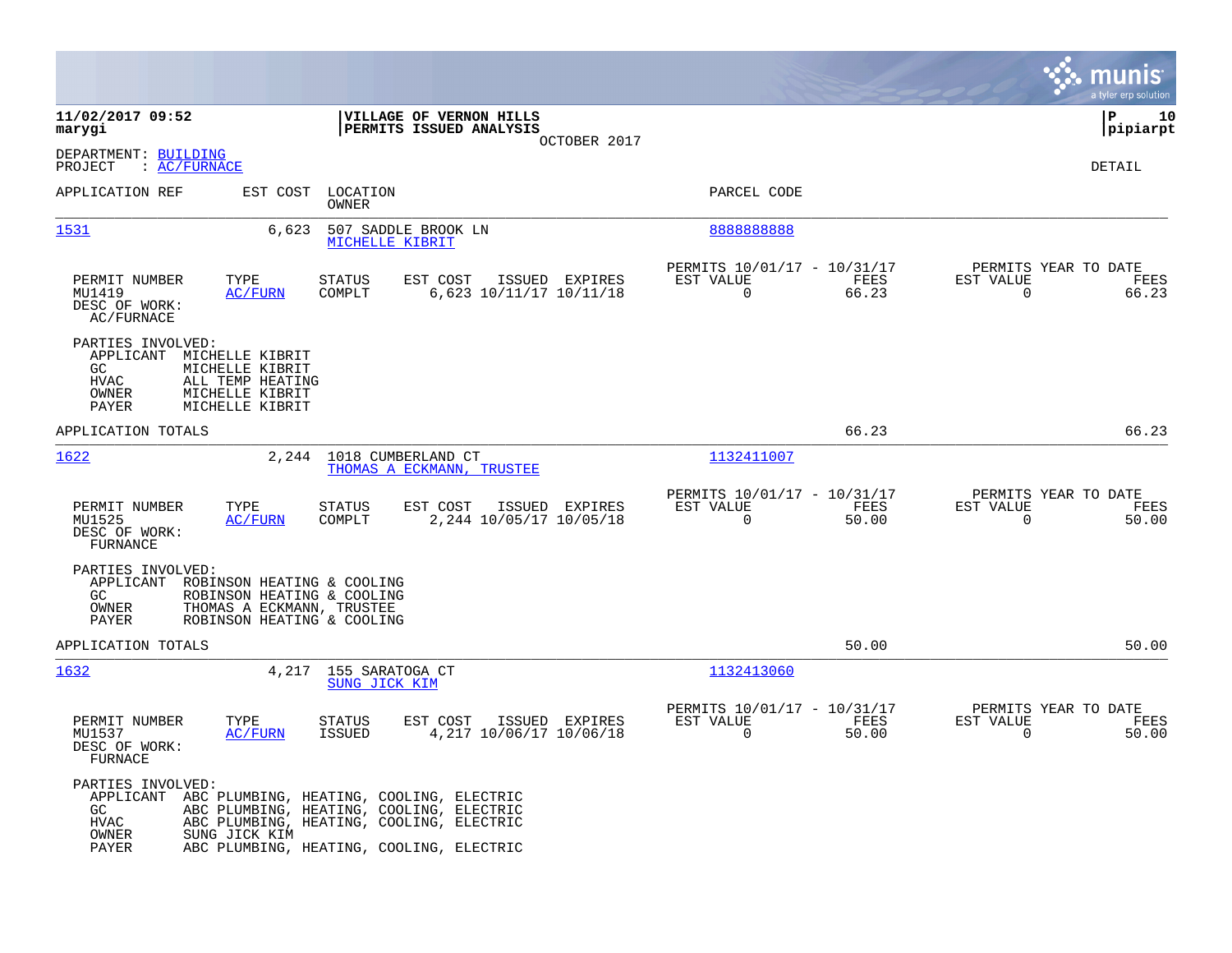|                                                                                                                                                                                                                                                              | munis<br>a tyler erp solution                                                                                                                 |
|--------------------------------------------------------------------------------------------------------------------------------------------------------------------------------------------------------------------------------------------------------------|-----------------------------------------------------------------------------------------------------------------------------------------------|
| 11/02/2017 09:52<br>VILLAGE OF VERNON HILLS<br>PERMITS ISSUED ANALYSIS<br>marygi                                                                                                                                                                             | l P<br>10<br> pipiarpt<br>OCTOBER 2017                                                                                                        |
| DEPARTMENT: BUILDING<br>PROJECT<br>: AC/FURNACE                                                                                                                                                                                                              | <b>DETAIL</b>                                                                                                                                 |
| APPLICATION REF<br>EST COST LOCATION<br>OWNER                                                                                                                                                                                                                | PARCEL CODE                                                                                                                                   |
| 1531<br>6,623<br>507 SADDLE BROOK LN<br>MICHELLE KIBRIT                                                                                                                                                                                                      | 888888888                                                                                                                                     |
| EST COST<br>PERMIT NUMBER<br>TYPE<br><b>STATUS</b><br>ISSUED EXPIRES<br>MU1419<br>AC/FURN<br>COMPLT<br>6,623 10/11/17 10/11/18<br>DESC OF WORK:<br>AC/FURNACE                                                                                                | PERMITS 10/01/17 - 10/31/17<br>PERMITS YEAR TO DATE<br>FEES<br>EST VALUE<br>EST VALUE<br>FEES<br>$\mathbf 0$<br>66.23<br>0<br>66.23           |
| PARTIES INVOLVED:<br>APPLICANT<br>MICHELLE KIBRIT<br>GC.<br>MICHELLE KIBRIT<br>HVAC<br>ALL TEMP HEATING<br>OWNER<br>MICHELLE KIBRIT<br>MICHELLE KIBRIT<br>PAYER                                                                                              |                                                                                                                                               |
| APPLICATION TOTALS                                                                                                                                                                                                                                           | 66.23<br>66.23                                                                                                                                |
| 1622<br>2,244<br>1018 CUMBERLAND CT<br>THOMAS A ECKMANN, TRUSTEE                                                                                                                                                                                             | 1132411007                                                                                                                                    |
| PERMIT NUMBER<br>TYPE<br><b>STATUS</b><br>EST COST<br>ISSUED EXPIRES<br>2,244 10/05/17 10/05/18<br>MU1525<br>AC/FURN<br>COMPLT<br>DESC OF WORK:<br>FURNANCE                                                                                                  | PERMITS 10/01/17 - 10/31/17<br>PERMITS YEAR TO DATE<br>EST VALUE<br>FEES<br>EST VALUE<br>FEES<br>$\Omega$<br>50.00<br>$\Omega$<br>50.00       |
| PARTIES INVOLVED:<br>APPLICANT ROBINSON HEATING & COOLING<br>GC<br>ROBINSON HEATING & COOLING<br>THOMAS A ECKMANN, TRUSTEE<br>OWNER<br>ROBINSON HEATING & COOLING<br>PAYER                                                                                   |                                                                                                                                               |
| APPLICATION TOTALS                                                                                                                                                                                                                                           | 50.00<br>50.00                                                                                                                                |
| 4,217<br>155 SARATOGA CT<br>1632<br>SUNG JICK KIM                                                                                                                                                                                                            | 1132413060                                                                                                                                    |
| PERMIT NUMBER<br>TYPE<br><b>STATUS</b><br>EST COST<br>ISSUED EXPIRES<br>4, 217 10/06/17 10/06/18<br>MU1537<br>AC/FURN<br>ISSUED<br>DESC OF WORK:<br>FURNACE                                                                                                  | PERMITS 10/01/17 - 10/31/17<br>PERMITS YEAR TO DATE<br>EST VALUE<br>FEES<br>EST VALUE<br>FEES<br>$\mathbf 0$<br>50.00<br>$\mathbf 0$<br>50.00 |
| PARTIES INVOLVED:<br>APPLICANT ABC PLUMBING, HEATING, COOLING, ELECTRIC<br>GC<br>ABC PLUMBING, HEATING, COOLING, ELECTRIC<br>ABC PLUMBING, HEATING, COOLING, ELECTRIC<br>HVAC<br>OWNER<br>SUNG JICK KIM<br>PAYER<br>ABC PLUMBING, HEATING, COOLING, ELECTRIC |                                                                                                                                               |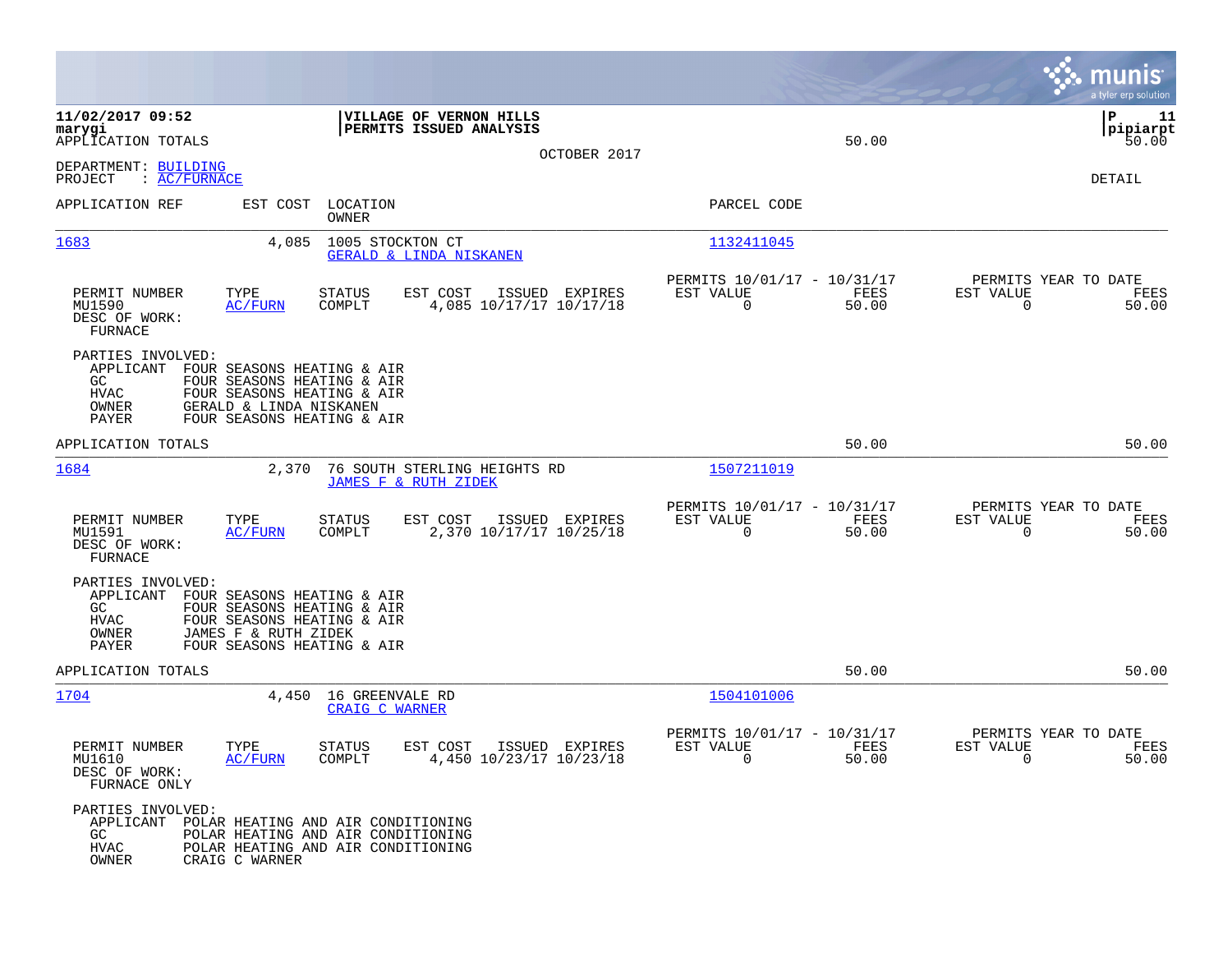|                                                                        |                                                                                                                                                 |                                          |                                                                 |                |                                                         |               |                                                  | munis $\dot{}$<br>a tyler erp solution |
|------------------------------------------------------------------------|-------------------------------------------------------------------------------------------------------------------------------------------------|------------------------------------------|-----------------------------------------------------------------|----------------|---------------------------------------------------------|---------------|--------------------------------------------------|----------------------------------------|
| 11/02/2017 09:52<br>marygi<br>APPLICATION TOTALS                       |                                                                                                                                                 |                                          | VILLAGE OF VERNON HILLS<br>PERMITS ISSUED ANALYSIS              | OCTOBER 2017   |                                                         | 50.00         |                                                  | l P<br>11<br> pipiarpt<br>50.00        |
| DEPARTMENT: BUILDING<br>: AC/FURNACE<br>PROJECT                        |                                                                                                                                                 |                                          |                                                                 |                |                                                         |               |                                                  | <b>DETAIL</b>                          |
| APPLICATION REF                                                        | EST COST                                                                                                                                        | LOCATION<br>OWNER                        |                                                                 |                | PARCEL CODE                                             |               |                                                  |                                        |
| 1683                                                                   | 4,085                                                                                                                                           | 1005 STOCKTON CT                         | GERALD & LINDA NISKANEN                                         |                | 1132411045                                              |               |                                                  |                                        |
| PERMIT NUMBER<br>MU1590<br>DESC OF WORK:<br>FURNACE                    | TYPE<br><b>AC/FURN</b>                                                                                                                          | <b>STATUS</b><br>COMPLT                  | EST COST<br>4,085 10/17/17 10/17/18                             | ISSUED EXPIRES | PERMITS 10/01/17 - 10/31/17<br>EST VALUE<br>$\mathbf 0$ | FEES<br>50.00 | PERMITS YEAR TO DATE<br>EST VALUE<br>0           | FEES<br>50.00                          |
| PARTIES INVOLVED:<br>APPLICANT<br>GC.<br><b>HVAC</b><br>OWNER<br>PAYER | FOUR SEASONS HEATING & AIR<br>FOUR SEASONS HEATING & AIR<br>FOUR SEASONS HEATING & AIR<br>GERALD & LINDA NISKANEN<br>FOUR SEASONS HEATING & AIR |                                          |                                                                 |                |                                                         |               |                                                  |                                        |
| APPLICATION TOTALS                                                     |                                                                                                                                                 |                                          |                                                                 |                |                                                         | 50.00         |                                                  | 50.00                                  |
| 1684                                                                   | 2,370                                                                                                                                           |                                          | 76 SOUTH STERLING HEIGHTS RD<br><b>JAMES F &amp; RUTH ZIDEK</b> |                | 1507211019                                              |               |                                                  |                                        |
| PERMIT NUMBER<br>MU1591<br>DESC OF WORK:<br>FURNACE                    | TYPE<br>AC/FURN                                                                                                                                 | STATUS<br>COMPLT                         | EST COST<br>2,370 10/17/17 10/25/18                             | ISSUED EXPIRES | PERMITS 10/01/17 - 10/31/17<br>EST VALUE<br>0           | FEES<br>50.00 | PERMITS YEAR TO DATE<br>EST VALUE<br>$\mathbf 0$ | FEES<br>50.00                          |
| PARTIES INVOLVED:<br>APPLICANT<br>GC<br>HVAC<br>OWNER<br>PAYER         | FOUR SEASONS HEATING & AIR<br>FOUR SEASONS HEATING & AIR<br>FOUR SEASONS HEATING & AIR<br>JAMES F & RUTH ZIDEK<br>FOUR SEASONS HEATING & AIR    |                                          |                                                                 |                |                                                         |               |                                                  |                                        |
| APPLICATION TOTALS                                                     |                                                                                                                                                 |                                          |                                                                 |                |                                                         | 50.00         |                                                  | 50.00                                  |
| 1704                                                                   | 4,450                                                                                                                                           | 16 GREENVALE RD<br><b>CRAIG C WARNER</b> |                                                                 |                | 1504101006                                              |               |                                                  |                                        |
| PERMIT NUMBER<br>MU1610<br>DESC OF WORK:<br>FURNACE ONLY               | TYPE<br><b>AC/FURN</b>                                                                                                                          | STATUS<br>COMPLT                         | EST COST<br>4,450 10/23/17 10/23/18                             | ISSUED EXPIRES | PERMITS 10/01/17 - 10/31/17<br>EST VALUE<br>0           | FEES<br>50.00 | PERMITS YEAR TO DATE<br>EST VALUE<br>0           | FEES<br>50.00                          |
| PARTIES INVOLVED:<br>APPLICANT<br>GC<br><b>HVAC</b><br>OWNER           | POLAR HEATING AND AIR CONDITIONING<br>POLAR HEATING AND AIR CONDITIONING<br>POLAR HEATING AND AIR CONDITIONING<br>CRAIG C WARNER                |                                          |                                                                 |                |                                                         |               |                                                  |                                        |

**Contract**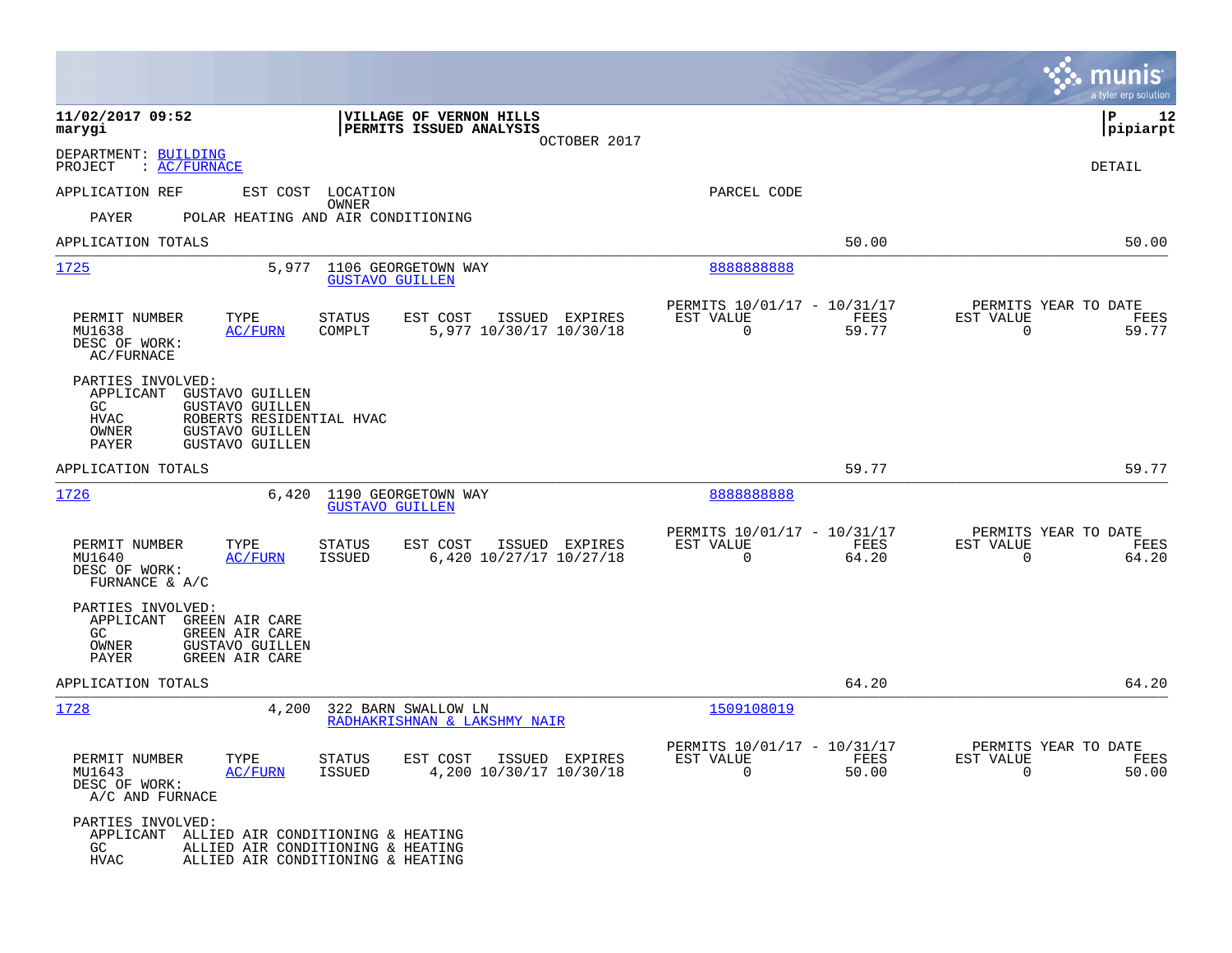|                                                                                                                                                                                                            |                                                                                                             |                                                                          | munis<br>a tyler erp solution                                     |
|------------------------------------------------------------------------------------------------------------------------------------------------------------------------------------------------------------|-------------------------------------------------------------------------------------------------------------|--------------------------------------------------------------------------|-------------------------------------------------------------------|
| 11/02/2017 09:52<br>marygi                                                                                                                                                                                 | VILLAGE OF VERNON HILLS<br>PERMITS ISSUED ANALYSIS<br>OCTOBER 2017                                          |                                                                          | P<br>12<br> pipiarpt                                              |
| DEPARTMENT: BUILDING<br>: AC/FURNACE<br>PROJECT                                                                                                                                                            |                                                                                                             |                                                                          | DETAIL                                                            |
| APPLICATION REF                                                                                                                                                                                            | EST COST LOCATION                                                                                           | PARCEL CODE                                                              |                                                                   |
| PAYER                                                                                                                                                                                                      | OWNER<br>POLAR HEATING AND AIR CONDITIONING                                                                 |                                                                          |                                                                   |
| APPLICATION TOTALS                                                                                                                                                                                         |                                                                                                             | 50.00                                                                    | 50.00                                                             |
| 1725<br>5,977                                                                                                                                                                                              | 1106 GEORGETOWN WAY<br><b>GUSTAVO GUILLEN</b>                                                               | 8888888888                                                               |                                                                   |
| PERMIT NUMBER<br>TYPE<br><b>AC/FURN</b><br>MU1638<br>DESC OF WORK:<br>AC/FURNACE                                                                                                                           | STATUS<br>EST COST<br>ISSUED EXPIRES<br>COMPLT<br>5,977 10/30/17 10/30/18                                   | PERMITS 10/01/17 - 10/31/17<br>FEES<br>EST VALUE<br>$\Omega$<br>59.77    | PERMITS YEAR TO DATE<br>EST VALUE<br>FEES<br>59.77<br>$\Omega$    |
| PARTIES INVOLVED:<br><b>GUSTAVO GUILLEN</b><br>APPLICANT<br>GC.<br><b>GUSTAVO GUILLEN</b><br><b>HVAC</b><br>ROBERTS RESIDENTIAL HVAC<br><b>GUSTAVO GUILLEN</b><br>OWNER<br><b>GUSTAVO GUILLEN</b><br>PAYER |                                                                                                             |                                                                          |                                                                   |
| APPLICATION TOTALS                                                                                                                                                                                         |                                                                                                             | 59.77                                                                    | 59.77                                                             |
| 1726<br>6,420                                                                                                                                                                                              | 1190 GEORGETOWN WAY<br><b>GUSTAVO GUILLEN</b>                                                               | 888888888                                                                |                                                                   |
| PERMIT NUMBER<br>TYPE<br>MU1640<br>AC/FURN<br>DESC OF WORK:<br>FURNANCE & A/C                                                                                                                              | EST COST<br>ISSUED EXPIRES<br><b>STATUS</b><br>6,420 10/27/17 10/27/18<br><b>ISSUED</b>                     | PERMITS 10/01/17 - 10/31/17<br>EST VALUE<br>FEES<br>$\mathbf 0$<br>64.20 | PERMITS YEAR TO DATE<br>EST VALUE<br>FEES<br>$\mathbf 0$<br>64.20 |
| PARTIES INVOLVED:<br>APPLICANT<br>GREEN AIR CARE<br>GREEN AIR CARE<br>GC.<br>OWNER<br><b>GUSTAVO GUILLEN</b><br>PAYER<br>GREEN AIR CARE                                                                    |                                                                                                             |                                                                          |                                                                   |
| APPLICATION TOTALS                                                                                                                                                                                         |                                                                                                             | 64.20                                                                    | 64.20                                                             |
| 1728<br>4,200                                                                                                                                                                                              | 322 BARN SWALLOW LN<br>RADHAKRISHNAN & LAKSHMY NAIR                                                         | 1509108019                                                               |                                                                   |
| PERMIT NUMBER<br>TYPE<br>AC/FURN<br>MU1643<br>DESC OF WORK:<br>A/C AND FURNACE                                                                                                                             | EST COST<br>ISSUED EXPIRES<br><b>STATUS</b><br>4,200 10/30/17 10/30/18<br><b>ISSUED</b>                     | PERMITS 10/01/17 - 10/31/17<br>EST VALUE<br>FEES<br>$\mathbf 0$<br>50.00 | PERMITS YEAR TO DATE<br>EST VALUE<br>FEES<br>$\mathbf 0$<br>50.00 |
| PARTIES INVOLVED:<br>APPLICANT<br>GC.<br><b>HVAC</b>                                                                                                                                                       | ALLIED AIR CONDITIONING & HEATING<br>ALLIED AIR CONDITIONING & HEATING<br>ALLIED AIR CONDITIONING & HEATING |                                                                          |                                                                   |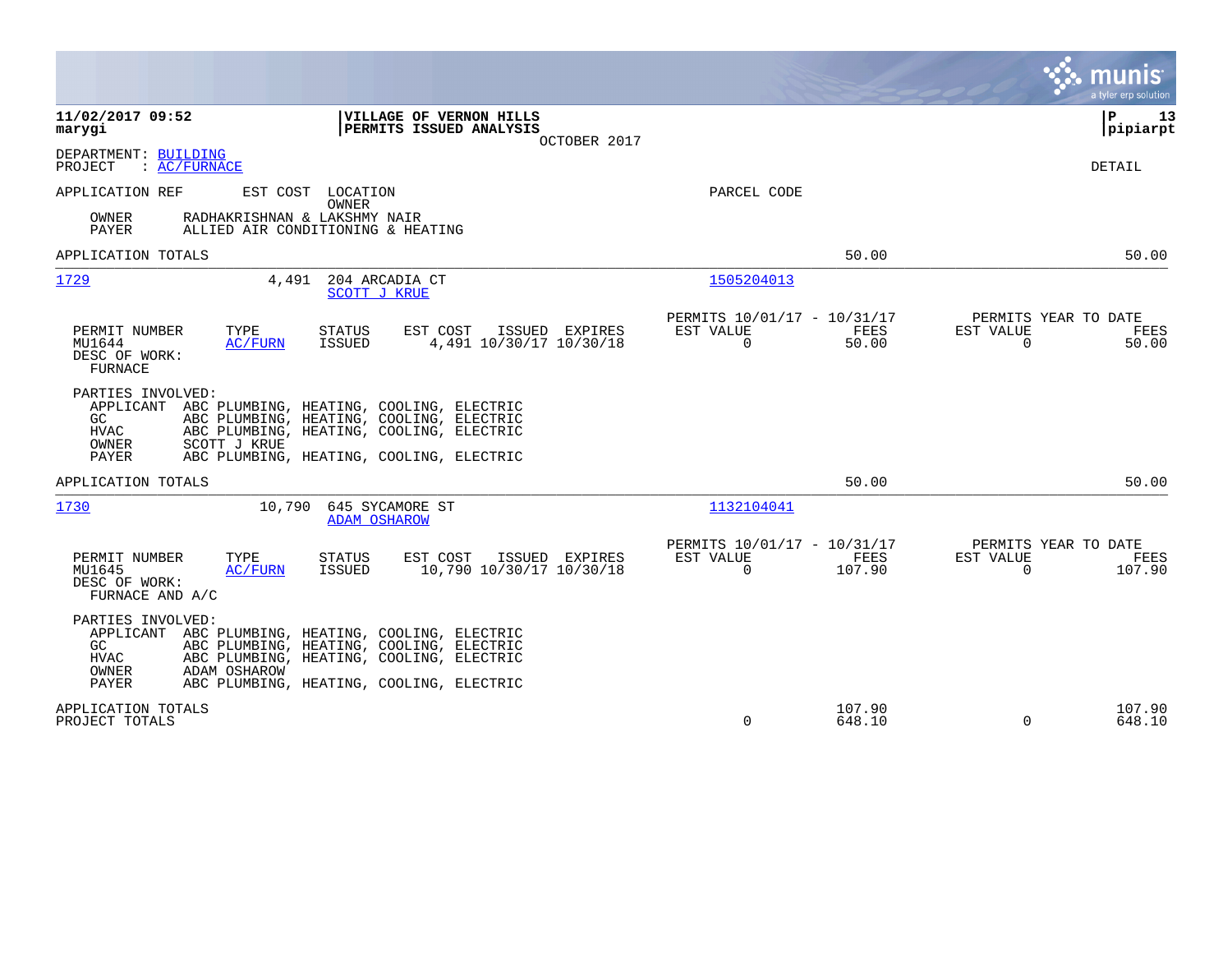|                                                                                                                                                                                                                                                             |                                                                        | munis<br>a tyler erp solution                                     |
|-------------------------------------------------------------------------------------------------------------------------------------------------------------------------------------------------------------------------------------------------------------|------------------------------------------------------------------------|-------------------------------------------------------------------|
| 11/02/2017 09:52<br>VILLAGE OF VERNON HILLS<br>PERMITS ISSUED ANALYSIS<br>marygi<br>OCTOBER 2017                                                                                                                                                            |                                                                        | ΙP<br>13<br>pipiarpt                                              |
| DEPARTMENT: BUILDING<br>: AC/FURNACE<br>PROJECT                                                                                                                                                                                                             |                                                                        | DETAIL                                                            |
| APPLICATION REF<br>EST COST LOCATION<br>OWNER<br>RADHAKRISHNAN & LAKSHMY NAIR<br>OWNER<br><b>PAYER</b><br>ALLIED AIR CONDITIONING & HEATING                                                                                                                 | PARCEL CODE                                                            |                                                                   |
| APPLICATION TOTALS                                                                                                                                                                                                                                          | 50.00                                                                  | 50.00                                                             |
| 1729<br>204 ARCADIA CT<br>4,491<br><b>SCOTT J KRUE</b>                                                                                                                                                                                                      | 1505204013                                                             |                                                                   |
| PERMIT NUMBER<br>TYPE<br><b>STATUS</b><br>EST COST<br>ISSUED EXPIRES<br>MU1644<br>ISSUED<br>4,491 10/30/17 10/30/18<br>AC/FURN<br>DESC OF WORK:<br><b>FURNACE</b>                                                                                           | PERMITS 10/01/17 - 10/31/17<br>EST VALUE<br>FEES<br>$\Omega$<br>50.00  | PERMITS YEAR TO DATE<br>EST VALUE<br>FEES<br>$\mathbf 0$<br>50.00 |
| PARTIES INVOLVED:<br>APPLICANT ABC PLUMBING, HEATING, COOLING, ELECTRIC<br>ABC PLUMBING, HEATING, COOLING, ELECTRIC<br>GC<br>HVAC<br>ABC PLUMBING, HEATING, COOLING, ELECTRIC<br>OWNER<br>SCOTT J KRUE<br>PAYER<br>ABC PLUMBING, HEATING, COOLING, ELECTRIC |                                                                        |                                                                   |
| APPLICATION TOTALS                                                                                                                                                                                                                                          | 50.00                                                                  | 50.00                                                             |
| 645 SYCAMORE ST<br>1730<br>10,790<br><b>ADAM OSHAROW</b>                                                                                                                                                                                                    | 1132104041                                                             |                                                                   |
| PERMIT NUMBER<br>TYPE<br>EST COST<br>ISSUED EXPIRES<br>STATUS<br>10,790 10/30/17 10/30/18<br>MU1645<br>AC/FURN<br>ISSUED<br>DESC OF WORK:<br>FURNACE AND A/C                                                                                                | PERMITS 10/01/17 - 10/31/17<br>EST VALUE<br>FEES<br>$\Omega$<br>107.90 | PERMITS YEAR TO DATE<br>EST VALUE<br>FEES<br>$\Omega$<br>107.90   |
| PARTIES INVOLVED:<br>APPLICANT ABC PLUMBING, HEATING, COOLING, ELECTRIC<br>ABC PLUMBING, HEATING, COOLING, ELECTRIC<br>GC.<br>HVAC<br>ABC PLUMBING, HEATING, COOLING, ELECTRIC<br>OWNER<br>ADAM OSHAROW                                                     |                                                                        |                                                                   |
| PAYER<br>ABC PLUMBING, HEATING, COOLING, ELECTRIC                                                                                                                                                                                                           |                                                                        |                                                                   |
| APPLICATION TOTALS<br>PROJECT TOTALS                                                                                                                                                                                                                        | 107.90<br>0<br>648.10                                                  | 107.90<br>$\Omega$<br>648.10                                      |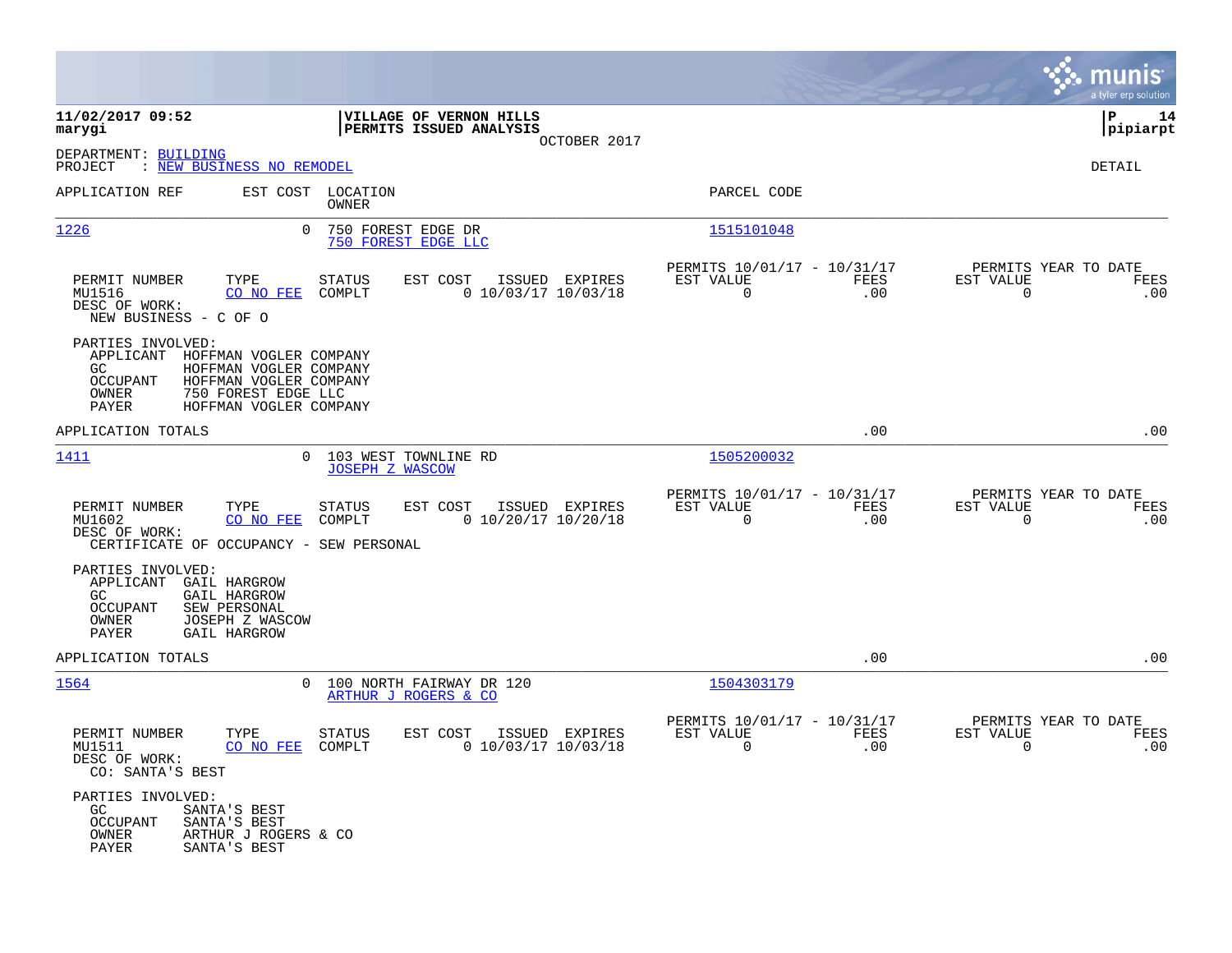|                                                                                                                                                                                                                  |                                                                                |                                                                               | munis<br>a tyler erp solution                                   |
|------------------------------------------------------------------------------------------------------------------------------------------------------------------------------------------------------------------|--------------------------------------------------------------------------------|-------------------------------------------------------------------------------|-----------------------------------------------------------------|
| 11/02/2017 09:52<br>marygi                                                                                                                                                                                       | VILLAGE OF VERNON HILLS<br>PERMITS ISSUED ANALYSIS<br>OCTOBER 2017             |                                                                               | l P<br>14<br> pipiarpt                                          |
| DEPARTMENT: BUILDING<br>: NEW BUSINESS NO REMODEL<br>PROJECT                                                                                                                                                     |                                                                                |                                                                               | DETAIL                                                          |
| APPLICATION REF                                                                                                                                                                                                  | EST COST LOCATION<br>OWNER                                                     | PARCEL CODE                                                                   |                                                                 |
| 1226<br>$\Omega$                                                                                                                                                                                                 | 750 FOREST EDGE DR<br>750 FOREST EDGE LLC                                      | 1515101048                                                                    |                                                                 |
| TYPE<br>PERMIT NUMBER<br>MU1516<br>CO NO FEE<br>DESC OF WORK:<br>NEW BUSINESS - C OF O                                                                                                                           | EST COST<br>STATUS<br>ISSUED EXPIRES<br>$0$ 10/03/17 10/03/18<br>COMPLT        | PERMITS 10/01/17 - 10/31/17<br>EST VALUE<br>FEES<br>0<br>.00                  | PERMITS YEAR TO DATE<br>EST VALUE<br>FEES<br>0<br>.00           |
| PARTIES INVOLVED:<br>APPLICANT<br>HOFFMAN VOGLER COMPANY<br>GC.<br>HOFFMAN VOGLER COMPANY<br><b>OCCUPANT</b><br>HOFFMAN VOGLER COMPANY<br><b>OWNER</b><br>750 FOREST EDGE LLC<br>HOFFMAN VOGLER COMPANY<br>PAYER |                                                                                |                                                                               |                                                                 |
| APPLICATION TOTALS                                                                                                                                                                                               |                                                                                | .00                                                                           | .00                                                             |
| 1411                                                                                                                                                                                                             | 0 103 WEST TOWNLINE RD<br><b>JOSEPH Z WASCOW</b>                               | 1505200032                                                                    |                                                                 |
| PERMIT NUMBER<br>TYPE<br>MU1602<br>CO NO FEE<br>DESC OF WORK:<br>CERTIFICATE OF OCCUPANCY - SEW PERSONAL                                                                                                         | <b>STATUS</b><br>EST COST<br>ISSUED EXPIRES<br>COMPLT<br>$0$ 10/20/17 10/20/18 | PERMITS 10/01/17 - 10/31/17<br>EST VALUE<br><b>FEES</b><br>$\mathbf 0$<br>.00 | PERMITS YEAR TO DATE<br>EST VALUE<br>FEES<br>$\mathbf 0$<br>.00 |
| PARTIES INVOLVED:<br>APPLICANT<br>GAIL HARGROW<br>GC<br><b>GAIL HARGROW</b><br><b>OCCUPANT</b><br>SEW PERSONAL<br>OWNER<br>JOSEPH Z WASCOW<br>PAYER<br><b>GAIL HARGROW</b>                                       |                                                                                |                                                                               |                                                                 |
| APPLICATION TOTALS                                                                                                                                                                                               |                                                                                | .00                                                                           | .00                                                             |
| 1564                                                                                                                                                                                                             | 0 100 NORTH FAIRWAY DR 120<br>ARTHUR J ROGERS & CO                             | 1504303179                                                                    |                                                                 |
| PERMIT NUMBER<br>TYPE<br>MU1511<br>CO NO FEE<br>DESC OF WORK:<br>CO: SANTA'S BEST                                                                                                                                | <b>STATUS</b><br>EST COST<br>ISSUED EXPIRES<br>COMPLT<br>$0$ 10/03/17 10/03/18 | PERMITS 10/01/17 - 10/31/17<br>EST VALUE<br>FEES<br>$\mathbf 0$<br>.00        | PERMITS YEAR TO DATE<br>EST VALUE<br>FEES<br>0<br>.00           |
| PARTIES INVOLVED:<br>GC.<br>SANTA'S BEST<br><b>OCCUPANT</b><br>SANTA'S BEST<br>OWNER<br>ARTHUR J ROGERS & CO<br>PAYER<br>SANTA'S BEST                                                                            |                                                                                |                                                                               |                                                                 |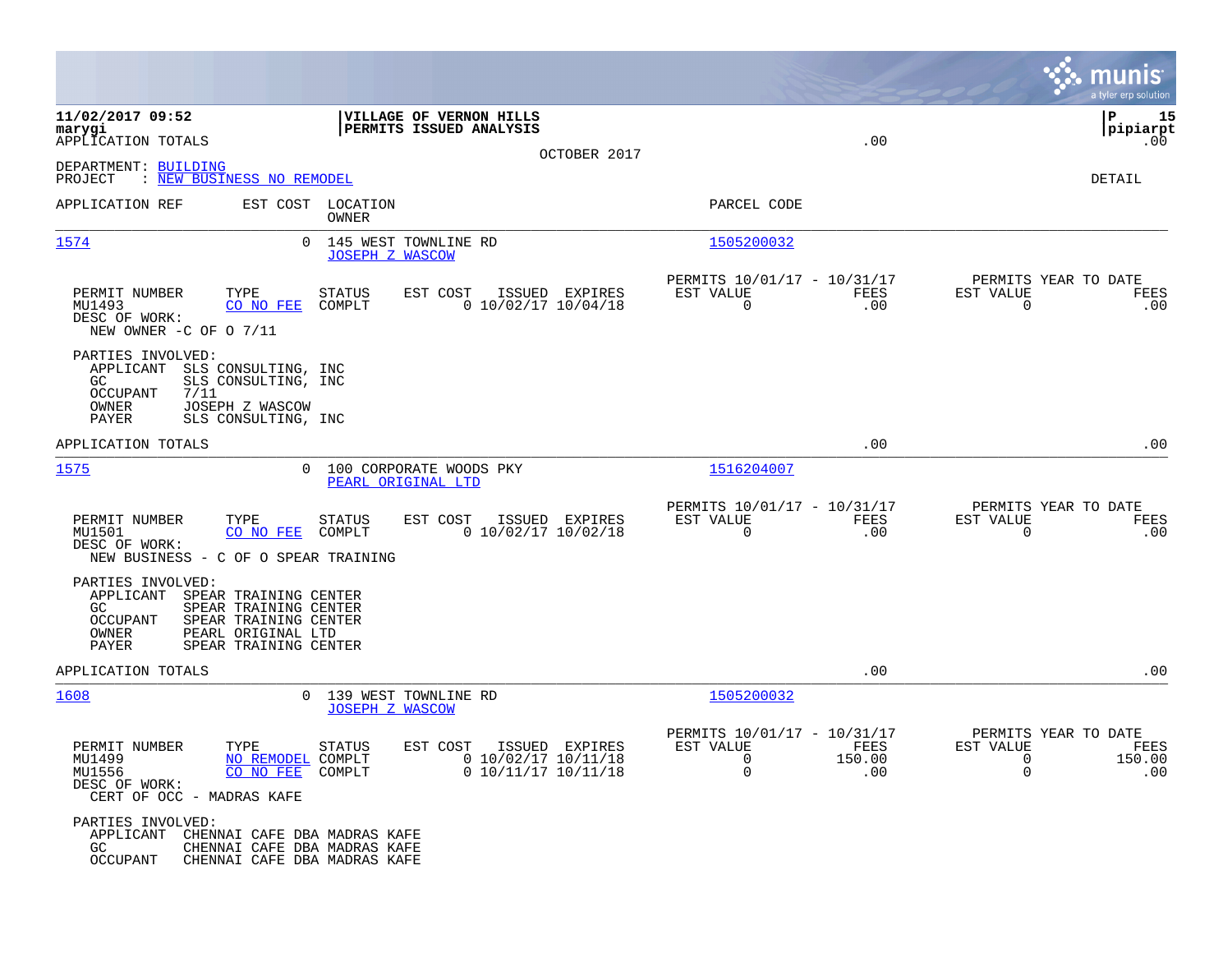|                                                                                                                                                                                                     |                                                |                                                            |                |                                                              |                       |                                                          | munis<br>a tyler erp solution          |
|-----------------------------------------------------------------------------------------------------------------------------------------------------------------------------------------------------|------------------------------------------------|------------------------------------------------------------|----------------|--------------------------------------------------------------|-----------------------|----------------------------------------------------------|----------------------------------------|
| 11/02/2017 09:52<br>marygi<br>APPLICATION TOTALS<br>DEPARTMENT: BUILDING<br>PROJECT<br>: NEW BUSINESS NO REMODEL                                                                                    |                                                | VILLAGE OF VERNON HILLS<br>PERMITS ISSUED ANALYSIS         | OCTOBER 2017   |                                                              | .00                   |                                                          | ΙP<br>15<br> pipiarpt<br>.00<br>DETAIL |
| APPLICATION REF                                                                                                                                                                                     | EST COST LOCATION<br>OWNER                     |                                                            |                | PARCEL CODE                                                  |                       |                                                          |                                        |
| 1574<br>$\Omega$                                                                                                                                                                                    | <b>JOSEPH Z WASCOW</b>                         | 145 WEST TOWNLINE RD                                       |                | 1505200032                                                   |                       |                                                          |                                        |
| PERMIT NUMBER<br>TYPE<br>MU1493<br>CO NO FEE<br>DESC OF WORK:<br>NEW OWNER -C OF O 7/11                                                                                                             | <b>STATUS</b><br>COMPLT                        | EST COST<br>$0$ 10/02/17 10/04/18                          | ISSUED EXPIRES | PERMITS 10/01/17 - 10/31/17<br>EST VALUE<br>$\mathbf 0$      | FEES<br>.00           | PERMITS YEAR TO DATE<br>EST VALUE<br>$\overline{0}$      | FEES<br>.00                            |
| PARTIES INVOLVED:<br>APPLICANT<br>SLS CONSULTING, INC<br>GC<br>SLS CONSULTING, INC<br>OCCUPANT<br>7/11<br>OWNER<br>JOSEPH Z WASCOW<br>PAYER<br>SLS CONSULTING, INC                                  |                                                |                                                            |                |                                                              |                       |                                                          |                                        |
| APPLICATION TOTALS                                                                                                                                                                                  |                                                |                                                            |                |                                                              | .00                   |                                                          | .00                                    |
| 1575                                                                                                                                                                                                | PEARL ORIGINAL LTD                             | 100 CORPORATE WOODS PKY                                    |                | 1516204007                                                   |                       |                                                          |                                        |
| PERMIT NUMBER<br>TYPE<br>MU1501<br>CO NO FEE<br>DESC OF WORK:<br>NEW BUSINESS - C OF O SPEAR TRAINING                                                                                               | <b>STATUS</b><br>COMPLT                        | EST COST<br>$0$ 10/02/17 10/02/18                          | ISSUED EXPIRES | PERMITS 10/01/17 - 10/31/17<br>EST VALUE<br>0                | <b>FEES</b><br>.00    | PERMITS YEAR TO DATE<br>EST VALUE<br>0                   | <b>FEES</b><br>.00                     |
| PARTIES INVOLVED:<br>APPLICANT<br>SPEAR TRAINING CENTER<br>GC<br>SPEAR TRAINING CENTER<br><b>OCCUPANT</b><br>SPEAR TRAINING CENTER<br>OWNER<br>PEARL ORIGINAL LTD<br>PAYER<br>SPEAR TRAINING CENTER |                                                |                                                            |                |                                                              |                       |                                                          |                                        |
| APPLICATION TOTALS                                                                                                                                                                                  |                                                |                                                            |                |                                                              | .00                   |                                                          | .00                                    |
| 1608<br>$\Omega$                                                                                                                                                                                    | 139 WEST TOWNLINE RD<br><b>JOSEPH Z WASCOW</b> |                                                            |                | 1505200032                                                   |                       |                                                          |                                        |
| PERMIT NUMBER<br>TYPE<br>NO REMODEL COMPLT<br>MU1499<br>CO NO FEE<br>MU1556<br>DESC OF WORK:<br>CERT OF OCC - MADRAS KAFE                                                                           | <b>STATUS</b><br>COMPLT                        | EST COST<br>$0$ 10/02/17 10/11/18<br>$0$ 10/11/17 10/11/18 | ISSUED EXPIRES | PERMITS 10/01/17 - 10/31/17<br>EST VALUE<br>$\mathbf 0$<br>0 | FEES<br>150.00<br>.00 | PERMITS YEAR TO DATE<br>EST VALUE<br>$\overline{0}$<br>0 | FEES<br>150.00<br>.00                  |
| PARTIES INVOLVED:<br>APPLICANT<br>CHENNAI CAFE DBA MADRAS KAFE<br>GC.<br>CHENNAI CAFE DBA MADRAS KAFE<br><b>OCCUPANT</b><br>CHENNAI CAFE DBA MADRAS KAFE                                            |                                                |                                                            |                |                                                              |                       |                                                          |                                        |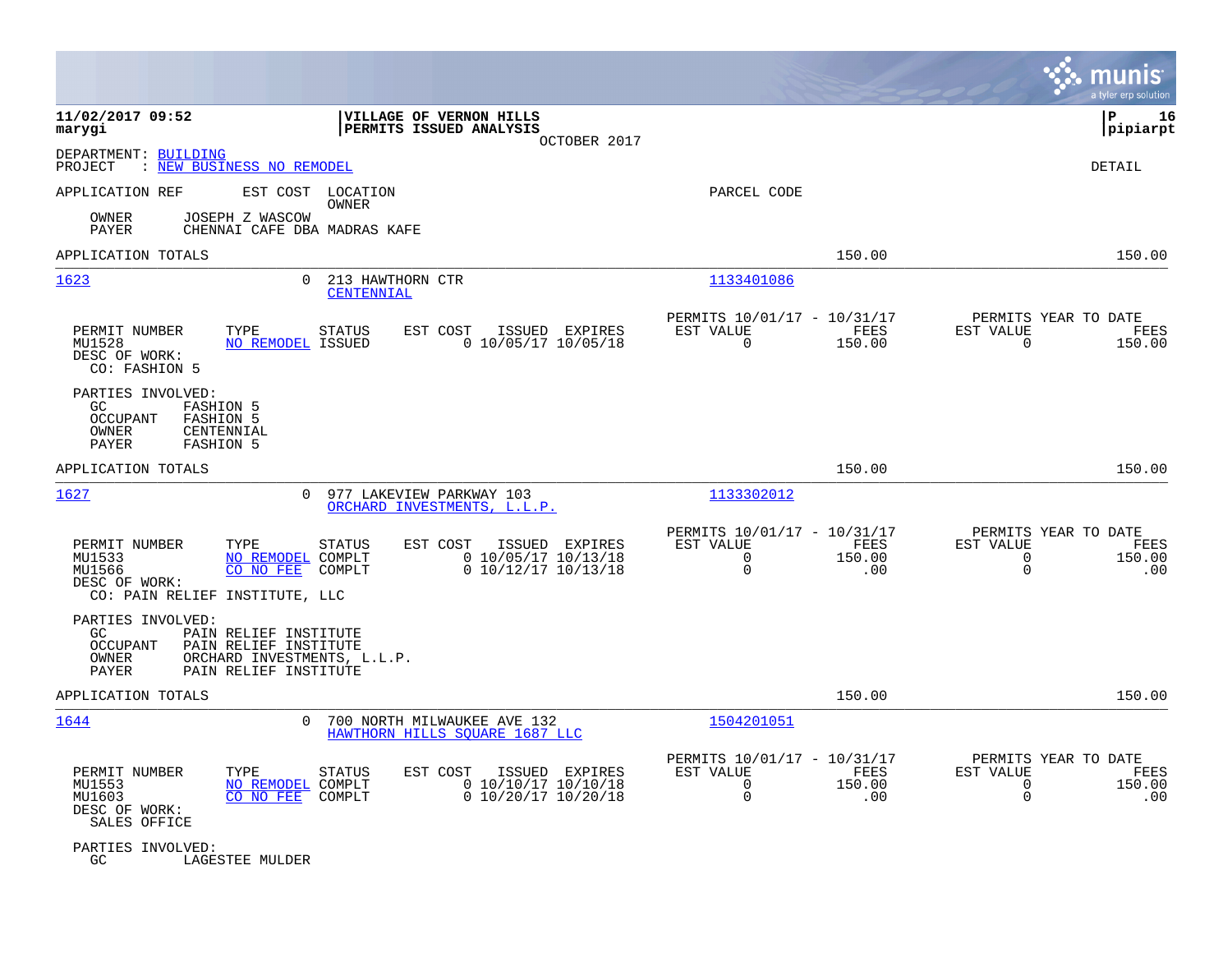|                                                                                                                                                                        |                                |                                                                              |                                                                        |                       |                                                       | munis<br>a tyler erp solution |
|------------------------------------------------------------------------------------------------------------------------------------------------------------------------|--------------------------------|------------------------------------------------------------------------------|------------------------------------------------------------------------|-----------------------|-------------------------------------------------------|-------------------------------|
| 11/02/2017 09:52<br>marygi                                                                                                                                             |                                | VILLAGE OF VERNON HILLS<br>PERMITS ISSUED ANALYSIS<br>OCTOBER 2017           |                                                                        |                       |                                                       | l P<br>16<br> pipiarpt        |
| DEPARTMENT: BUILDING<br>: NEW BUSINESS NO REMODEL<br>PROJECT                                                                                                           |                                |                                                                              |                                                                        |                       |                                                       | DETAIL                        |
| APPLICATION REF<br>EST COST                                                                                                                                            | LOCATION<br>OWNER              |                                                                              | PARCEL CODE                                                            |                       |                                                       |                               |
| JOSEPH Z WASCOW<br>OWNER<br>PAYER<br>CHENNAI CAFE DBA MADRAS KAFE                                                                                                      |                                |                                                                              |                                                                        |                       |                                                       |                               |
| APPLICATION TOTALS                                                                                                                                                     |                                |                                                                              |                                                                        | 150.00                |                                                       | 150.00                        |
| 1623<br>0                                                                                                                                                              | 213 HAWTHORN CTR<br>CENTENNIAL |                                                                              | 1133401086                                                             |                       |                                                       |                               |
| PERMIT NUMBER<br>TYPE<br>MU1528<br><b>NO REMODEL ISSUED</b><br>DESC OF WORK:<br>CO: FASHION 5                                                                          | <b>STATUS</b>                  | EST COST<br>ISSUED EXPIRES<br>$0$ 10/05/17 10/05/18                          | PERMITS 10/01/17 - 10/31/17<br>EST VALUE<br>$\mathbf 0$                | FEES<br>150.00        | PERMITS YEAR TO DATE<br>EST VALUE<br>0                | FEES<br>150.00                |
| PARTIES INVOLVED:<br>GC.<br><b>FASHION 5</b><br><b>OCCUPANT</b><br><b>FASHION 5</b><br>OWNER<br>CENTENNIAL<br>PAYER<br><b>FASHION 5</b>                                |                                |                                                                              |                                                                        |                       |                                                       |                               |
| APPLICATION TOTALS                                                                                                                                                     |                                |                                                                              |                                                                        | 150.00                |                                                       | 150.00                        |
| 1627<br>0                                                                                                                                                              |                                | 977 LAKEVIEW PARKWAY 103<br>ORCHARD INVESTMENTS, L.L.P.                      | 1133302012                                                             |                       |                                                       |                               |
| TYPE<br>PERMIT NUMBER<br>MU1533<br>NO REMODEL COMPLT<br>CO NO FEE<br>MU1566<br>DESC OF WORK:<br>CO: PAIN RELIEF INSTITUTE, LLC                                         | STATUS<br>COMPLT               | EST COST<br>ISSUED EXPIRES<br>0 10/05/17 10/13/18<br>0 10/12/17 10/13/18     | PERMITS 10/01/17 - 10/31/17<br>EST VALUE<br>$\Omega$<br>$\mathbf 0$    | FEES<br>150.00<br>.00 | PERMITS YEAR TO DATE<br>EST VALUE<br>0<br>$\mathbf 0$ | FEES<br>150.00<br>.00         |
| PARTIES INVOLVED:<br>GC<br>PAIN RELIEF INSTITUTE<br>PAIN RELIEF INSTITUTE<br><b>OCCUPANT</b><br>OWNER<br>ORCHARD INVESTMENTS, L.L.P.<br>PAYER<br>PAIN RELIEF INSTITUTE |                                |                                                                              |                                                                        |                       |                                                       |                               |
| APPLICATION TOTALS                                                                                                                                                     |                                |                                                                              |                                                                        | 150.00                |                                                       | 150.00                        |
| 1644<br>0                                                                                                                                                              |                                | 700 NORTH MILWAUKEE AVE 132<br>HAWTHORN HILLS SOUARE 1687 LLC                | 1504201051                                                             |                       |                                                       |                               |
| PERMIT NUMBER<br>TYPE<br>MU1553<br>NO REMODEL COMPLT<br>MU1603<br>CO NO FEE<br>DESC OF WORK:<br>SALES OFFICE                                                           | STATUS<br>COMPLT               | EST COST<br>ISSUED EXPIRES<br>$0$ 10/10/17 10/10/18<br>$0$ 10/20/17 10/20/18 | PERMITS 10/01/17 - 10/31/17<br>EST VALUE<br>$\mathbf 0$<br>$\mathbf 0$ | FEES<br>150.00<br>.00 | PERMITS YEAR TO DATE<br>EST VALUE<br>0<br>$\mathbf 0$ | FEES<br>150.00<br>.00         |
| PARTIES INVOLVED:<br>GC<br>LAGESTEE MULDER                                                                                                                             |                                |                                                                              |                                                                        |                       |                                                       |                               |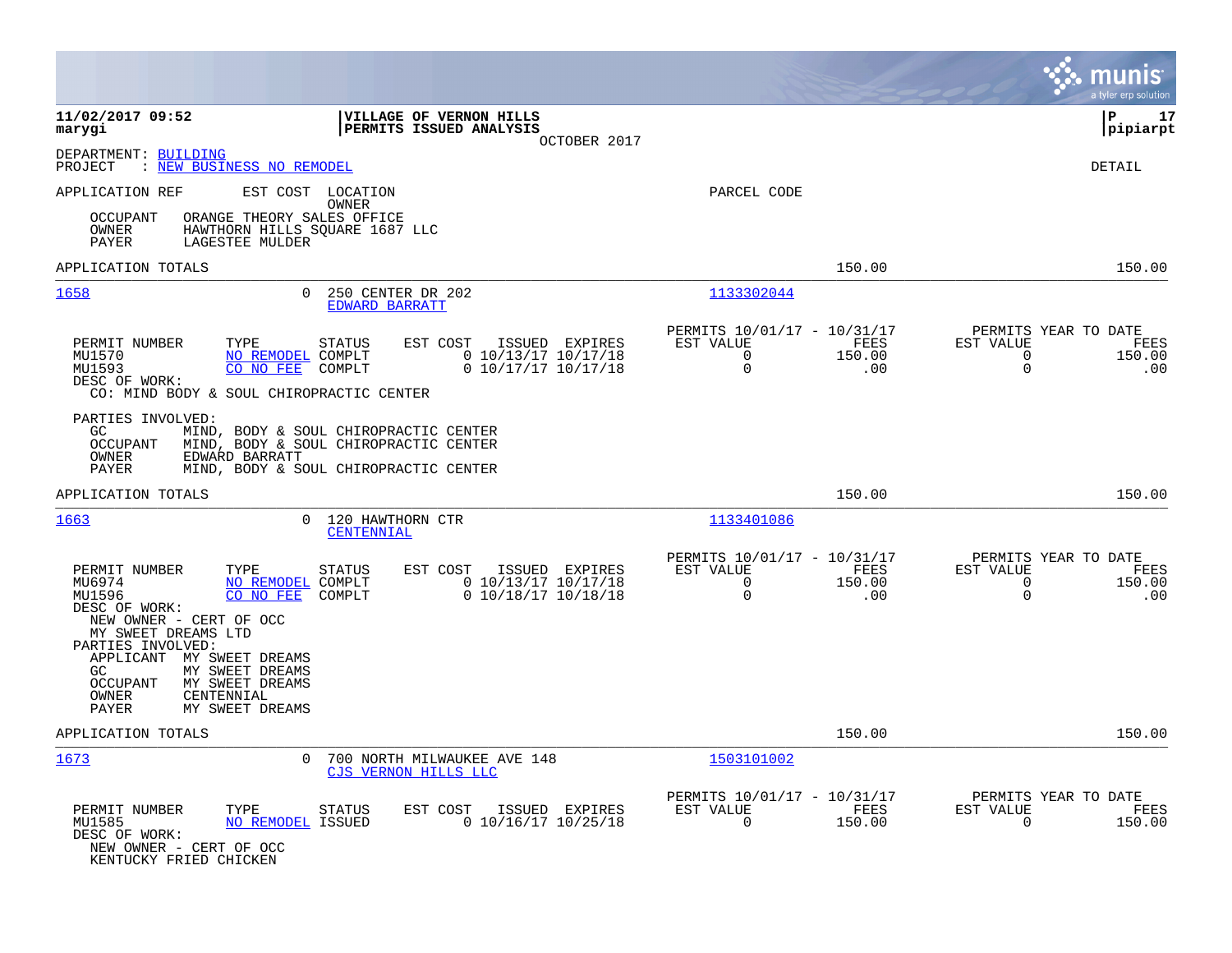|                                                                                                                                                                                                                                                                                         |                                                                                                                         |                                                                  |                       | munis<br>a tyler erp solution                                                         |
|-----------------------------------------------------------------------------------------------------------------------------------------------------------------------------------------------------------------------------------------------------------------------------------------|-------------------------------------------------------------------------------------------------------------------------|------------------------------------------------------------------|-----------------------|---------------------------------------------------------------------------------------|
| 11/02/2017 09:52<br>marygi                                                                                                                                                                                                                                                              | VILLAGE OF VERNON HILLS<br>PERMITS ISSUED ANALYSIS<br>OCTOBER 2017                                                      |                                                                  |                       | l P<br>17<br> pipiarpt                                                                |
| DEPARTMENT: BUILDING<br>PROJECT<br>: NEW BUSINESS NO REMODEL                                                                                                                                                                                                                            |                                                                                                                         |                                                                  |                       | <b>DETAIL</b>                                                                         |
| APPLICATION REF<br><b>OCCUPANT</b><br>OWNER<br>LAGESTEE MULDER<br>PAYER                                                                                                                                                                                                                 | EST COST LOCATION<br>OWNER<br>ORANGE THEORY SALES OFFICE<br>HAWTHORN HILLS SQUARE 1687 LLC                              | PARCEL CODE                                                      |                       |                                                                                       |
| APPLICATION TOTALS                                                                                                                                                                                                                                                                      |                                                                                                                         |                                                                  | 150.00                | 150.00                                                                                |
| 1658                                                                                                                                                                                                                                                                                    | 250 CENTER DR 202<br>0<br>EDWARD BARRATT                                                                                | 1133302044                                                       |                       |                                                                                       |
| PERMIT NUMBER<br>TYPE<br>MU1570<br>MU1593<br>CO NO FEE<br>DESC OF WORK:<br>CO: MIND BODY & SOUL CHIROPRACTIC CENTER                                                                                                                                                                     | EST COST<br>STATUS<br>ISSUED EXPIRES<br>0 10/13/17 10/17/18<br>NO REMODEL COMPLT<br>$0$ 10/17/17 10/17/18<br>COMPLT     | PERMITS 10/01/17 - 10/31/17<br>EST VALUE<br>$\Omega$<br>$\Omega$ | FEES<br>150.00<br>.00 | PERMITS YEAR TO DATE<br>EST VALUE<br>FEES<br>$\Omega$<br>150.00<br>$\mathbf 0$<br>.00 |
| PARTIES INVOLVED:<br>GC.<br><b>OCCUPANT</b><br>EDWARD BARRATT<br>OWNER<br>PAYER                                                                                                                                                                                                         | MIND, BODY & SOUL CHIROPRACTIC CENTER<br>MIND, BODY & SOUL CHIROPRACTIC CENTER<br>MIND, BODY & SOUL CHIROPRACTIC CENTER |                                                                  |                       |                                                                                       |
| APPLICATION TOTALS                                                                                                                                                                                                                                                                      |                                                                                                                         |                                                                  | 150.00                | 150.00                                                                                |
| 1663                                                                                                                                                                                                                                                                                    | $\Omega$<br>120 HAWTHORN CTR<br><b>CENTENNIAL</b>                                                                       | 1133401086                                                       |                       |                                                                                       |
| PERMIT NUMBER<br>TYPE<br>MU6974<br>MU1596<br>CO NO FEE<br>DESC OF WORK:<br>NEW OWNER - CERT OF OCC<br>MY SWEET DREAMS LTD<br>PARTIES INVOLVED:<br>APPLICANT MY SWEET DREAMS<br>GC.<br>MY SWEET DREAMS<br>MY SWEET DREAMS<br>OCCUPANT<br>OWNER<br>CENTENNIAL<br>PAYER<br>MY SWEET DREAMS | STATUS<br>EST COST<br>ISSUED EXPIRES<br>$0$ 10/13/17 10/17/18<br>NO REMODEL COMPLT<br>$0$ 10/18/17 10/18/18<br>COMPLT   | PERMITS 10/01/17 - 10/31/17<br>EST VALUE<br>$\Omega$<br>$\Omega$ | FEES<br>150.00<br>.00 | PERMITS YEAR TO DATE<br>EST VALUE<br>FEES<br>$\Omega$<br>150.00<br>$\Omega$<br>.00    |
| APPLICATION TOTALS                                                                                                                                                                                                                                                                      |                                                                                                                         |                                                                  | 150.00                | 150.00                                                                                |
| 1673                                                                                                                                                                                                                                                                                    | 700 NORTH MILWAUKEE AVE 148<br>0<br>CJS VERNON HILLS LLC                                                                | 1503101002                                                       |                       |                                                                                       |
| TYPE<br>PERMIT NUMBER<br>MU1585<br>DESC OF WORK:<br>NEW OWNER - CERT OF OCC<br>KENTUCKY FRIED CHICKEN                                                                                                                                                                                   | STATUS<br>EST COST<br>ISSUED EXPIRES<br>NO REMODEL ISSUED<br>$0$ 10/16/17 10/25/18                                      | PERMITS 10/01/17 - 10/31/17<br>EST VALUE<br>$\Omega$             | FEES<br>150.00        | PERMITS YEAR TO DATE<br>EST VALUE<br>FEES<br>$\Omega$<br>150.00                       |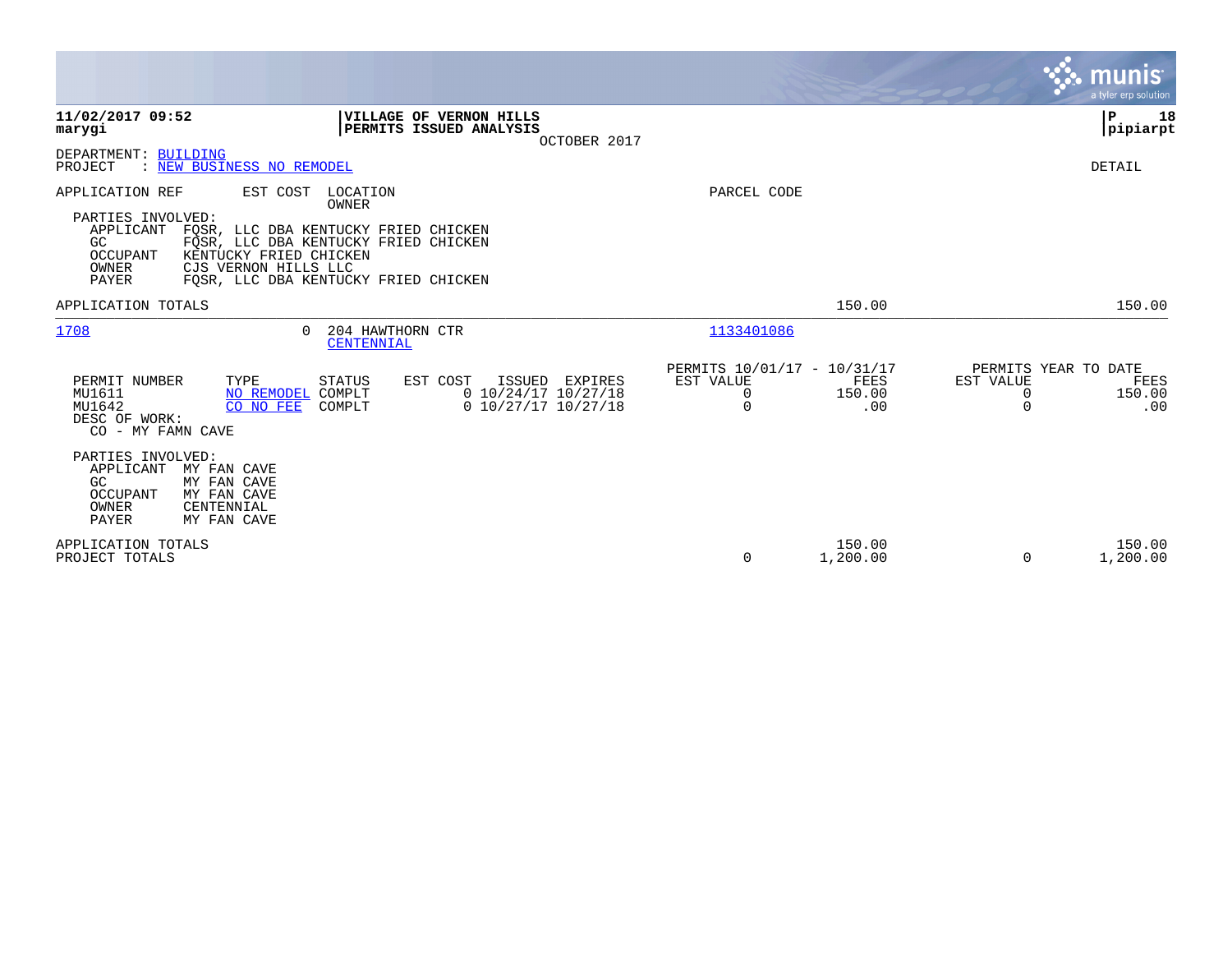|                                                                                                                                                     |                                                                                                                                           |                                                           |                       |                                                    | <b>munis</b><br>a tyler erp solution |
|-----------------------------------------------------------------------------------------------------------------------------------------------------|-------------------------------------------------------------------------------------------------------------------------------------------|-----------------------------------------------------------|-----------------------|----------------------------------------------------|--------------------------------------|
| 11/02/2017 09:52<br>marygi                                                                                                                          | VILLAGE OF VERNON HILLS<br>PERMITS ISSUED ANALYSIS<br>OCTOBER 2017                                                                        |                                                           |                       |                                                    | P<br>18<br> pipiarpt                 |
| DEPARTMENT: BUILDING<br>: NEW BUSINESS NO REMODEL<br>PROJECT                                                                                        |                                                                                                                                           |                                                           |                       |                                                    | DETAIL                               |
| APPLICATION REF<br>EST COST<br>PARTIES INVOLVED:<br>APPLICANT<br>GC<br>OCCUPANT<br>KENTUCKY FRIED CHICKEN<br>CJS VERNON HILLS LLC<br>OWNER<br>PAYER | LOCATION<br>OWNER<br>FOSR, LLC DBA KENTUCKY FRIED CHICKEN<br>FOSR, LLC DBA KENTUCKY FRIED CHICKEN<br>FOSR, LLC DBA KENTUCKY FRIED CHICKEN | PARCEL CODE                                               |                       |                                                    |                                      |
| APPLICATION TOTALS                                                                                                                                  |                                                                                                                                           |                                                           | 150.00                |                                                    | 150.00                               |
| 1708<br>$\Omega$                                                                                                                                    | 204 HAWTHORN CTR<br>CENTENNIAL                                                                                                            | 1133401086                                                |                       |                                                    |                                      |
| TYPE<br>PERMIT NUMBER<br>NO REMODEL COMPLT<br>MU1611<br>MU1642<br>CO NO FEE<br>DESC OF WORK:<br>CO - MY FAMN CAVE                                   | <b>STATUS</b><br>EST COST<br>ISSUED EXPIRES<br>$0$ 10/24/17 10/27/18<br>$0$ 10/27/17 10/27/18<br>COMPLT                                   | PERMITS 10/01/17 - 10/31/17<br>EST VALUE<br>0<br>$\Omega$ | FEES<br>150.00<br>.00 | PERMITS YEAR TO DATE<br>EST VALUE<br>0<br>$\Omega$ | FEES<br>150.00<br>.00                |
| PARTIES INVOLVED:<br>APPLICANT<br>MY FAN CAVE<br>GC<br>MY FAN CAVE<br>OCCUPANT<br>MY FAN CAVE<br>OWNER<br>CENTENNIAL<br><b>PAYER</b><br>MY FAN CAVE |                                                                                                                                           |                                                           |                       |                                                    |                                      |
| APPLICATION TOTALS<br>PROJECT TOTALS                                                                                                                |                                                                                                                                           | 0                                                         | 150.00<br>1,200.00    | $\Omega$                                           | 150.00<br>1,200.00                   |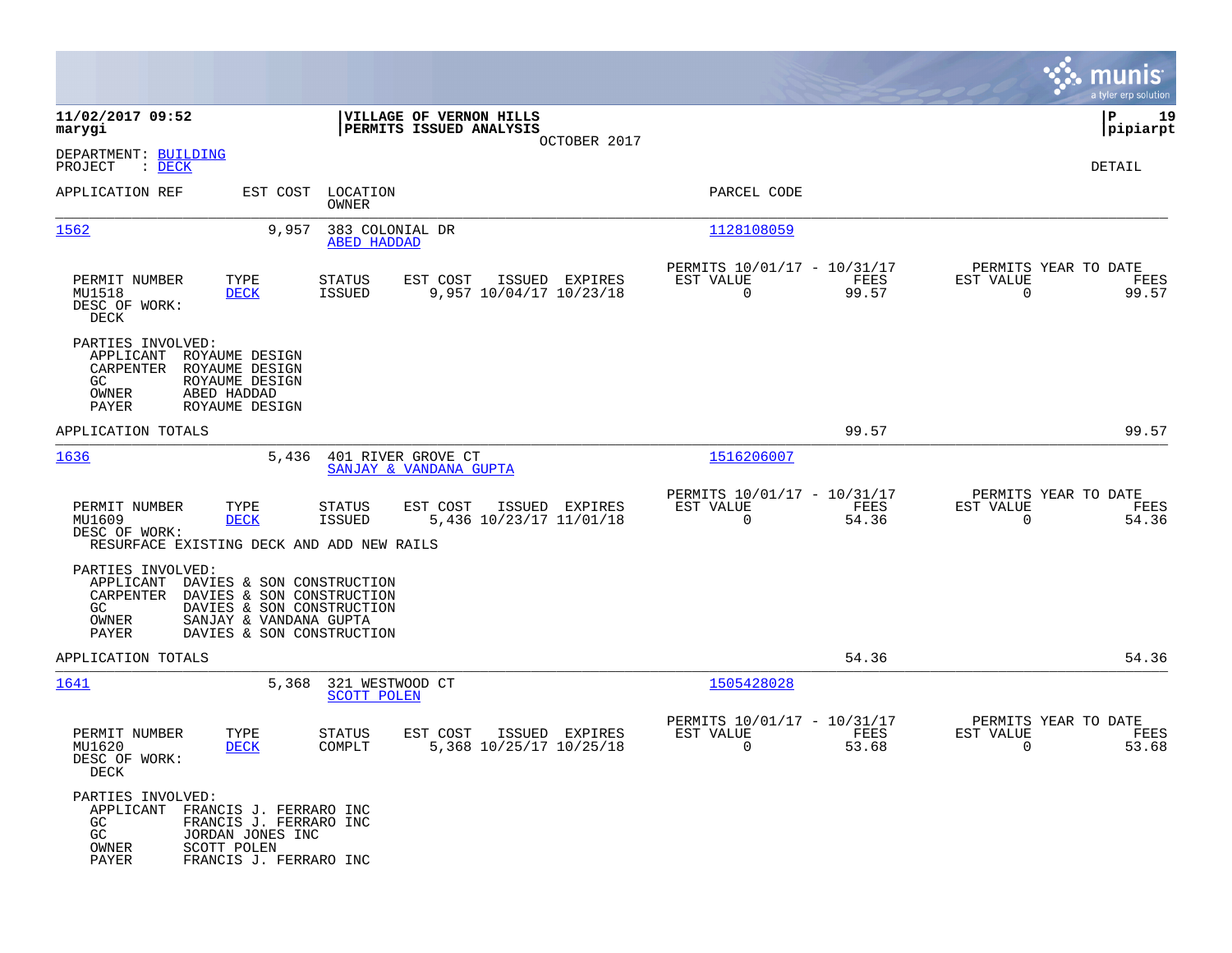|                                                                                                                                                                                                                    |                                                                                  |                                                                             | munis<br>a tyler erp solution                                     |
|--------------------------------------------------------------------------------------------------------------------------------------------------------------------------------------------------------------------|----------------------------------------------------------------------------------|-----------------------------------------------------------------------------|-------------------------------------------------------------------|
| 11/02/2017 09:52<br>marygi                                                                                                                                                                                         | VILLAGE OF VERNON HILLS<br>PERMITS ISSUED ANALYSIS                               |                                                                             | ΙP<br>19<br> pipiarpt                                             |
| DEPARTMENT: BUILDING<br>PROJECT<br>$\therefore$ DECK                                                                                                                                                               | OCTOBER 2017                                                                     |                                                                             | DETAIL                                                            |
| APPLICATION REF<br>EST COST                                                                                                                                                                                        | LOCATION<br>OWNER                                                                | PARCEL CODE                                                                 |                                                                   |
| 1562<br>9,957                                                                                                                                                                                                      | 383 COLONIAL DR<br><b>ABED HADDAD</b>                                            | 1128108059                                                                  |                                                                   |
| TYPE<br>PERMIT NUMBER<br>MU1518<br><b>DECK</b><br>DESC OF WORK:<br>DECK                                                                                                                                            | ISSUED EXPIRES<br>STATUS<br>EST COST<br><b>ISSUED</b><br>9,957 10/04/17 10/23/18 | PERMITS 10/01/17 - 10/31/17<br>FEES<br>EST VALUE<br>$\overline{0}$<br>99.57 | PERMITS YEAR TO DATE<br>EST VALUE<br>FEES<br>$\mathbf 0$<br>99.57 |
| PARTIES INVOLVED:<br>APPLICANT<br>ROYAUME DESIGN<br>CARPENTER<br>ROYAUME DESIGN<br>GC<br>ROYAUME DESIGN<br>ABED HADDAD<br>OWNER<br>PAYER<br>ROYAUME DESIGN                                                         |                                                                                  |                                                                             |                                                                   |
| APPLICATION TOTALS                                                                                                                                                                                                 |                                                                                  | 99.57                                                                       | 99.57                                                             |
| 1636<br>5,436                                                                                                                                                                                                      | 401 RIVER GROVE CT<br>SANJAY & VANDANA GUPTA                                     | 1516206007                                                                  |                                                                   |
| PERMIT NUMBER<br>TYPE<br>MU1609<br><b>DECK</b><br>DESC OF WORK:<br>RESURFACE EXISTING DECK AND ADD NEW RAILS                                                                                                       | EST COST<br>ISSUED EXPIRES<br>STATUS<br><b>ISSUED</b><br>5,436 10/23/17 11/01/18 | PERMITS 10/01/17 - 10/31/17<br>EST VALUE<br>FEES<br>$\mathbf 0$<br>54.36    | PERMITS YEAR TO DATE<br>EST VALUE<br>FEES<br>0<br>54.36           |
| PARTIES INVOLVED:<br>APPLICANT<br>DAVIES & SON CONSTRUCTION<br>CARPENTER<br>DAVIES & SON CONSTRUCTION<br>GC.<br>DAVIES & SON CONSTRUCTION<br>OWNER<br>SANJAY & VANDANA GUPTA<br>PAYER<br>DAVIES & SON CONSTRUCTION |                                                                                  |                                                                             |                                                                   |
| APPLICATION TOTALS                                                                                                                                                                                                 |                                                                                  | 54.36                                                                       | 54.36                                                             |
| 1641<br>5,368                                                                                                                                                                                                      | 321 WESTWOOD CT<br><b>SCOTT POLEN</b>                                            | 1505428028                                                                  |                                                                   |
| PERMIT NUMBER<br>TYPE<br>MU1620<br><b>DECK</b><br>DESC OF WORK:<br>DECK                                                                                                                                            | EST COST<br>ISSUED EXPIRES<br>STATUS<br>5,368 10/25/17 10/25/18<br>COMPLT        | PERMITS 10/01/17 - 10/31/17<br>EST VALUE<br>FEES<br>0<br>53.68              | PERMITS YEAR TO DATE<br>EST VALUE<br>FEES<br>53.68<br>0           |
| PARTIES INVOLVED:<br>APPLICANT FRANCIS J. FERRARO INC<br>FRANCIS J. FERRARO INC<br>GC.<br>GC<br>JORDAN JONES INC<br>SCOTT POLEN<br>OWNER<br>PAYER<br>FRANCIS J. FERRARO INC                                        |                                                                                  |                                                                             |                                                                   |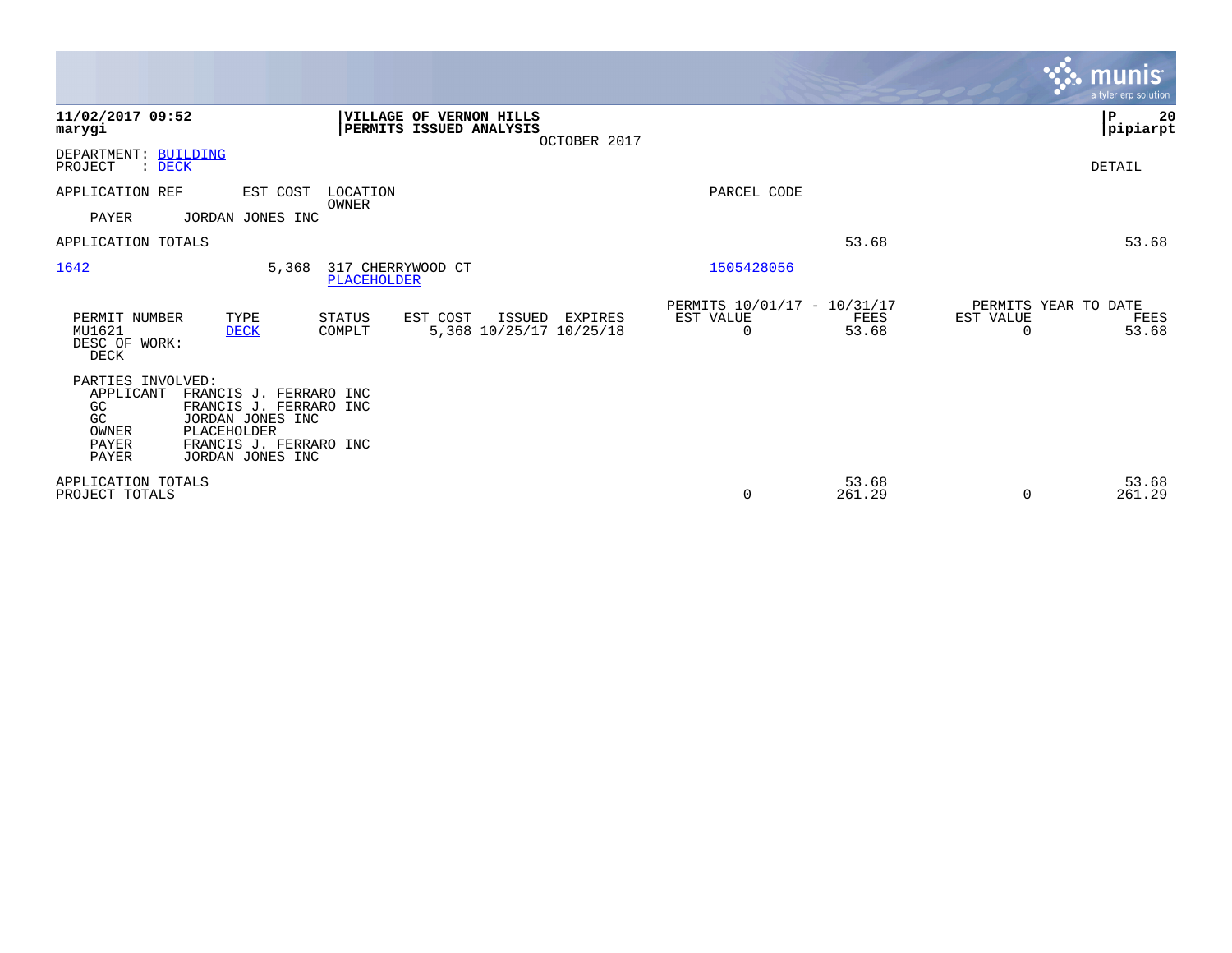|                                                                              |                                                                                                                                   |                                  |                                                           |              |                                               |                 |                                               | <b>munis</b><br>a tyler erp solution |
|------------------------------------------------------------------------------|-----------------------------------------------------------------------------------------------------------------------------------|----------------------------------|-----------------------------------------------------------|--------------|-----------------------------------------------|-----------------|-----------------------------------------------|--------------------------------------|
| 11/02/2017 09:52<br>marygi                                                   |                                                                                                                                   |                                  | <b>VILLAGE OF VERNON HILLS</b><br>PERMITS ISSUED ANALYSIS | OCTOBER 2017 |                                               |                 |                                               | 20<br>∣P<br> pipiarpt                |
| DEPARTMENT: BUILDING<br>PROJECT<br>$\therefore$ DECK                         |                                                                                                                                   |                                  |                                                           |              |                                               |                 |                                               | DETAIL                               |
| APPLICATION REF<br><b>PAYER</b>                                              | EST COST<br>JORDAN JONES INC                                                                                                      | LOCATION<br>OWNER                |                                                           |              | PARCEL CODE                                   |                 |                                               |                                      |
| APPLICATION TOTALS                                                           |                                                                                                                                   |                                  |                                                           |              |                                               | 53.68           |                                               | 53.68                                |
| 1642                                                                         | 5,368                                                                                                                             | 317 CHERRYWOOD CT<br>PLACEHOLDER |                                                           |              | 1505428056                                    |                 |                                               |                                      |
| PERMIT NUMBER<br>MU1621<br>DESC OF WORK:<br>DECK                             | TYPE<br><b>DECK</b>                                                                                                               | <b>STATUS</b><br>COMPLT          | EST COST<br>ISSUED<br>5,368 10/25/17 10/25/18             | EXPIRES      | PERMITS 10/01/17 - 10/31/17<br>EST VALUE<br>0 | FEES<br>53.68   | PERMITS YEAR TO DATE<br>EST VALUE<br>$\Omega$ | FEES<br>53.68                        |
| PARTIES INVOLVED:<br>APPLICANT<br>GC<br>GC<br>OWNER<br>PAYER<br><b>PAYER</b> | FRANCIS J. FERRARO INC<br>FRANCIS J. FERRARO INC<br>JORDAN JONES INC<br>PLACEHOLDER<br>FRANCIS J. FERRARO INC<br>JORDAN JONES INC |                                  |                                                           |              |                                               |                 |                                               |                                      |
| APPLICATION TOTALS<br>PROJECT TOTALS                                         |                                                                                                                                   |                                  |                                                           |              | $\mathbf 0$                                   | 53.68<br>261.29 | $\Omega$                                      | 53.68<br>261.29                      |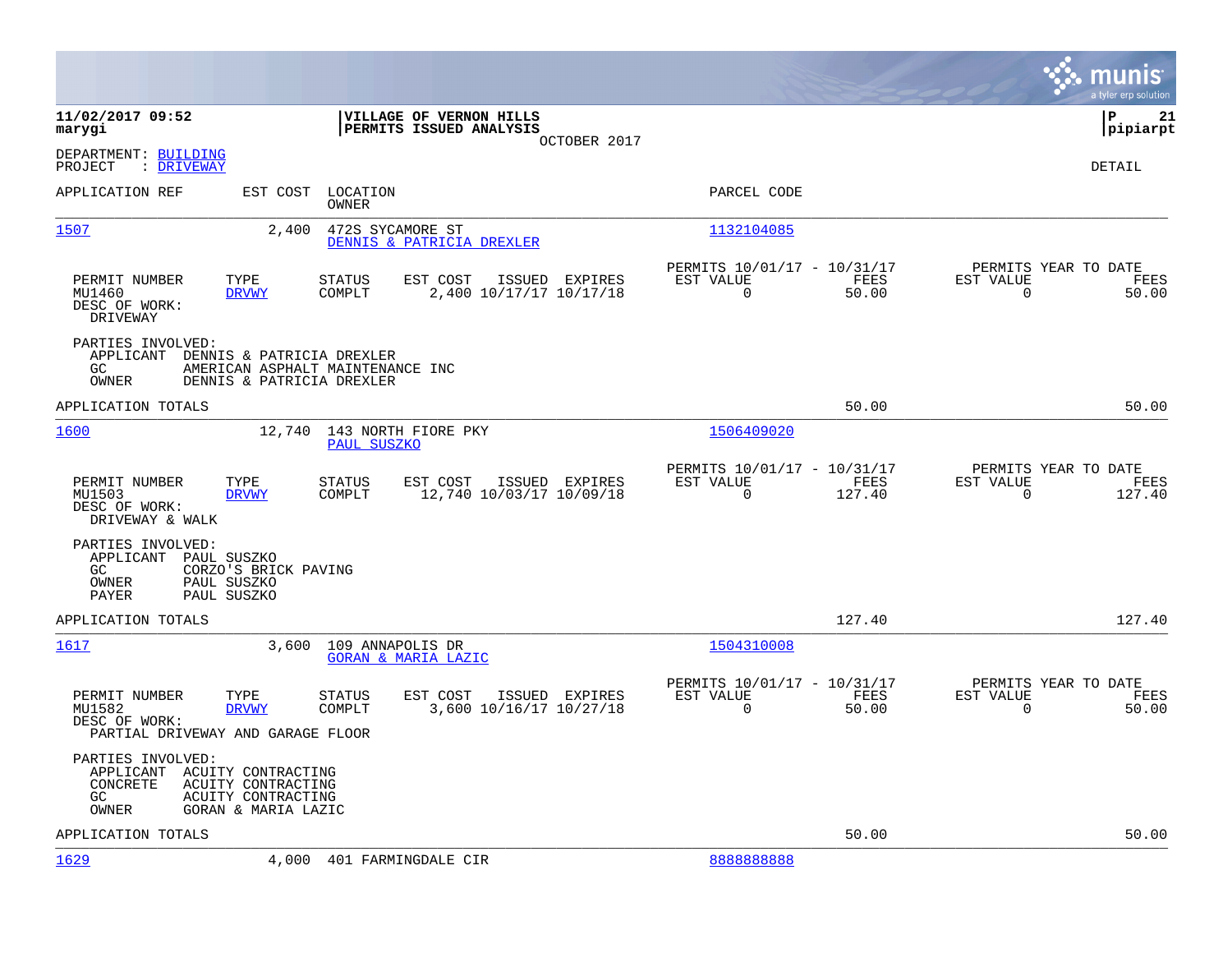|                                                                            |                                                                                            |                                                    |                |                                                         |                |                                                  | munis<br>a tyler erp solution |
|----------------------------------------------------------------------------|--------------------------------------------------------------------------------------------|----------------------------------------------------|----------------|---------------------------------------------------------|----------------|--------------------------------------------------|-------------------------------|
| 11/02/2017 09:52<br>marygi                                                 |                                                                                            | VILLAGE OF VERNON HILLS<br>PERMITS ISSUED ANALYSIS | OCTOBER 2017   |                                                         |                |                                                  | l P<br>21<br> pipiarpt        |
| DEPARTMENT: BUILDING<br>: DRIVEWAY<br>PROJECT                              |                                                                                            |                                                    |                |                                                         |                |                                                  | <b>DETAIL</b>                 |
| APPLICATION REF                                                            | EST COST<br>OWNER                                                                          | LOCATION                                           |                | PARCEL CODE                                             |                |                                                  |                               |
| 1507                                                                       | 2,400                                                                                      | 472S SYCAMORE ST<br>DENNIS & PATRICIA DREXLER      |                | 1132104085                                              |                |                                                  |                               |
| PERMIT NUMBER<br>MU1460<br>DESC OF WORK:<br>DRIVEWAY                       | TYPE<br><b>STATUS</b><br><b>DRVWY</b><br>COMPLT                                            | EST COST<br>2,400 10/17/17 10/17/18                | ISSUED EXPIRES | PERMITS 10/01/17 - 10/31/17<br>EST VALUE<br>$\mathbf 0$ | FEES<br>50.00  | PERMITS YEAR TO DATE<br>EST VALUE<br>$\mathbf 0$ | FEES<br>50.00                 |
| PARTIES INVOLVED:<br>APPLICANT<br>GC<br>OWNER                              | DENNIS & PATRICIA DREXLER<br>AMERICAN ASPHALT MAINTENANCE INC<br>DENNIS & PATRICIA DREXLER |                                                    |                |                                                         |                |                                                  |                               |
| APPLICATION TOTALS                                                         |                                                                                            |                                                    |                |                                                         | 50.00          |                                                  | 50.00                         |
| 1600                                                                       | 12,740                                                                                     | 143 NORTH FIORE PKY<br>PAUL SUSZKO                 |                | 1506409020                                              |                |                                                  |                               |
| PERMIT NUMBER<br>MU1503<br>DESC OF WORK:<br>DRIVEWAY & WALK                | TYPE<br><b>STATUS</b><br>COMPLT<br><b>DRVWY</b>                                            | EST COST<br>12,740 10/03/17 10/09/18               | ISSUED EXPIRES | PERMITS 10/01/17 - 10/31/17<br>EST VALUE<br>$\mathbf 0$ | FEES<br>127.40 | PERMITS YEAR TO DATE<br>EST VALUE<br>$\mathbf 0$ | FEES<br>127.40                |
| PARTIES INVOLVED:<br>APPLICANT PAUL SUSZKO<br>GC.<br>OWNER<br><b>PAYER</b> | CORZO'S BRICK PAVING<br>PAUL SUSZKO<br>PAUL SUSZKO                                         |                                                    |                |                                                         |                |                                                  |                               |
| APPLICATION TOTALS                                                         |                                                                                            |                                                    |                |                                                         | 127.40         |                                                  | 127.40                        |
| 1617                                                                       | 3,600                                                                                      | 109 ANNAPOLIS DR<br><b>GORAN &amp; MARIA LAZIC</b> |                | 1504310008                                              |                |                                                  |                               |
| PERMIT NUMBER<br>MU1582<br>DESC OF WORK:                                   | TYPE<br><b>STATUS</b><br>COMPLT<br><b>DRVWY</b><br>PARTIAL DRIVEWAY AND GARAGE FLOOR       | EST COST<br>3,600 10/16/17 10/27/18                | ISSUED EXPIRES | PERMITS 10/01/17 - 10/31/17<br>EST VALUE<br>$\Omega$    | FEES<br>50.00  | PERMITS YEAR TO DATE<br>EST VALUE<br>$\mathbf 0$ | FEES<br>50.00                 |
| PARTIES INVOLVED:<br>APPLICANT<br>CONCRETE<br>GC<br>OWNER                  | ACUITY CONTRACTING<br>ACUITY CONTRACTING<br>ACUITY CONTRACTING<br>GORAN & MARIA LAZIC      |                                                    |                |                                                         |                |                                                  |                               |
| APPLICATION TOTALS                                                         |                                                                                            |                                                    |                |                                                         | 50.00          |                                                  | 50.00                         |
| 1629                                                                       | 4,000                                                                                      | 401 FARMINGDALE CIR                                |                | 888888888                                               |                |                                                  |                               |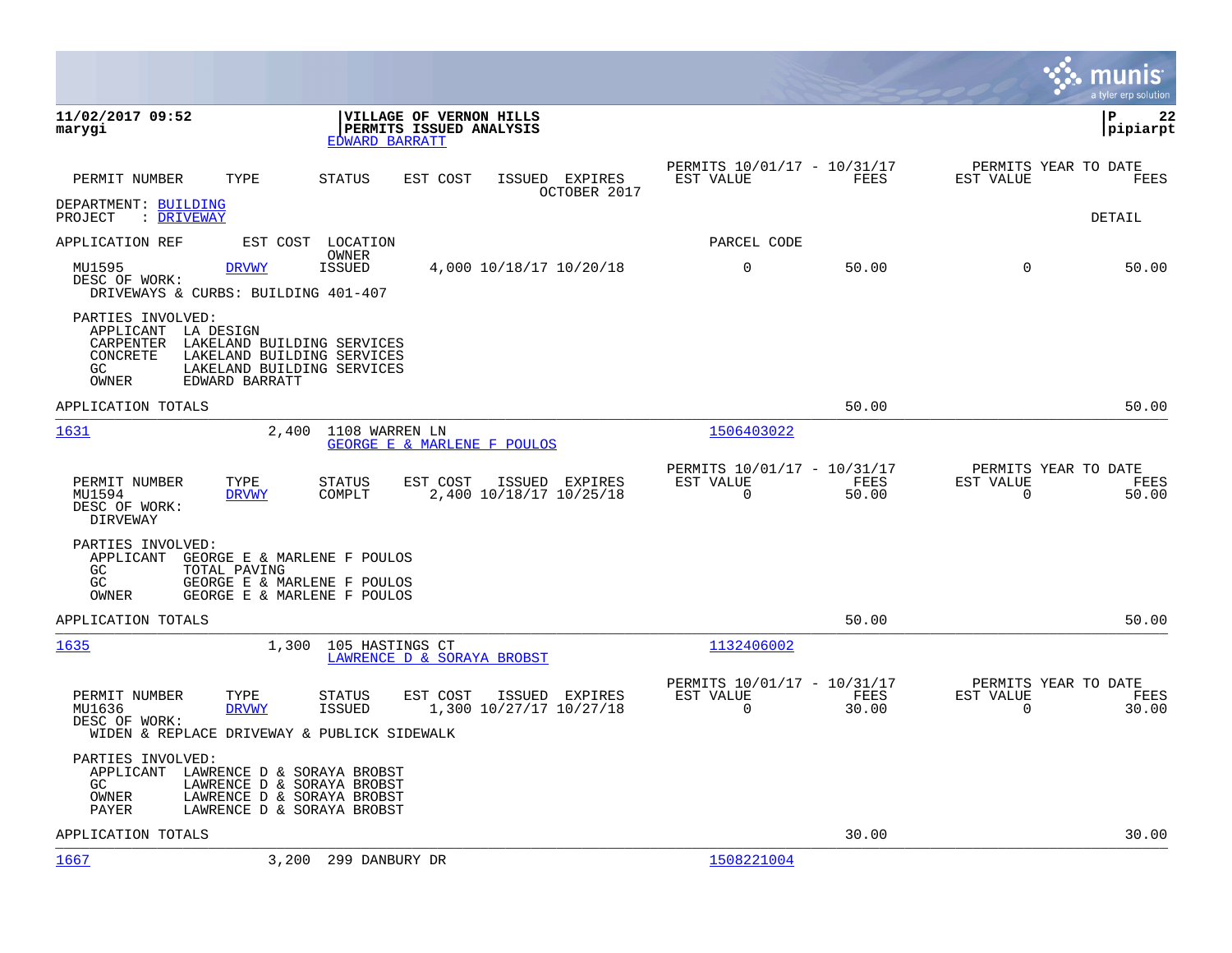|                                                                                                                                                                                               |                                                                                         |                                                         |               | munis<br>a tyler erp solution                                     |
|-----------------------------------------------------------------------------------------------------------------------------------------------------------------------------------------------|-----------------------------------------------------------------------------------------|---------------------------------------------------------|---------------|-------------------------------------------------------------------|
| 11/02/2017 09:52<br>marygi                                                                                                                                                                    | VILLAGE OF VERNON HILLS<br>PERMITS ISSUED ANALYSIS<br>EDWARD BARRATT                    |                                                         |               | 22<br>l P<br> pipiarpt                                            |
| TYPE<br>PERMIT NUMBER                                                                                                                                                                         | STATUS<br>EST COST<br>ISSUED EXPIRES<br>OCTOBER 2017                                    | PERMITS 10/01/17 - 10/31/17<br>EST VALUE                | FEES          | PERMITS YEAR TO DATE<br>EST VALUE<br>FEES                         |
| DEPARTMENT: BUILDING<br>: DRIVEWAY<br>PROJECT                                                                                                                                                 |                                                                                         |                                                         |               | DETAIL                                                            |
| APPLICATION REF<br>EST COST                                                                                                                                                                   | LOCATION                                                                                | PARCEL CODE                                             |               |                                                                   |
| MU1595<br><b>DRVWY</b><br>DESC OF WORK:<br>DRIVEWAYS & CURBS: BUILDING 401-407                                                                                                                | OWNER<br><b>ISSUED</b><br>4,000 10/18/17 10/20/18                                       | 0                                                       | 50.00         | 0<br>50.00                                                        |
| PARTIES INVOLVED:<br>APPLICANT LA DESIGN<br>CARPENTER<br>LAKELAND BUILDING SERVICES<br>LAKELAND BUILDING SERVICES<br>CONCRETE<br>LAKELAND BUILDING SERVICES<br>GC.<br>OWNER<br>EDWARD BARRATT |                                                                                         |                                                         |               |                                                                   |
| APPLICATION TOTALS                                                                                                                                                                            |                                                                                         |                                                         | 50.00         | 50.00                                                             |
| 1631<br>2,400                                                                                                                                                                                 | 1108 WARREN LN<br>GEORGE E & MARLENE F POULOS                                           | 1506403022                                              |               |                                                                   |
| PERMIT NUMBER<br>TYPE<br>MU1594<br><b>DRVWY</b><br>DESC OF WORK:<br>DIRVEWAY                                                                                                                  | <b>STATUS</b><br>EST COST<br>ISSUED EXPIRES<br>2,400 10/18/17 10/25/18<br>COMPLT        | PERMITS 10/01/17 - 10/31/17<br>EST VALUE<br>$\mathbf 0$ | FEES<br>50.00 | PERMITS YEAR TO DATE<br>EST VALUE<br>FEES<br>$\mathbf 0$<br>50.00 |
| PARTIES INVOLVED:<br>APPLICANT<br>GEORGE E & MARLENE F POULOS<br>GC<br>TOTAL PAVING<br>GC<br>GEORGE E & MARLENE F POULOS<br>GEORGE E & MARLENE F POULOS<br>OWNER                              |                                                                                         |                                                         |               |                                                                   |
| APPLICATION TOTALS                                                                                                                                                                            |                                                                                         |                                                         | 50.00         | 50.00                                                             |
| 1635<br>1,300                                                                                                                                                                                 | 105 HASTINGS CT<br>LAWRENCE D & SORAYA BROBST                                           | 1132406002                                              |               |                                                                   |
| PERMIT NUMBER<br>TYPE<br>MU1636<br><b>DRVWY</b><br>DESC OF WORK:<br>WIDEN & REPLACE DRIVEWAY & PUBLICK SIDEWALK                                                                               | <b>STATUS</b><br>EST COST<br>ISSUED EXPIRES<br><b>ISSUED</b><br>1,300 10/27/17 10/27/18 | PERMITS 10/01/17 - 10/31/17<br>EST VALUE<br>$\Omega$    | FEES<br>30.00 | PERMITS YEAR TO DATE<br>EST VALUE<br>FEES<br>$\Omega$<br>30.00    |
| PARTIES INVOLVED:<br>APPLICANT<br>LAWRENCE D & SORAYA BROBST<br>LAWRENCE D & SORAYA BROBST<br>GC.<br>OWNER<br>LAWRENCE D & SORAYA BROBST<br>LAWRENCE D & SORAYA BROBST<br>PAYER               |                                                                                         |                                                         |               |                                                                   |
| APPLICATION TOTALS                                                                                                                                                                            |                                                                                         |                                                         | 30.00         | 30.00                                                             |
| 1667                                                                                                                                                                                          | 3,200 299 DANBURY DR                                                                    | 1508221004                                              |               |                                                                   |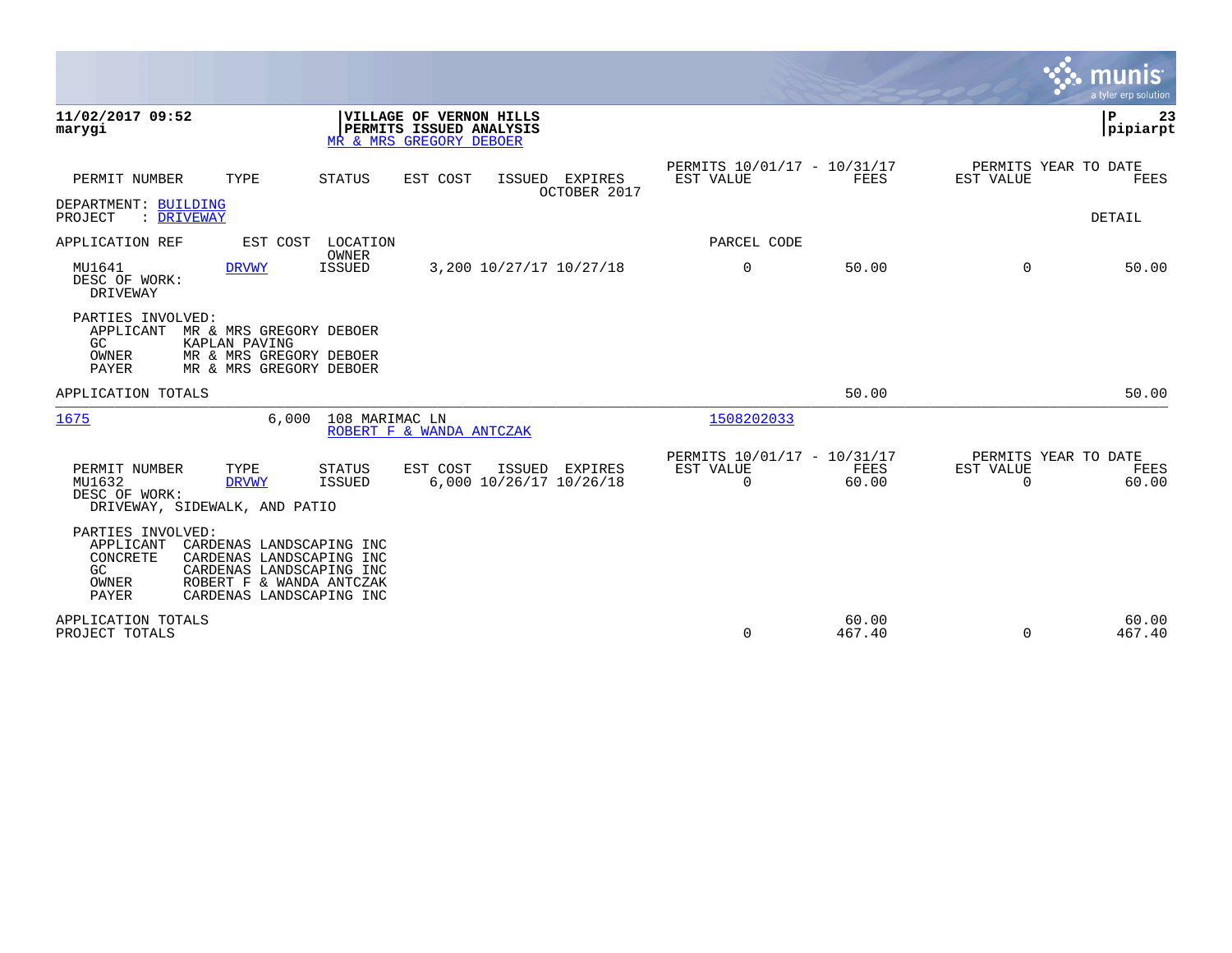|                                                                           |                                                                                                                                          |                                |                                                                               |               |                                    |                                                      |                 |                                               | munis<br>a tyler erp solution |
|---------------------------------------------------------------------------|------------------------------------------------------------------------------------------------------------------------------------------|--------------------------------|-------------------------------------------------------------------------------|---------------|------------------------------------|------------------------------------------------------|-----------------|-----------------------------------------------|-------------------------------|
| 11/02/2017 09:52<br>marygi                                                |                                                                                                                                          |                                | VILLAGE OF VERNON HILLS<br>PERMITS ISSUED ANALYSIS<br>MR & MRS GREGORY DEBOER |               |                                    |                                                      |                 |                                               | ΙP<br>23<br> pipiarpt         |
| PERMIT NUMBER                                                             | TYPE                                                                                                                                     | <b>STATUS</b>                  | EST COST                                                                      | ISSUED        | EXPIRES<br>OCTOBER 2017            | PERMITS 10/01/17 - 10/31/17<br>EST VALUE             | FEES            | PERMITS YEAR TO DATE<br>EST VALUE             | FEES                          |
| DEPARTMENT: BUILDING<br>: DRIVEWAY<br>PROJECT                             |                                                                                                                                          |                                |                                                                               |               |                                    |                                                      |                 |                                               | <b>DETAIL</b>                 |
| APPLICATION REF                                                           | EST COST                                                                                                                                 | LOCATION                       |                                                                               |               |                                    | PARCEL CODE                                          |                 |                                               |                               |
| MU1641<br>DESC OF WORK:<br>DRIVEWAY                                       | <b>DRVWY</b>                                                                                                                             | OWNER<br><b>ISSUED</b>         |                                                                               |               | 3,200 10/27/17 10/27/18            | $\mathbf 0$                                          | 50.00           | $\Omega$                                      | 50.00                         |
| PARTIES INVOLVED:<br>APPLICANT<br>GC<br>OWNER<br><b>PAYER</b>             | MR & MRS GREGORY DEBOER<br>KAPLAN PAVING<br>MR & MRS GREGORY DEBOER<br>MR & MRS GREGORY DEBOER                                           |                                |                                                                               |               |                                    |                                                      |                 |                                               |                               |
| APPLICATION TOTALS                                                        |                                                                                                                                          |                                |                                                                               |               |                                    |                                                      | 50.00           |                                               | 50.00                         |
| 1675                                                                      | 6.000                                                                                                                                    | 108 MARIMAC LN                 | ROBERT F & WANDA ANTCZAK                                                      |               |                                    | 1508202033                                           |                 |                                               |                               |
| PERMIT NUMBER<br>MU1632<br>DESC OF WORK:<br>DRIVEWAY, SIDEWALK, AND PATIO | TYPE<br><b>DRVWY</b>                                                                                                                     | <b>STATUS</b><br><b>ISSUED</b> | EST COST                                                                      | <b>ISSUED</b> | EXPIRES<br>6,000 10/26/17 10/26/18 | PERMITS 10/01/17 - 10/31/17<br>EST VALUE<br>$\Omega$ | FEES<br>60.00   | PERMITS YEAR TO DATE<br>EST VALUE<br>$\Omega$ | FEES<br>60.00                 |
| PARTIES INVOLVED:<br>APPLICANT<br>CONCRETE<br>GC<br>OWNER<br><b>PAYER</b> | CARDENAS LANDSCAPING INC<br>CARDENAS LANDSCAPING INC<br>CARDENAS LANDSCAPING INC<br>ROBERT F & WANDA ANTCZAK<br>CARDENAS LANDSCAPING INC |                                |                                                                               |               |                                    |                                                      |                 |                                               |                               |
| APPLICATION TOTALS<br>PROJECT TOTALS                                      |                                                                                                                                          |                                |                                                                               |               |                                    | 0                                                    | 60.00<br>467.40 | $\Omega$                                      | 60.00<br>467.40               |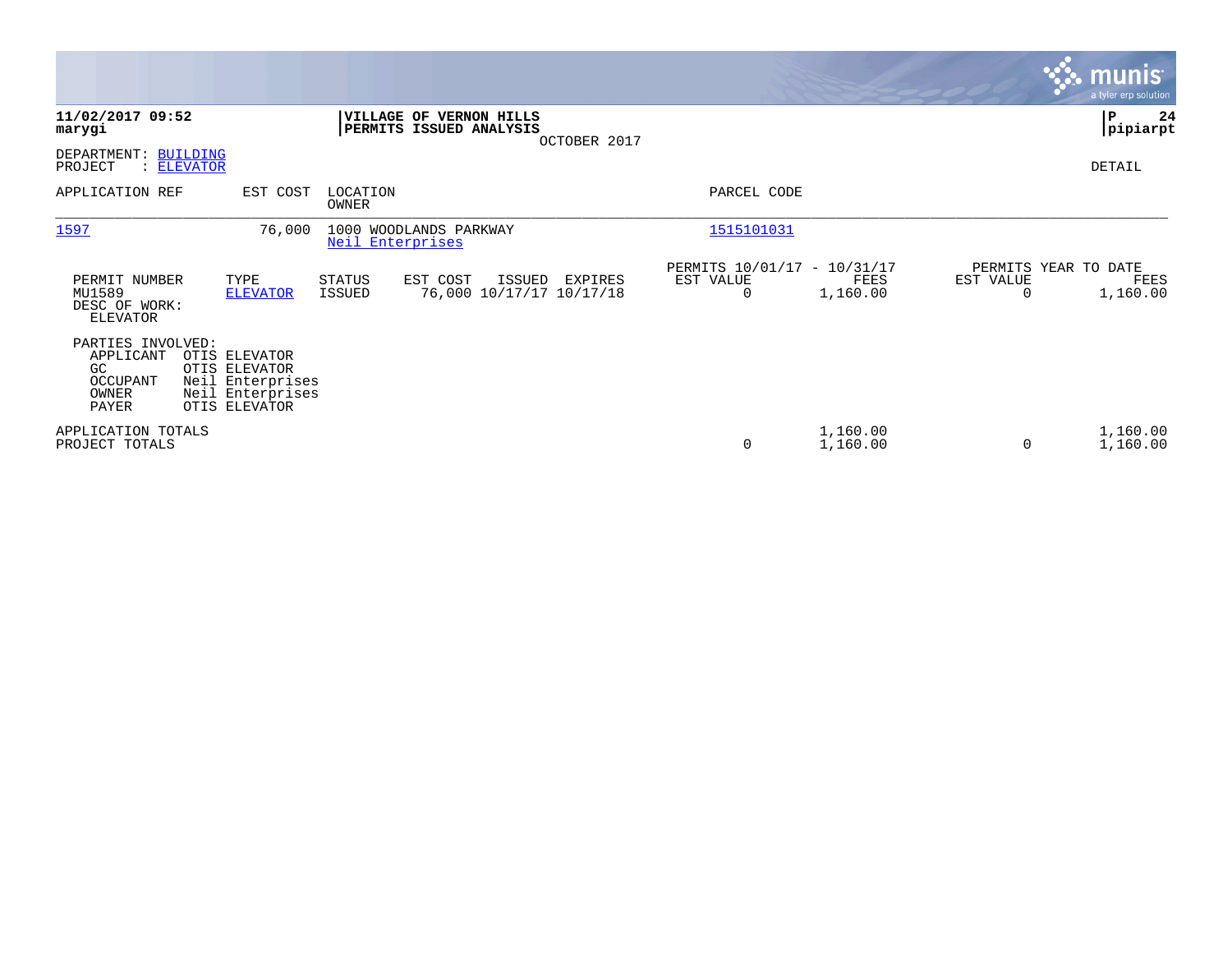|                                                                    |                                                 |                                      |                   |                                                    |                                               |                                               |                      |                                   | <b>munis</b><br>a tyler erp solution |
|--------------------------------------------------------------------|-------------------------------------------------|--------------------------------------|-------------------|----------------------------------------------------|-----------------------------------------------|-----------------------------------------------|----------------------|-----------------------------------|--------------------------------------|
| 11/02/2017 09:52<br>marygi                                         |                                                 |                                      |                   | VILLAGE OF VERNON HILLS<br>PERMITS ISSUED ANALYSIS | OCTOBER 2017                                  |                                               |                      |                                   | l P<br>24<br> pipiarpt               |
| DEPARTMENT: BUILDING<br>PROJECT                                    | : ELEVATOR                                      |                                      |                   |                                                    |                                               |                                               |                      |                                   | DETAIL                               |
| APPLICATION REF                                                    |                                                 | EST COST                             | LOCATION<br>OWNER |                                                    |                                               | PARCEL CODE                                   |                      |                                   |                                      |
| 1597                                                               |                                                 | 76,000                               | Neil Enterprises  | 1000 WOODLANDS PARKWAY                             |                                               | 1515101031                                    |                      |                                   |                                      |
| PERMIT NUMBER<br>MU1589<br>DESC OF WORK:<br><b>ELEVATOR</b>        |                                                 | TYPE<br><b>ELEVATOR</b>              | STATUS<br>ISSUED  | EST COST                                           | ISSUED<br>EXPIRES<br>76,000 10/17/17 10/17/18 | PERMITS 10/01/17 - 10/31/17<br>EST VALUE<br>0 | FEES<br>1,160.00     | PERMITS YEAR TO DATE<br>EST VALUE | FEES<br>1,160.00                     |
| PARTIES INVOLVED:<br>APPLICANT<br>GC<br>OCCUPANT<br>OWNER<br>PAYER | OTIS ELEVATOR<br>OTIS ELEVATOR<br>OTIS ELEVATOR | Neil Enterprises<br>Neil Enterprises |                   |                                                    |                                               |                                               |                      |                                   |                                      |
| APPLICATION TOTALS<br>PROJECT TOTALS                               |                                                 |                                      |                   |                                                    |                                               | 0                                             | 1,160.00<br>1,160.00 | 0                                 | 1,160.00<br>1,160.00                 |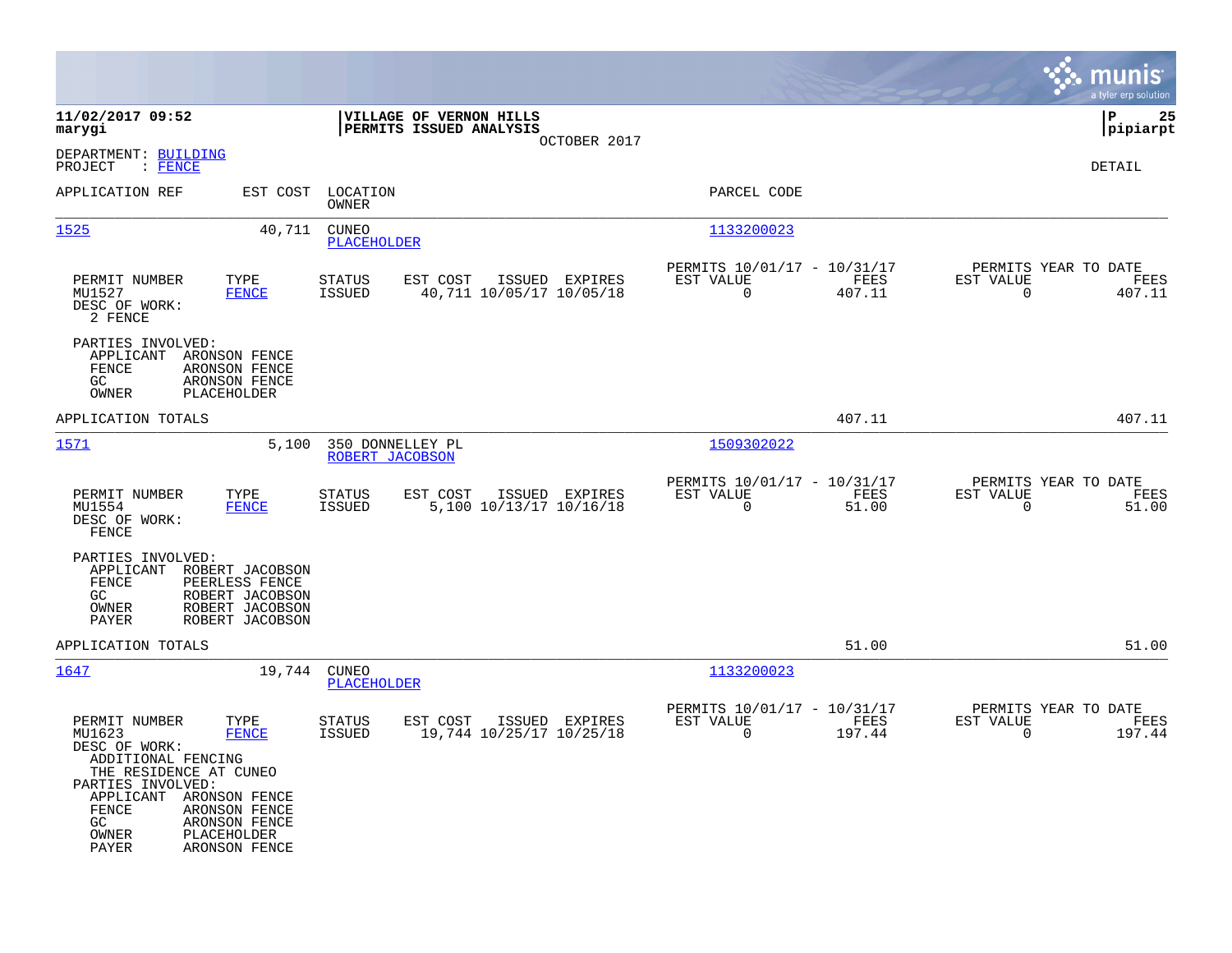|                                                                                                                                                                           |                                                                                            |                                     |                                                    |                |                                                         |                |                                                  | munis<br>a tyler erp solution |
|---------------------------------------------------------------------------------------------------------------------------------------------------------------------------|--------------------------------------------------------------------------------------------|-------------------------------------|----------------------------------------------------|----------------|---------------------------------------------------------|----------------|--------------------------------------------------|-------------------------------|
| 11/02/2017 09:52<br>marygi                                                                                                                                                |                                                                                            |                                     | VILLAGE OF VERNON HILLS<br>PERMITS ISSUED ANALYSIS | OCTOBER 2017   |                                                         |                |                                                  | l P<br>25<br> pipiarpt        |
| DEPARTMENT: BUILDING<br>PROJECT<br>: FENCE                                                                                                                                |                                                                                            |                                     |                                                    |                |                                                         |                |                                                  | DETAIL                        |
| APPLICATION REF                                                                                                                                                           |                                                                                            | EST COST LOCATION<br>OWNER          |                                                    |                | PARCEL CODE                                             |                |                                                  |                               |
| 1525                                                                                                                                                                      | 40,711                                                                                     | <b>CUNEO</b><br>PLACEHOLDER         |                                                    |                | 1133200023                                              |                |                                                  |                               |
| PERMIT NUMBER<br>MU1527<br>DESC OF WORK:<br>2 FENCE                                                                                                                       | TYPE<br><b>FENCE</b>                                                                       | <b>STATUS</b><br>ISSUED             | EST COST<br>40,711 10/05/17 10/05/18               | ISSUED EXPIRES | PERMITS 10/01/17 - 10/31/17<br>EST VALUE<br>0           | FEES<br>407.11 | PERMITS YEAR TO DATE<br>EST VALUE<br>$\mathbf 0$ | FEES<br>407.11                |
| PARTIES INVOLVED:<br>APPLICANT<br>FENCE<br>GC<br>OWNER                                                                                                                    | ARONSON FENCE<br>ARONSON FENCE<br>ARONSON FENCE<br>PLACEHOLDER                             |                                     |                                                    |                |                                                         |                |                                                  |                               |
| APPLICATION TOTALS                                                                                                                                                        |                                                                                            |                                     |                                                    |                |                                                         | 407.11         |                                                  | 407.11                        |
| 1571                                                                                                                                                                      | 5,100                                                                                      | 350 DONNELLEY PL<br>ROBERT JACOBSON |                                                    |                | 1509302022                                              |                |                                                  |                               |
| PERMIT NUMBER<br>MU1554<br>DESC OF WORK:<br>FENCE                                                                                                                         | TYPE<br><b>FENCE</b>                                                                       | <b>STATUS</b><br>ISSUED             | EST COST<br>5,100 10/13/17 10/16/18                | ISSUED EXPIRES | PERMITS 10/01/17 - 10/31/17<br>EST VALUE<br>$\mathbf 0$ | FEES<br>51.00  | PERMITS YEAR TO DATE<br>EST VALUE<br>$\Omega$    | FEES<br>51.00                 |
| PARTIES INVOLVED:<br>APPLICANT<br>FENCE<br>GC<br>OWNER<br>PAYER                                                                                                           | ROBERT JACOBSON<br>PEERLESS FENCE<br>ROBERT JACOBSON<br>ROBERT JACOBSON<br>ROBERT JACOBSON |                                     |                                                    |                |                                                         |                |                                                  |                               |
| APPLICATION TOTALS                                                                                                                                                        |                                                                                            |                                     |                                                    |                |                                                         | 51.00          |                                                  | 51.00                         |
| <u> 1647</u>                                                                                                                                                              | 19,744                                                                                     | <b>CUNEO</b><br><b>PLACEHOLDER</b>  |                                                    |                | 1133200023                                              |                |                                                  |                               |
| PERMIT NUMBER<br>MU1623<br>DESC OF WORK:<br>ADDITIONAL FENCING<br>THE RESIDENCE AT CUNEO<br>PARTIES INVOLVED:<br>APPLICANT ARONSON FENCE<br>FENCE<br>GC<br>OWNER<br>PAYER | TYPE<br><b>FENCE</b><br>ARONSON FENCE<br>ARONSON FENCE<br>PLACEHOLDER<br>ARONSON FENCE     | <b>STATUS</b><br><b>ISSUED</b>      | EST COST<br>19,744 10/25/17 10/25/18               | ISSUED EXPIRES | PERMITS 10/01/17 - 10/31/17<br>EST VALUE<br>0           | FEES<br>197.44 | PERMITS YEAR TO DATE<br>EST VALUE<br>$\Omega$    | FEES<br>197.44                |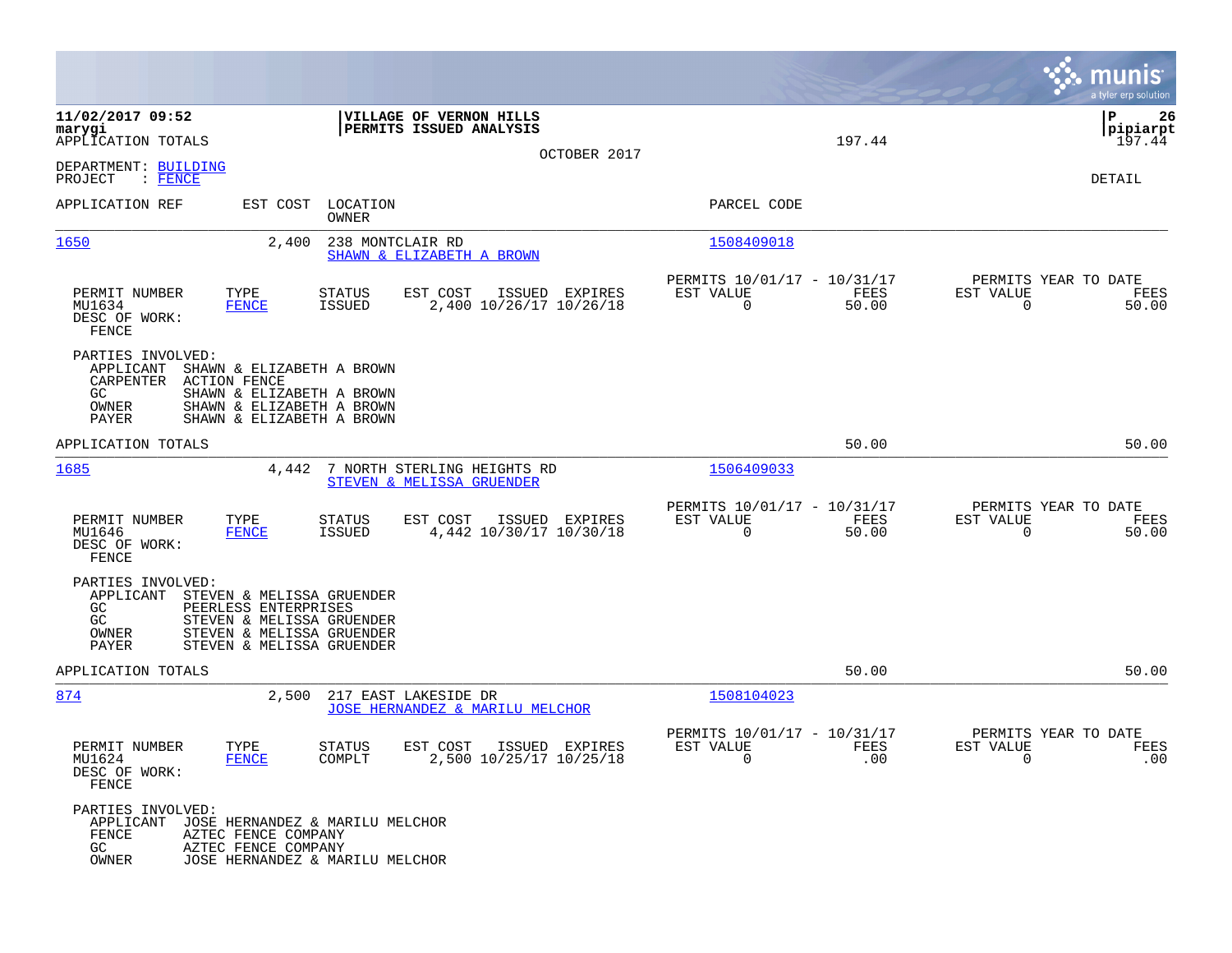|                                                                                                                                                                                                                 |                                                                                  |                                                                                            | munis<br>a tyler erp solution                                      |
|-----------------------------------------------------------------------------------------------------------------------------------------------------------------------------------------------------------------|----------------------------------------------------------------------------------|--------------------------------------------------------------------------------------------|--------------------------------------------------------------------|
| 11/02/2017 09:52<br>marygi<br>APPLICATION TOTALS<br>DEPARTMENT: BUILDING                                                                                                                                        | VILLAGE OF VERNON HILLS<br>PERMITS ISSUED ANALYSIS<br>OCTOBER 2017               | 197.44                                                                                     | ΙP<br>26<br> pipiarpt<br>197.44                                    |
| PROJECT<br>$:$ FENCE<br>APPLICATION REF<br>EST COST                                                                                                                                                             | LOCATION                                                                         | PARCEL CODE                                                                                | DETAIL                                                             |
|                                                                                                                                                                                                                 | OWNER                                                                            |                                                                                            |                                                                    |
| 1650<br>2,400                                                                                                                                                                                                   | 238 MONTCLAIR RD<br>SHAWN & ELIZABETH A BROWN                                    | 1508409018                                                                                 |                                                                    |
| PERMIT NUMBER<br>TYPE<br>MU1634<br><b>FENCE</b><br>DESC OF WORK:<br>FENCE                                                                                                                                       | EST COST<br>STATUS<br>ISSUED<br>EXPIRES<br>2,400 10/26/17 10/26/18<br>ISSUED     | PERMITS 10/01/17 - 10/31/17<br>EST VALUE<br>FEES<br>0<br>50.00                             | PERMITS YEAR TO DATE<br>EST VALUE<br>FEES<br>50.00<br>0            |
| PARTIES INVOLVED:<br>APPLICANT<br>SHAWN & ELIZABETH A BROWN<br>CARPENTER<br><b>ACTION FENCE</b><br>GC.<br>SHAWN & ELIZABETH A BROWN<br>OWNER<br>SHAWN & ELIZABETH A BROWN<br>PAYER<br>SHAWN & ELIZABETH A BROWN |                                                                                  |                                                                                            |                                                                    |
| APPLICATION TOTALS                                                                                                                                                                                              |                                                                                  | 50.00                                                                                      | 50.00                                                              |
| 1685<br>4,442                                                                                                                                                                                                   | 7 NORTH STERLING HEIGHTS RD<br>STEVEN & MELISSA GRUENDER                         | 1506409033                                                                                 |                                                                    |
| PERMIT NUMBER<br>TYPE<br>MU1646<br><b>FENCE</b><br>DESC OF WORK:<br>FENCE                                                                                                                                       | <b>STATUS</b><br>EST COST<br>ISSUED EXPIRES<br>4,442 10/30/17 10/30/18<br>ISSUED | PERMITS 10/01/17 - 10/31/17<br>EST VALUE<br>FEES<br>0<br>50.00                             | PERMITS YEAR TO DATE<br>EST VALUE<br>FEES<br>50.00<br>0            |
| PARTIES INVOLVED:<br>APPLICANT<br>STEVEN & MELISSA GRUENDER<br>GC<br>PEERLESS ENTERPRISES<br>GC<br>STEVEN & MELISSA GRUENDER<br>STEVEN & MELISSA GRUENDER<br>OWNER<br>PAYER<br>STEVEN & MELISSA GRUENDER        |                                                                                  |                                                                                            |                                                                    |
| APPLICATION TOTALS                                                                                                                                                                                              |                                                                                  | 50.00                                                                                      | 50.00                                                              |
| 2,500<br><u>874</u>                                                                                                                                                                                             | 217 EAST LAKESIDE DR<br><u>JOSE HERNANDEZ &amp; MARILU MELCHOR</u>               | 1508104023                                                                                 |                                                                    |
| PERMIT NUMBER<br>TYPE<br>MU1624<br><b>FENCE</b><br>DESC OF WORK:<br>FENCE                                                                                                                                       | <b>STATUS</b><br>EST COST<br>ISSUED EXPIRES<br>COMPLT<br>2,500 10/25/17 10/25/18 | PERMITS 10/01/17 - 10/31/17<br>EST VALUE<br><b>FEES</b><br>.00<br>$\overline{\phantom{0}}$ | PERMITS YEAR TO DATE<br>EST VALUE<br>FEES<br>.00<br>$\overline{0}$ |
| PARTIES INVOLVED:<br>APPLICANT JOSE HERNANDEZ & MARILU MELCHOR<br>FENCE<br>AZTEC FENCE COMPANY<br>GC<br>AZTEC FENCE COMPANY<br>OWNER                                                                            | JOSE HERNANDEZ & MARILU MELCHOR                                                  |                                                                                            |                                                                    |

**Contract**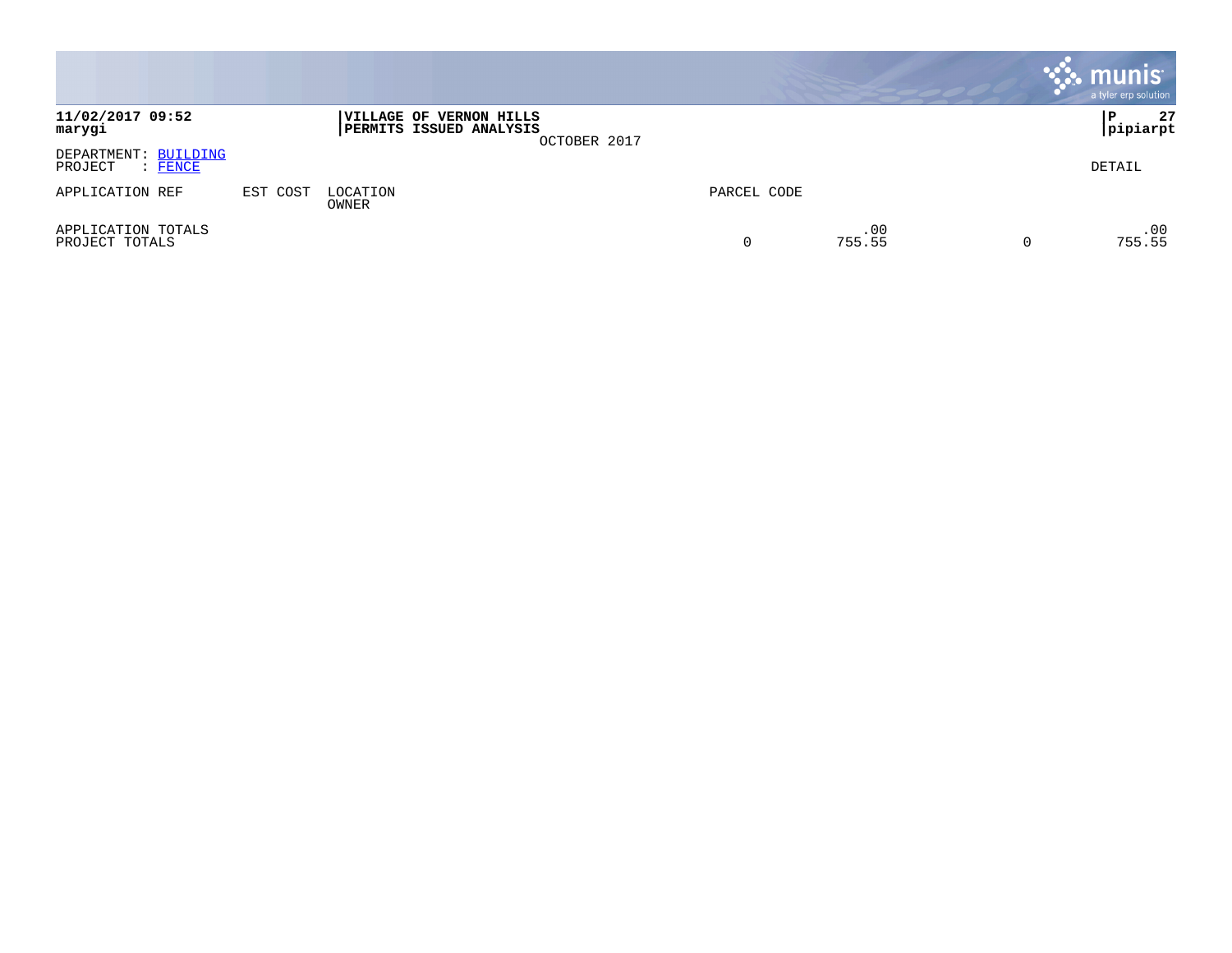|                                            |          |                                                    |              |             |               | munis<br>a tyler erp solution |
|--------------------------------------------|----------|----------------------------------------------------|--------------|-------------|---------------|-------------------------------|
| 11/02/2017 09:52<br>marygi                 |          | VILLAGE OF VERNON HILLS<br>PERMITS ISSUED ANALYSIS | OCTOBER 2017 |             |               | 27<br>P<br> pipiarpt          |
| DEPARTMENT: BUILDING<br>: FENCE<br>PROJECT |          |                                                    |              |             |               | DETAIL                        |
| APPLICATION REF                            | EST COST | LOCATION<br>OWNER                                  |              | PARCEL CODE |               |                               |
| APPLICATION TOTALS<br>PROJECT TOTALS       |          |                                                    |              | 0           | .00<br>755.55 | .00<br>755.55                 |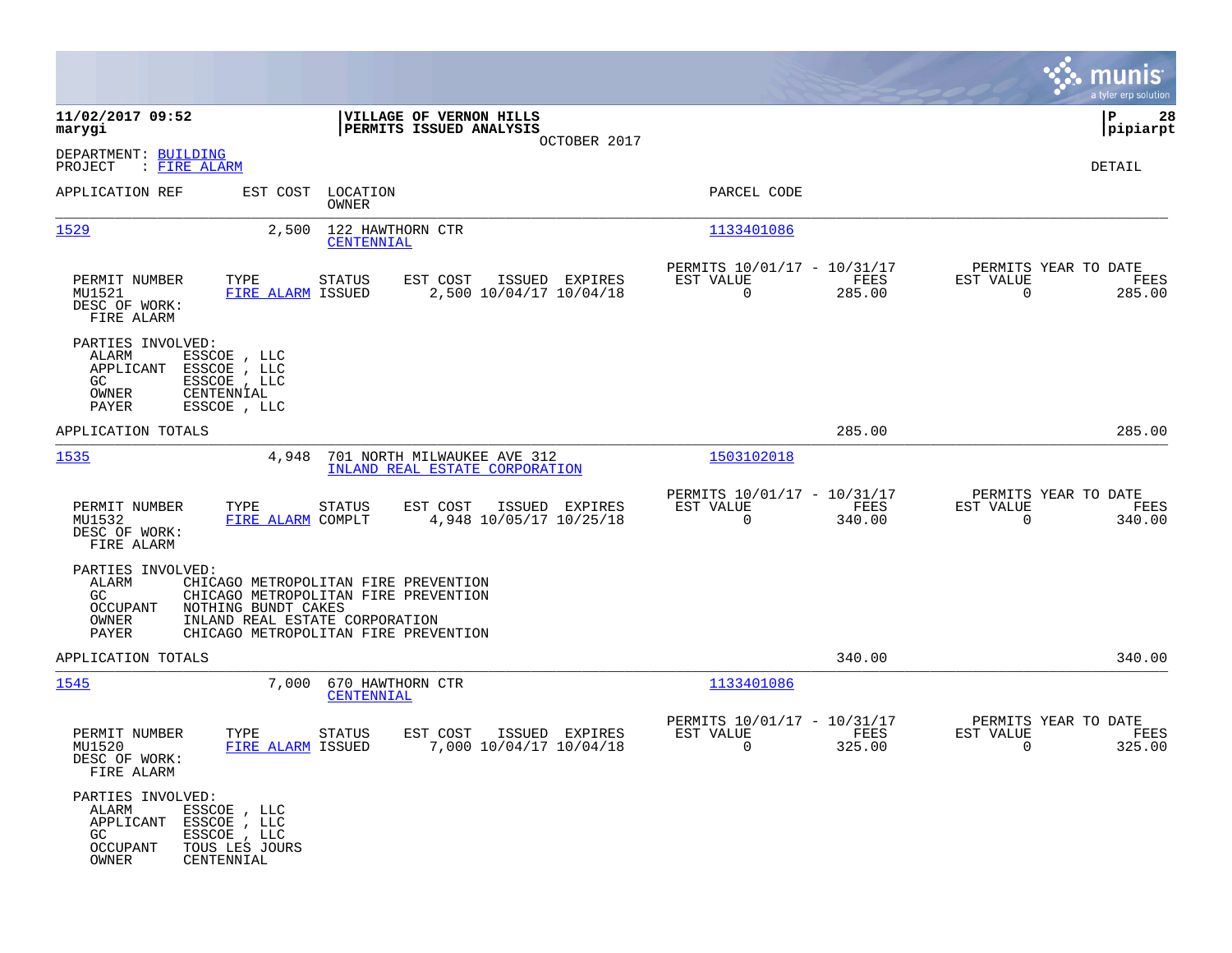|                                                                                                                                                   |                                                                                                                                                        |                                                                           | munis<br>a tyler erp solution                                   |
|---------------------------------------------------------------------------------------------------------------------------------------------------|--------------------------------------------------------------------------------------------------------------------------------------------------------|---------------------------------------------------------------------------|-----------------------------------------------------------------|
| 11/02/2017 09:52<br>marygi                                                                                                                        | VILLAGE OF VERNON HILLS<br>PERMITS ISSUED ANALYSIS                                                                                                     |                                                                           | 28<br>  P<br> pipiarpt                                          |
| DEPARTMENT: BUILDING<br>PROJECT<br>: FIRE ALARM                                                                                                   | OCTOBER 2017                                                                                                                                           |                                                                           | DETAIL                                                          |
| APPLICATION REF<br>EST COST                                                                                                                       | LOCATION<br>OWNER                                                                                                                                      | PARCEL CODE                                                               |                                                                 |
| 1529                                                                                                                                              | 122 HAWTHORN CTR<br>2,500<br>CENTENNIAL                                                                                                                | 1133401086                                                                |                                                                 |
| PERMIT NUMBER<br>TYPE<br>MU1521<br>DESC OF WORK:<br>FIRE ALARM                                                                                    | ISSUED EXPIRES<br>STATUS<br>EST COST<br>FIRE ALARM ISSUED<br>2,500 10/04/17 10/04/18                                                                   | PERMITS 10/01/17 - 10/31/17<br>FEES<br>EST VALUE<br>285.00<br>$\mathbf 0$ | PERMITS YEAR TO DATE<br>EST VALUE<br>FEES<br>$\Omega$<br>285.00 |
| PARTIES INVOLVED:<br>ALARM<br>ESSCOE , LLC<br>APPLICANT<br>ESSCOE, LLC<br>GC<br>ESSCOE, LLC<br>OWNER<br>CENTENNIAL<br>PAYER<br>ESSCOE, LLC        |                                                                                                                                                        |                                                                           |                                                                 |
| APPLICATION TOTALS                                                                                                                                |                                                                                                                                                        | 285.00                                                                    | 285.00                                                          |
| 1535                                                                                                                                              | 701 NORTH MILWAUKEE AVE 312<br>4,948<br>INLAND REAL ESTATE CORPORATION                                                                                 | 1503102018                                                                |                                                                 |
| PERMIT NUMBER<br>TYPE<br>MU1532<br>DESC OF WORK:<br>FIRE ALARM                                                                                    | EST COST<br>ISSUED EXPIRES<br>STATUS<br>FIRE ALARM COMPLT<br>4,948 10/05/17 10/25/18                                                                   | PERMITS 10/01/17 - 10/31/17<br>EST VALUE<br>FEES<br>$\mathbf 0$<br>340.00 | PERMITS YEAR TO DATE<br>EST VALUE<br>FEES<br>$\Omega$<br>340.00 |
| PARTIES INVOLVED:<br>ALARM<br>GC<br>NOTHING BUNDT CAKES<br>OCCUPANT<br>OWNER<br>PAYER                                                             | CHICAGO METROPOLITAN FIRE PREVENTION<br>CHICAGO METROPOLITAN FIRE PREVENTION<br>INLAND REAL ESTATE CORPORATION<br>CHICAGO METROPOLITAN FIRE PREVENTION |                                                                           |                                                                 |
| APPLICATION TOTALS                                                                                                                                |                                                                                                                                                        | 340.00                                                                    | 340.00                                                          |
| 1545                                                                                                                                              | 670 HAWTHORN CTR<br>7,000<br>CENTENNIAL                                                                                                                | 1133401086                                                                |                                                                 |
| PERMIT NUMBER<br>TYPE<br>MU1520<br>DESC OF WORK<br>FIRE ALARM                                                                                     | STATUS<br>EST COST<br>ISSUED EXPIRES<br>FIRE ALARM ISSUED<br>7,000 10/04/17 10/04/18                                                                   | PERMITS 10/01/17 - 10/31/17<br>EST VALUE<br><b>FEES</b><br>325.00<br>0    | PERMITS YEAR TO DATE<br>EST VALUE<br>FEES<br>325.00<br>0        |
| PARTIES INVOLVED:<br>ALARM<br>ESSCOE , LLC<br>APPLICANT<br>ESSCOE, LLC<br>GC<br>ESSCOE , LLC<br>OCCUPANT<br>TOUS LES JOURS<br>OWNER<br>CENTENNIAL |                                                                                                                                                        |                                                                           |                                                                 |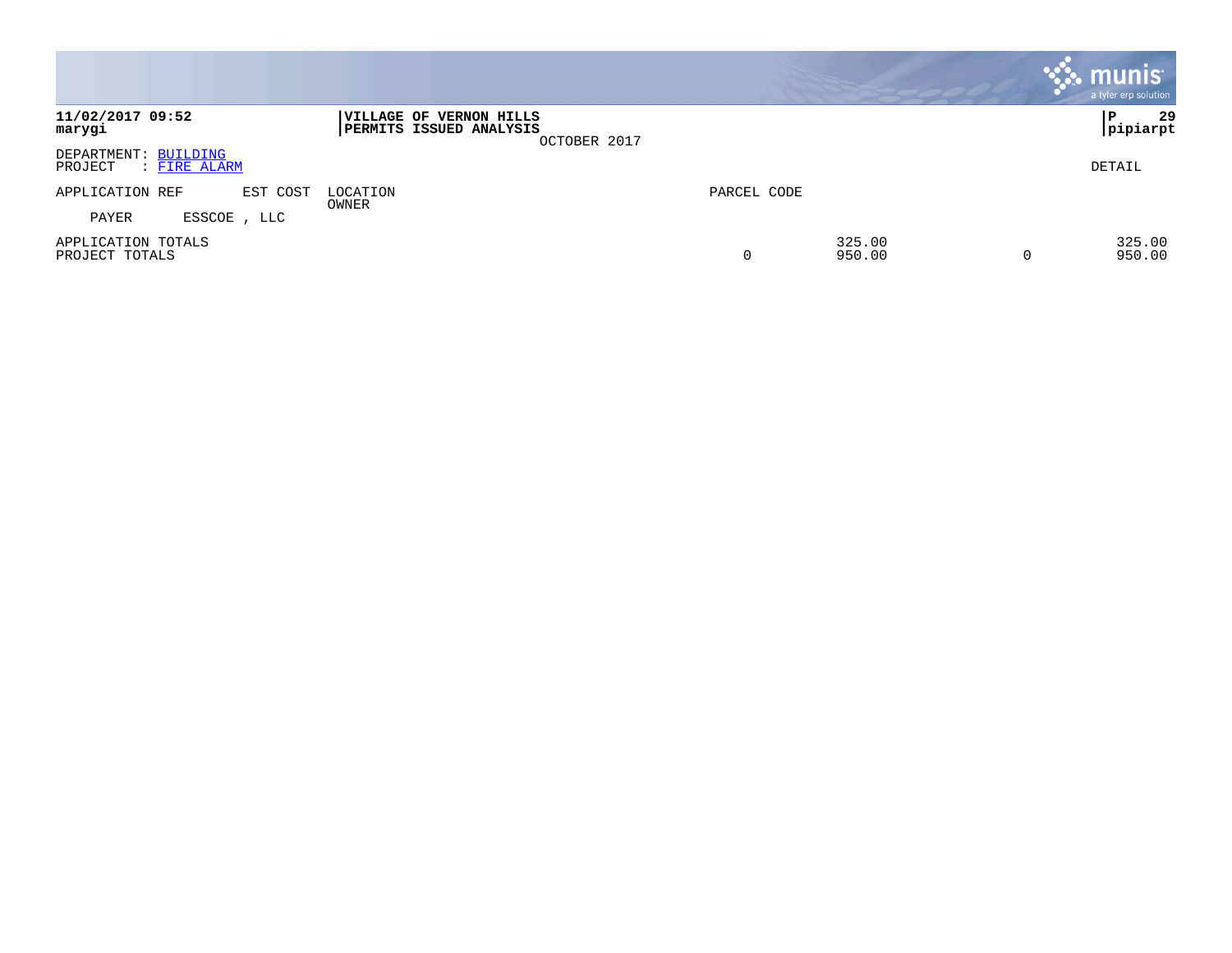|                                                 |                                                                    |             |                  |          | <b>munis</b><br>a tyler erp solution |
|-------------------------------------------------|--------------------------------------------------------------------|-------------|------------------|----------|--------------------------------------|
| 11/02/2017 09:52<br>marygi                      | VILLAGE OF VERNON HILLS<br>PERMITS ISSUED ANALYSIS<br>OCTOBER 2017 |             |                  |          | 29<br>P<br> pipiarpt                 |
| DEPARTMENT: BUILDING<br>: FIRE ALARM<br>PROJECT |                                                                    |             |                  |          | DETAIL                               |
| APPLICATION REF<br>EST COST                     | LOCATION<br>OWNER                                                  | PARCEL CODE |                  |          |                                      |
| PAYER<br>ESSCOE, LLC                            |                                                                    |             |                  |          |                                      |
| APPLICATION TOTALS<br>PROJECT TOTALS            |                                                                    | 0           | 325.00<br>950.00 | $\Omega$ | 325.00<br>950.00                     |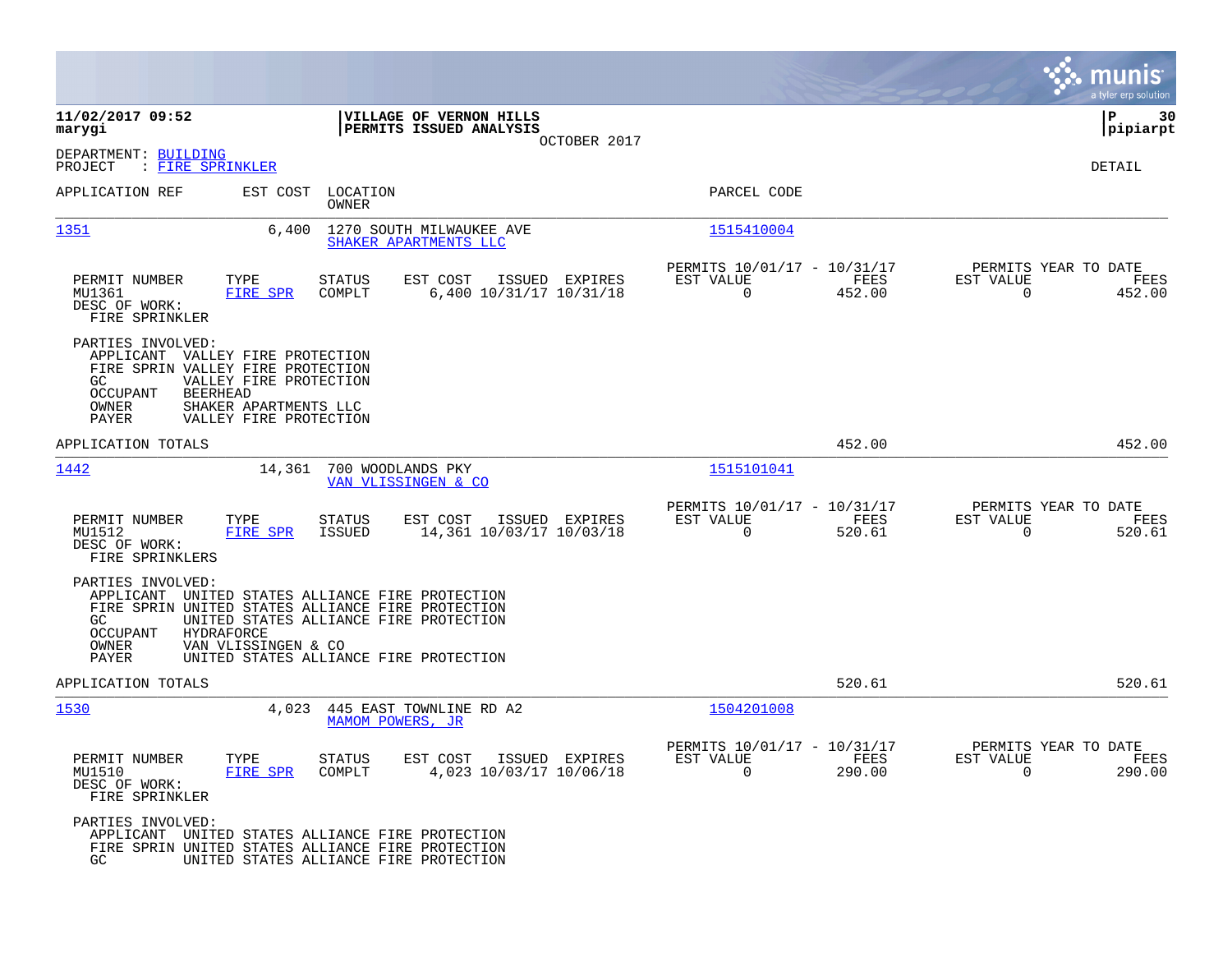|                                                                                                                                                                                                                                               |                                                                                   |                                                         |                |                                                  | munis<br>a tyler erp solution |
|-----------------------------------------------------------------------------------------------------------------------------------------------------------------------------------------------------------------------------------------------|-----------------------------------------------------------------------------------|---------------------------------------------------------|----------------|--------------------------------------------------|-------------------------------|
| 11/02/2017 09:52<br>marygi                                                                                                                                                                                                                    | VILLAGE OF VERNON HILLS<br>PERMITS ISSUED ANALYSIS                                |                                                         |                |                                                  | ΙP<br>30<br> pipiarpt         |
| DEPARTMENT: BUILDING<br>PROJECT<br>: FIRE SPRINKLER                                                                                                                                                                                           | OCTOBER 2017                                                                      |                                                         |                |                                                  | DETAIL                        |
| EST COST<br>APPLICATION REF                                                                                                                                                                                                                   | LOCATION<br>OWNER                                                                 | PARCEL CODE                                             |                |                                                  |                               |
| 1351<br>6,400                                                                                                                                                                                                                                 | 1270 SOUTH MILWAUKEE AVE<br>SHAKER APARTMENTS LLC                                 | 1515410004                                              |                |                                                  |                               |
| TYPE<br>PERMIT NUMBER<br>MU1361<br><b>FIRE SPR</b><br>DESC OF WORK:<br>FIRE SPRINKLER                                                                                                                                                         | EST COST<br><b>STATUS</b><br>ISSUED EXPIRES<br>COMPLT<br>6,400 10/31/17 10/31/18  | PERMITS 10/01/17 - 10/31/17<br>EST VALUE<br>$\Omega$    | FEES<br>452.00 | PERMITS YEAR TO DATE<br>EST VALUE<br>$\Omega$    | FEES<br>452.00                |
| PARTIES INVOLVED:<br>APPLICANT VALLEY FIRE PROTECTION<br>FIRE SPRIN VALLEY FIRE PROTECTION<br>GC.<br>VALLEY FIRE PROTECTION<br><b>OCCUPANT</b><br><b>BEERHEAD</b><br>OWNER<br>SHAKER APARTMENTS LLC<br><b>PAYER</b><br>VALLEY FIRE PROTECTION |                                                                                   |                                                         |                |                                                  |                               |
| APPLICATION TOTALS                                                                                                                                                                                                                            |                                                                                   |                                                         | 452.00         |                                                  | 452.00                        |
| 1442<br>14,361                                                                                                                                                                                                                                | 700 WOODLANDS PKY<br>VAN VLISSINGEN & CO                                          | 1515101041                                              |                |                                                  |                               |
| PERMIT NUMBER<br>TYPE<br>FIRE SPR<br>MU1512<br>DESC OF WORK:<br>FIRE SPRINKLERS                                                                                                                                                               | <b>STATUS</b><br>EST COST<br>ISSUED EXPIRES<br>14,361 10/03/17 10/03/18<br>ISSUED | PERMITS 10/01/17 - 10/31/17<br>EST VALUE<br>$\mathbf 0$ | FEES<br>520.61 | PERMITS YEAR TO DATE<br>EST VALUE<br>0           | FEES<br>520.61                |
| PARTIES INVOLVED:<br>APPLICANT UNITED STATES ALLIANCE FIRE PROTECTION<br>FIRE SPRIN UNITED STATES ALLIANCE FIRE PROTECTION<br>GC.<br>OCCUPANT<br>HYDRAFORCE<br>OWNER<br>VAN VLISSINGEN & CO<br>PAYER                                          | UNITED STATES ALLIANCE FIRE PROTECTION<br>UNITED STATES ALLIANCE FIRE PROTECTION  |                                                         |                |                                                  |                               |
| APPLICATION TOTALS                                                                                                                                                                                                                            |                                                                                   |                                                         | 520.61         |                                                  | 520.61                        |
| 1530<br>4,023                                                                                                                                                                                                                                 | 445 EAST TOWNLINE RD A2<br>MAMOM POWERS, JR                                       | 1504201008                                              |                |                                                  |                               |
| PERMIT NUMBER<br>TYPE<br>FIRE SPR<br>MU1510<br>DESC OF WORK:<br>FIRE SPRINKLER                                                                                                                                                                | <b>STATUS</b><br>EST COST<br>ISSUED EXPIRES<br>COMPLT<br>4,023 10/03/17 10/06/18  | PERMITS 10/01/17 - 10/31/17<br>EST VALUE<br>0           | FEES<br>290.00 | PERMITS YEAR TO DATE<br>EST VALUE<br>$\mathbf 0$ | FEES<br>290.00                |
| PARTIES INVOLVED:<br>APPLICANT<br>FIRE SPRIN UNITED STATES ALLIANCE FIRE PROTECTION<br>GC                                                                                                                                                     | UNITED STATES ALLIANCE FIRE PROTECTION<br>UNITED STATES ALLIANCE FIRE PROTECTION  |                                                         |                |                                                  |                               |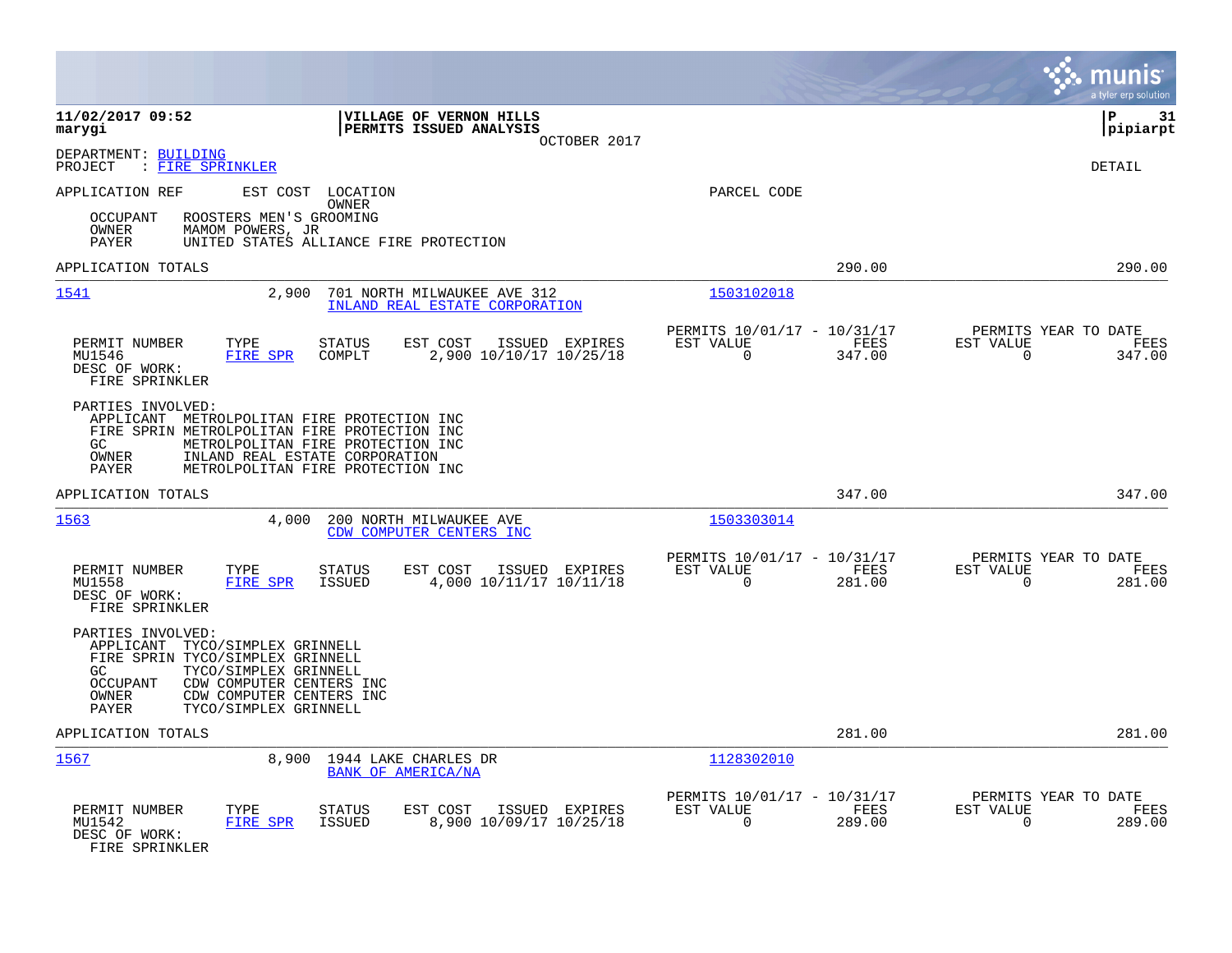|                                                                                                                                                                                                                                                      |                                                                    |                                                         |                | munis<br>a tyler erp solution                              |      |
|------------------------------------------------------------------------------------------------------------------------------------------------------------------------------------------------------------------------------------------------------|--------------------------------------------------------------------|---------------------------------------------------------|----------------|------------------------------------------------------------|------|
| 11/02/2017 09:52<br>marygi                                                                                                                                                                                                                           | VILLAGE OF VERNON HILLS<br>PERMITS ISSUED ANALYSIS<br>OCTOBER 2017 |                                                         |                | l P<br> pipiarpt                                           | 31   |
| DEPARTMENT: BUILDING<br>: FIRE SPRINKLER<br>PROJECT                                                                                                                                                                                                  |                                                                    |                                                         |                | <b>DETAIL</b>                                              |      |
| APPLICATION REF<br>EST COST<br>LOCATION<br>OWNER                                                                                                                                                                                                     |                                                                    | PARCEL CODE                                             |                |                                                            |      |
| <b>OCCUPANT</b><br>ROOSTERS MEN'S GROOMING<br>OWNER<br>MAMOM POWERS, JR<br>UNITED STATES ALLIANCE FIRE PROTECTION<br><b>PAYER</b>                                                                                                                    |                                                                    |                                                         |                |                                                            |      |
| APPLICATION TOTALS                                                                                                                                                                                                                                   |                                                                    |                                                         | 290.00         | 290.00                                                     |      |
| 1541<br>2,900                                                                                                                                                                                                                                        | 701 NORTH MILWAUKEE AVE 312<br>INLAND REAL ESTATE CORPORATION      | 1503102018                                              |                |                                                            |      |
| PERMIT NUMBER<br>TYPE<br>STATUS<br>MU1546<br><b>FIRE SPR</b><br>COMPLT<br>DESC OF WORK:<br>FIRE SPRINKLER                                                                                                                                            | EST COST<br>ISSUED EXPIRES<br>2,900 10/10/17 10/25/18              | PERMITS 10/01/17 - 10/31/17<br>EST VALUE<br>$\Omega$    | FEES<br>347.00 | PERMITS YEAR TO DATE<br>EST VALUE<br>$\Omega$<br>347.00    | FEES |
| PARTIES INVOLVED:<br>APPLICANT METROLPOLITAN FIRE PROTECTION INC<br>FIRE SPRIN METROLPOLITAN FIRE PROTECTION INC<br>GC<br>METROLPOLITAN FIRE PROTECTION INC<br>INLAND REAL ESTATE CORPORATION<br>OWNER<br>PAYER<br>METROLPOLITAN FIRE PROTECTION INC |                                                                    |                                                         |                |                                                            |      |
| APPLICATION TOTALS                                                                                                                                                                                                                                   |                                                                    |                                                         | 347.00         | 347.00                                                     |      |
| 1563<br>4,000                                                                                                                                                                                                                                        | 200 NORTH MILWAUKEE AVE<br>CDW COMPUTER CENTERS INC                | 1503303014                                              |                |                                                            |      |
| PERMIT NUMBER<br>TYPE<br>STATUS<br>FIRE SPR<br>MU1558<br>ISSUED<br>DESC OF WORK:<br>FIRE SPRINKLER                                                                                                                                                   | EST COST<br>ISSUED EXPIRES<br>4,000 10/11/17 10/11/18              | PERMITS 10/01/17 - 10/31/17<br>EST VALUE<br>$\mathbf 0$ | FEES<br>281.00 | PERMITS YEAR TO DATE<br>EST VALUE<br>$\mathbf 0$<br>281.00 | FEES |
| PARTIES INVOLVED:<br>TYCO/SIMPLEX GRINNELL<br>APPLICANT<br>FIRE SPRIN TYCO/SIMPLEX GRINNELL<br>GC.<br>TYCO/SIMPLEX GRINNELL<br><b>OCCUPANT</b><br>CDW COMPUTER CENTERS INC<br>OWNER<br>CDW COMPUTER CENTERS INC<br>PAYER<br>TYCO/SIMPLEX GRINNELL    |                                                                    |                                                         |                |                                                            |      |
| APPLICATION TOTALS                                                                                                                                                                                                                                   |                                                                    |                                                         | 281.00         | 281.00                                                     |      |
| 1567<br>8,900                                                                                                                                                                                                                                        | 1944 LAKE CHARLES DR<br>BANK OF AMERICA/NA                         | 1128302010                                              |                |                                                            |      |
| PERMIT NUMBER<br>TYPE<br><b>STATUS</b><br>MU1542<br>FIRE SPR<br>ISSUED<br>DESC OF WORK:<br>FIRE SPRINKLER                                                                                                                                            | EST COST<br>ISSUED EXPIRES<br>8,900 10/09/17 10/25/18              | PERMITS 10/01/17 - 10/31/17<br>EST VALUE<br>$\Omega$    | FEES<br>289.00 | PERMITS YEAR TO DATE<br>EST VALUE<br>289.00<br>0           | FEES |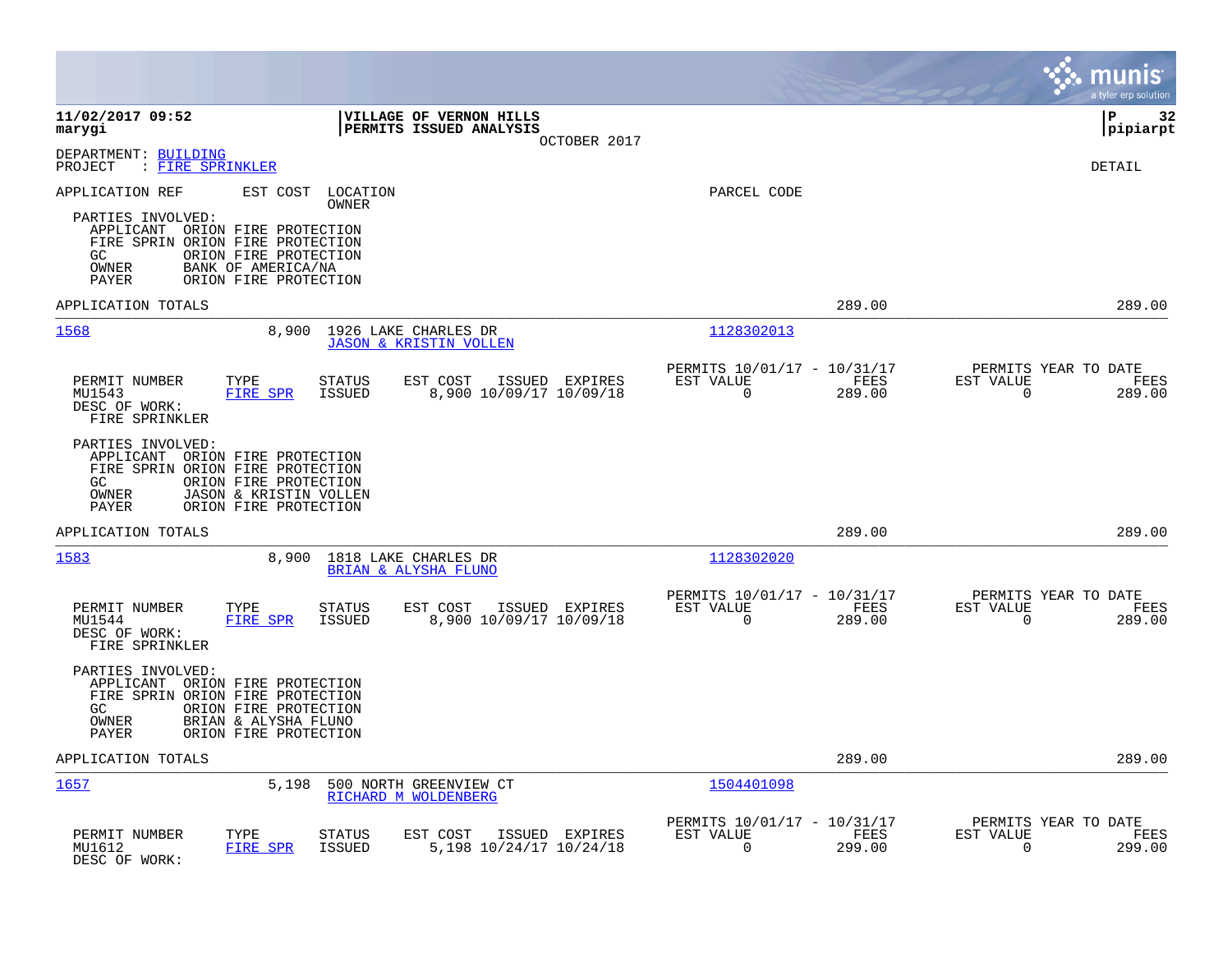|                                                                                                                                                                                              |                                                                                         |                                                                        | munis<br>a tyler erp solution                                      |
|----------------------------------------------------------------------------------------------------------------------------------------------------------------------------------------------|-----------------------------------------------------------------------------------------|------------------------------------------------------------------------|--------------------------------------------------------------------|
| 11/02/2017 09:52<br>marygi                                                                                                                                                                   | <b>VILLAGE OF VERNON HILLS</b><br>PERMITS ISSUED ANALYSIS                               | OCTOBER 2017                                                           | l P<br>32<br> pipiarpt                                             |
| DEPARTMENT: BUILDING<br>PROJECT<br>: FIRE SPRINKLER                                                                                                                                          |                                                                                         |                                                                        | DETAIL                                                             |
| APPLICATION REF<br>EST COST<br>PARTIES INVOLVED:<br>APPLICANT ORION FIRE PROTECTION<br>FIRE SPRIN ORION FIRE PROTECTION<br>GC<br>ORION FIRE PROTECTION<br>OWNER<br>BANK OF AMERICA/NA        | LOCATION<br>OWNER                                                                       | PARCEL CODE                                                            |                                                                    |
| PAYER<br>ORION FIRE PROTECTION                                                                                                                                                               |                                                                                         |                                                                        |                                                                    |
| APPLICATION TOTALS                                                                                                                                                                           |                                                                                         | 289.00                                                                 | 289.00                                                             |
| 1568                                                                                                                                                                                         | 8,900<br>1926 LAKE CHARLES DR<br><b>JASON &amp; KRISTIN VOLLEN</b>                      | 1128302013                                                             |                                                                    |
| PERMIT NUMBER<br>TYPE<br>MU1543<br>FIRE SPR<br>DESC OF WORK:<br>FIRE SPRINKLER                                                                                                               | STATUS<br>ISSUED EXPIRES<br>EST COST<br><b>ISSUED</b><br>8,900 10/09/17 10/09/18        | PERMITS 10/01/17 - 10/31/17<br>EST VALUE<br>FEES<br>$\Omega$<br>289.00 | PERMITS YEAR TO DATE<br>EST VALUE<br>FEES<br>$\Omega$<br>289.00    |
| PARTIES INVOLVED:<br>APPLICANT ORION FIRE PROTECTION<br>FIRE SPRIN ORION FIRE PROTECTION<br>GC<br>ORION FIRE PROTECTION<br>OWNER<br>JASON & KRISTIN VOLLEN<br>PAYER<br>ORION FIRE PROTECTION |                                                                                         |                                                                        |                                                                    |
| APPLICATION TOTALS                                                                                                                                                                           |                                                                                         | 289.00                                                                 | 289.00                                                             |
| 1583                                                                                                                                                                                         | 8,900<br>1818 LAKE CHARLES DR<br>BRIAN & ALYSHA FLUNO                                   | 1128302020                                                             |                                                                    |
| PERMIT NUMBER<br>TYPE<br><b>FIRE SPR</b><br>MU1544<br>DESC OF WORK:<br>FIRE SPRINKLER                                                                                                        | <b>STATUS</b><br>EST COST<br>ISSUED EXPIRES<br><b>ISSUED</b><br>8,900 10/09/17 10/09/18 | PERMITS 10/01/17 - 10/31/17<br>FEES<br>EST VALUE<br>$\Omega$<br>289.00 | PERMITS YEAR TO DATE<br>EST VALUE<br>FEES<br>$\mathbf 0$<br>289.00 |
| PARTIES INVOLVED:<br>APPLICANT ORION FIRE PROTECTION<br>FIRE SPRIN ORION FIRE PROTECTION<br>GC<br>ORION FIRE PROTECTION<br>BRIAN & ALYSHA FLUNO<br>OWNER<br>ORION FIRE PROTECTION<br>PAYER   |                                                                                         |                                                                        |                                                                    |
| APPLICATION TOTALS                                                                                                                                                                           |                                                                                         | 289.00                                                                 | 289.00                                                             |
| <u> 1657</u>                                                                                                                                                                                 | 5,198<br>500 NORTH GREENVIEW CT<br>RICHARD M WOLDENBERG                                 | 1504401098                                                             |                                                                    |
| PERMIT NUMBER<br>TYPE<br>MU1612<br>FIRE SPR<br>DESC OF WORK:                                                                                                                                 | ISSUED EXPIRES<br>STATUS<br>EST COST<br>5,198 10/24/17 10/24/18<br><b>ISSUED</b>        | PERMITS 10/01/17 - 10/31/17<br>EST VALUE<br><b>FEES</b><br>0<br>299.00 | PERMITS YEAR TO DATE<br>EST VALUE<br>FEES<br>0<br>299.00           |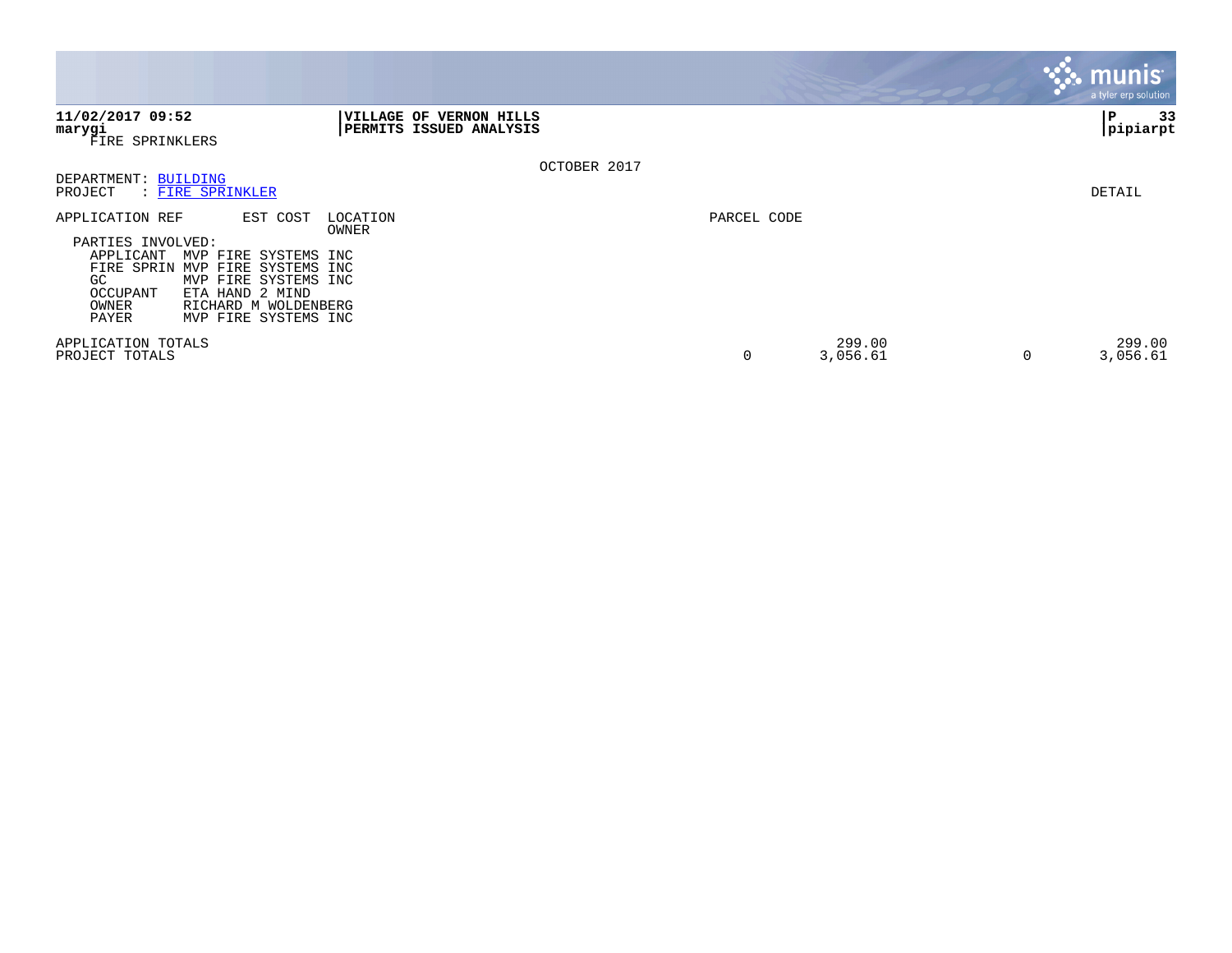|                                                                                                                                                                                                                                                             |                                                    |             |                    | $\mathsf{l}$ munis $\mathsf{l}$<br>a tyler erp solution. |
|-------------------------------------------------------------------------------------------------------------------------------------------------------------------------------------------------------------------------------------------------------------|----------------------------------------------------|-------------|--------------------|----------------------------------------------------------|
| 11/02/2017 09:52<br>marygi<br>FIRE SPRINKLERS                                                                                                                                                                                                               | VILLAGE OF VERNON HILLS<br>PERMITS ISSUED ANALYSIS |             |                    | 33<br>Р<br> pipiarpt                                     |
| DEPARTMENT: BUILDING<br>: FIRE SPRINKLER<br>PROJECT                                                                                                                                                                                                         | OCTOBER 2017                                       |             |                    | DETAIL                                                   |
| EST COST<br>APPLICATION REF<br>PARTIES INVOLVED:<br>APPLICANT<br>MVP FIRE SYSTEMS INC<br>FIRE SPRIN<br>MVP FIRE SYSTEMS INC<br>MVP FIRE SYSTEMS INC<br>GC.<br>ETA HAND 2 MIND<br>OCCUPANT<br>OWNER<br>RICHARD M WOLDENBERG<br>MVP FIRE SYSTEMS INC<br>PAYER | LOCATION<br>OWNER                                  | PARCEL CODE |                    |                                                          |
| APPLICATION TOTALS<br>PROJECT TOTALS                                                                                                                                                                                                                        |                                                    | $\mathbf 0$ | 299.00<br>3,056.61 | 299.00<br>3,056.61<br>$\Omega$                           |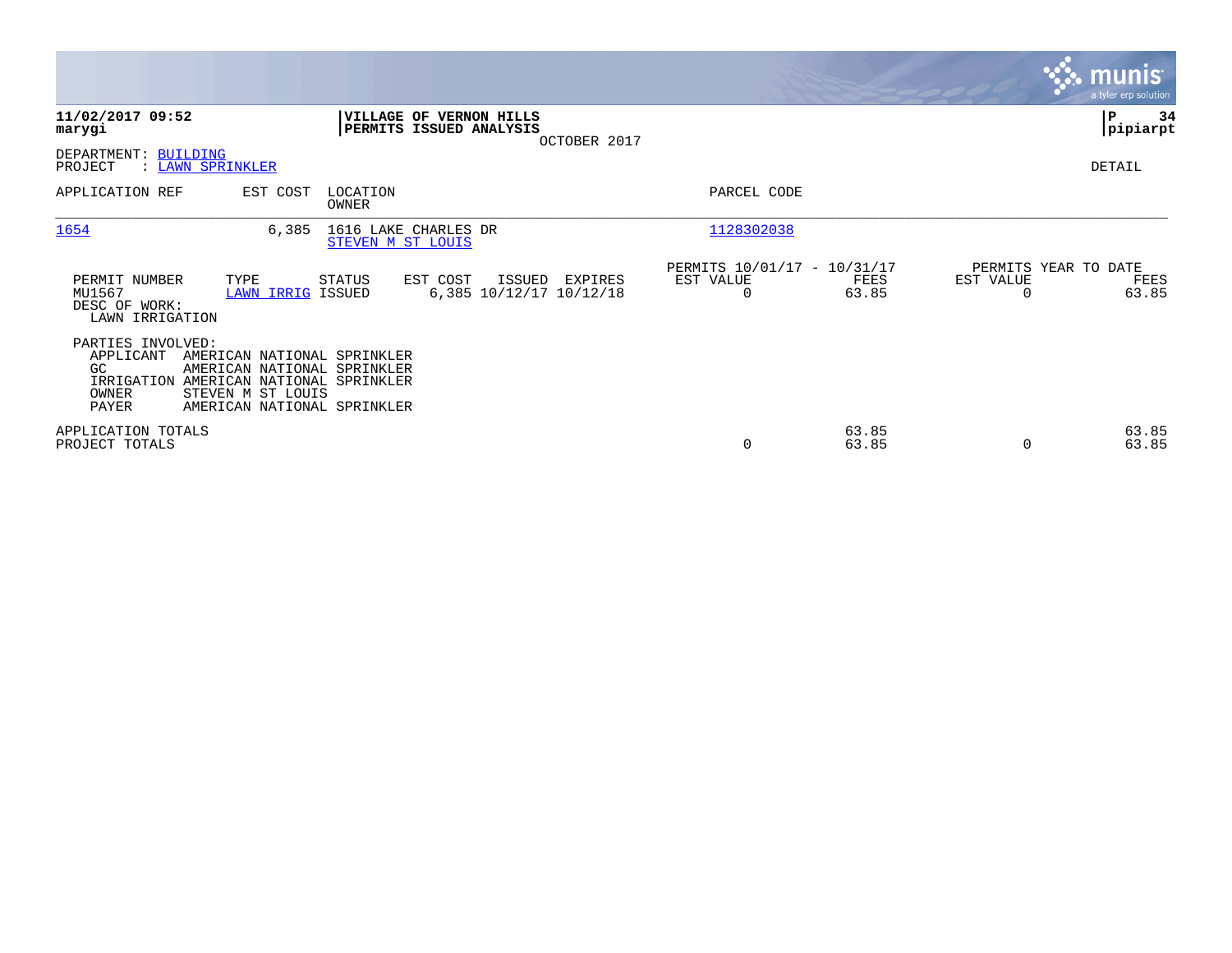|                                                             |                                                                                                                                                          |                   |                                                    |              |                                                      |                |                                               | <b>munis</b><br>a tyler erp solution |
|-------------------------------------------------------------|----------------------------------------------------------------------------------------------------------------------------------------------------------|-------------------|----------------------------------------------------|--------------|------------------------------------------------------|----------------|-----------------------------------------------|--------------------------------------|
| 11/02/2017 09:52<br>marygi                                  |                                                                                                                                                          |                   | VILLAGE OF VERNON HILLS<br>PERMITS ISSUED ANALYSIS | OCTOBER 2017 |                                                      |                |                                               | P<br>34<br> pipiarpt                 |
| DEPARTMENT: BUILDING<br>PROJECT                             | : LAWN SPRINKLER                                                                                                                                         |                   |                                                    |              |                                                      |                |                                               | DETAIL                               |
| APPLICATION REF                                             | EST COST                                                                                                                                                 | LOCATION<br>OWNER |                                                    |              | PARCEL CODE                                          |                |                                               |                                      |
| 1654                                                        | 6,385                                                                                                                                                    |                   | 1616 LAKE CHARLES DR<br>STEVEN M ST LOUIS          |              | 1128302038                                           |                |                                               |                                      |
| PERMIT NUMBER<br>MU1567<br>DESC OF WORK:<br>LAWN IRRIGATION | TYPE<br><b>LAWN IRRIG ISSUED</b>                                                                                                                         | STATUS            | EST COST<br>ISSUED<br>6,385 10/12/17 10/12/18      | EXPIRES      | PERMITS 10/01/17 - 10/31/17<br>EST VALUE<br>$\Omega$ | FEES<br>63.85  | PERMITS YEAR TO DATE<br>EST VALUE<br>$\Omega$ | FEES<br>63.85                        |
| PARTIES INVOLVED:<br>APPLICANT<br>GC.<br>OWNER<br>PAYER     | AMERICAN NATIONAL SPRINKLER<br>AMERICAN NATIONAL SPRINKLER<br>IRRIGATION AMERICAN NATIONAL SPRINKLER<br>STEVEN M ST LOUIS<br>AMERICAN NATIONAL SPRINKLER |                   |                                                    |              |                                                      |                |                                               |                                      |
| APPLICATION TOTALS<br>PROJECT TOTALS                        |                                                                                                                                                          |                   |                                                    |              | 0                                                    | 63.85<br>63.85 | 0                                             | 63.85<br>63.85                       |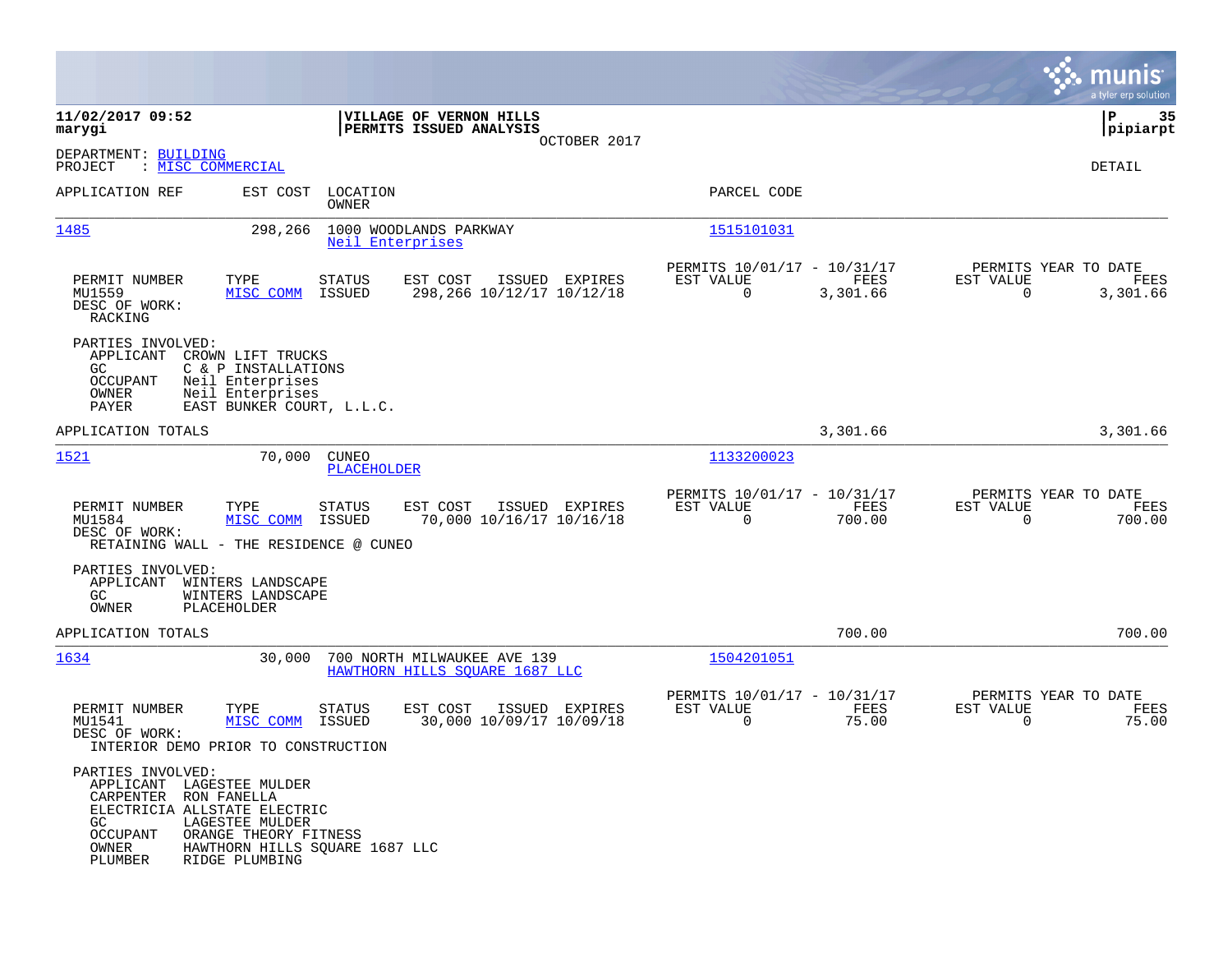|                                                                                                                                                                                                              |                                                                                   |                                                                             | munis<br>a tyler erp solution                                        |
|--------------------------------------------------------------------------------------------------------------------------------------------------------------------------------------------------------------|-----------------------------------------------------------------------------------|-----------------------------------------------------------------------------|----------------------------------------------------------------------|
| 11/02/2017 09:52<br>marygi                                                                                                                                                                                   | VILLAGE OF VERNON HILLS<br>PERMITS ISSUED ANALYSIS                                |                                                                             | P<br>35<br> pipiarpt                                                 |
| DEPARTMENT: BUILDING<br>PROJECT<br>: MISC COMMERCIAL                                                                                                                                                         | OCTOBER 2017                                                                      |                                                                             | DETAIL                                                               |
| APPLICATION REF<br>EST COST                                                                                                                                                                                  | LOCATION<br>OWNER                                                                 | PARCEL CODE                                                                 |                                                                      |
| 1485<br>298,266                                                                                                                                                                                              | 1000 WOODLANDS PARKWAY<br>Neil Enterprises                                        | 1515101031                                                                  |                                                                      |
| PERMIT NUMBER<br>TYPE<br>MU1559<br>MISC COMM<br>DESC OF WORK:<br>RACKING                                                                                                                                     | EST COST<br>ISSUED EXPIRES<br>STATUS<br>298, 266 10/12/17 10/12/18<br>ISSUED      | PERMITS 10/01/17 - 10/31/17<br>EST VALUE<br>FEES<br>$\mathbf 0$<br>3,301.66 | PERMITS YEAR TO DATE<br>EST VALUE<br>FEES<br>$\mathbf 0$<br>3,301.66 |
| PARTIES INVOLVED:<br>APPLICANT<br>CROWN LIFT TRUCKS<br><b>GC</b><br>C & P INSTALLATIONS<br>OCCUPANT<br>Neil Enterprises<br>Neil Enterprises<br>OWNER<br>EAST BUNKER COURT, L.L.C.<br>PAYER                   |                                                                                   |                                                                             |                                                                      |
| APPLICATION TOTALS                                                                                                                                                                                           |                                                                                   | 3,301.66                                                                    | 3,301.66                                                             |
| 1521<br>70,000                                                                                                                                                                                               | <b>CUNEO</b><br>PLACEHOLDER                                                       | 1133200023                                                                  |                                                                      |
| PERMIT NUMBER<br>TYPE<br>MU1584<br>MISC COMM<br>DESC OF WORK:<br>RETAINING WALL - THE RESIDENCE @ CUNEO                                                                                                      | EST COST<br>ISSUED EXPIRES<br>STATUS<br>70,000 10/16/17 10/16/18<br>ISSUED        | PERMITS 10/01/17 - 10/31/17<br>EST VALUE<br>FEES<br>0<br>700.00             | PERMITS YEAR TO DATE<br>EST VALUE<br>FEES<br>$\Omega$<br>700.00      |
| PARTIES INVOLVED:<br>APPLICANT<br>WINTERS LANDSCAPE<br>GC.<br>WINTERS LANDSCAPE<br>OWNER<br>PLACEHOLDER                                                                                                      |                                                                                   |                                                                             |                                                                      |
| APPLICATION TOTALS                                                                                                                                                                                           |                                                                                   | 700.00                                                                      | 700.00                                                               |
| 1634<br>30,000                                                                                                                                                                                               | 700 NORTH MILWAUKEE AVE 139<br>HAWTHORN HILLS SOUARE 1687 LLC                     | 1504201051                                                                  |                                                                      |
| PERMIT NUMBER<br>TYPE<br>MU1541<br>MISC COMM<br>DESC OF WORK:<br>INTERIOR DEMO PRIOR TO CONSTRUCTION                                                                                                         | EST COST<br>ISSUED EXPIRES<br><b>STATUS</b><br>30,000 10/09/17 10/09/18<br>ISSUED | PERMITS 10/01/17 - 10/31/17<br>EST VALUE<br>FEES<br>$\mathbf 0$<br>75.00    | PERMITS YEAR TO DATE<br>EST VALUE<br>FEES<br>75.00<br>$\Omega$       |
| PARTIES INVOLVED:<br>APPLICANT LAGESTEE MULDER<br>CARPENTER RON FANELLA<br>ELECTRICIA ALLSTATE ELECTRIC<br>GC.<br>LAGESTEE MULDER<br>ORANGE THEORY FITNESS<br>OCCUPANT<br>OWNER<br>PLUMBER<br>RIDGE PLUMBING | HAWTHORN HILLS SQUARE 1687 LLC                                                    |                                                                             |                                                                      |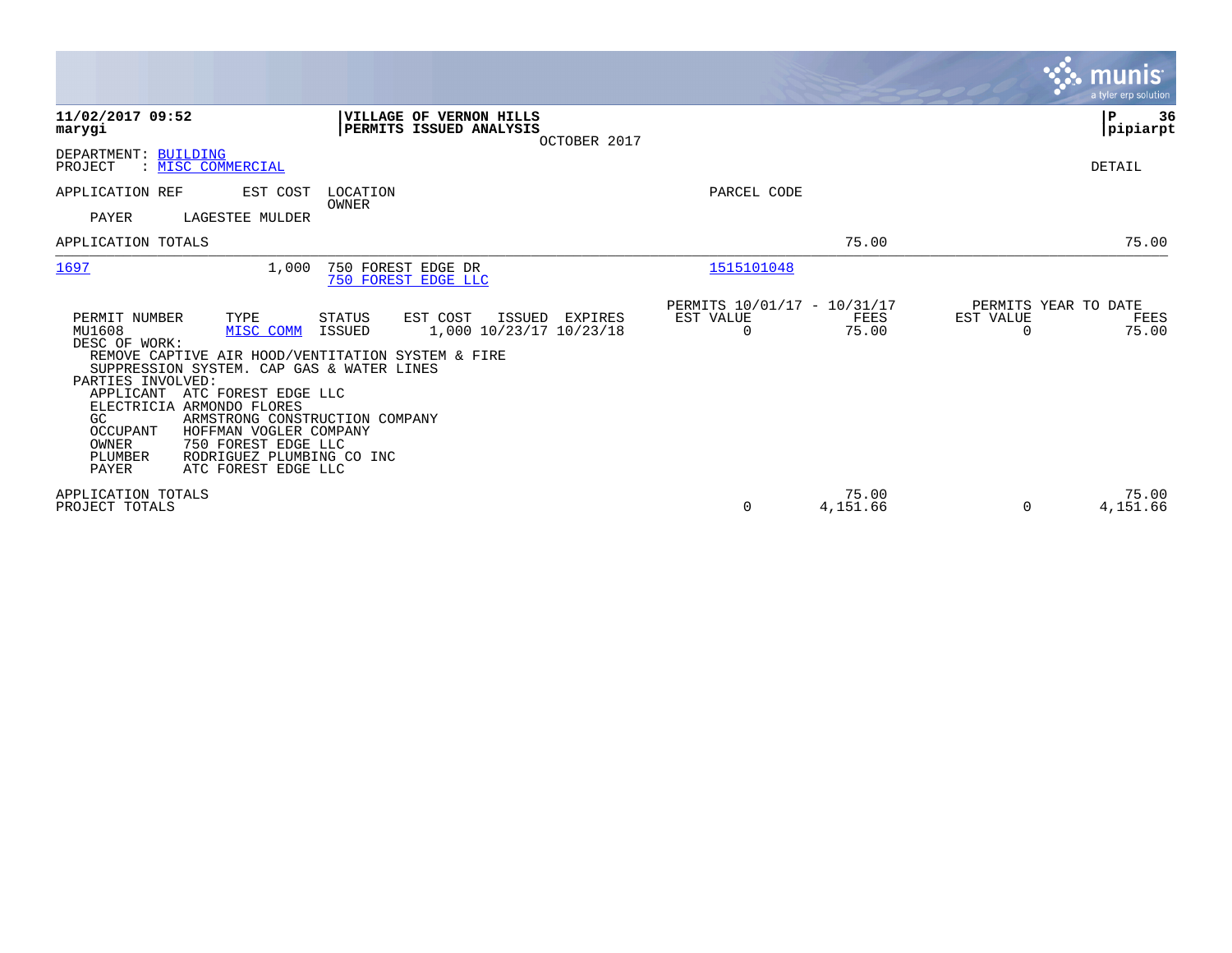|                                                                                                                                                                                                                                                                                                                                                                                                                                          |                                                                              |                                                      |                   | munis<br>a tyler erp solution                                  |
|------------------------------------------------------------------------------------------------------------------------------------------------------------------------------------------------------------------------------------------------------------------------------------------------------------------------------------------------------------------------------------------------------------------------------------------|------------------------------------------------------------------------------|------------------------------------------------------|-------------------|----------------------------------------------------------------|
| 11/02/2017 09:52<br>marygi                                                                                                                                                                                                                                                                                                                                                                                                               | VILLAGE OF VERNON HILLS<br>PERMITS ISSUED ANALYSIS<br>OCTOBER 2017           |                                                      |                   | P<br>36<br> pipiarpt                                           |
| DEPARTMENT: BUILDING<br>: MISC COMMERCIAL<br>PROJECT                                                                                                                                                                                                                                                                                                                                                                                     |                                                                              |                                                      |                   | DETAIL                                                         |
| APPLICATION REF<br>EST COST<br><b>PAYER</b><br>LAGESTEE MULDER                                                                                                                                                                                                                                                                                                                                                                           | LOCATION<br>OWNER                                                            | PARCEL CODE                                          |                   |                                                                |
| APPLICATION TOTALS                                                                                                                                                                                                                                                                                                                                                                                                                       |                                                                              |                                                      | 75.00             | 75.00                                                          |
| 1697<br>1,000                                                                                                                                                                                                                                                                                                                                                                                                                            | 750 FOREST EDGE DR<br>750 FOREST EDGE LLC                                    | 1515101048                                           |                   |                                                                |
| PERMIT NUMBER<br>TYPE<br>MU1608<br>MISC COMM<br>DESC OF WORK:<br>REMOVE CAPTIVE AIR HOOD/VENTITATION SYSTEM & FIRE<br>SUPPRESSION SYSTEM. CAP GAS & WATER LINES<br>PARTIES INVOLVED:<br>APPLICANT ATC FOREST EDGE LLC<br>ELECTRICIA ARMONDO FLORES<br>GC<br>ARMSTRONG CONSTRUCTION COMPANY<br>OCCUPANT<br>HOFFMAN VOGLER COMPANY<br>OWNER<br>750 FOREST EDGE LLC<br>PLUMBER<br>RODRIGUEZ PLUMBING CO INC<br>PAYER<br>ATC FOREST EDGE LLC | EST COST<br>ISSUED<br>STATUS<br>EXPIRES<br>1,000 10/23/17 10/23/18<br>ISSUED | PERMITS 10/01/17 - 10/31/17<br>EST VALUE<br>$\Omega$ | FEES<br>75.00     | PERMITS YEAR TO DATE<br>EST VALUE<br>FEES<br>75.00<br>$\Omega$ |
| APPLICATION TOTALS<br>PROJECT TOTALS                                                                                                                                                                                                                                                                                                                                                                                                     |                                                                              | 0                                                    | 75.00<br>4,151.66 | 75.00<br>4,151.66<br>0                                         |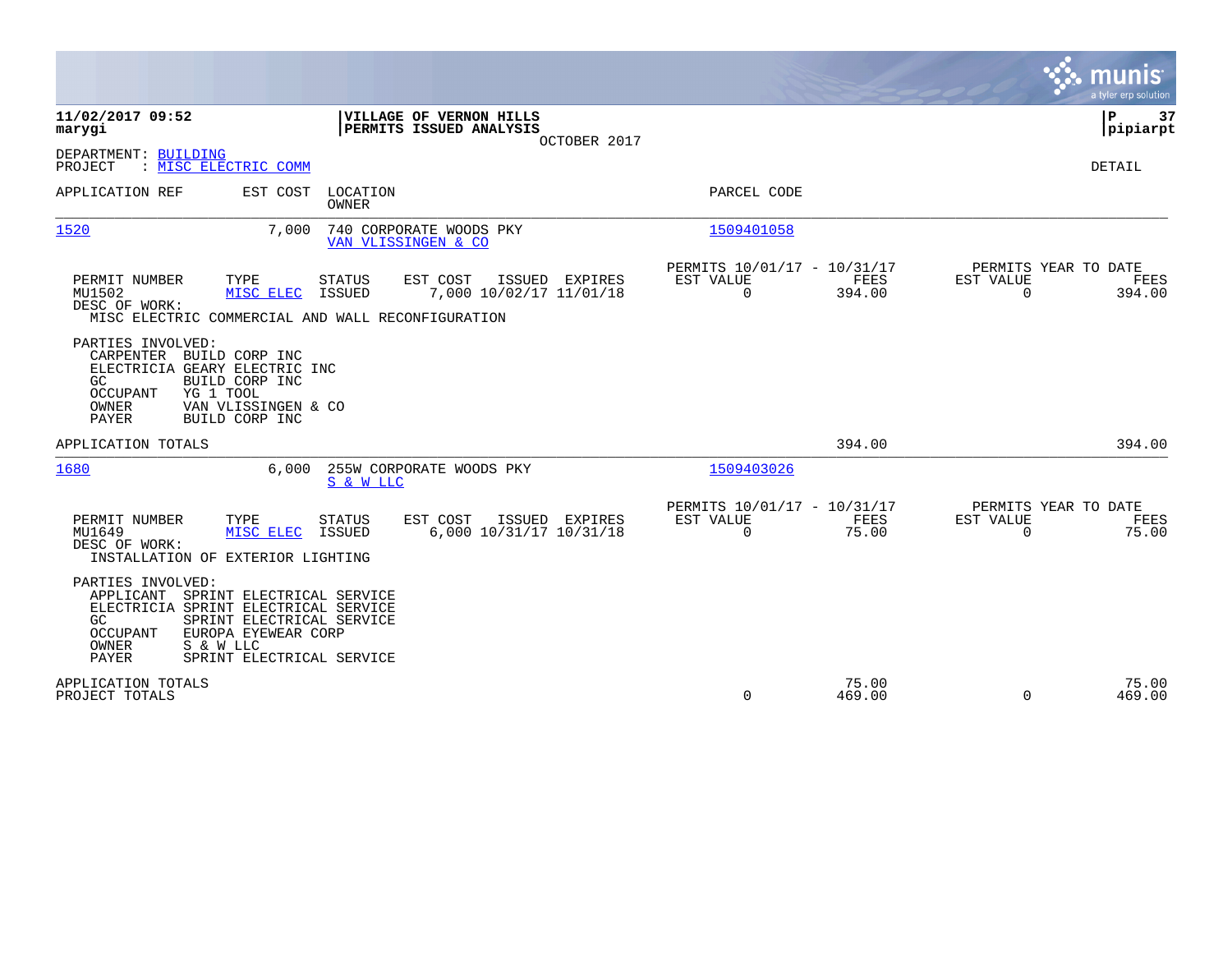|                                                                                                                                                                                                                                        |                                                                        | munis<br>a tyler erp solution                                     |
|----------------------------------------------------------------------------------------------------------------------------------------------------------------------------------------------------------------------------------------|------------------------------------------------------------------------|-------------------------------------------------------------------|
| 11/02/2017 09:52<br>VILLAGE OF VERNON HILLS<br>PERMITS ISSUED ANALYSIS<br>marygi<br>OCTOBER 2017                                                                                                                                       |                                                                        | ΙP<br>37<br> pipiarpt                                             |
| DEPARTMENT: BUILDING<br>: MISC ELECTRIC COMM<br>PROJECT                                                                                                                                                                                |                                                                        | <b>DETAIL</b>                                                     |
| APPLICATION REF<br>EST COST<br>LOCATION<br>OWNER                                                                                                                                                                                       | PARCEL CODE                                                            |                                                                   |
| 1520<br>7,000<br>740 CORPORATE WOODS PKY<br>VAN VLISSINGEN & CO                                                                                                                                                                        | 1509401058                                                             |                                                                   |
| <b>STATUS</b><br>EST COST<br>PERMIT NUMBER<br>TYPE<br>ISSUED EXPIRES<br>MU1502<br>MISC ELEC<br><b>ISSUED</b><br>7,000 10/02/17 11/01/18<br>DESC OF WORK:<br>MISC ELECTRIC COMMERCIAL AND WALL RECONFIGURATION                          | PERMITS 10/01/17 - 10/31/17<br>EST VALUE<br>FEES<br>$\Omega$<br>394.00 | PERMITS YEAR TO DATE<br>EST VALUE<br>FEES<br>$\Omega$<br>394.00   |
| PARTIES INVOLVED:<br>CARPENTER BUILD CORP INC<br>ELECTRICIA GEARY ELECTRIC INC<br>BUILD CORP INC<br>GC.<br>YG 1 TOOL<br><b>OCCUPANT</b><br>OWNER<br>VAN VLISSINGEN & CO<br><b>PAYER</b><br>BUILD CORP INC                              |                                                                        |                                                                   |
| APPLICATION TOTALS                                                                                                                                                                                                                     | 394.00                                                                 | 394.00                                                            |
| 1680<br>255W CORPORATE WOODS PKY<br>6,000<br>S & W LLC                                                                                                                                                                                 | 1509403026                                                             |                                                                   |
| EST COST<br>PERMIT NUMBER<br>TYPE<br>STATUS<br>ISSUED<br>EXPIRES<br>MU1649<br>6,000 10/31/17 10/31/18<br>MISC ELEC<br>ISSUED<br>DESC OF WORK:<br>INSTALLATION OF EXTERIOR LIGHTING                                                     | PERMITS 10/01/17 - 10/31/17<br>EST VALUE<br>FEES<br>$\Omega$<br>75.00  | PERMITS YEAR TO DATE<br>EST VALUE<br>FEES<br>$\mathbf 0$<br>75.00 |
| PARTIES INVOLVED:<br>SPRINT ELECTRICAL SERVICE<br>APPLICANT<br>ELECTRICIA SPRINT ELECTRICAL SERVICE<br>SPRINT ELECTRICAL SERVICE<br>GC.<br>EUROPA EYEWEAR CORP<br>OCCUPANT<br>OWNER<br>S & W LLC<br>PAYER<br>SPRINT ELECTRICAL SERVICE |                                                                        |                                                                   |
| APPLICATION TOTALS<br>PROJECT TOTALS                                                                                                                                                                                                   | 75.00<br>$\Omega$<br>469.00                                            | 75.00<br>$\Omega$<br>469.00                                       |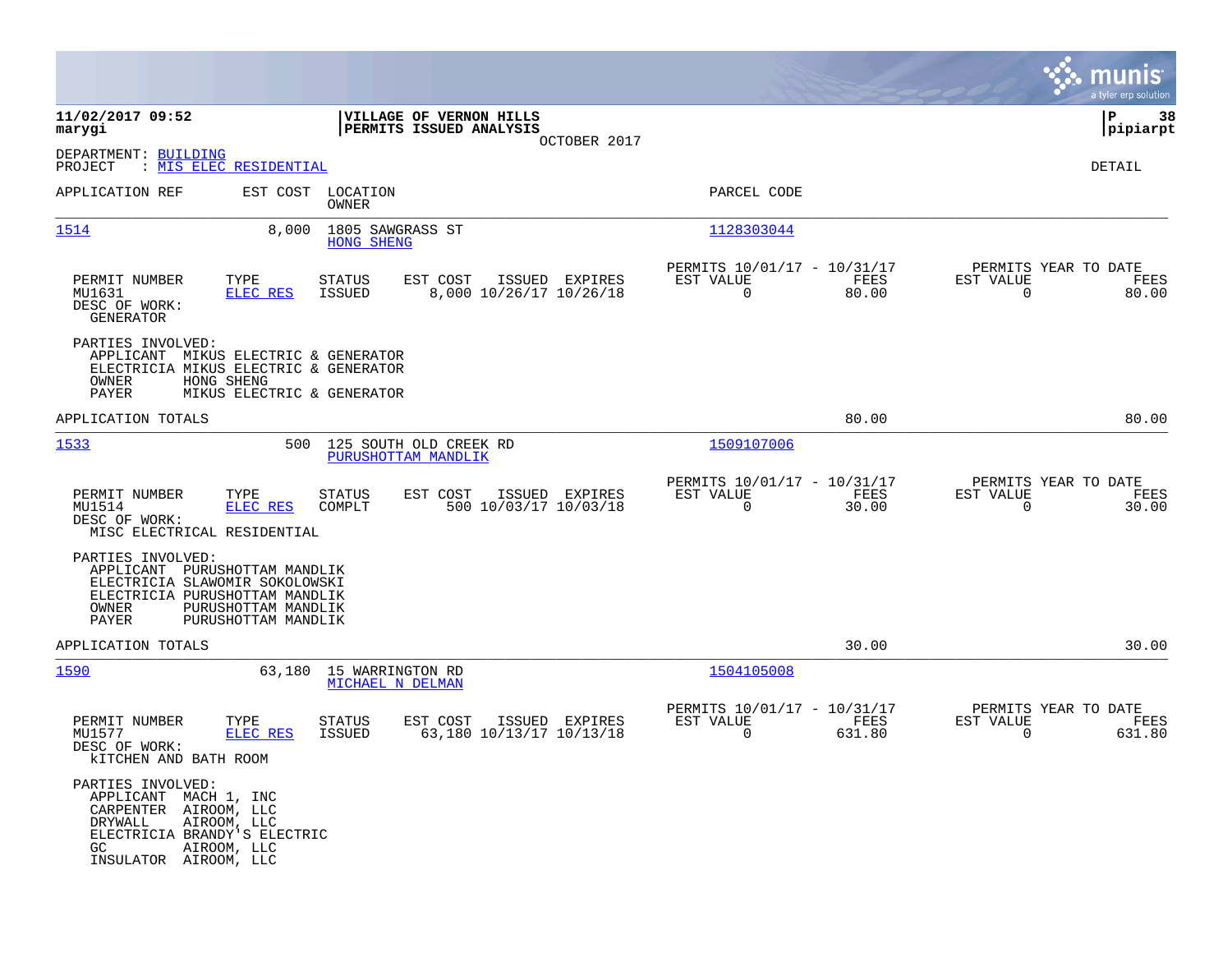|                                                                                                                                               |                                                                   |                                                    |                                                           |                |                                                            |                       |                                                     | munis<br>a tyler erp solution |
|-----------------------------------------------------------------------------------------------------------------------------------------------|-------------------------------------------------------------------|----------------------------------------------------|-----------------------------------------------------------|----------------|------------------------------------------------------------|-----------------------|-----------------------------------------------------|-------------------------------|
| 11/02/2017 09:52<br>marygi                                                                                                                    |                                                                   |                                                    | <b>VILLAGE OF VERNON HILLS</b><br>PERMITS ISSUED ANALYSIS |                |                                                            |                       |                                                     | 38<br>l P<br> pipiarpt        |
| DEPARTMENT: BUILDING<br>PROJECT                                                                                                               | : <u>MIS ELEC RESIDENTIAL</u>                                     |                                                    |                                                           | OCTOBER 2017   |                                                            |                       |                                                     | DETAIL                        |
| APPLICATION REF                                                                                                                               |                                                                   | EST COST LOCATION<br>OWNER                         |                                                           |                | PARCEL CODE                                                |                       |                                                     |                               |
| 1514                                                                                                                                          |                                                                   | 8,000 1805 SAWGRASS ST<br><b>HONG SHENG</b>        |                                                           |                | 1128303044                                                 |                       |                                                     |                               |
| PERMIT NUMBER<br>MU1631<br>DESC OF WORK:<br><b>GENERATOR</b>                                                                                  | TYPE<br><b>ELEC RES</b>                                           | <b>STATUS</b><br>ISSUED                            | EST COST<br>8,000 10/26/17 10/26/18                       | ISSUED EXPIRES | PERMITS 10/01/17 - 10/31/17<br>EST VALUE<br>$\overline{0}$ | FEES<br>80.00         | PERMITS YEAR TO DATE<br>EST VALUE<br>$\Omega$       | FEES<br>80.00                 |
| PARTIES INVOLVED:<br>APPLICANT MIKUS ELECTRIC & GENERATOR<br>ELECTRICIA MIKUS ELECTRIC & GENERATOR<br>OWNER<br>PAYER                          | HONG SHENG<br>MIKUS ELECTRIC & GENERATOR                          |                                                    |                                                           |                |                                                            |                       |                                                     |                               |
| APPLICATION TOTALS                                                                                                                            |                                                                   |                                                    |                                                           |                |                                                            | 80.00                 |                                                     | 80.00                         |
| 1533                                                                                                                                          |                                                                   |                                                    | 500 125 SOUTH OLD CREEK RD<br>PURUSHOTTAM MANDLIK         |                | 1509107006                                                 |                       |                                                     |                               |
| PERMIT NUMBER<br>MU1514<br>DESC OF WORK:<br>MISC ELECTRICAL RESIDENTIAL                                                                       | TYPE<br><b>ELEC RES</b>                                           | STATUS<br>COMPLT                                   | EST COST<br>500 10/03/17 10/03/18                         | ISSUED EXPIRES | PERMITS 10/01/17 - 10/31/17<br>EST VALUE<br>$\Omega$       | FEES<br>30.00         | PERMITS YEAR TO DATE<br>EST VALUE<br>$\Omega$       | FEES<br>30.00                 |
| PARTIES INVOLVED:<br>APPLICANT<br>ELECTRICIA SLAWOMIR SOKOLOWSKI<br>ELECTRICIA PURUSHOTTAM MANDLIK<br>OWNER<br>PAYER                          | PURUSHOTTAM MANDLIK<br>PURUSHOTTAM MANDLIK<br>PURUSHOTTAM MANDLIK |                                                    |                                                           |                |                                                            |                       |                                                     |                               |
| APPLICATION TOTALS                                                                                                                            |                                                                   |                                                    |                                                           |                |                                                            | 30.00                 |                                                     | 30.00                         |
| <u>1590</u>                                                                                                                                   |                                                                   | 63,180 15 WARRINGTON RD<br><b>MICHAEL N DELMAN</b> |                                                           |                | 1504105008                                                 |                       |                                                     |                               |
| PERMIT NUMBER<br>MU1577<br>DESC OF WORK:<br><b>kITCHEN AND BATH ROOM</b>                                                                      | TYPE<br>ELEC RES                                                  | <b>STATUS</b><br>ISSUED                            | EST COST<br>63,180 10/13/17 10/13/18                      | ISSUED EXPIRES | PERMITS 10/01/17 - 10/31/17<br>EST VALUE<br>$\mathbf 0$    | <b>FEES</b><br>631.80 | PERMITS YEAR TO DATE<br>EST VALUE<br>$\overline{0}$ | FEES<br>631.80                |
| PARTIES INVOLVED:<br>APPLICANT MACH 1, INC<br>CARPENTER AIROOM, LLC<br>DRYWALL<br>ELECTRICIA BRANDY'S ELECTRIC<br>GC<br>INSULATOR AIROOM, LLC | AIROOM, LLC<br>AIROOM, LLC                                        |                                                    |                                                           |                |                                                            |                       |                                                     |                               |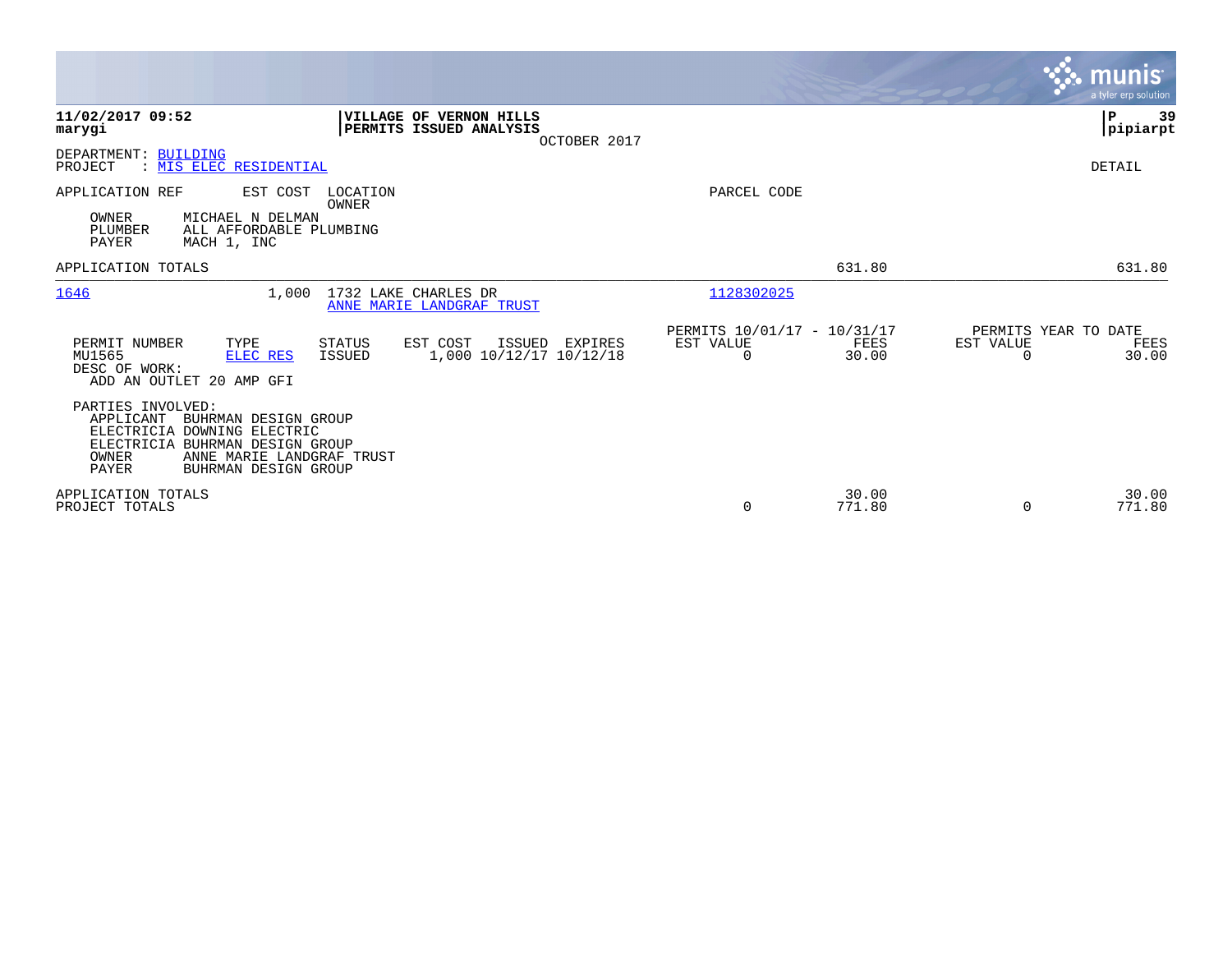|                                                                                                                                                                                                 |                                                                       | munis<br>a tyler erp solution                                  |
|-------------------------------------------------------------------------------------------------------------------------------------------------------------------------------------------------|-----------------------------------------------------------------------|----------------------------------------------------------------|
| 11/02/2017 09:52<br><b>VILLAGE OF VERNON HILLS</b><br>PERMITS ISSUED ANALYSIS<br>marygi<br>OCTOBER 2017                                                                                         |                                                                       | P<br>39<br> pipiarpt                                           |
| DEPARTMENT: BUILDING<br>: MIS ELEC RESIDENTIAL<br>PROJECT                                                                                                                                       |                                                                       | DETAIL                                                         |
| APPLICATION REF<br>EST COST<br>LOCATION<br>OWNER<br>OWNER<br>MICHAEL N DELMAN<br>PLUMBER<br>ALL AFFORDABLE PLUMBING<br>PAYER<br>MACH 1, INC                                                     | PARCEL CODE                                                           |                                                                |
| APPLICATION TOTALS                                                                                                                                                                              | 631.80                                                                | 631.80                                                         |
| 1646<br>1,000<br>1732 LAKE CHARLES DR<br>ANNE MARIE LANDGRAF TRUST                                                                                                                              | 1128302025                                                            |                                                                |
| EST COST<br>PERMIT NUMBER<br>TYPE<br><b>STATUS</b><br>ISSUED<br>EXPIRES<br>1,000 10/12/17 10/12/18<br>MU1565<br>ELEC RES<br>ISSUED<br>DESC OF WORK:<br>ADD AN OUTLET 20 AMP GFI                 | PERMITS 10/01/17 - 10/31/17<br>EST VALUE<br>FEES<br>$\Omega$<br>30.00 | PERMITS YEAR TO DATE<br>EST VALUE<br>FEES<br>30.00<br>$\Omega$ |
| PARTIES INVOLVED:<br>APPLICANT<br>BUHRMAN DESIGN GROUP<br>ELECTRICIA DOWNING ELECTRIC<br>ELECTRICIA BUHRMAN DESIGN GROUP<br>OWNER<br>ANNE MARIE LANDGRAF TRUST<br>PAYER<br>BUHRMAN DESIGN GROUP |                                                                       |                                                                |
| APPLICATION TOTALS<br>PROJECT TOTALS                                                                                                                                                            | 30.00<br>771.80<br>0                                                  | 30.00<br>771.80<br>$\Omega$                                    |

**Contract**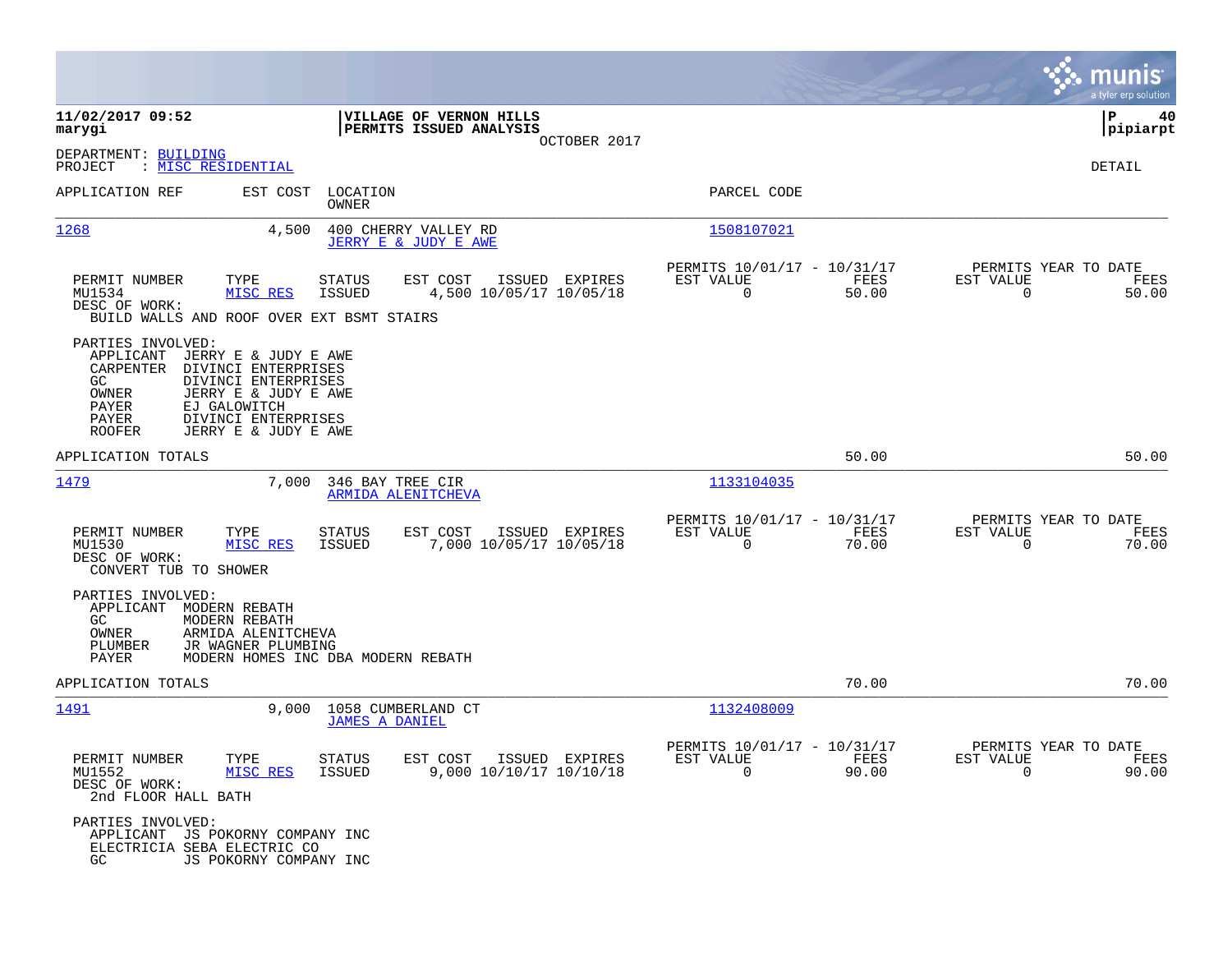|                                                                                                                                                                                                                                                            |                                                                           |                                                                          | munis<br>a tyler erp solution                                     |
|------------------------------------------------------------------------------------------------------------------------------------------------------------------------------------------------------------------------------------------------------------|---------------------------------------------------------------------------|--------------------------------------------------------------------------|-------------------------------------------------------------------|
| 11/02/2017 09:52<br>marygi                                                                                                                                                                                                                                 | VILLAGE OF VERNON HILLS<br>PERMITS ISSUED ANALYSIS                        |                                                                          | P<br>40<br> pipiarpt                                              |
| DEPARTMENT: BUILDING<br>: MISC RESIDENTIAL<br>PROJECT                                                                                                                                                                                                      | OCTOBER 2017                                                              |                                                                          | DETAIL                                                            |
| APPLICATION REF<br>EST COST                                                                                                                                                                                                                                | LOCATION<br>OWNER                                                         | PARCEL CODE                                                              |                                                                   |
| 1268<br>4,500                                                                                                                                                                                                                                              | 400 CHERRY VALLEY RD<br>JERRY E & JUDY E AWE                              | <u>1508107021</u>                                                        |                                                                   |
| PERMIT NUMBER<br>TYPE<br>MU1534<br>MISC RES<br>DESC OF WORK:<br>BUILD WALLS AND ROOF OVER EXT BSMT STAIRS                                                                                                                                                  | STATUS<br>EST COST<br>ISSUED EXPIRES<br>4,500 10/05/17 10/05/18<br>ISSUED | PERMITS 10/01/17 - 10/31/17<br>EST VALUE<br>FEES<br>$\mathbf 0$<br>50.00 | PERMITS YEAR TO DATE<br>EST VALUE<br>FEES<br>$\mathbf 0$<br>50.00 |
| PARTIES INVOLVED:<br>APPLICANT<br>JERRY E & JUDY E AWE<br>CARPENTER<br>DIVINCI ENTERPRISES<br>GC<br>DIVINCI ENTERPRISES<br>JERRY E & JUDY E AWE<br>OWNER<br>PAYER<br>EJ GALOWITCH<br>PAYER<br>DIVINCI ENTERPRISES<br>JERRY E & JUDY E AWE<br><b>ROOFER</b> |                                                                           |                                                                          |                                                                   |
| APPLICATION TOTALS                                                                                                                                                                                                                                         |                                                                           | 50.00                                                                    | 50.00                                                             |
| 1479<br>7,000                                                                                                                                                                                                                                              | 346 BAY TREE CIR<br>ARMIDA ALENITCHEVA                                    | 1133104035                                                               |                                                                   |
| PERMIT NUMBER<br>TYPE<br>MU1530<br>MISC RES<br>DESC OF WORK:<br>CONVERT TUB TO SHOWER                                                                                                                                                                      | STATUS<br>EST COST<br>ISSUED EXPIRES<br>7,000 10/05/17 10/05/18<br>ISSUED | PERMITS 10/01/17 - 10/31/17<br>EST VALUE<br>FEES<br>$\mathbf 0$<br>70.00 | PERMITS YEAR TO DATE<br>EST VALUE<br>FEES<br>0<br>70.00           |
| PARTIES INVOLVED:<br>APPLICANT<br>MODERN REBATH<br>GC.<br>MODERN REBATH<br>OWNER<br>ARMIDA ALENITCHEVA<br>PLUMBER<br>JR WAGNER PLUMBING<br>PAYER                                                                                                           | MODERN HOMES INC DBA MODERN REBATH                                        |                                                                          |                                                                   |
| APPLICATION TOTALS                                                                                                                                                                                                                                         |                                                                           | 70.00                                                                    | 70.00                                                             |
| 1491<br>9.000                                                                                                                                                                                                                                              | 1058 CUMBERLAND CT<br><b>JAMES A DANIEL</b>                               | 1132408009                                                               |                                                                   |
| PERMIT NUMBER<br>TYPE<br>MU1552<br>MISC RES<br>DESC OF WORK:<br>2nd FLOOR HALL BATH                                                                                                                                                                        | STATUS<br>EST COST ISSUED EXPIRES<br>9,000 10/10/17 10/10/18<br>ISSUED    | PERMITS 10/01/17 - 10/31/17<br>EST VALUE<br>FEES<br>$\Omega$<br>90.00    | PERMITS YEAR TO DATE<br>EST VALUE<br>FEES<br>90.00<br>$\Omega$    |
| PARTIES INVOLVED:<br>APPLICANT JS POKORNY COMPANY INC<br>ELECTRICIA SEBA ELECTRIC CO<br>GC<br>JS POKORNY COMPANY INC                                                                                                                                       |                                                                           |                                                                          |                                                                   |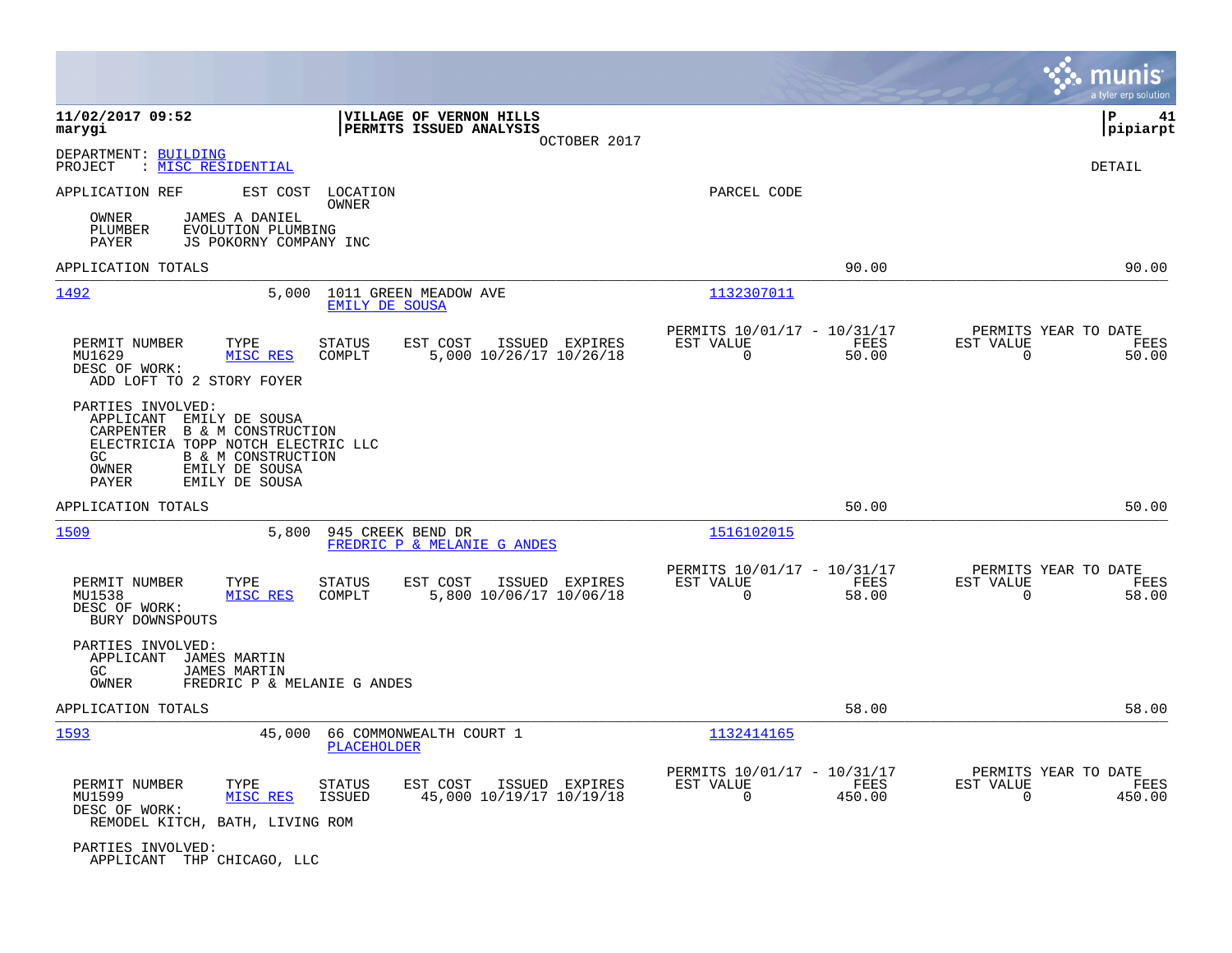|                                                                                                                                                                                                                         |                                                                                          |                                                                        | munis<br>a tyler erp solution                                      |
|-------------------------------------------------------------------------------------------------------------------------------------------------------------------------------------------------------------------------|------------------------------------------------------------------------------------------|------------------------------------------------------------------------|--------------------------------------------------------------------|
| 11/02/2017 09:52<br>marygi                                                                                                                                                                                              | VILLAGE OF VERNON HILLS<br>PERMITS ISSUED ANALYSIS<br>OCTOBER 2017                       |                                                                        | ΙP<br>41<br> pipiarpt                                              |
| DEPARTMENT: BUILDING<br>PROJECT<br>: MISC RESIDENTIAL                                                                                                                                                                   |                                                                                          |                                                                        | DETAIL                                                             |
| APPLICATION REF<br>EST COST<br>OWNER<br>JAMES A DANIEL<br>EVOLUTION PLUMBING<br>PLUMBER<br>PAYER<br>JS POKORNY COMPANY INC                                                                                              | LOCATION<br>OWNER                                                                        | PARCEL CODE                                                            |                                                                    |
| APPLICATION TOTALS                                                                                                                                                                                                      |                                                                                          | 90.00                                                                  | 90.00                                                              |
| 1492<br>5,000                                                                                                                                                                                                           | 1011 GREEN MEADOW AVE<br>EMILY DE SOUSA                                                  | 1132307011                                                             |                                                                    |
| PERMIT NUMBER<br>TYPE<br>MU1629<br>MISC RES<br>DESC OF WORK:<br>ADD LOFT TO 2 STORY FOYER                                                                                                                               | <b>STATUS</b><br>EST COST<br>ISSUED EXPIRES<br>5,000 10/26/17 10/26/18<br>COMPLT         | PERMITS 10/01/17 - 10/31/17<br>FEES<br>EST VALUE<br>$\Omega$<br>50.00  | PERMITS YEAR TO DATE<br>EST VALUE<br>FEES<br>$\Omega$<br>50.00     |
| PARTIES INVOLVED:<br>APPLICANT<br>EMILY DE SOUSA<br><b>B &amp; M CONSTRUCTION</b><br>CARPENTER<br>ELECTRICIA TOPP NOTCH ELECTRIC LLC<br>GC.<br>B & M CONSTRUCTION<br>EMILY DE SOUSA<br>OWNER<br>PAYER<br>EMILY DE SOUSA |                                                                                          |                                                                        |                                                                    |
| APPLICATION TOTALS                                                                                                                                                                                                      |                                                                                          | 50.00                                                                  | 50.00                                                              |
| 1509<br>5,800                                                                                                                                                                                                           | 945 CREEK BEND DR<br>FREDRIC P & MELANIE G ANDES                                         | 1516102015                                                             |                                                                    |
| PERMIT NUMBER<br>TYPE<br>MU1538<br>MISC RES<br>DESC OF WORK:<br>BURY DOWNSPOUTS                                                                                                                                         | <b>STATUS</b><br>EST COST<br>ISSUED EXPIRES<br>COMPLT<br>5,800 10/06/17 10/06/18         | PERMITS 10/01/17 - 10/31/17<br>EST VALUE<br>FEES<br>$\Omega$<br>58.00  | PERMITS YEAR TO DATE<br>EST VALUE<br>FEES<br>$\Omega$<br>58.00     |
| PARTIES INVOLVED:<br>APPLICANT<br>JAMES MARTIN<br>GC.<br><b>JAMES MARTIN</b><br>OWNER<br>FREDRIC P & MELANIE G ANDES                                                                                                    |                                                                                          |                                                                        |                                                                    |
| APPLICATION TOTALS                                                                                                                                                                                                      |                                                                                          | 58.00                                                                  | 58.00                                                              |
| 1593<br>45,000                                                                                                                                                                                                          | 66 COMMONWEALTH COURT 1<br>PLACEHOLDER                                                   | 1132414165                                                             |                                                                    |
| PERMIT NUMBER<br>TYPE<br>MU1599<br>MISC RES<br>DESC OF WORK:<br>REMODEL KITCH, BATH, LIVING ROM                                                                                                                         | <b>STATUS</b><br>EST COST<br>ISSUED EXPIRES<br><b>ISSUED</b><br>45,000 10/19/17 10/19/18 | PERMITS 10/01/17 - 10/31/17<br><b>FEES</b><br>EST VALUE<br>0<br>450.00 | PERMITS YEAR TO DATE<br>EST VALUE<br>FEES<br>450.00<br>$\mathbf 0$ |
| PARTIES INVOLVED:<br>APPLICANT THP CHICAGO, LLC                                                                                                                                                                         |                                                                                          |                                                                        |                                                                    |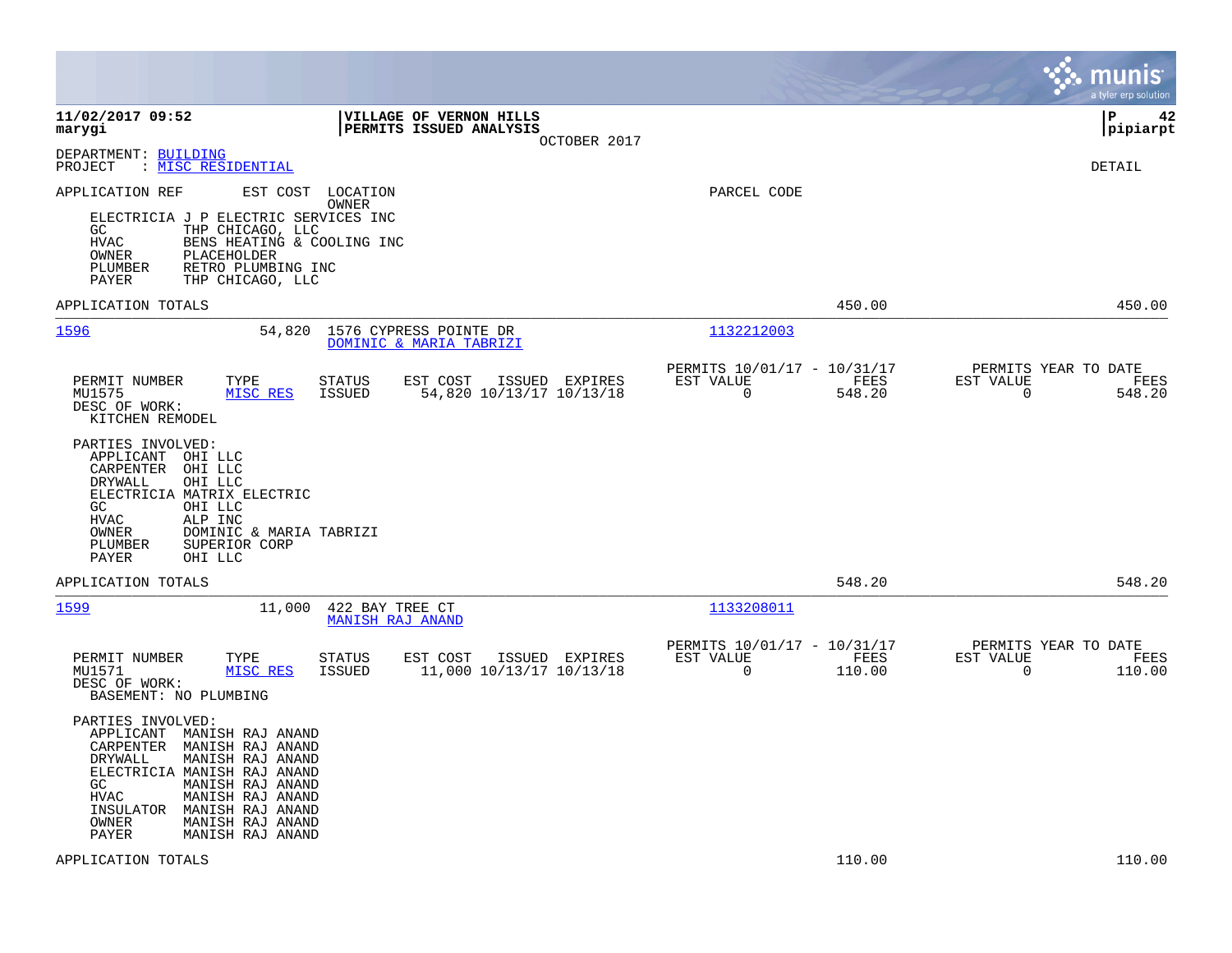|                                                                                                                                                                                                                                                                                              |                                                                           | munis<br>a tyler erp solution                                      |
|----------------------------------------------------------------------------------------------------------------------------------------------------------------------------------------------------------------------------------------------------------------------------------------------|---------------------------------------------------------------------------|--------------------------------------------------------------------|
| 11/02/2017 09:52<br>VILLAGE OF VERNON HILLS<br>PERMITS ISSUED ANALYSIS<br>marygi<br>OCTOBER 2017                                                                                                                                                                                             |                                                                           | l P<br>42<br> pipiarpt                                             |
| DEPARTMENT: BUILDING<br>: MISC RESIDENTIAL<br>PROJECT                                                                                                                                                                                                                                        |                                                                           | DETAIL                                                             |
| APPLICATION REF<br>EST COST<br>LOCATION<br>OWNER<br>ELECTRICIA J P ELECTRIC SERVICES INC<br>GC<br>THP CHICAGO, LLC<br>BENS HEATING & COOLING INC<br>HVAC<br>PLACEHOLDER<br>OWNER<br>RETRO PLUMBING INC<br>PLUMBER<br>PAYER<br>THP CHICAGO, LLC                                               | PARCEL CODE                                                               |                                                                    |
| APPLICATION TOTALS                                                                                                                                                                                                                                                                           | 450.00                                                                    | 450.00                                                             |
| 1596<br>54,820<br>1576 CYPRESS POINTE DR<br>DOMINIC & MARIA TABRIZI                                                                                                                                                                                                                          | 1132212003                                                                |                                                                    |
| TYPE<br>EST COST<br>ISSUED EXPIRES<br>PERMIT NUMBER<br>STATUS<br>MU1575<br>MISC RES<br><b>ISSUED</b><br>54,820 10/13/17 10/13/18<br>DESC OF WORK:<br>KITCHEN REMODEL                                                                                                                         | PERMITS 10/01/17 - 10/31/17<br>EST VALUE<br>FEES<br>$\mathbf 0$<br>548.20 | PERMITS YEAR TO DATE<br>EST VALUE<br>FEES<br>$\mathbf 0$<br>548.20 |
| PARTIES INVOLVED:<br>APPLICANT OHI LLC<br>CARPENTER<br>OHI LLC<br>DRYWALL<br>OHI LLC<br>ELECTRICIA MATRIX ELECTRIC<br>GC<br>OHI LLC<br><b>HVAC</b><br>ALP INC<br>OWNER<br>DOMINIC & MARIA TABRIZI<br>PLUMBER<br>SUPERIOR CORP<br>PAYER<br>OHI LLC                                            |                                                                           |                                                                    |
| APPLICATION TOTALS                                                                                                                                                                                                                                                                           | 548.20                                                                    | 548.20                                                             |
| 1599<br>11,000<br>422 BAY TREE CT<br>MANISH RAJ ANAND                                                                                                                                                                                                                                        | 1133208011                                                                |                                                                    |
| TYPE<br><b>STATUS</b><br>EST COST<br>ISSUED EXPIRES<br>PERMIT NUMBER<br>MU1571<br>MISC RES<br><b>ISSUED</b><br>11,000 10/13/17 10/13/18<br>DESC OF WORK:<br>BASEMENT: NO PLUMBING                                                                                                            | PERMITS 10/01/17 - 10/31/17<br>EST VALUE<br>FEES<br>$\mathbf 0$<br>110.00 | PERMITS YEAR TO DATE<br>EST VALUE<br>FEES<br>$\mathbf 0$<br>110.00 |
| PARTIES INVOLVED:<br>APPLICANT MANISH RAJ ANAND<br>CARPENTER MANISH RAJ ANAND<br>DRYWALL<br>MANISH RAJ ANAND<br>ELECTRICIA MANISH RAJ ANAND<br>MANISH RAJ ANAND<br>GC<br>MANISH RAJ ANAND<br>HVAC<br>MANISH RAJ ANAND<br>INSULATOR<br>OWNER<br>MANISH RAJ ANAND<br>PAYER<br>MANISH RAJ ANAND |                                                                           |                                                                    |
| APPLICATION TOTALS                                                                                                                                                                                                                                                                           | 110.00                                                                    | 110.00                                                             |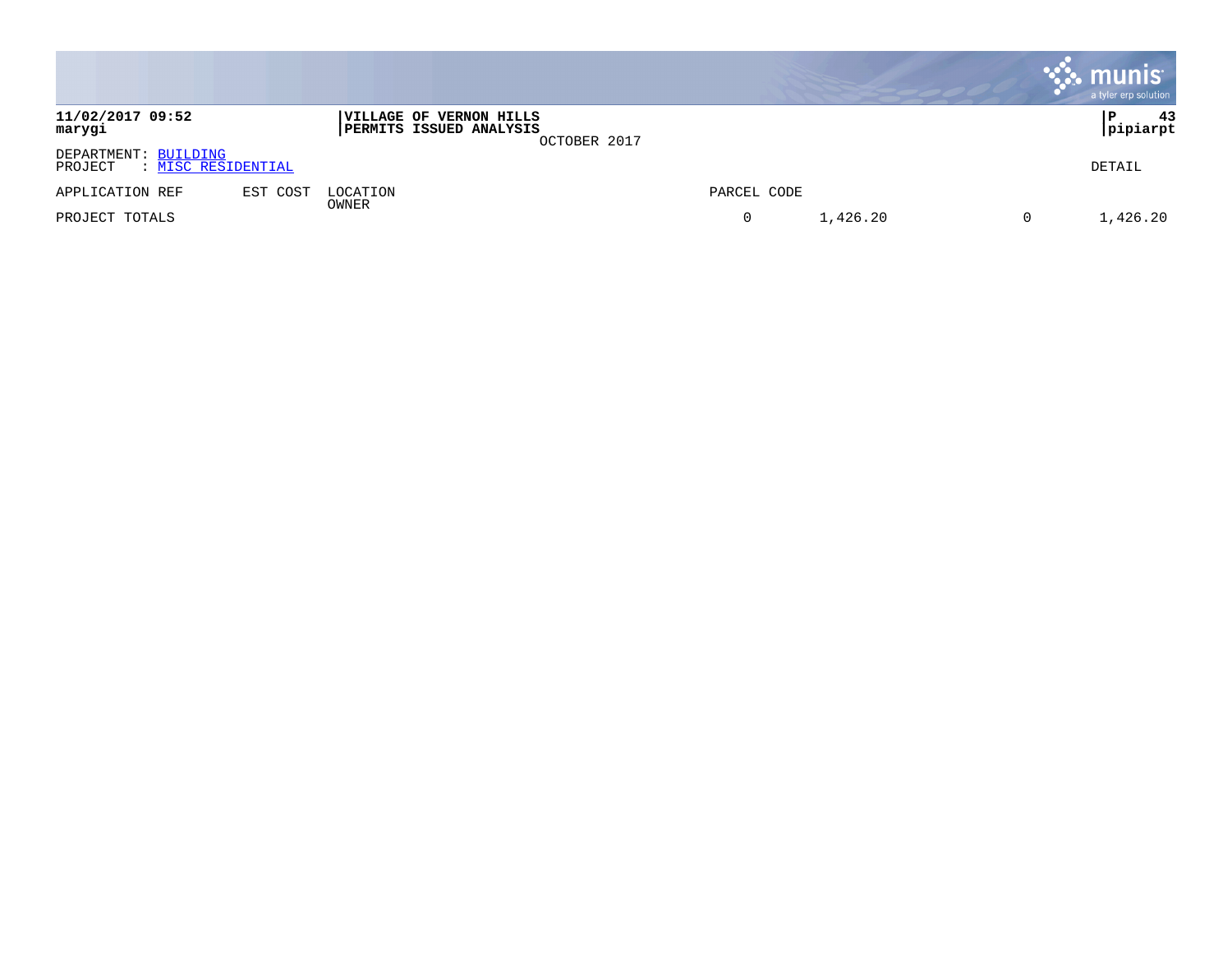|                                                       |          |                                                           |              |             |          | , munis <sup>.</sup><br>a tyler erp solution |
|-------------------------------------------------------|----------|-----------------------------------------------------------|--------------|-------------|----------|----------------------------------------------|
| 11/02/2017 09:52<br>marygi                            |          | VILLAGE OF VERNON HILLS<br><b>PERMITS ISSUED ANALYSIS</b> | OCTOBER 2017 |             |          | 43<br> P<br>pipiarpt                         |
| DEPARTMENT: BUILDING<br>: MISC RESIDENTIAL<br>PROJECT |          |                                                           |              |             |          | DETAIL                                       |
| APPLICATION REF                                       | EST COST | LOCATION                                                  |              | PARCEL CODE |          |                                              |
| PROJECT TOTALS                                        |          | OWNER                                                     |              | 0           | 1,426.20 | 1,426.20                                     |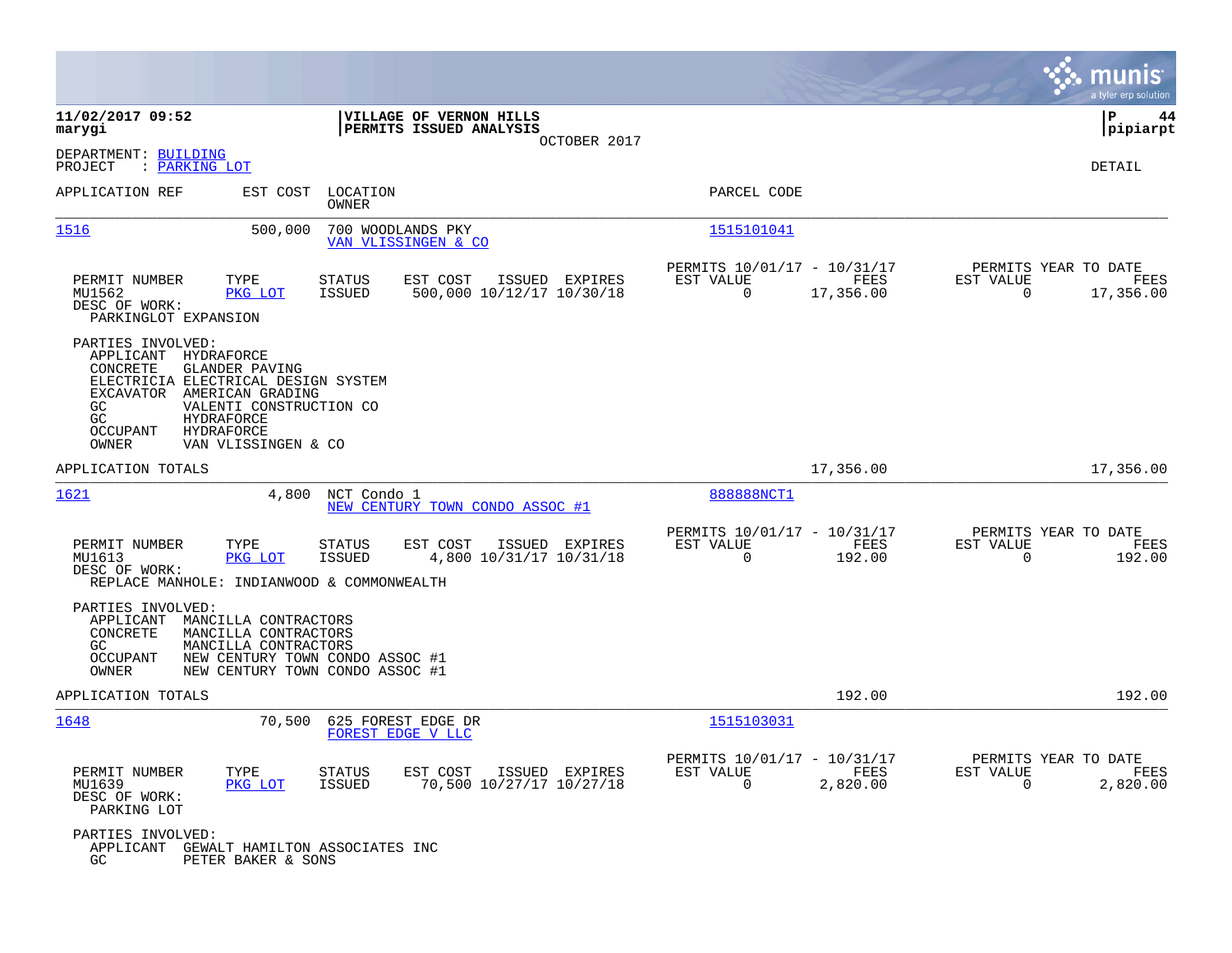|                                                                                                                                                                                                                                                                           |                                                                                           |                                                                              | munis<br>a tyler erp solution                                         |
|---------------------------------------------------------------------------------------------------------------------------------------------------------------------------------------------------------------------------------------------------------------------------|-------------------------------------------------------------------------------------------|------------------------------------------------------------------------------|-----------------------------------------------------------------------|
| 11/02/2017 09:52<br>marygi                                                                                                                                                                                                                                                | VILLAGE OF VERNON HILLS<br>PERMITS ISSUED ANALYSIS<br>OCTOBER 2017                        |                                                                              | ΙP<br>44<br> pipiarpt                                                 |
| DEPARTMENT: BUILDING<br>: PARKING LOT<br>PROJECT                                                                                                                                                                                                                          |                                                                                           |                                                                              | DETAIL                                                                |
| APPLICATION REF<br>EST COST                                                                                                                                                                                                                                               | LOCATION<br>OWNER                                                                         | PARCEL CODE                                                                  |                                                                       |
| 1516                                                                                                                                                                                                                                                                      | 500,000<br>700 WOODLANDS PKY<br>VAN VLISSINGEN & CO                                       | 1515101041                                                                   |                                                                       |
| PERMIT NUMBER<br>TYPE<br>MU1562<br>PKG LOT<br>DESC OF WORK:<br>PARKINGLOT EXPANSION                                                                                                                                                                                       | <b>STATUS</b><br>EST COST<br>ISSUED EXPIRES<br><b>ISSUED</b><br>500,000 10/12/17 10/30/18 | PERMITS 10/01/17 - 10/31/17<br>EST VALUE<br>FEES<br>$\mathbf 0$<br>17,356.00 | PERMITS YEAR TO DATE<br>EST VALUE<br>FEES<br>$\mathbf 0$<br>17,356.00 |
| PARTIES INVOLVED:<br>APPLICANT<br>HYDRAFORCE<br>CONCRETE<br>GLANDER PAVING<br>ELECTRICIA ELECTRICAL DESIGN SYSTEM<br>AMERICAN GRADING<br>EXCAVATOR<br>GC.<br>VALENTI CONSTRUCTION CO<br>GC<br><b>HYDRAFORCE</b><br>OCCUPANT<br>HYDRAFORCE<br>OWNER<br>VAN VLISSINGEN & CO |                                                                                           |                                                                              |                                                                       |
| APPLICATION TOTALS                                                                                                                                                                                                                                                        |                                                                                           | 17,356.00                                                                    | 17,356.00                                                             |
| 1621                                                                                                                                                                                                                                                                      | 4,800<br>NCT Condo 1<br>NEW CENTURY TOWN CONDO ASSOC #1                                   | 888888NCT1                                                                   |                                                                       |
| PERMIT NUMBER<br>TYPE<br>MU1613<br>PKG LOT<br>DESC OF WORK:<br>REPLACE MANHOLE: INDIANWOOD & COMMONWEALTH                                                                                                                                                                 | EST COST<br>ISSUED EXPIRES<br>STATUS<br>4,800 10/31/17 10/31/18<br><b>ISSUED</b>          | PERMITS 10/01/17 - 10/31/17<br>EST VALUE<br>FEES<br>$\Omega$<br>192.00       | PERMITS YEAR TO DATE<br>EST VALUE<br>FEES<br>$\Omega$<br>192.00       |
| PARTIES INVOLVED:<br>APPLICANT<br>MANCILLA CONTRACTORS<br>CONCRETE<br>MANCILLA CONTRACTORS<br>GC<br>MANCILLA CONTRACTORS<br>OCCUPANT<br>OWNER                                                                                                                             | NEW CENTURY TOWN CONDO ASSOC #1<br>NEW CENTURY TOWN CONDO ASSOC #1                        |                                                                              |                                                                       |
| APPLICATION TOTALS                                                                                                                                                                                                                                                        |                                                                                           | 192.00                                                                       | 192.00                                                                |
| 1648                                                                                                                                                                                                                                                                      | 70,500<br>625 FOREST EDGE DR<br>FOREST EDGE V LLC                                         | 1515103031                                                                   |                                                                       |
| PERMIT NUMBER<br>TYPE<br>PKG LOT<br>MU1639<br>DESC OF WORK:<br>PARKING LOT                                                                                                                                                                                                | <b>STATUS</b><br>EST COST<br>ISSUED EXPIRES<br><b>ISSUED</b><br>70,500 10/27/17 10/27/18  | PERMITS 10/01/17 - 10/31/17<br>EST VALUE<br>FEES<br>$\mathbf 0$<br>2,820.00  | PERMITS YEAR TO DATE<br>EST VALUE<br>FEES<br>0<br>2,820.00            |
| PARTIES INVOLVED:<br>APPLICANT GEWALT HAMILTON ASSOCIATES INC<br>GC<br>PETER BAKER & SONS                                                                                                                                                                                 |                                                                                           |                                                                              |                                                                       |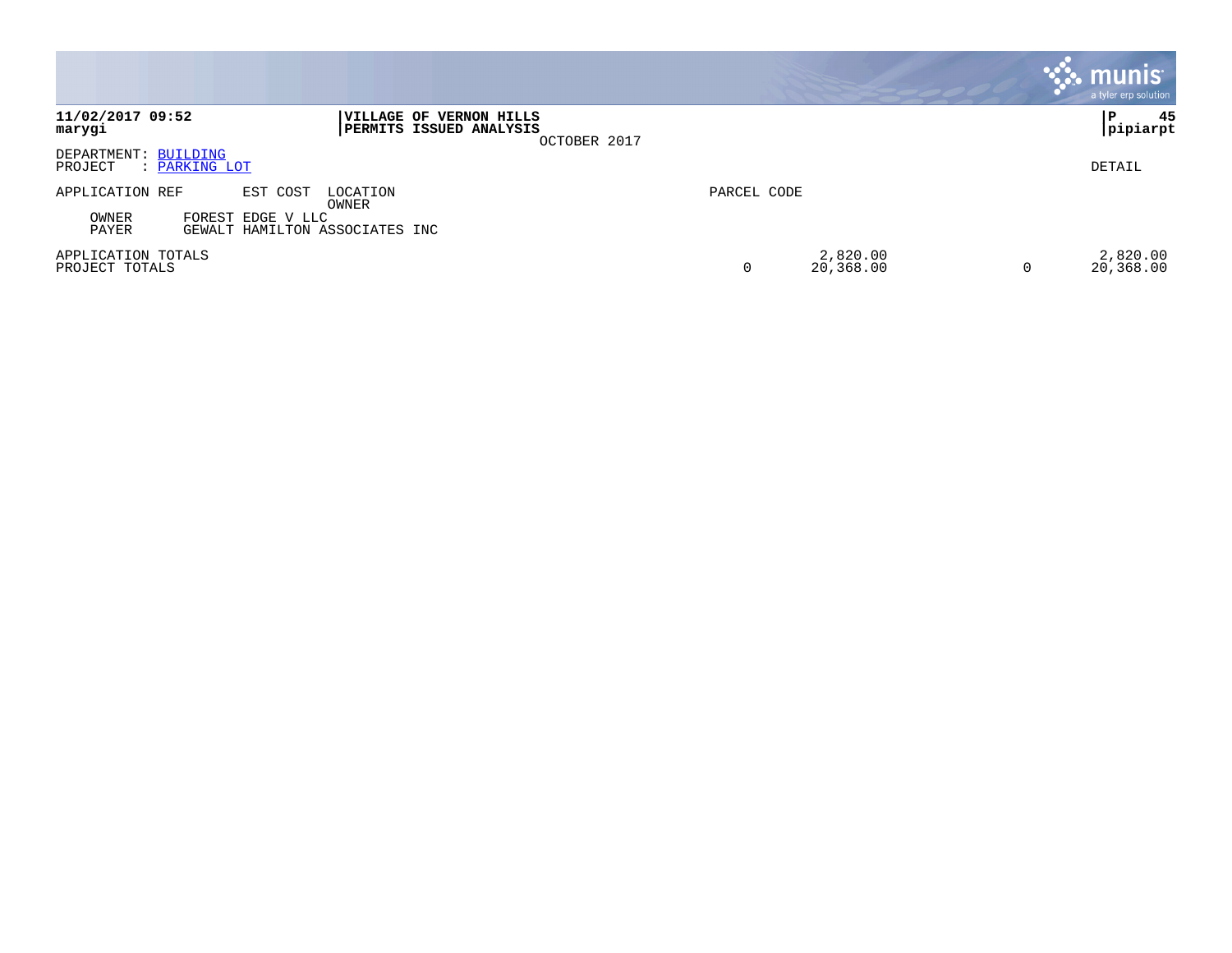|                                                                                         |                                              | <b>munis</b><br>a tyler erp solution |
|-----------------------------------------------------------------------------------------|----------------------------------------------|--------------------------------------|
| 11/02/2017 09:52<br>VILLAGE OF VERNON HILLS<br><b>PERMITS ISSUED ANALYSIS</b><br>marygi | OCTOBER 2017                                 | 45<br>P<br> pipiarpt                 |
| DEPARTMENT: BUILDING<br>PROJECT<br>: PARKING LOT                                        |                                              | DETAIL                               |
| APPLICATION REF<br>EST COST<br>LOCATION<br>OWNER                                        | PARCEL CODE                                  |                                      |
| OWNER<br>FOREST EDGE V LLC<br>PAYER<br>GEWALT HAMILTON ASSOCIATES INC                   |                                              |                                      |
| APPLICATION TOTALS<br>PROJECT TOTALS                                                    | 2,820.00<br>20,368.00<br>0<br>$\overline{0}$ | 2,820.00<br>20,368.00                |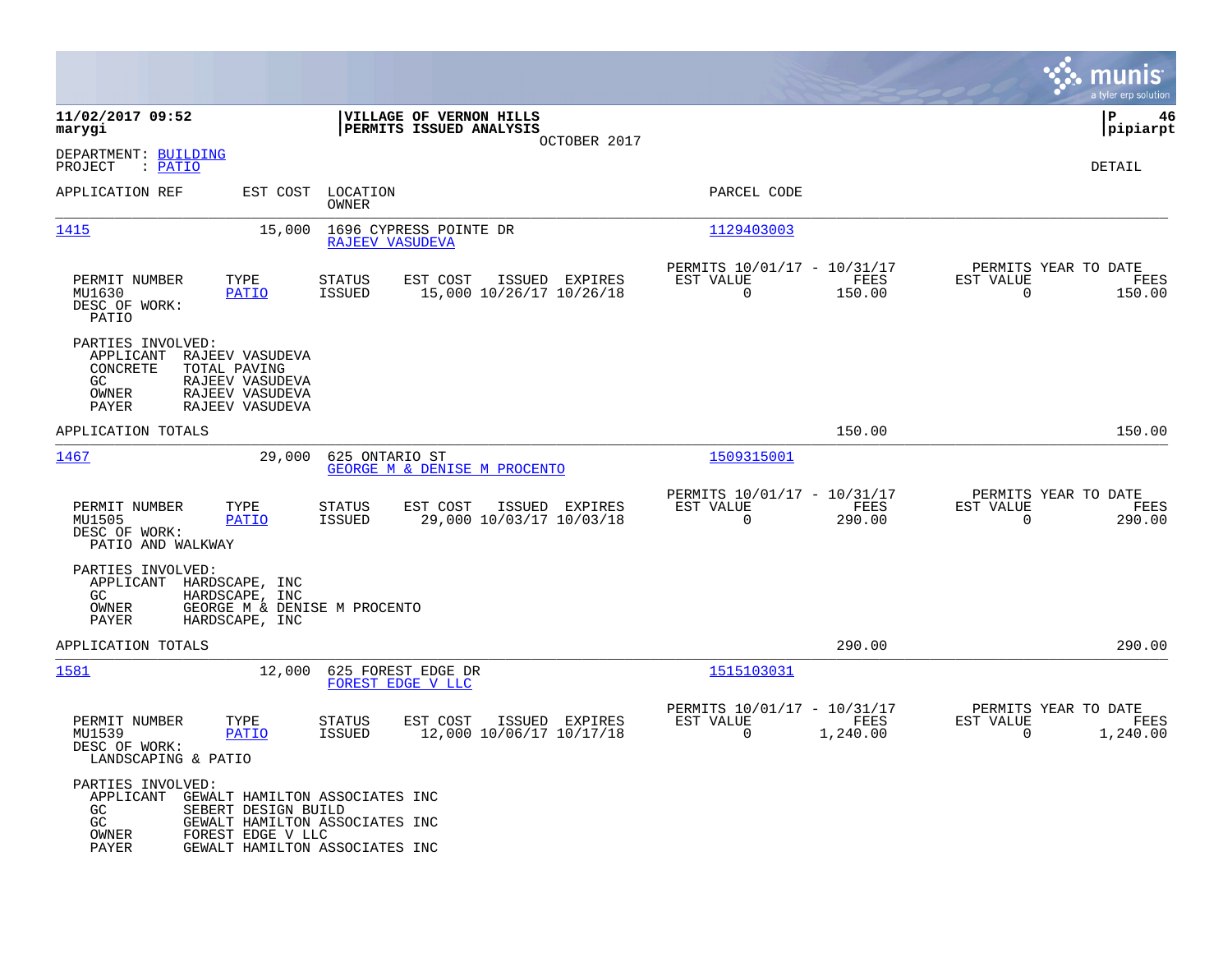|                                                                                                              |                                                                                                                                                |                                                        |                           |                                                 |                                                  | munis<br>a tyler erp solution |
|--------------------------------------------------------------------------------------------------------------|------------------------------------------------------------------------------------------------------------------------------------------------|--------------------------------------------------------|---------------------------|-------------------------------------------------|--------------------------------------------------|-------------------------------|
| 11/02/2017 09:52<br>marygi                                                                                   |                                                                                                                                                | VILLAGE OF VERNON HILLS<br>PERMITS ISSUED ANALYSIS     | OCTOBER 2017              |                                                 |                                                  | l P<br>46<br> pipiarpt        |
| DEPARTMENT: BUILDING<br>PROJECT<br>: PATIO                                                                   |                                                                                                                                                |                                                        |                           |                                                 |                                                  | DETAIL                        |
| APPLICATION REF                                                                                              | EST COST<br>LOCATION<br>OWNER                                                                                                                  |                                                        | PARCEL CODE               |                                                 |                                                  |                               |
| 1415                                                                                                         | 15,000                                                                                                                                         | 1696 CYPRESS POINTE DR<br>RAJEEV VASUDEVA              | 1129403003                |                                                 |                                                  |                               |
| PERMIT NUMBER<br>TYPE<br>MU1630<br>DESC OF WORK:<br>PATIO                                                    | <b>STATUS</b><br>PATIO<br><b>ISSUED</b>                                                                                                        | EST COST<br>ISSUED EXPIRES<br>15,000 10/26/17 10/26/18 | EST VALUE<br>0            | PERMITS 10/01/17 - 10/31/17<br>FEES<br>150.00   | PERMITS YEAR TO DATE<br>EST VALUE<br>$\mathbf 0$ | FEES<br>150.00                |
| PARTIES INVOLVED:<br>APPLICANT<br>CONCRETE<br>TOTAL PAVING<br>GC.<br>OWNER<br>PAYER                          | RAJEEV VASUDEVA<br>RAJEEV VASUDEVA<br>RAJEEV VASUDEVA<br>RAJEEV VASUDEVA                                                                       |                                                        |                           |                                                 |                                                  |                               |
| APPLICATION TOTALS                                                                                           |                                                                                                                                                |                                                        |                           | 150.00                                          |                                                  | 150.00                        |
| 1467                                                                                                         | 29,000                                                                                                                                         | 625 ONTARIO ST<br>GEORGE M & DENISE M PROCENTO         | 1509315001                |                                                 |                                                  |                               |
| PERMIT NUMBER<br>TYPE<br>MU1505<br>DESC OF WORK:<br>PATIO AND WALKWAY                                        | <b>STATUS</b><br>PATIO<br><b>ISSUED</b>                                                                                                        | EST COST<br>ISSUED EXPIRES<br>29,000 10/03/17 10/03/18 | EST VALUE<br>$\mathsf{O}$ | PERMITS 10/01/17 - 10/31/17<br>FEES<br>290.00   | PERMITS YEAR TO DATE<br>EST VALUE<br>0           | FEES<br>290.00                |
| PARTIES INVOLVED:<br>APPLICANT<br>HARDSCAPE, INC<br>GC<br>HARDSCAPE, INC<br>OWNER<br>PAYER<br>HARDSCAPE, INC | GEORGE M & DENISE M PROCENTO                                                                                                                   |                                                        |                           |                                                 |                                                  |                               |
| APPLICATION TOTALS                                                                                           |                                                                                                                                                |                                                        |                           | 290.00                                          |                                                  | 290.00                        |
| 1581                                                                                                         | 12,000                                                                                                                                         | 625 FOREST EDGE DR<br>FOREST EDGE V LLC                | 1515103031                |                                                 |                                                  |                               |
| PERMIT NUMBER<br>TYPE<br>MU1539<br>DESC OF WORK:<br>LANDSCAPING & PATIO                                      | <b>STATUS</b><br><b>PATIO</b><br>ISSUED                                                                                                        | EST COST<br>ISSUED EXPIRES<br>12,000 10/06/17 10/17/18 | EST VALUE<br>0            | PERMITS 10/01/17 - 10/31/17<br>FEES<br>1,240.00 | PERMITS YEAR TO DATE<br>EST VALUE<br>$\Omega$    | FEES<br>1,240.00              |
| PARTIES INVOLVED:<br>APPLICANT<br>GC<br>GC<br>OWNER<br>PAYER                                                 | GEWALT HAMILTON ASSOCIATES INC<br>SEBERT DESIGN BUILD<br>GEWALT HAMILTON ASSOCIATES INC<br>FOREST EDGE V LLC<br>GEWALT HAMILTON ASSOCIATES INC |                                                        |                           |                                                 |                                                  |                               |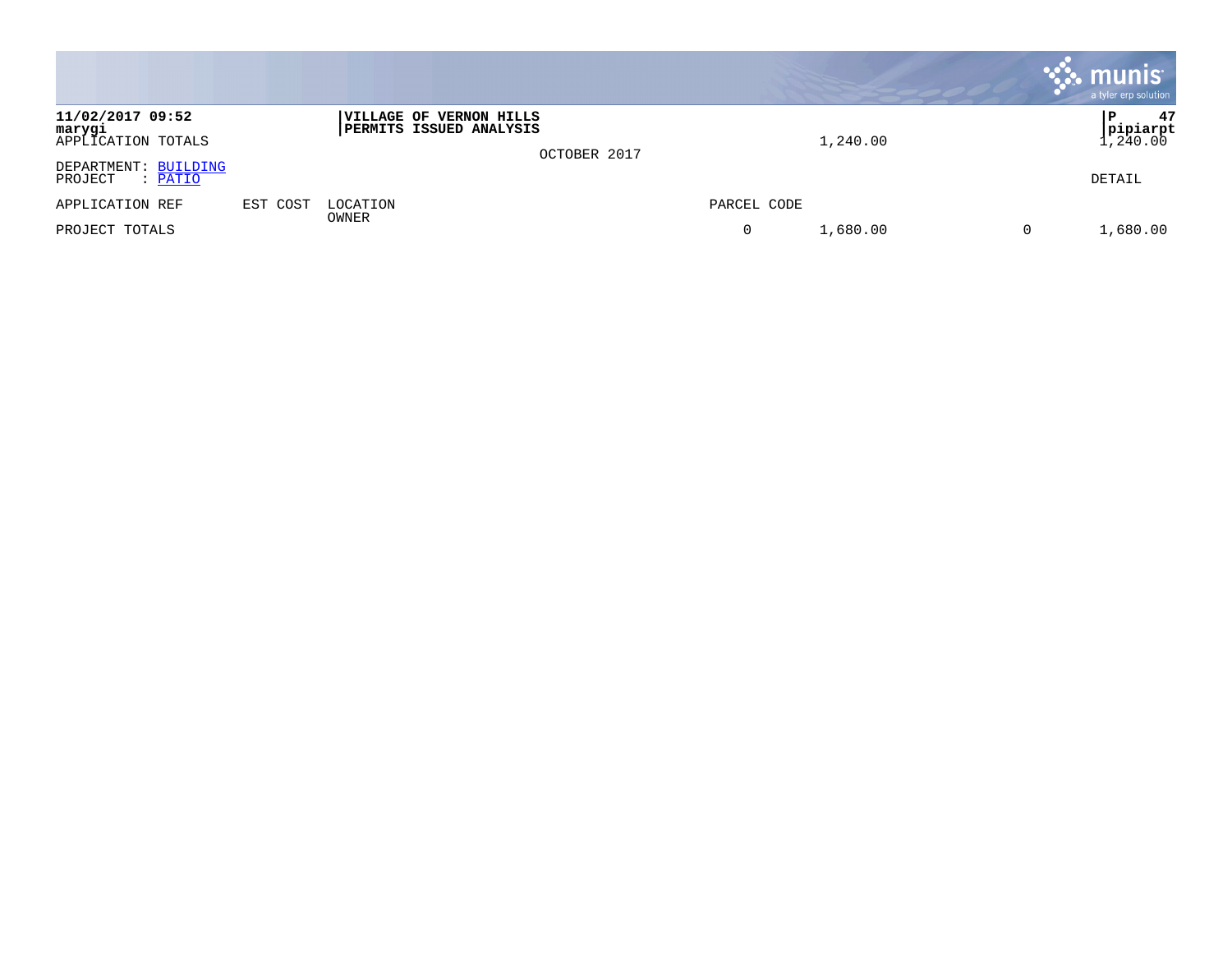|                                                  |          |                                                                  |              |             |          | munis<br>a tyler erp solution    |
|--------------------------------------------------|----------|------------------------------------------------------------------|--------------|-------------|----------|----------------------------------|
| 11/02/2017 09:52<br>marygi<br>APPLICATION TOTALS |          | <b>VILLAGE OF VERNON HILLS</b><br><b>PERMITS ISSUED ANALYSIS</b> | OCTOBER 2017 |             | 1,240.00 | 47<br>P<br> pipiarpt<br>, 240.00 |
| DEPARTMENT: BUILDING<br>PROJECT<br>: PATIO       |          |                                                                  |              |             |          | DETAIL                           |
| APPLICATION REF                                  | EST COST | LOCATION<br>OWNER                                                |              | PARCEL CODE |          |                                  |
| PROJECT TOTALS                                   |          |                                                                  |              | 0           | 1,680.00 | 1,680.00                         |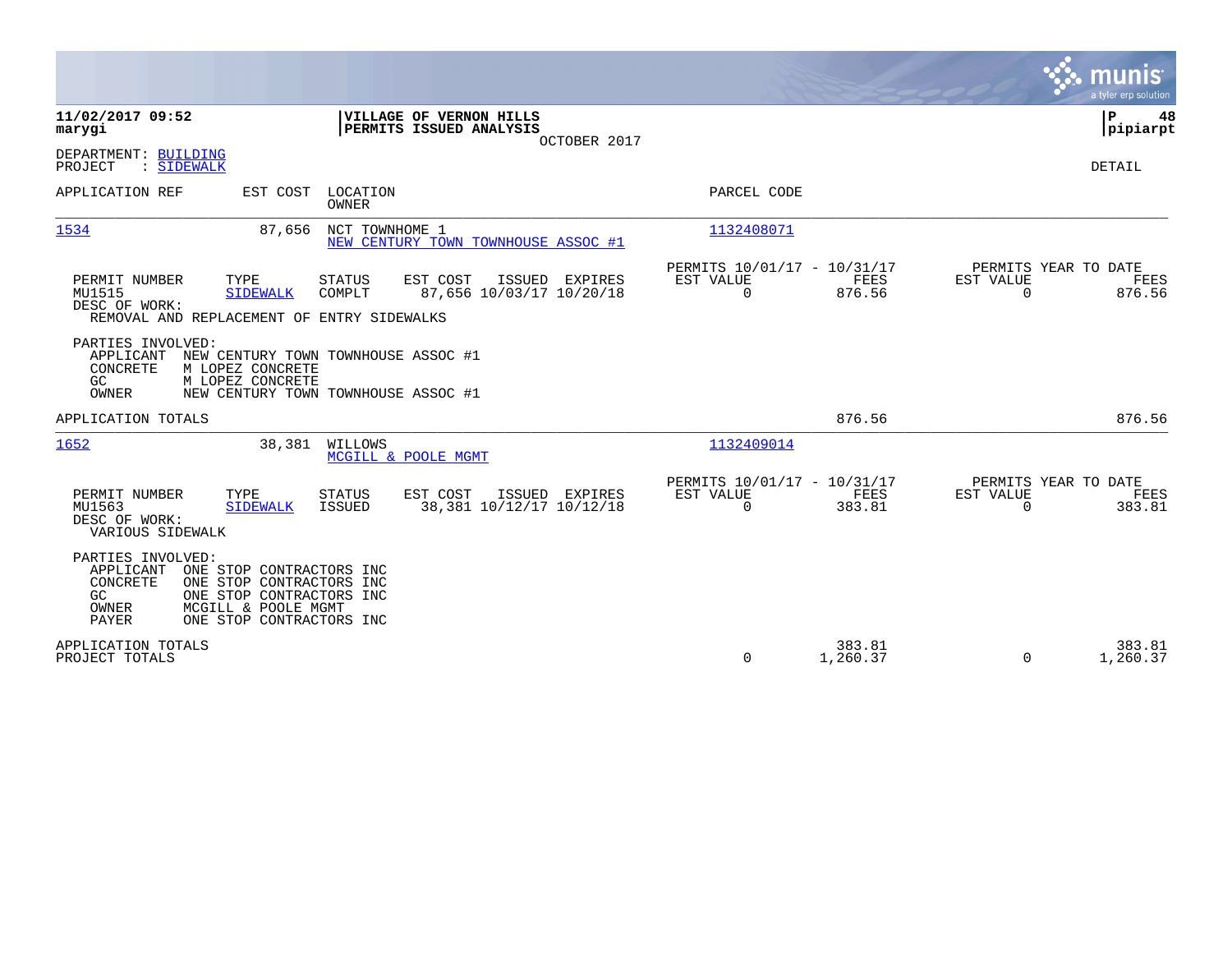|                                                                                                                                                                                                           | munis<br>a tyler erp solution                                                                                                                |
|-----------------------------------------------------------------------------------------------------------------------------------------------------------------------------------------------------------|----------------------------------------------------------------------------------------------------------------------------------------------|
| 11/02/2017 09:52<br>VILLAGE OF VERNON HILLS<br>marygi<br>PERMITS ISSUED ANALYSIS<br>OCTOBER 2017                                                                                                          | P<br>48<br> pipiarpt                                                                                                                         |
| DEPARTMENT: BUILDING<br>PROJECT<br>: SIDEWALK                                                                                                                                                             | DETAIL                                                                                                                                       |
| APPLICATION REF<br>EST COST<br>LOCATION<br>OWNER                                                                                                                                                          | PARCEL CODE                                                                                                                                  |
| NCT TOWNHOME 1<br>1534<br>87,656<br>NEW CENTURY TOWN TOWNHOUSE ASSOC #1                                                                                                                                   | 1132408071                                                                                                                                   |
| TYPE<br>EST COST<br>PERMIT NUMBER<br><b>STATUS</b><br>ISSUED EXPIRES<br>MU1515<br>87,656 10/03/17 10/20/18<br>COMPLT<br><b>SIDEWALK</b><br>DESC OF WORK:<br>REMOVAL AND REPLACEMENT OF ENTRY SIDEWALKS    | PERMITS YEAR TO DATE<br>PERMITS 10/01/17 - 10/31/17<br>EST VALUE<br>FEES<br>EST VALUE<br>FEES<br>$\Omega$<br>876.56<br>$\Omega$<br>876.56    |
| PARTIES INVOLVED:<br>APPLICANT<br>NEW CENTURY TOWN TOWNHOUSE ASSOC #1<br>CONCRETE<br>M LOPEZ CONCRETE<br>GC.<br>M LOPEZ CONCRETE<br>OWNER<br>NEW CENTURY TOWN TOWNHOUSE ASSOC #1                          |                                                                                                                                              |
| APPLICATION TOTALS                                                                                                                                                                                        | 876.56<br>876.56                                                                                                                             |
| 1652<br>38,381<br>WILLOWS<br>MCGILL & POOLE MGMT                                                                                                                                                          | 1132409014                                                                                                                                   |
| EST COST<br>PERMIT NUMBER<br>TYPE<br>STATUS<br>ISSUED EXPIRES<br>38,381 10/12/17 10/12/18<br>MU1563<br><b>SIDEWALK</b><br>ISSUED<br>DESC OF WORK:<br>VARIOUS SIDEWALK                                     | PERMITS 10/01/17 - 10/31/17<br>PERMITS YEAR TO DATE<br>EST VALUE<br>EST VALUE<br>FEES<br>FEES<br>$\mathbf 0$<br>383.81<br>383.81<br>$\Omega$ |
| PARTIES INVOLVED:<br>APPLICANT<br>ONE STOP CONTRACTORS INC<br>CONCRETE<br>ONE STOP CONTRACTORS INC<br>GC<br>ONE STOP CONTRACTORS INC<br>OWNER<br>MCGILL & POOLE MGMT<br>ONE STOP CONTRACTORS INC<br>PAYER |                                                                                                                                              |
| APPLICATION TOTALS<br>PROJECT TOTALS                                                                                                                                                                      | 383.81<br>383.81<br>0<br>1,260.37<br>$\Omega$<br>1,260.37                                                                                    |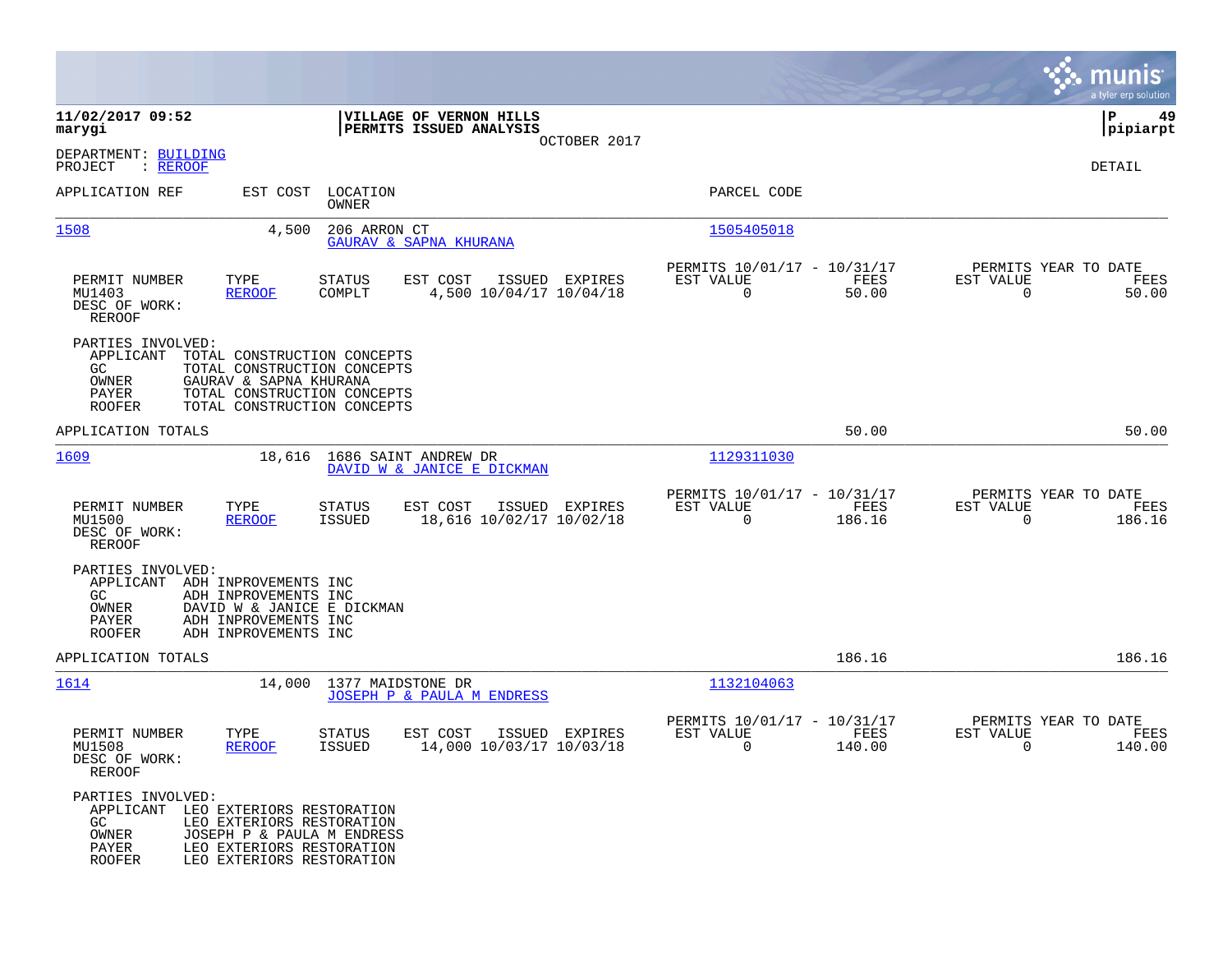|                                                                                                   |                                                                                                                                                    |                            |                                                    |                |                                                         |                       |                                               | munis<br>a tyler erp solution |
|---------------------------------------------------------------------------------------------------|----------------------------------------------------------------------------------------------------------------------------------------------------|----------------------------|----------------------------------------------------|----------------|---------------------------------------------------------|-----------------------|-----------------------------------------------|-------------------------------|
| 11/02/2017 09:52<br>marygi                                                                        |                                                                                                                                                    |                            | VILLAGE OF VERNON HILLS<br>PERMITS ISSUED ANALYSIS |                |                                                         |                       |                                               | 49<br>IΡ<br> pipiarpt         |
| DEPARTMENT: BUILDING<br>PROJECT<br>: <u>REROOF</u>                                                |                                                                                                                                                    |                            |                                                    | OCTOBER 2017   |                                                         |                       |                                               | DETAIL                        |
| APPLICATION REF                                                                                   |                                                                                                                                                    | EST COST LOCATION<br>OWNER |                                                    |                | PARCEL CODE                                             |                       |                                               |                               |
| 1508                                                                                              | 4,500                                                                                                                                              | 206 ARRON CT               | <b>GAURAV &amp; SAPNA KHURANA</b>                  |                | 1505405018                                              |                       |                                               |                               |
| PERMIT NUMBER<br>MU1403<br>DESC OF WORK:<br><b>REROOF</b>                                         | TYPE<br><b>REROOF</b>                                                                                                                              | STATUS<br>COMPLT           | EST COST<br>4,500 10/04/17 10/04/18                | ISSUED EXPIRES | PERMITS 10/01/17 - 10/31/17<br>EST VALUE<br>$\mathbf 0$ | FEES<br>50.00         | PERMITS YEAR TO DATE<br>EST VALUE<br>$\Omega$ | FEES<br>50.00                 |
| PARTIES INVOLVED:<br>APPLICANT<br>GC.<br>OWNER<br>PAYER<br><b>ROOFER</b>                          | TOTAL CONSTRUCTION CONCEPTS<br>TOTAL CONSTRUCTION CONCEPTS<br>GAURAV & SAPNA KHURANA<br>TOTAL CONSTRUCTION CONCEPTS<br>TOTAL CONSTRUCTION CONCEPTS |                            |                                                    |                |                                                         |                       |                                               |                               |
| APPLICATION TOTALS                                                                                |                                                                                                                                                    |                            |                                                    |                |                                                         | 50.00                 |                                               | 50.00                         |
| 1609                                                                                              | 18,616                                                                                                                                             |                            | 1686 SAINT ANDREW DR<br>DAVID W & JANICE E DICKMAN |                | 1129311030                                              |                       |                                               |                               |
| PERMIT NUMBER<br>MU1500<br>DESC OF WORK:<br><b>REROOF</b>                                         | TYPE<br><b>REROOF</b>                                                                                                                              | <b>STATUS</b><br>ISSUED    | EST COST<br>18,616 10/02/17 10/02/18               | ISSUED EXPIRES | PERMITS 10/01/17 - 10/31/17<br>EST VALUE<br>$\Omega$    | FEES<br>186.16        | PERMITS YEAR TO DATE<br>EST VALUE<br>$\Omega$ | FEES<br>186.16                |
| PARTIES INVOLVED:<br>APPLICANT<br>GC.<br>OWNER<br>PAYER<br><b>ROOFER</b>                          | ADH INPROVEMENTS INC<br>ADH INPROVEMENTS INC<br>DAVID W & JANICE E DICKMAN<br>ADH INPROVEMENTS INC<br>ADH INPROVEMENTS INC                         |                            |                                                    |                |                                                         |                       |                                               |                               |
| APPLICATION TOTALS                                                                                |                                                                                                                                                    |                            |                                                    |                |                                                         | 186.16                |                                               | 186.16                        |
| 1614                                                                                              | 14,000                                                                                                                                             | 1377 MAIDSTONE DR          | JOSEPH P & PAULA M ENDRESS                         |                | 1132104063                                              |                       |                                               |                               |
| PERMIT NUMBER<br>MU1508<br>DESC OF WORK:<br>REROOF                                                | TYPE<br><b>REROOF</b>                                                                                                                              | STATUS<br><b>ISSUED</b>    | EST COST<br>14,000 10/03/17 10/03/18               | ISSUED EXPIRES | PERMITS 10/01/17 - 10/31/17<br>EST VALUE<br>0           | <b>FEES</b><br>140.00 | PERMITS YEAR TO DATE<br>EST VALUE<br>0        | FEES<br>140.00                |
| PARTIES INVOLVED:<br>APPLICANT LEO EXTERIORS RESTORATION<br>GC<br>OWNER<br>PAYER<br><b>ROOFER</b> | LEO EXTERIORS RESTORATION<br>JOSEPH P & PAULA M ENDRESS<br>LEO EXTERIORS RESTORATION<br>LEO EXTERIORS RESTORATION                                  |                            |                                                    |                |                                                         |                       |                                               |                               |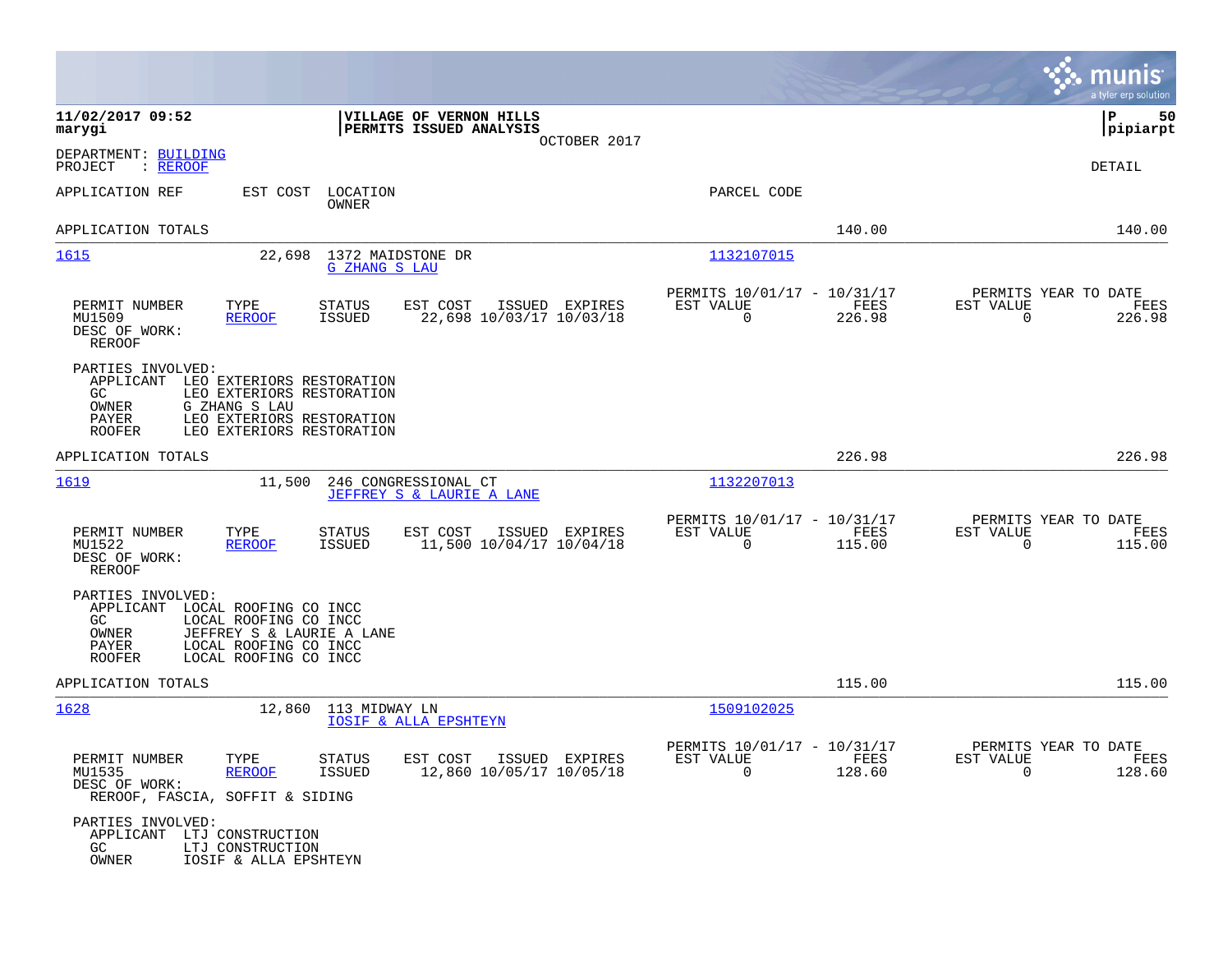|                                                                             |                                                                                                                                   |                                |                                                     |                |                                                         |                |                                                  | munis<br>a tyler erp solution |
|-----------------------------------------------------------------------------|-----------------------------------------------------------------------------------------------------------------------------------|--------------------------------|-----------------------------------------------------|----------------|---------------------------------------------------------|----------------|--------------------------------------------------|-------------------------------|
| 11/02/2017 09:52<br>marygi                                                  |                                                                                                                                   |                                | VILLAGE OF VERNON HILLS<br>PERMITS ISSUED ANALYSIS  | OCTOBER 2017   |                                                         |                |                                                  | P<br>50<br> pipiarpt          |
| DEPARTMENT: BUILDING<br>PROJECT<br>: <u>REROOF</u>                          |                                                                                                                                   |                                |                                                     |                |                                                         |                |                                                  | DETAIL                        |
| APPLICATION REF                                                             | EST COST                                                                                                                          | LOCATION<br>OWNER              |                                                     |                | PARCEL CODE                                             |                |                                                  |                               |
| APPLICATION TOTALS                                                          |                                                                                                                                   |                                |                                                     |                |                                                         | 140.00         |                                                  | 140.00                        |
| <u> 1615</u>                                                                | 22,698                                                                                                                            | <b>G ZHANG S LAU</b>           | 1372 MAIDSTONE DR                                   |                | 1132107015                                              |                |                                                  |                               |
| PERMIT NUMBER<br>MU1509<br>DESC OF WORK:<br>REROOF                          | TYPE<br><b>REROOF</b>                                                                                                             | <b>STATUS</b><br><b>ISSUED</b> | EST COST<br>22,698 10/03/17 10/03/18                | ISSUED EXPIRES | PERMITS 10/01/17 - 10/31/17<br>EST VALUE<br>$\mathbf 0$ | FEES<br>226.98 | PERMITS YEAR TO DATE<br>EST VALUE<br>$\mathbf 0$ | FEES<br>226.98                |
| PARTIES INVOLVED:<br>APPLICANT<br>GC.<br>OWNER<br>PAYER<br><b>ROOFER</b>    | LEO EXTERIORS RESTORATION<br>LEO EXTERIORS RESTORATION<br>G ZHANG S LAU<br>LEO EXTERIORS RESTORATION<br>LEO EXTERIORS RESTORATION |                                |                                                     |                |                                                         |                |                                                  |                               |
| APPLICATION TOTALS                                                          |                                                                                                                                   |                                |                                                     |                |                                                         | 226.98         |                                                  | 226.98                        |
| 1619                                                                        | 11,500                                                                                                                            |                                | 246 CONGRESSIONAL CT<br>JEFFREY S & LAURIE A LANE   |                | 1132207013                                              |                |                                                  |                               |
| PERMIT NUMBER<br>MU1522<br>DESC OF WORK:<br><b>REROOF</b>                   | TYPE<br><b>REROOF</b>                                                                                                             | <b>STATUS</b><br><b>ISSUED</b> | EST COST<br>11,500 10/04/17 10/04/18                | ISSUED EXPIRES | PERMITS 10/01/17 - 10/31/17<br>EST VALUE<br>$\mathbf 0$ | FEES<br>115.00 | PERMITS YEAR TO DATE<br>EST VALUE<br>0           | FEES<br>115.00                |
| PARTIES INVOLVED:<br>APPLICANT<br>GC.<br>OWNER<br>PAYER<br><b>ROOFER</b>    | LOCAL ROOFING CO INCC<br>LOCAL ROOFING CO INCC<br>JEFFREY S & LAURIE A LANE<br>LOCAL ROOFING CO INCC<br>LOCAL ROOFING CO INCC     |                                |                                                     |                |                                                         |                |                                                  |                               |
| APPLICATION TOTALS                                                          |                                                                                                                                   |                                |                                                     |                |                                                         | 115.00         |                                                  | 115.00                        |
| 1628                                                                        | 12,860                                                                                                                            | 113 MIDWAY LN                  | <b>IOSIF &amp; ALLA EPSHTEYN</b>                    |                | 1509102025                                              |                |                                                  |                               |
| PERMIT NUMBER<br>MU1535<br>DESC OF WORK:<br>REROOF, FASCIA, SOFFIT & SIDING | TYPE<br><b>REROOF</b>                                                                                                             | STATUS<br>ISSUED               | EST COST ISSUED EXPIRES<br>12,860 10/05/17 10/05/18 |                | PERMITS 10/01/17 - 10/31/17<br>EST VALUE<br>$\Omega$    | FEES<br>128.60 | PERMITS YEAR TO DATE<br>EST VALUE<br>$\Omega$    | FEES<br>128.60                |
| PARTIES INVOLVED:<br>APPLICANT LTJ CONSTRUCTION<br>GC<br>OWNER              | LTJ CONSTRUCTION<br>IOSIF & ALLA EPSHTEYN                                                                                         |                                |                                                     |                |                                                         |                |                                                  |                               |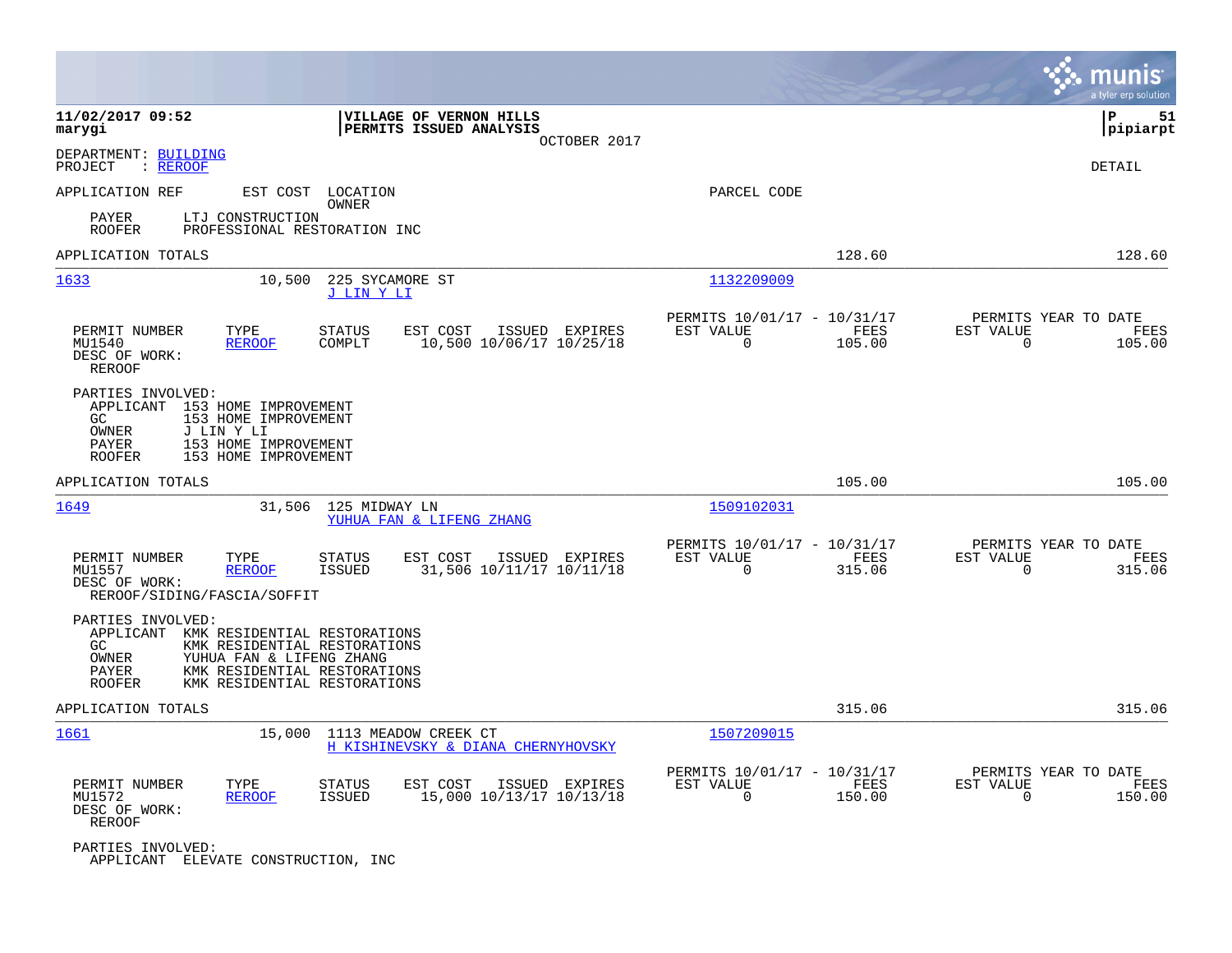|                                                                                                                                                                                                                                     | munis<br>a tyler erp solution                                                                                                                    |
|-------------------------------------------------------------------------------------------------------------------------------------------------------------------------------------------------------------------------------------|--------------------------------------------------------------------------------------------------------------------------------------------------|
| 11/02/2017 09:52<br><b>VILLAGE OF VERNON HILLS</b><br>marygi<br>PERMITS ISSUED ANALYSIS<br>OCTOBER 2017                                                                                                                             | ΙP<br>51<br> pipiarpt                                                                                                                            |
| DEPARTMENT: BUILDING<br>PROJECT<br>: <u>REROOF</u>                                                                                                                                                                                  | DETAIL                                                                                                                                           |
| APPLICATION REF<br>EST COST LOCATION<br>OWNER                                                                                                                                                                                       | PARCEL CODE                                                                                                                                      |
| PAYER<br>LTJ CONSTRUCTION<br><b>ROOFER</b><br>PROFESSIONAL RESTORATION INC                                                                                                                                                          |                                                                                                                                                  |
| APPLICATION TOTALS                                                                                                                                                                                                                  | 128.60<br>128.60                                                                                                                                 |
| 225 SYCAMORE ST<br><u> 1633</u><br>10,500<br>J LIN Y LI                                                                                                                                                                             | 1132209009                                                                                                                                       |
| PERMIT NUMBER<br>TYPE<br><b>STATUS</b><br>EST COST<br>ISSUED EXPIRES<br>COMPLT<br>10,500 10/06/17 10/25/18<br>MU1540<br><b>REROOF</b><br>DESC OF WORK:<br>REROOF                                                                    | PERMITS 10/01/17 - 10/31/17<br>PERMITS YEAR TO DATE<br>EST VALUE<br>FEES<br>EST VALUE<br><b>FEES</b><br>$\Omega$<br>105.00<br>$\Omega$<br>105.00 |
| PARTIES INVOLVED:<br>APPLICANT<br>153 HOME IMPROVEMENT<br>GC<br>153 HOME IMPROVEMENT<br>OWNER<br>J LIN Y LI<br>PAYER<br>153 HOME IMPROVEMENT<br><b>ROOFER</b><br>153 HOME IMPROVEMENT                                               |                                                                                                                                                  |
| APPLICATION TOTALS                                                                                                                                                                                                                  | 105.00<br>105.00                                                                                                                                 |
| 1649<br>31,506<br>125 MIDWAY LN<br>YUHUA FAN & LIFENG ZHANG                                                                                                                                                                         | 1509102031                                                                                                                                       |
| PERMIT NUMBER<br>TYPE<br><b>STATUS</b><br>EST COST<br>ISSUED EXPIRES<br>MU1557<br><b>REROOF</b><br><b>ISSUED</b><br>31,506 10/11/17 10/11/18<br>DESC OF WORK:<br>REROOF/SIDING/FASCIA/SOFFIT                                        | PERMITS 10/01/17 - 10/31/17<br>PERMITS YEAR TO DATE<br>EST VALUE<br>FEES<br>EST VALUE<br>FEES<br>$\Omega$<br>315.06<br>$\Omega$<br>315.06        |
| PARTIES INVOLVED:<br>APPLICANT<br>KMK RESIDENTIAL RESTORATIONS<br><b>GC</b><br>KMK RESIDENTIAL RESTORATIONS<br>OWNER<br>YUHUA FAN & LIFENG ZHANG<br>PAYER<br>KMK RESIDENTIAL RESTORATIONS<br>KMK RESIDENTIAL RESTORATIONS<br>ROOFER |                                                                                                                                                  |
| APPLICATION TOTALS                                                                                                                                                                                                                  | 315.06<br>315.06                                                                                                                                 |
| 1661<br>15,000<br>1113 MEADOW CREEK CT<br>H KISHINEVSKY & DIANA CHERNYHOVSKY                                                                                                                                                        | 1507209015                                                                                                                                       |
| PERMIT NUMBER<br>TYPE<br>STATUS<br>EST COST<br>ISSUED EXPIRES<br><b>ISSUED</b><br>15,000 10/13/17 10/13/18<br>MU1572<br><b>REROOF</b><br>DESC OF WORK:<br>REROOF                                                                    | PERMITS YEAR TO DATE<br>PERMITS 10/01/17 - 10/31/17<br>EST VALUE<br>FEES<br>EST VALUE<br>FEES<br>$\mathbf 0$<br>150.00<br>150.00<br>0            |
| PARTIES INVOLVED:<br>APPLICANT ELEVATE CONSTRUCTION, INC                                                                                                                                                                            |                                                                                                                                                  |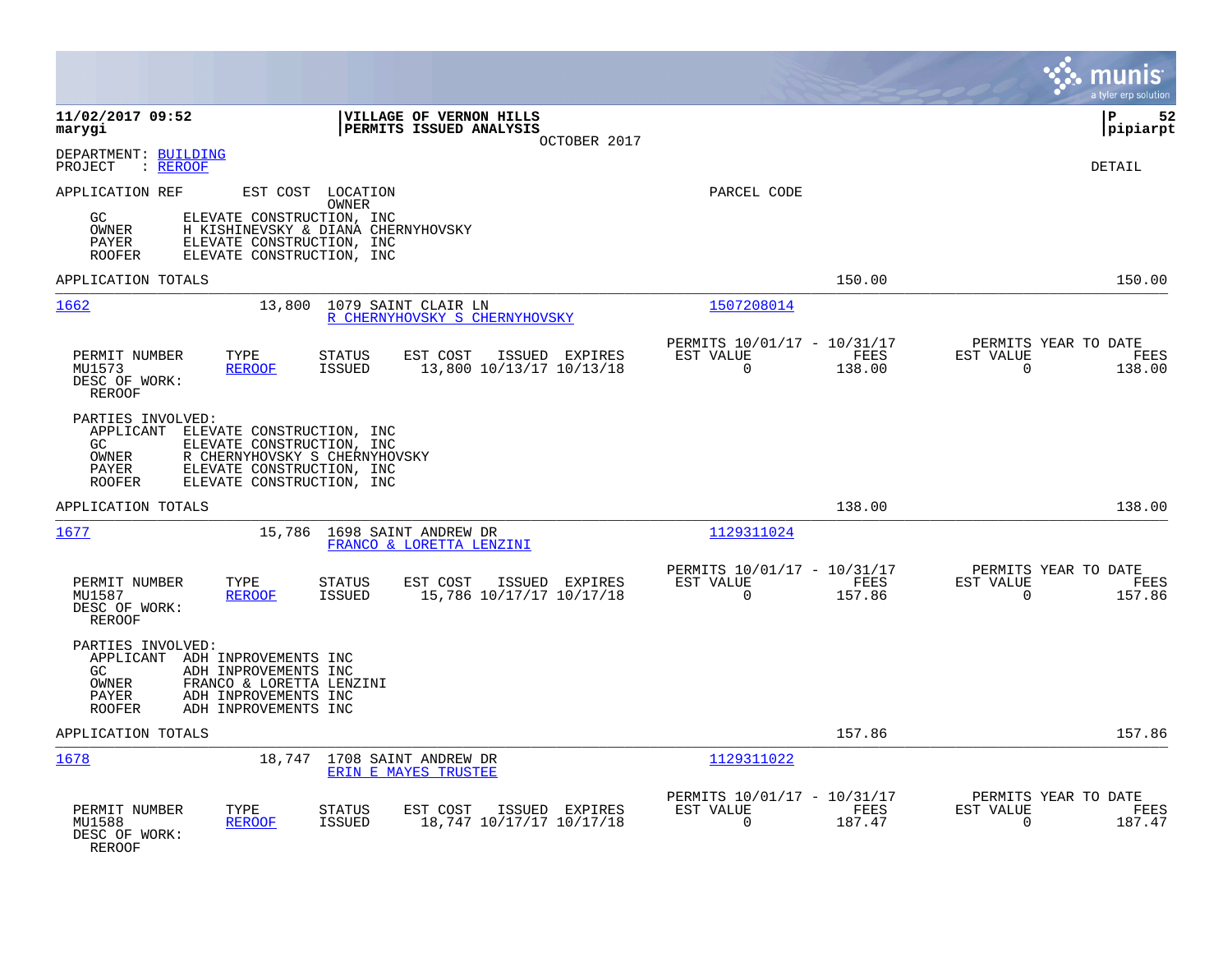|                                                                                                     |                                                                                                                                                         |                                                            | munis<br>a tyler erp solution                                                           |
|-----------------------------------------------------------------------------------------------------|---------------------------------------------------------------------------------------------------------------------------------------------------------|------------------------------------------------------------|-----------------------------------------------------------------------------------------|
| 11/02/2017 09:52<br>marygi                                                                          | VILLAGE OF VERNON HILLS<br>PERMITS ISSUED ANALYSIS                                                                                                      | OCTOBER 2017                                               | l P<br>52<br> pipiarpt                                                                  |
| DEPARTMENT: BUILDING<br>: REROOF<br>PROJECT                                                         |                                                                                                                                                         |                                                            | <b>DETAIL</b>                                                                           |
| APPLICATION REF<br>GC<br>OWNER<br>PAYER<br><b>ROOFER</b>                                            | EST COST LOCATION<br>OWNER<br>ELEVATE CONSTRUCTION, INC<br>H KISHINEVSKY & DIANA CHERNYHOVSKY<br>ELEVATE CONSTRUCTION, INC<br>ELEVATE CONSTRUCTION, INC | PARCEL CODE                                                |                                                                                         |
| APPLICATION TOTALS                                                                                  |                                                                                                                                                         |                                                            | 150.00<br>150.00                                                                        |
| 1662                                                                                                | 13,800<br>1079 SAINT CLAIR LN<br>R CHERNYHOVSKY S CHERNYHOVSKY                                                                                          | 1507208014                                                 |                                                                                         |
| PERMIT NUMBER<br>TYPE<br>MU1573<br><b>REROOF</b><br>DESC OF WORK:<br><b>REROOF</b>                  | <b>STATUS</b><br>EST COST<br>ISSUED EXPIRES<br>ISSUED<br>13,800 10/13/17 10/13/18                                                                       | PERMITS 10/01/17 - 10/31/17<br>EST VALUE<br>$\overline{0}$ | PERMITS YEAR TO DATE<br>FEES<br>EST VALUE<br>FEES<br>$\overline{0}$<br>138.00<br>138.00 |
| PARTIES INVOLVED:<br>APPLICANT<br>GC<br>OWNER<br>PAYER<br><b>ROOFER</b>                             | ELEVATE CONSTRUCTION, INC<br>ELEVATE CONSTRUCTION, INC<br>R CHERNYHOVSKY S CHERNYHOVSKY<br>ELEVATE CONSTRUCTION, INC<br>ELEVATE CONSTRUCTION, INC       |                                                            |                                                                                         |
| APPLICATION TOTALS                                                                                  |                                                                                                                                                         |                                                            | 138.00<br>138.00                                                                        |
| 1677                                                                                                | 15,786<br>1698 SAINT ANDREW DR<br>FRANCO & LORETTA LENZINI                                                                                              | 1129311024                                                 |                                                                                         |
| PERMIT NUMBER<br>TYPE<br>MU1587<br><b>REROOF</b><br>DESC OF WORK:<br>REROOF                         | <b>STATUS</b><br>EST COST<br>ISSUED EXPIRES<br>15,786 10/17/17 10/17/18<br><b>ISSUED</b>                                                                | PERMITS 10/01/17 - 10/31/17<br>EST VALUE<br>$\Omega$       | PERMITS YEAR TO DATE<br>FEES<br>EST VALUE<br>FEES<br>157.86<br>$\Omega$<br>157.86       |
| PARTIES INVOLVED:<br>APPLICANT ADH INPROVEMENTS INC<br>GC<br>OWNER<br><b>PAYER</b><br><b>ROOFER</b> | ADH INPROVEMENTS INC<br>FRANCO & LORETTA LENZINI<br>ADH INPROVEMENTS INC<br>ADH INPROVEMENTS INC                                                        |                                                            |                                                                                         |
| APPLICATION TOTALS                                                                                  |                                                                                                                                                         |                                                            | 157.86<br>157.86                                                                        |
| 1678                                                                                                | 18,747 1708 SAINT ANDREW DR<br>ERIN E MAYES TRUSTEE                                                                                                     | 1129311022                                                 |                                                                                         |
| PERMIT NUMBER<br>TYPE<br>MU1588<br><b>REROOF</b><br>DESC OF WORK:<br><b>REROOF</b>                  | <b>STATUS</b><br>EST COST<br>ISSUED EXPIRES<br><b>ISSUED</b><br>18,747 10/17/17 10/17/18                                                                | PERMITS 10/01/17 - 10/31/17<br>EST VALUE<br>0              | PERMITS YEAR TO DATE<br>EST VALUE<br>FEES<br>FEES<br>187.47<br>$\mathbf 0$<br>187.47    |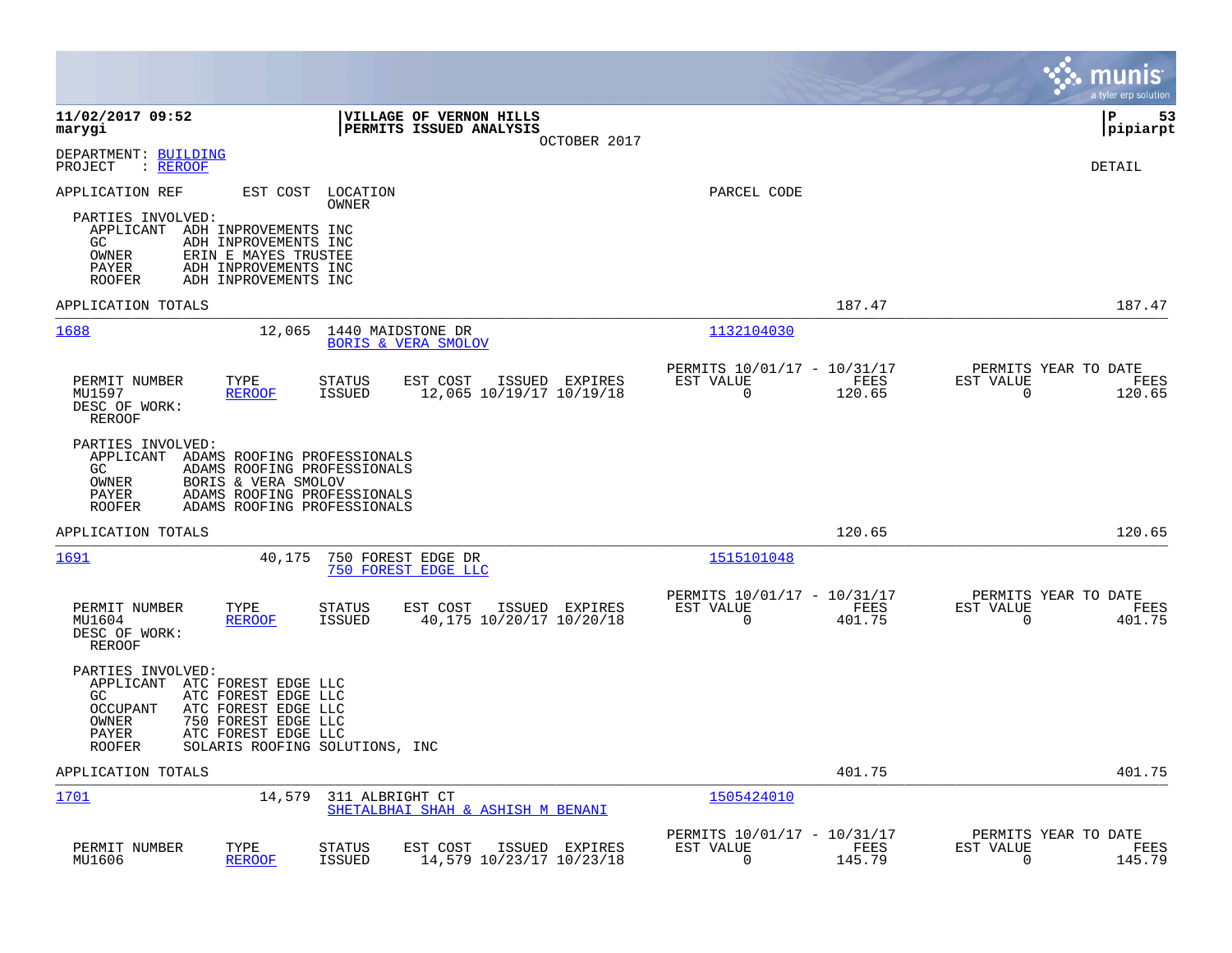|                                                                                                                                                                                                                                                          |                                                                                  |                                                            |                | munis<br>a tyler erp solution                                      |
|----------------------------------------------------------------------------------------------------------------------------------------------------------------------------------------------------------------------------------------------------------|----------------------------------------------------------------------------------|------------------------------------------------------------|----------------|--------------------------------------------------------------------|
| 11/02/2017 09:52<br>marygi                                                                                                                                                                                                                               | <b>VILLAGE OF VERNON HILLS</b><br><b>PERMITS ISSUED ANALYSIS</b><br>OCTOBER 2017 |                                                            |                | 53<br>l P<br> pipiarpt                                             |
| DEPARTMENT: BUILDING<br>: REROOF<br>PROJECT                                                                                                                                                                                                              |                                                                                  |                                                            |                | <b>DETAIL</b>                                                      |
| APPLICATION REF<br>EST COST<br>LOCATION<br><b>OWNER</b><br>PARTIES INVOLVED:<br>APPLICANT ADH INPROVEMENTS INC<br>ADH INPROVEMENTS INC<br>GC.<br>ERIN E MAYES TRUSTEE<br>OWNER<br>ADH INPROVEMENTS INC<br>PAYER<br><b>ROOFER</b><br>ADH INPROVEMENTS INC |                                                                                  | PARCEL CODE                                                |                |                                                                    |
| APPLICATION TOTALS                                                                                                                                                                                                                                       |                                                                                  |                                                            | 187.47         | 187.47                                                             |
| 1688<br>12,065                                                                                                                                                                                                                                           | 1440 MAIDSTONE DR<br><b>BORIS &amp; VERA SMOLOV</b>                              | 1132104030                                                 |                |                                                                    |
| PERMIT NUMBER<br>TYPE<br><b>STATUS</b><br>MU1597<br><b>REROOF</b><br><b>ISSUED</b><br>DESC OF WORK:<br><b>REROOF</b>                                                                                                                                     | EST COST<br>ISSUED EXPIRES<br>12,065 10/19/17 10/19/18                           | PERMITS 10/01/17 - 10/31/17<br>EST VALUE<br>$\overline{0}$ | FEES<br>120.65 | PERMITS YEAR TO DATE<br>EST VALUE<br>FEES<br>$\mathbf 0$<br>120.65 |
| PARTIES INVOLVED:<br>APPLICANT ADAMS ROOFING PROFESSIONALS<br>GC.<br>ADAMS ROOFING PROFESSIONALS<br>BORIS & VERA SMOLOV<br>OWNER<br>ADAMS ROOFING PROFESSIONALS<br>PAYER<br><b>ROOFER</b><br>ADAMS ROOFING PROFESSIONALS                                 |                                                                                  |                                                            |                |                                                                    |
| APPLICATION TOTALS                                                                                                                                                                                                                                       |                                                                                  |                                                            | 120.65         | 120.65                                                             |
| 1691<br>40,175                                                                                                                                                                                                                                           | 750 FOREST EDGE DR<br>750 FOREST EDGE LLC                                        | 1515101048                                                 |                |                                                                    |
| PERMIT NUMBER<br>TYPE<br><b>STATUS</b><br><b>ISSUED</b><br>MU1604<br><b>REROOF</b><br>DESC OF WORK:<br>REROOF                                                                                                                                            | EST COST<br>ISSUED EXPIRES<br>40,175 10/20/17 10/20/18                           | PERMITS 10/01/17 - 10/31/17<br>EST VALUE<br>$\overline{0}$ | FEES<br>401.75 | PERMITS YEAR TO DATE<br>EST VALUE<br>FEES<br>$\mathbf 0$<br>401.75 |
| PARTIES INVOLVED:<br>APPLICANT<br>ATC FOREST EDGE LLC<br>GC<br>ATC FOREST EDGE LLC<br>ATC FOREST EDGE LLC<br><b>OCCUPANT</b><br>750 FOREST EDGE LLC<br>OWNER<br>ATC FOREST EDGE LLC<br>PAYER<br><b>ROOFER</b><br>SOLARIS ROOFING SOLUTIONS, INC          |                                                                                  |                                                            |                |                                                                    |
| APPLICATION TOTALS                                                                                                                                                                                                                                       |                                                                                  |                                                            | 401.75         | 401.75                                                             |
| 1701<br>14,579                                                                                                                                                                                                                                           | 311 ALBRIGHT CT<br>SHETALBHAI SHAH & ASHISH M BENANI                             | 1505424010                                                 |                |                                                                    |
| PERMIT NUMBER<br>TYPE<br><b>STATUS</b><br>MU1606<br><b>REROOF</b><br><b>ISSUED</b>                                                                                                                                                                       | EST COST<br>ISSUED EXPIRES<br>14,579 10/23/17 10/23/18                           | PERMITS 10/01/17 - 10/31/17<br>EST VALUE<br>$\Omega$       | FEES<br>145.79 | PERMITS YEAR TO DATE<br>EST VALUE<br>FEES<br>$\Omega$<br>145.79    |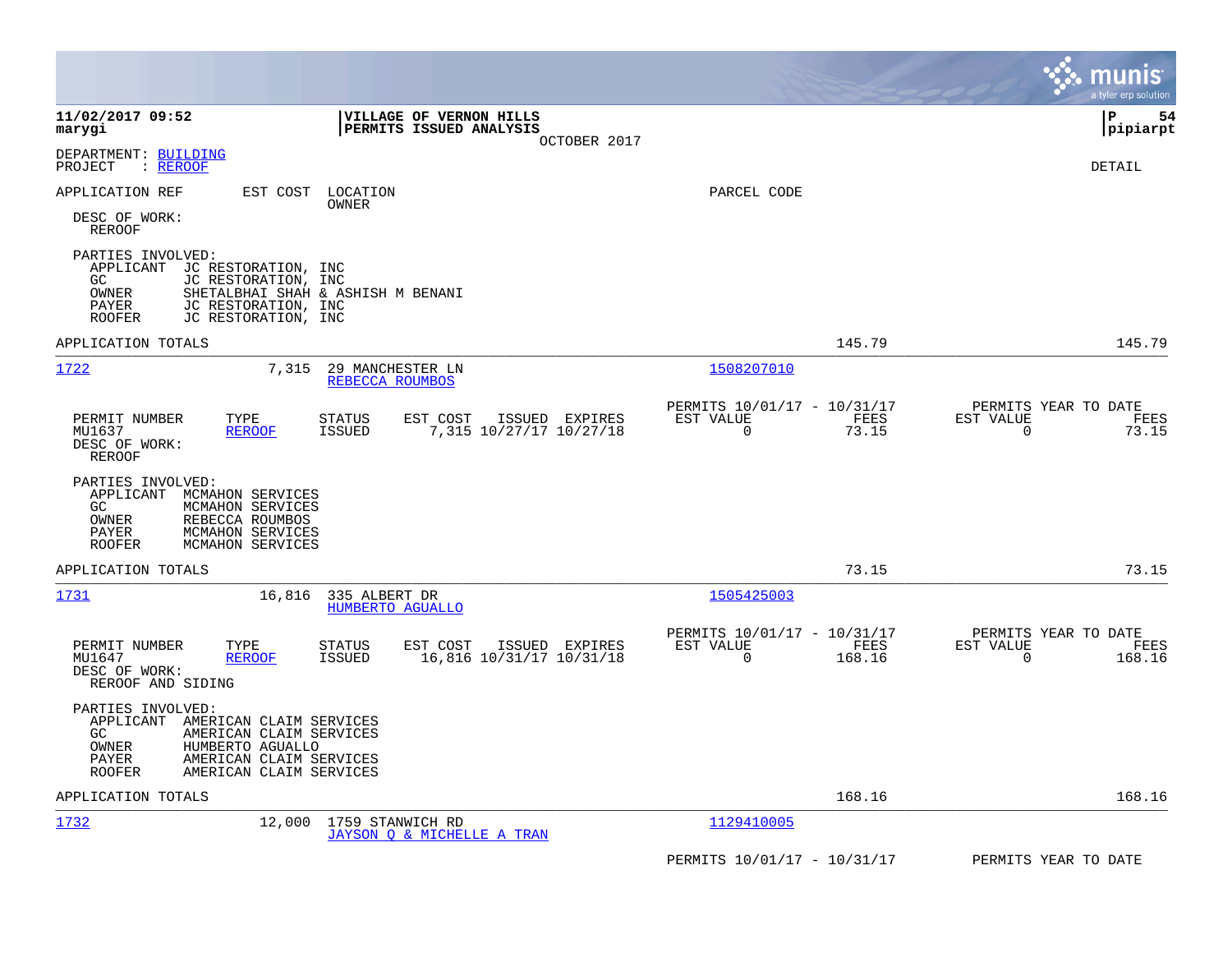|                                                                                                                                                                                                           |                                                                       | a tyler erp solution                                              |
|-----------------------------------------------------------------------------------------------------------------------------------------------------------------------------------------------------------|-----------------------------------------------------------------------|-------------------------------------------------------------------|
| 11/02/2017 09:52<br>VILLAGE OF VERNON HILLS<br>PERMITS ISSUED ANALYSIS<br>marygi<br>OCTOBER 2017                                                                                                          |                                                                       | P<br>54<br> pipiarpt                                              |
| DEPARTMENT: BUILDING<br>: REROOF<br>PROJECT                                                                                                                                                               |                                                                       | DETAIL                                                            |
| APPLICATION REF<br>EST COST<br>LOCATION<br>OWNER                                                                                                                                                          | PARCEL CODE                                                           |                                                                   |
| DESC OF WORK:<br><b>REROOF</b>                                                                                                                                                                            |                                                                       |                                                                   |
| PARTIES INVOLVED:<br>APPLICANT<br>JC RESTORATION, INC<br>GC.<br>JC RESTORATION, INC<br>OWNER<br>SHETALBHAI SHAH & ASHISH M BENANI<br>PAYER<br>JC RESTORATION, INC<br><b>ROOFER</b><br>JC RESTORATION, INC |                                                                       |                                                                   |
| APPLICATION TOTALS                                                                                                                                                                                        | 145.79                                                                | 145.79                                                            |
| 1722<br>7,315<br>29 MANCHESTER LN<br>REBECCA ROUMBOS                                                                                                                                                      | 1508207010                                                            |                                                                   |
| PERMIT NUMBER<br>TYPE<br>EST COST<br>ISSUED EXPIRES<br>STATUS<br>MU1637<br><b>ISSUED</b><br>7,315 10/27/17 10/27/18<br><b>REROOF</b><br>DESC OF WORK:<br>REROOF                                           | PERMITS 10/01/17 - 10/31/17<br>EST VALUE<br>FEES<br>$\Omega$<br>73.15 | PERMITS YEAR TO DATE<br>EST VALUE<br>FEES<br>$\mathbf 0$<br>73.15 |
| PARTIES INVOLVED:<br>MCMAHON SERVICES<br>APPLICANT<br>MCMAHON SERVICES<br>GC.<br>OWNER<br>REBECCA ROUMBOS<br>PAYER<br>MCMAHON SERVICES<br><b>ROOFER</b><br>MCMAHON SERVICES                               |                                                                       |                                                                   |
| APPLICATION TOTALS                                                                                                                                                                                        | 73.15                                                                 | 73.15                                                             |
| 1731<br>16,816<br>335 ALBERT DR<br><b>HUMBERTO AGUALLO</b>                                                                                                                                                | 1505425003                                                            |                                                                   |
| PERMIT NUMBER<br>TYPE<br>EST COST<br>ISSUED EXPIRES<br><b>STATUS</b><br>MU1647<br><b>REROOF</b><br>ISSUED<br>16,816 10/31/17 10/31/18<br>DESC OF WORK:<br>REROOF AND SIDING                               | PERMITS 10/01/17 - 10/31/17<br>EST VALUE<br>FEES<br>0<br>168.16       | PERMITS YEAR TO DATE<br>EST VALUE<br>FEES<br>0<br>168.16          |
| PARTIES INVOLVED:<br>APPLICANT<br>AMERICAN CLAIM SERVICES<br>GC<br>AMERICAN CLAIM SERVICES<br>OWNER<br>HUMBERTO AGUALLO<br>PAYER<br>AMERICAN CLAIM SERVICES<br><b>ROOFER</b><br>AMERICAN CLAIM SERVICES   |                                                                       |                                                                   |
| APPLICATION TOTALS                                                                                                                                                                                        | 168.16                                                                | 168.16                                                            |
| 1732<br>12,000<br>1759 STANWICH RD<br>JAYSON O & MICHELLE A TRAN                                                                                                                                          | 1129410005                                                            |                                                                   |
|                                                                                                                                                                                                           | PERMITS 10/01/17 - 10/31/17                                           | PERMITS YEAR TO DATE                                              |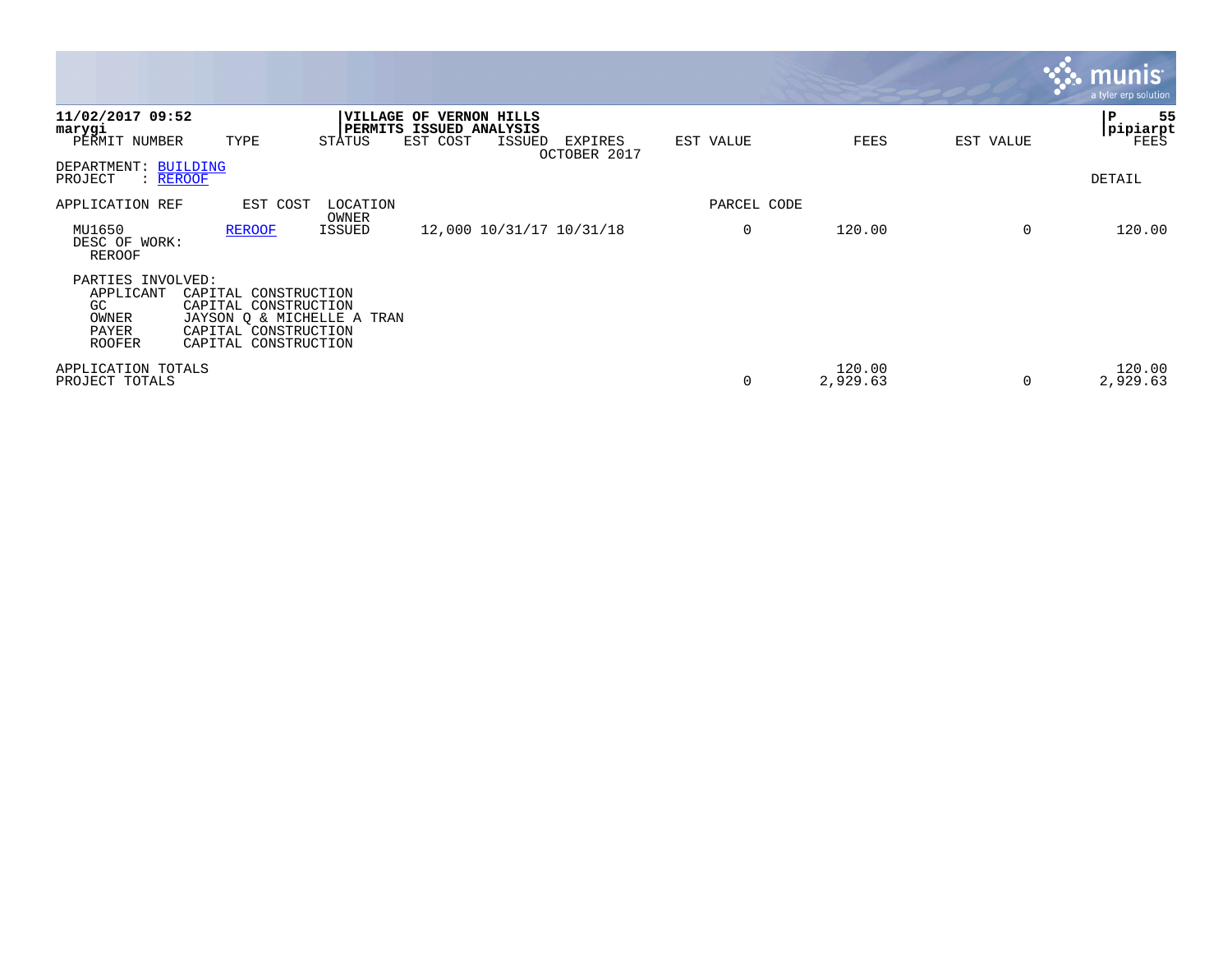|                                                                         |                                                                                                                            |                   |                                                                |        |                          |             |                    |           | <b>munis</b><br>a tyler erp solution |
|-------------------------------------------------------------------------|----------------------------------------------------------------------------------------------------------------------------|-------------------|----------------------------------------------------------------|--------|--------------------------|-------------|--------------------|-----------|--------------------------------------|
| 11/02/2017 09:52<br>marygi<br>PERMIT NUMBER                             | TYPE                                                                                                                       | STATUS            | VILLAGE OF VERNON HILLS<br>PERMITS ISSUED ANALYSIS<br>EST COST | ISSUED | EXPIRES<br>OCTOBER 2017  | EST VALUE   | FEES               | EST VALUE | 55<br>l P<br> pipiarpt<br>FEES       |
| DEPARTMENT: BUILDING<br>: REROOF<br>PROJECT                             |                                                                                                                            |                   |                                                                |        |                          |             |                    |           | DETAIL                               |
| APPLICATION REF                                                         | EST COST                                                                                                                   | LOCATION<br>OWNER |                                                                |        |                          | PARCEL CODE |                    |           |                                      |
| MU1650<br>DESC OF WORK:<br><b>REROOF</b>                                | <b>REROOF</b>                                                                                                              | <b>ISSUED</b>     |                                                                |        | 12,000 10/31/17 10/31/18 | $\Omega$    | 120.00             | 0         | 120.00                               |
| PARTIES INVOLVED:<br>APPLICANT<br>GC<br>OWNER<br>PAYER<br><b>ROOFER</b> | CAPITAL CONSTRUCTION<br>CAPITAL CONSTRUCTION<br>JAYSON Q & MICHELLE A TRAN<br>CAPITAL CONSTRUCTION<br>CAPITAL CONSTRUCTION |                   |                                                                |        |                          |             |                    |           |                                      |
| APPLICATION TOTALS<br>PROJECT TOTALS                                    |                                                                                                                            |                   |                                                                |        |                          | $\Omega$    | 120.00<br>2,929.63 |           | 120.00<br>2,929.63                   |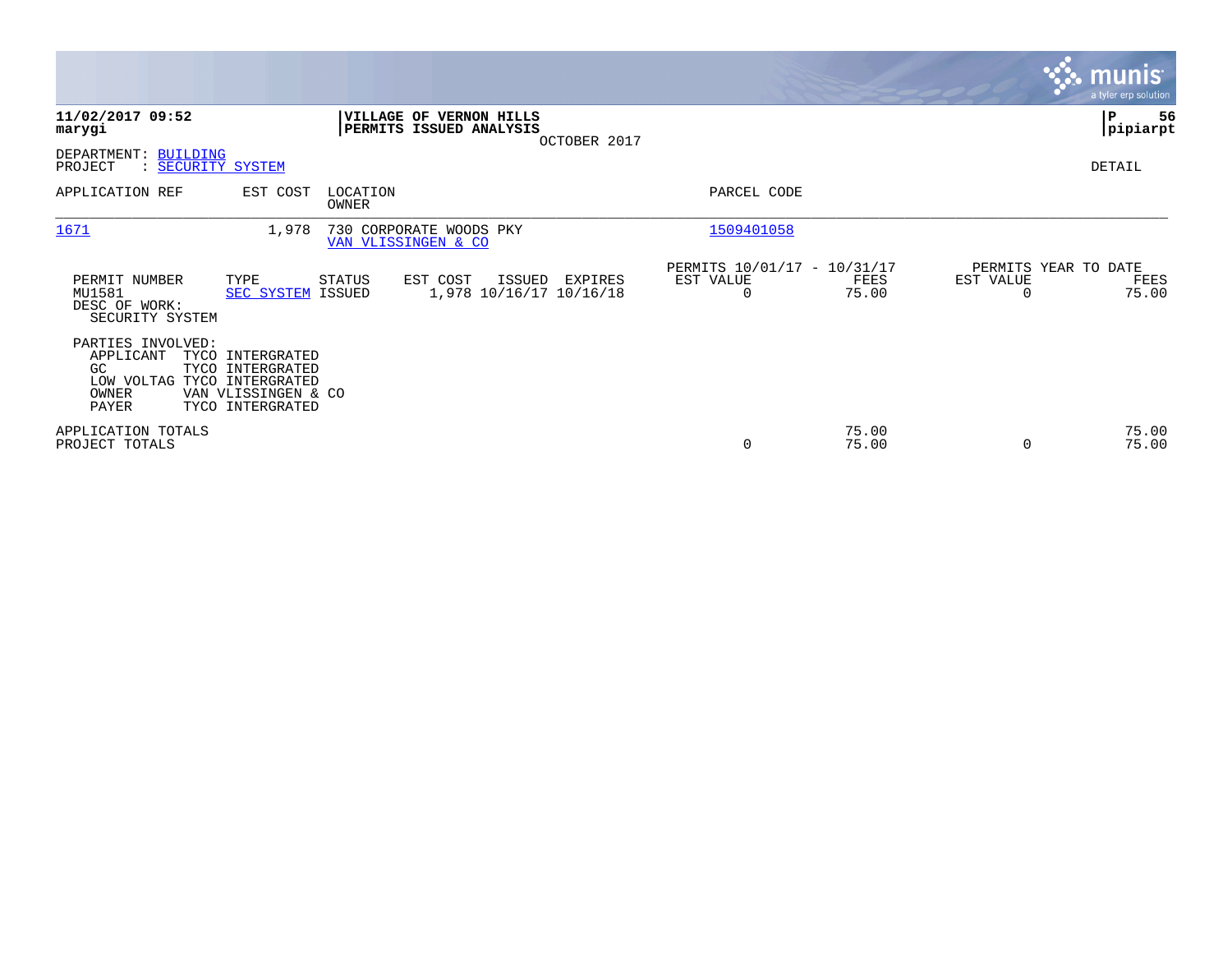|                                                                                        |                                                                                 |                   |                                                    |              |                                               |                |                                               | <b>munis</b><br>a tyler erp solution |
|----------------------------------------------------------------------------------------|---------------------------------------------------------------------------------|-------------------|----------------------------------------------------|--------------|-----------------------------------------------|----------------|-----------------------------------------------|--------------------------------------|
| 11/02/2017 09:52<br>marygi                                                             |                                                                                 |                   | VILLAGE OF VERNON HILLS<br>PERMITS ISSUED ANALYSIS | OCTOBER 2017 |                                               |                |                                               | P<br>56<br> pipiarpt                 |
| DEPARTMENT: BUILDING<br>PROJECT<br>: SECURITY SYSTEM                                   |                                                                                 |                   |                                                    |              |                                               |                |                                               | DETAIL                               |
| APPLICATION REF                                                                        | EST COST                                                                        | LOCATION<br>OWNER |                                                    |              | PARCEL CODE                                   |                |                                               |                                      |
| 1671                                                                                   | 1,978                                                                           |                   | 730 CORPORATE WOODS PKY<br>VAN VLISSINGEN & CO     |              | 1509401058                                    |                |                                               |                                      |
| PERMIT NUMBER<br>MU1581<br>DESC OF WORK:<br>SECURITY SYSTEM                            | TYPE<br>SEC SYSTEM ISSUED                                                       | STATUS            | EST COST<br>ISSUED<br>1,978 10/16/17 10/16/18      | EXPIRES      | PERMITS 10/01/17 - 10/31/17<br>EST VALUE<br>0 | FEES<br>75.00  | PERMITS YEAR TO DATE<br>EST VALUE<br>$\Omega$ | FEES<br>75.00                        |
| PARTIES INVOLVED:<br>APPLICANT<br>GC.<br>LOW VOLTAG TYCO INTERGRATED<br>OWNER<br>PAYER | TYCO INTERGRATED<br>TYCO INTERGRATED<br>VAN VLISSINGEN & CO<br>TYCO INTERGRATED |                   |                                                    |              |                                               |                |                                               |                                      |
| APPLICATION TOTALS<br>PROJECT TOTALS                                                   |                                                                                 |                   |                                                    |              | 0                                             | 75.00<br>75.00 | $\Omega$                                      | 75.00<br>75.00                       |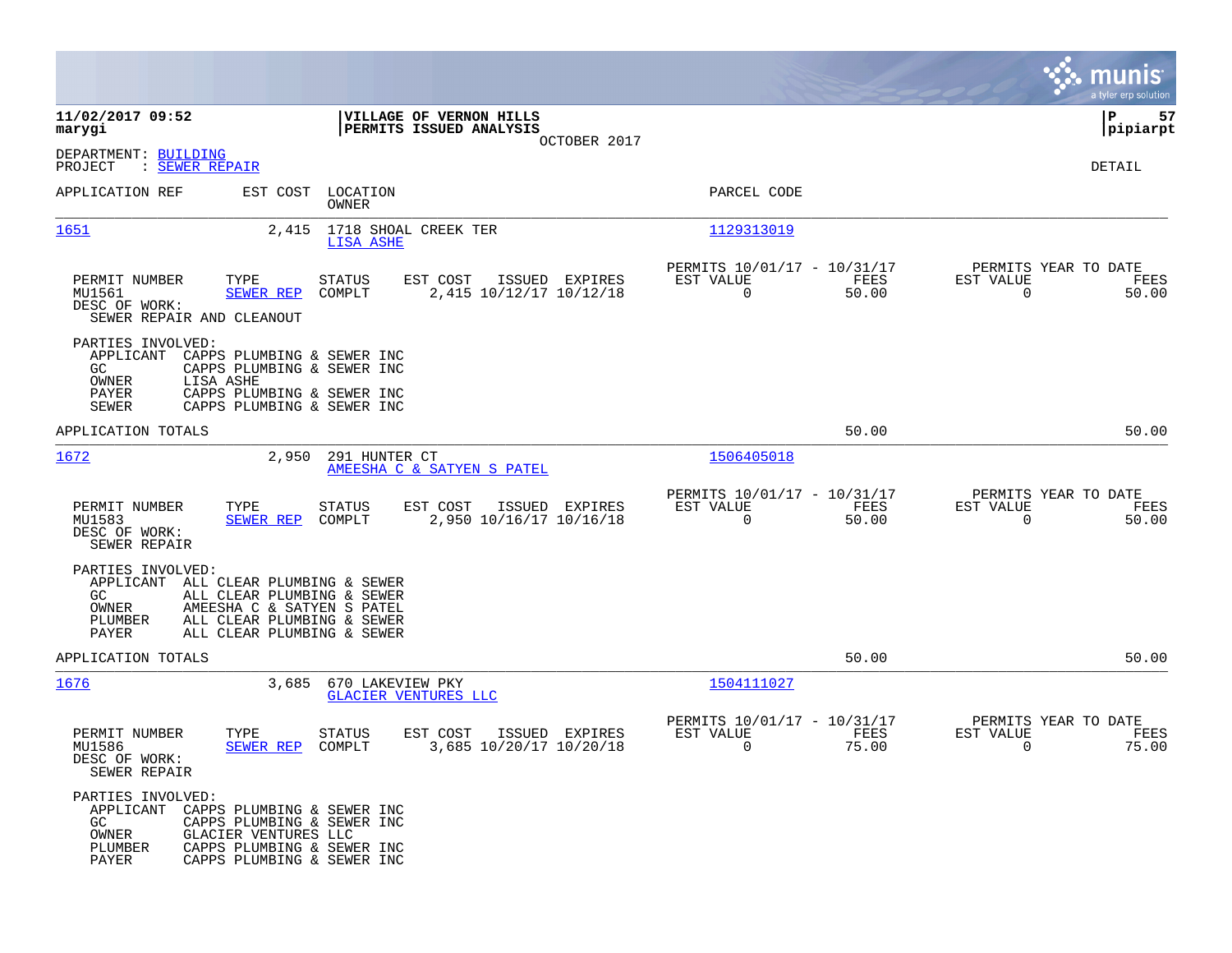|                                                                                                                                                                                                                         |                                                                                  |                                                                          | munis<br>a tyler erp solution                                     |
|-------------------------------------------------------------------------------------------------------------------------------------------------------------------------------------------------------------------------|----------------------------------------------------------------------------------|--------------------------------------------------------------------------|-------------------------------------------------------------------|
| 11/02/2017 09:52<br>marygi                                                                                                                                                                                              | VILLAGE OF VERNON HILLS<br>PERMITS ISSUED ANALYSIS                               |                                                                          | 57<br>IΡ<br> pipiarpt                                             |
| DEPARTMENT: BUILDING<br>PROJECT<br>: SEWER REPAIR                                                                                                                                                                       | OCTOBER 2017                                                                     |                                                                          | DETAIL                                                            |
| APPLICATION REF<br>EST COST                                                                                                                                                                                             | LOCATION<br>OWNER                                                                | PARCEL CODE                                                              |                                                                   |
| 1651<br>2,415                                                                                                                                                                                                           | 1718 SHOAL CREEK TER<br><b>LISA ASHE</b>                                         | 1129313019                                                               |                                                                   |
| PERMIT NUMBER<br>TYPE<br>MU1561<br>SEWER REP<br>DESC OF WORK:<br>SEWER REPAIR AND CLEANOUT                                                                                                                              | STATUS<br>EST COST<br>ISSUED EXPIRES<br>2,415 10/12/17 10/12/18<br>COMPLT        | PERMITS 10/01/17 - 10/31/17<br>FEES<br>EST VALUE<br>$\mathbf 0$<br>50.00 | PERMITS YEAR TO DATE<br>EST VALUE<br>FEES<br>$\mathbf 0$<br>50.00 |
| PARTIES INVOLVED:<br>APPLICANT<br>CAPPS PLUMBING & SEWER INC<br>GC.<br>CAPPS PLUMBING & SEWER INC<br>OWNER<br>LISA ASHE<br><b>PAYER</b><br>CAPPS PLUMBING & SEWER INC<br><b>SEWER</b><br>CAPPS PLUMBING & SEWER INC     |                                                                                  |                                                                          |                                                                   |
| APPLICATION TOTALS                                                                                                                                                                                                      |                                                                                  | 50.00                                                                    | 50.00                                                             |
| 1672<br>2,950                                                                                                                                                                                                           | 291 HUNTER CT<br>AMEESHA C & SATYEN S PATEL                                      | 1506405018                                                               |                                                                   |
| PERMIT NUMBER<br>TYPE<br>MU1583<br><b>SEWER REP</b><br>DESC OF WORK:<br>SEWER REPAIR                                                                                                                                    | EST COST<br>STATUS<br>ISSUED EXPIRES<br>COMPLT<br>2,950 10/16/17 10/16/18        | PERMITS 10/01/17 - 10/31/17<br>EST VALUE<br>FEES<br>$\Omega$<br>50.00    | PERMITS YEAR TO DATE<br>EST VALUE<br>FEES<br>$\Omega$<br>50.00    |
| PARTIES INVOLVED:<br>APPLICANT<br>ALL CLEAR PLUMBING & SEWER<br>GC<br>ALL CLEAR PLUMBING & SEWER<br>AMEESHA C & SATYEN S PATEL<br>OWNER<br>PLUMBER<br>ALL CLEAR PLUMBING & SEWER<br>PAYER<br>ALL CLEAR PLUMBING & SEWER |                                                                                  |                                                                          |                                                                   |
| APPLICATION TOTALS                                                                                                                                                                                                      |                                                                                  | 50.00                                                                    | 50.00                                                             |
| 1676<br>3,685                                                                                                                                                                                                           | 670 LAKEVIEW PKY<br><b>GLACIER VENTURES LLC</b>                                  | 1504111027                                                               |                                                                   |
| PERMIT NUMBER<br>TYPE<br>MU1586<br>SEWER REP<br>DESC OF WORK:<br>SEWER REPAIR                                                                                                                                           | <b>STATUS</b><br>EST COST<br>ISSUED EXPIRES<br>COMPLT<br>3,685 10/20/17 10/20/18 | PERMITS 10/01/17 - 10/31/17<br>EST VALUE<br>FEES<br>75.00<br>0           | PERMITS YEAR TO DATE<br>EST VALUE<br>FEES<br>0<br>75.00           |
| PARTIES INVOLVED:<br>APPLICANT CAPPS PLUMBING & SEWER INC<br>GC.<br>CAPPS PLUMBING & SEWER INC<br>OWNER<br>GLACIER VENTURES LLC<br>PLUMBER<br>CAPPS PLUMBING & SEWER INC<br>PAYER<br>CAPPS PLUMBING & SEWER INC         |                                                                                  |                                                                          |                                                                   |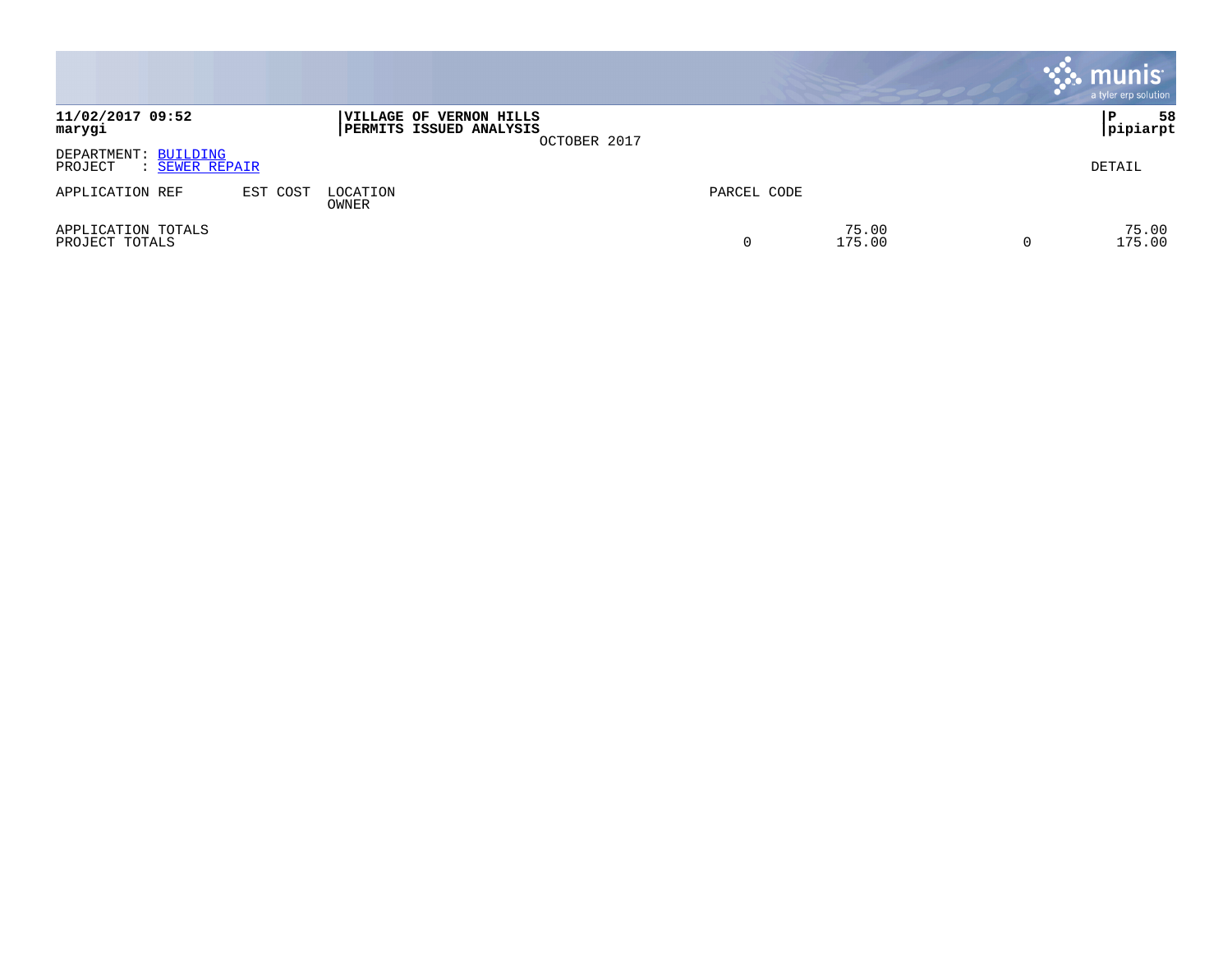|                                                   |          |                                                    |              |             |                 | $\cdot$ munis $\cdot$<br>a tyler erp solution |
|---------------------------------------------------|----------|----------------------------------------------------|--------------|-------------|-----------------|-----------------------------------------------|
| 11/02/2017 09:52<br>marygi                        |          | VILLAGE OF VERNON HILLS<br>PERMITS ISSUED ANALYSIS | OCTOBER 2017 |             |                 | 58<br>ΙP<br> pipiarpt                         |
| DEPARTMENT: BUILDING<br>: SEWER REPAIR<br>PROJECT |          |                                                    |              |             |                 | DETAIL                                        |
| APPLICATION REF                                   | EST COST | LOCATION<br>OWNER                                  |              | PARCEL CODE |                 |                                               |
| APPLICATION TOTALS<br>PROJECT TOTALS              |          |                                                    |              | 0           | 75.00<br>175.00 | 75.00<br>175.00                               |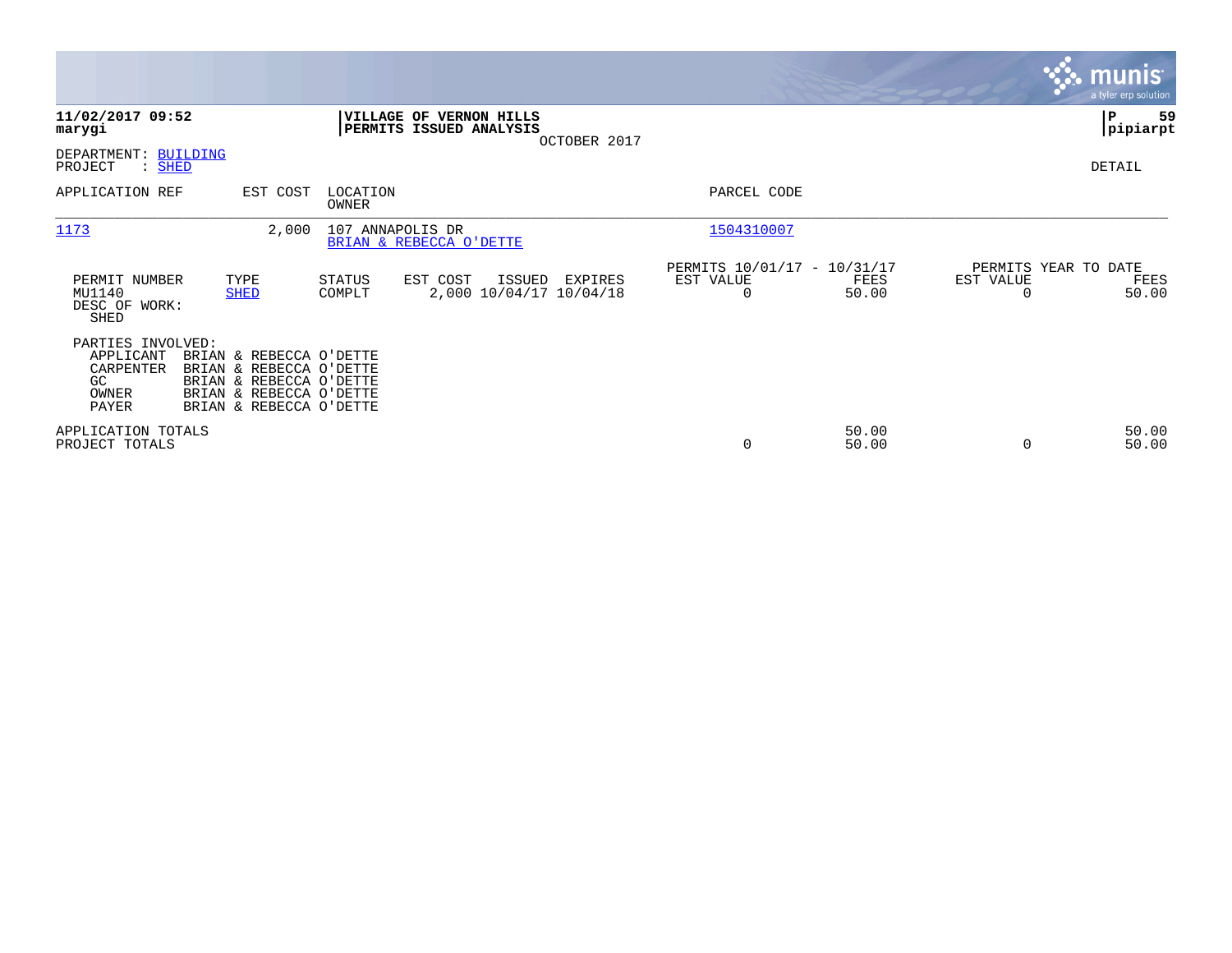|                                                                      |                                                                                                                                     |                   |                                                    |                                    |                                                      |                |                                               | <b>munis</b><br>a tyler erp solution |
|----------------------------------------------------------------------|-------------------------------------------------------------------------------------------------------------------------------------|-------------------|----------------------------------------------------|------------------------------------|------------------------------------------------------|----------------|-----------------------------------------------|--------------------------------------|
| 11/02/2017 09:52<br>marygi                                           |                                                                                                                                     |                   | VILLAGE OF VERNON HILLS<br>PERMITS ISSUED ANALYSIS | OCTOBER 2017                       |                                                      |                |                                               | P<br>59<br> pipiarpt                 |
| DEPARTMENT: BUILDING<br>PROJECT<br>: SHED                            |                                                                                                                                     |                   |                                                    |                                    |                                                      |                |                                               | DETAIL                               |
| APPLICATION REF                                                      | EST COST                                                                                                                            | LOCATION<br>OWNER |                                                    |                                    | PARCEL CODE                                          |                |                                               |                                      |
| 1173                                                                 | 2,000                                                                                                                               | 107 ANNAPOLIS DR  | BRIAN & REBECCA O'DETTE                            |                                    | 1504310007                                           |                |                                               |                                      |
| PERMIT NUMBER<br>MU1140<br>DESC OF WORK:<br>SHED                     | TYPE<br><b>SHED</b>                                                                                                                 | STATUS<br>COMPLT  | EST COST<br>ISSUED                                 | EXPIRES<br>2,000 10/04/17 10/04/18 | PERMITS 10/01/17 - 10/31/17<br>EST VALUE<br>$\Omega$ | FEES<br>50.00  | PERMITS YEAR TO DATE<br>EST VALUE<br>$\Omega$ | FEES<br>50.00                        |
| PARTIES INVOLVED:<br>APPLICANT<br>CARPENTER<br>GC.<br>OWNER<br>PAYER | BRIAN & REBECCA O'DETTE<br>BRIAN & REBECCA O'DETTE<br>BRIAN & REBECCA O'DETTE<br>BRIAN & REBECCA O'DETTE<br>BRIAN & REBECCA O'DETTE |                   |                                                    |                                    |                                                      |                |                                               |                                      |
| APPLICATION TOTALS<br>PROJECT TOTALS                                 |                                                                                                                                     |                   |                                                    |                                    | $\Omega$                                             | 50.00<br>50.00 | $\Omega$                                      | 50.00<br>50.00                       |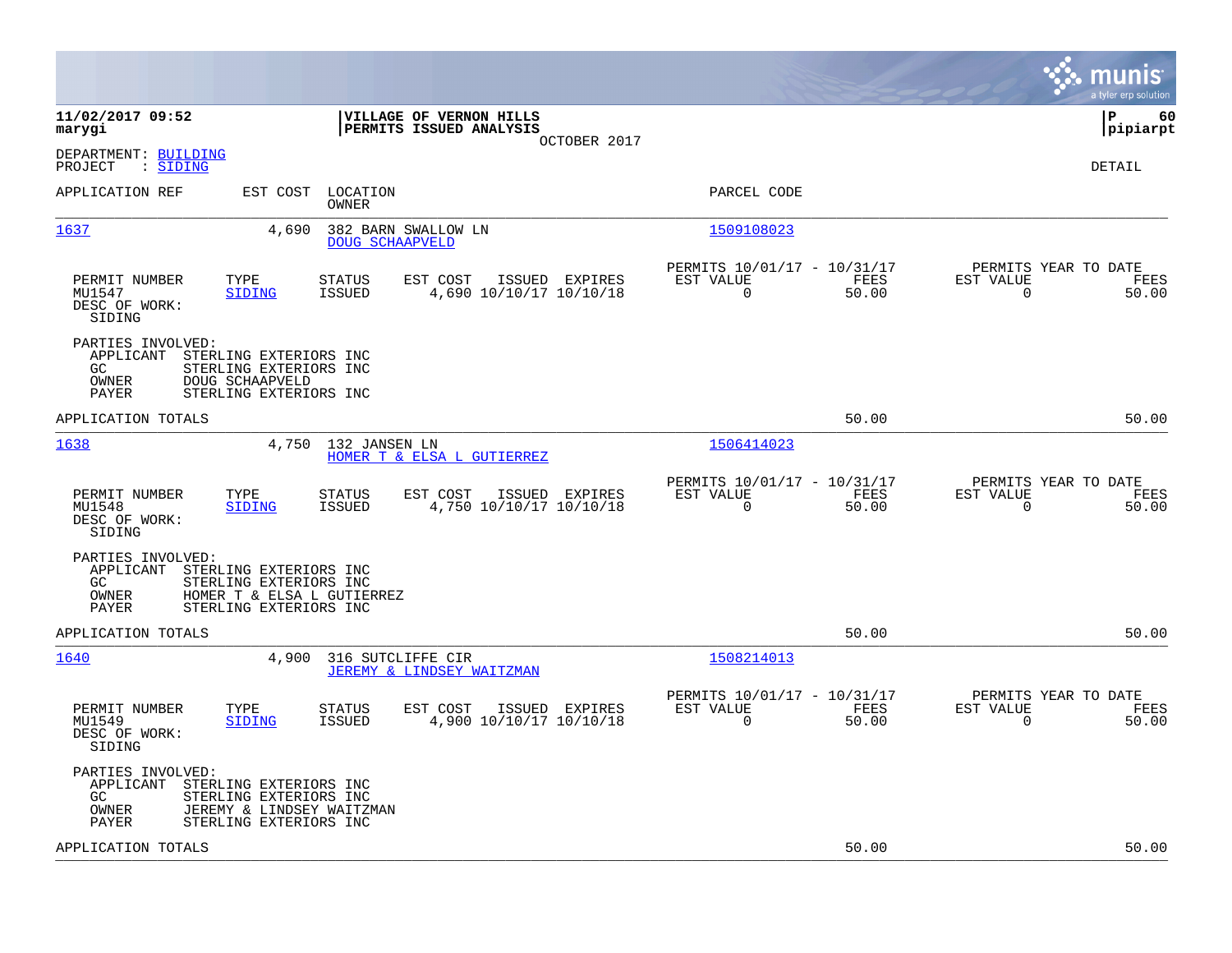|                                                                                                                                                                    |                                                                          | munis<br>a tyler erp solution                                  |
|--------------------------------------------------------------------------------------------------------------------------------------------------------------------|--------------------------------------------------------------------------|----------------------------------------------------------------|
| 11/02/2017 09:52<br>VILLAGE OF VERNON HILLS<br>marygi<br>PERMITS ISSUED ANALYSIS<br>OCTOBER 2017                                                                   |                                                                          | l P<br>60<br> pipiarpt                                         |
| DEPARTMENT: BUILDING<br>: SIDING<br>PROJECT                                                                                                                        |                                                                          | <b>DETAIL</b>                                                  |
| APPLICATION REF<br>EST COST<br>LOCATION<br>OWNER                                                                                                                   | PARCEL CODE                                                              |                                                                |
| 1637<br>4,690<br>382 BARN SWALLOW LN<br><b>DOUG SCHAAPVELD</b>                                                                                                     | 1509108023                                                               |                                                                |
| PERMIT NUMBER<br>TYPE<br><b>STATUS</b><br>EST COST<br>ISSUED EXPIRES<br>MU1547<br>4,690 10/10/17 10/10/18<br><b>SIDING</b><br>ISSUED<br>DESC OF WORK:<br>SIDING    | PERMITS 10/01/17 - 10/31/17<br>EST VALUE<br>FEES<br>$\Omega$<br>50.00    | PERMITS YEAR TO DATE<br>EST VALUE<br>FEES<br>$\Omega$<br>50.00 |
| PARTIES INVOLVED:<br>APPLICANT<br>STERLING EXTERIORS INC<br>STERLING EXTERIORS INC<br>GC.<br>OWNER<br>DOUG SCHAAPVELD<br>PAYER<br>STERLING EXTERIORS INC           |                                                                          |                                                                |
| APPLICATION TOTALS                                                                                                                                                 | 50.00                                                                    | 50.00                                                          |
| 1638<br>4,750<br>132 JANSEN LN<br>HOMER T & ELSA L GUTIERREZ                                                                                                       | 1506414023                                                               |                                                                |
| TYPE<br>EST COST<br>PERMIT NUMBER<br>STATUS<br>ISSUED EXPIRES<br>MU1548<br><b>ISSUED</b><br>4,750 10/10/17 10/10/18<br><b>SIDING</b><br>DESC OF WORK:<br>SIDING    | PERMITS 10/01/17 - 10/31/17<br>EST VALUE<br>FEES<br>$\mathbf 0$<br>50.00 | PERMITS YEAR TO DATE<br>EST VALUE<br>FEES<br>50.00<br>0        |
| PARTIES INVOLVED:<br>APPLICANT<br>STERLING EXTERIORS INC<br>GC<br>STERLING EXTERIORS INC<br>OWNER<br>HOMER T & ELSA L GUTIERREZ<br>PAYER<br>STERLING EXTERIORS INC |                                                                          |                                                                |
| APPLICATION TOTALS                                                                                                                                                 | 50.00                                                                    | 50.00                                                          |
| 1640<br>4,900<br>316 SUTCLIFFE CIR<br>JEREMY & LINDSEY WAITZMAN                                                                                                    | 1508214013                                                               |                                                                |
| EST COST<br>PERMIT NUMBER<br>TYPE<br><b>STATUS</b><br>ISSUED EXPIRES<br>MU1549<br><b>SIDING</b><br>ISSUED<br>4,900 10/10/17 10/10/18<br>DESC OF WORK:<br>SIDING    | PERMITS 10/01/17 - 10/31/17<br>EST VALUE<br>FEES<br>0<br>50.00           | PERMITS YEAR TO DATE<br>EST VALUE<br>FEES<br>0<br>50.00        |
| PARTIES INVOLVED:<br>APPLICANT<br>STERLING EXTERIORS INC<br>GC<br>STERLING EXTERIORS INC<br>JEREMY & LINDSEY WAITZMAN<br>OWNER<br>PAYER<br>STERLING EXTERIORS INC  |                                                                          |                                                                |
| APPLICATION TOTALS                                                                                                                                                 | 50.00                                                                    | 50.00                                                          |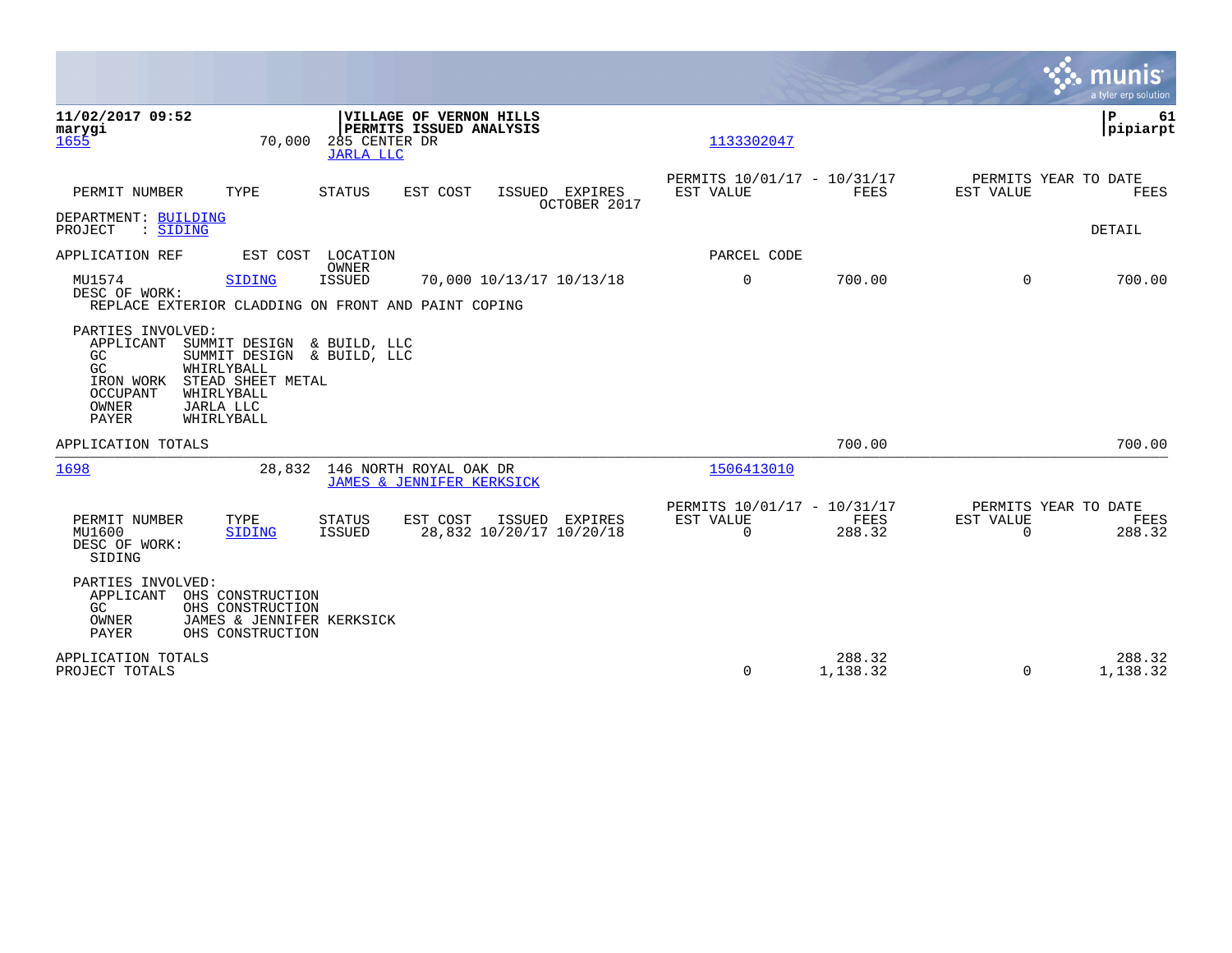|                                                                                                                                                                                                                                                     |                                                                           | munis<br>a tyler erp solution                                          |
|-----------------------------------------------------------------------------------------------------------------------------------------------------------------------------------------------------------------------------------------------------|---------------------------------------------------------------------------|------------------------------------------------------------------------|
| 11/02/2017 09:52<br><b>VILLAGE OF VERNON HILLS</b><br>marygi<br>PERMITS ISSUED ANALYSIS<br>285 CENTER DR<br>70,000<br>1655<br><b>JARLA LLC</b>                                                                                                      | 1133302047                                                                | l P<br>61<br> pipiarpt                                                 |
| PERMIT NUMBER<br>TYPE<br>STATUS<br>EST COST<br>ISSUED EXPIRES<br>OCTOBER 2017                                                                                                                                                                       | PERMITS 10/01/17 - 10/31/17<br>EST VALUE<br>FEES                          | PERMITS YEAR TO DATE<br>EST VALUE<br>FEES                              |
| DEPARTMENT: BUILDING<br>PROJECT<br>: SIDING                                                                                                                                                                                                         |                                                                           | DETAIL                                                                 |
| APPLICATION REF<br>EST COST LOCATION                                                                                                                                                                                                                | PARCEL CODE                                                               |                                                                        |
| <b>OWNER</b><br>MU1574<br><b>ISSUED</b><br><b>SIDING</b><br>70,000 10/13/17 10/13/18<br>DESC OF WORK:<br>REPLACE EXTERIOR CLADDING ON FRONT AND PAINT COPING                                                                                        | $\mathbf 0$<br>700.00                                                     | $\Omega$<br>700.00                                                     |
| PARTIES INVOLVED:<br>APPLICANT<br>SUMMIT DESIGN & BUILD, LLC<br>GC<br>SUMMIT DESIGN & BUILD, LLC<br>GC.<br>WHIRLYBALL<br>STEAD SHEET METAL<br>IRON WORK<br><b>OCCUPANT</b><br>WHIRLYBALL<br><b>OWNER</b><br>JARLA LLC<br><b>PAYER</b><br>WHIRLYBALL |                                                                           |                                                                        |
| APPLICATION TOTALS                                                                                                                                                                                                                                  | 700.00                                                                    | 700.00                                                                 |
| 146 NORTH ROYAL OAK DR<br>1698<br>28,832<br>JAMES & JENNIFER KERKSICK                                                                                                                                                                               | 1506413010                                                                |                                                                        |
| PERMIT NUMBER<br>TYPE<br>STATUS<br>EST COST<br>ISSUED EXPIRES<br>28,832 10/20/17 10/20/18<br>MU1600<br><b>SIDING</b><br>ISSUED<br>DESC OF WORK:<br>SIDING                                                                                           | PERMITS 10/01/17 - 10/31/17<br>EST VALUE<br>FEES<br>$\mathbf 0$<br>288.32 | PERMITS YEAR TO DATE<br><b>EST VALUE</b><br>FEES<br>$\Omega$<br>288.32 |
| PARTIES INVOLVED:<br>APPLICANT<br>OHS CONSTRUCTION<br>GC<br>OHS CONSTRUCTION<br>OWNER<br>JAMES & JENNIFER KERKSICK<br>PAYER<br>OHS CONSTRUCTION                                                                                                     |                                                                           |                                                                        |
| APPLICATION TOTALS<br>PROJECT TOTALS                                                                                                                                                                                                                | 288.32<br>$\mathbf 0$<br>1,138.32                                         | 288.32<br>1,138.32<br>$\Omega$                                         |

 $\mathcal{L}^{\text{max}}$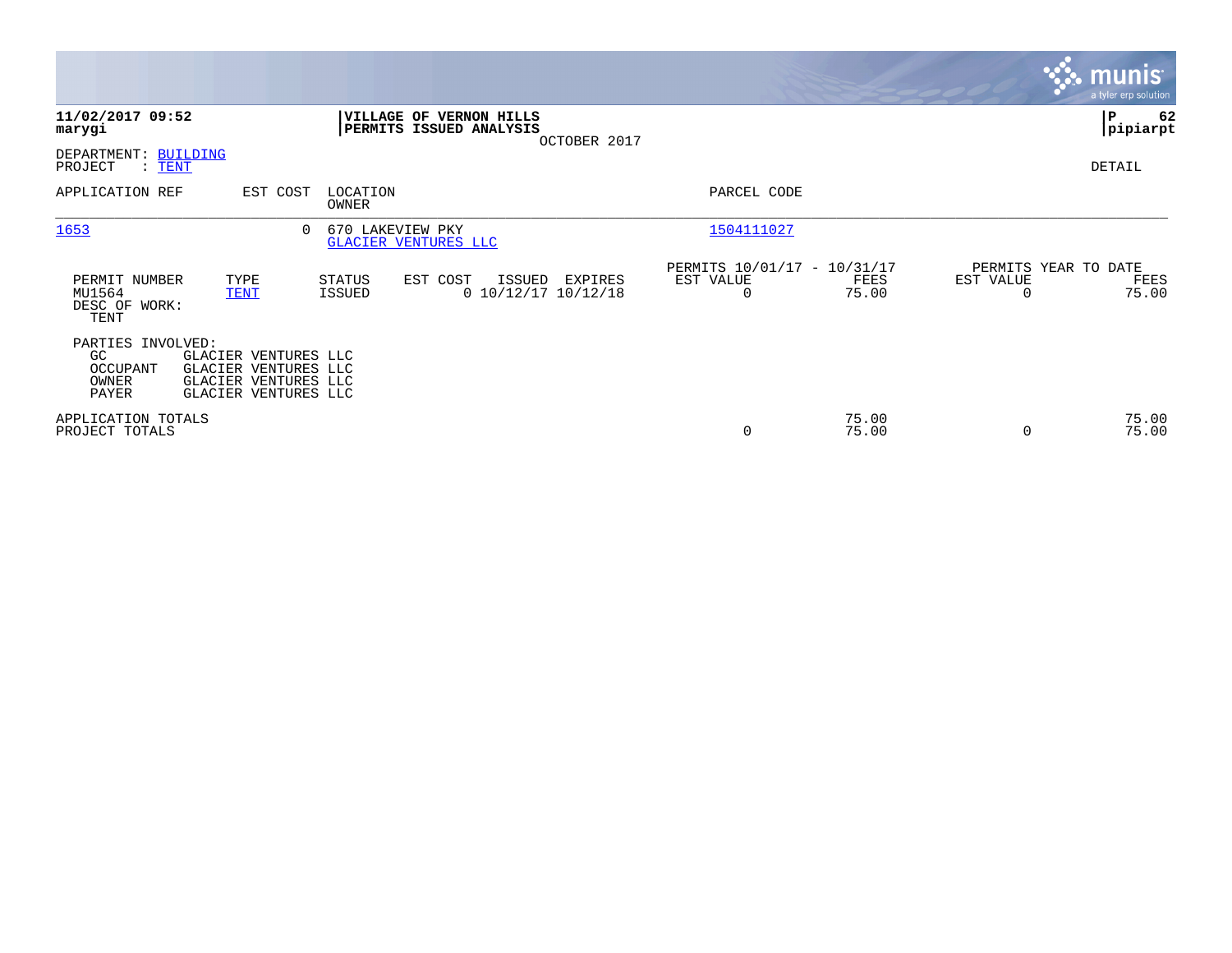|                                                       |                                                                                              |                   |                                                           |              |                                                      |                |                                               | munis<br>a tyler erp solution |
|-------------------------------------------------------|----------------------------------------------------------------------------------------------|-------------------|-----------------------------------------------------------|--------------|------------------------------------------------------|----------------|-----------------------------------------------|-------------------------------|
| 11/02/2017 09:52<br>marygi                            |                                                                                              |                   | <b>VILLAGE OF VERNON HILLS</b><br>PERMITS ISSUED ANALYSIS | OCTOBER 2017 |                                                      |                |                                               | ∣P<br>62<br> pipiarpt         |
| DEPARTMENT: BUILDING<br>PROJECT<br>$:$ TENT           |                                                                                              |                   |                                                           |              |                                                      |                |                                               | DETAIL                        |
| APPLICATION REF                                       | EST COST                                                                                     | LOCATION<br>OWNER |                                                           |              | PARCEL CODE                                          |                |                                               |                               |
| 1653                                                  | 0                                                                                            | 670 LAKEVIEW PKY  | GLACIER VENTURES LLC                                      |              | 1504111027                                           |                |                                               |                               |
| PERMIT NUMBER<br>MU1564<br>DESC OF WORK:<br>TENT      | TYPE<br><b>TENT</b>                                                                          | STATUS<br>ISSUED  | EST COST<br>ISSUED<br>$0$ 10/12/17 10/12/18               | EXPIRES      | PERMITS 10/01/17 - 10/31/17<br>EST VALUE<br>$\Omega$ | FEES<br>75.00  | PERMITS YEAR TO DATE<br>EST VALUE<br>$\Omega$ | FEES<br>75.00                 |
| PARTIES INVOLVED:<br>GC<br>OCCUPANT<br>OWNER<br>PAYER | GLACIER VENTURES LLC<br>GLACIER VENTURES LLC<br>GLACIER VENTURES LLC<br>GLACIER VENTURES LLC |                   |                                                           |              |                                                      |                |                                               |                               |
| APPLICATION TOTALS<br>PROJECT TOTALS                  |                                                                                              |                   |                                                           |              | $\mathbf 0$                                          | 75.00<br>75.00 | 0                                             | 75.00<br>75.00                |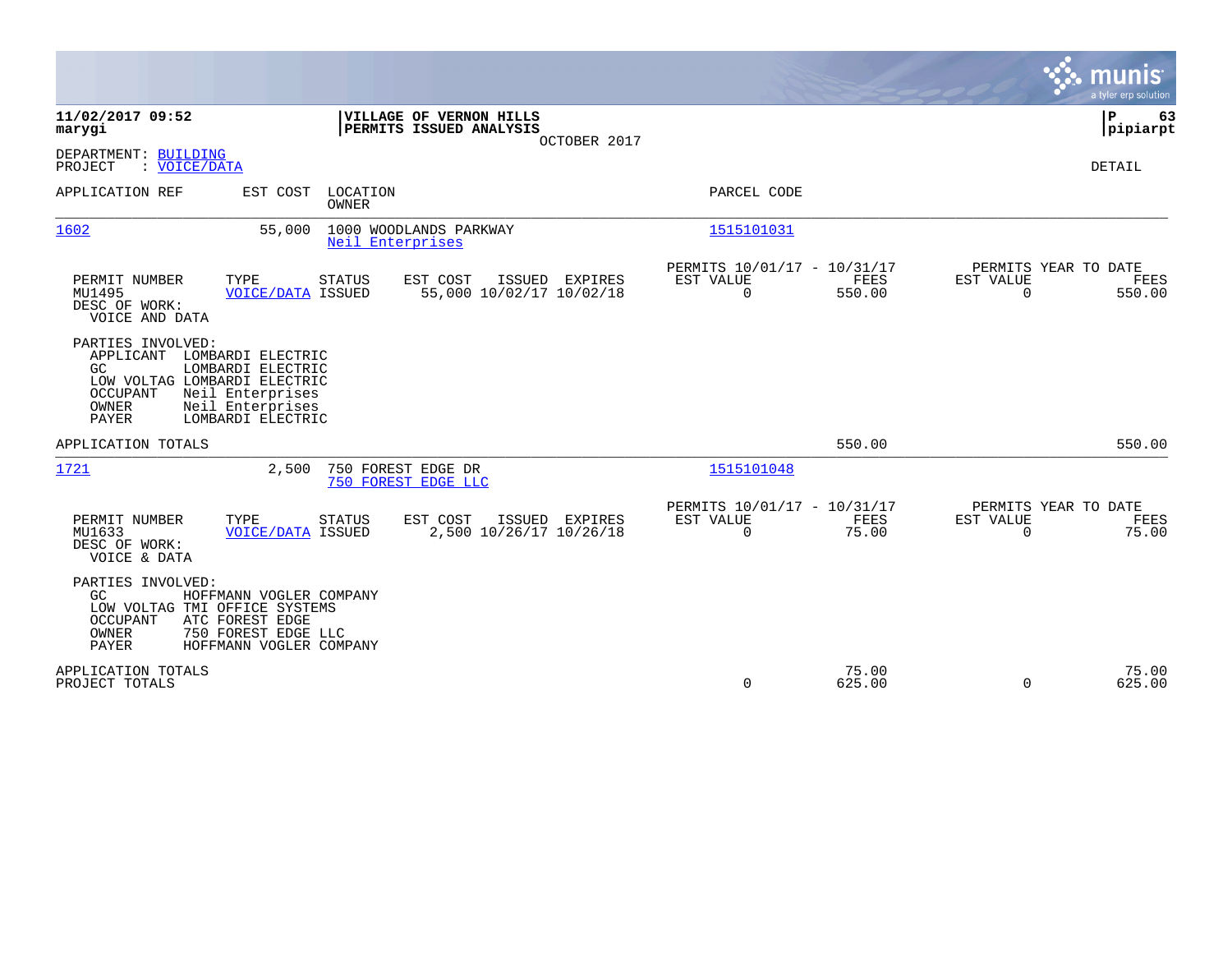|                                                                                                                                                                                                        |                                              |                                                         |                      |                                                  | a tyler erp solution |
|--------------------------------------------------------------------------------------------------------------------------------------------------------------------------------------------------------|----------------------------------------------|---------------------------------------------------------|----------------------|--------------------------------------------------|----------------------|
| 11/02/2017 09:52<br>VILLAGE OF VERNON HILLS<br>PERMITS ISSUED ANALYSIS<br>marygi                                                                                                                       | OCTOBER 2017                                 |                                                         |                      |                                                  | P<br>63<br> pipiarpt |
| DEPARTMENT: BUILDING<br>: VOICE/DATA<br>PROJECT                                                                                                                                                        |                                              |                                                         |                      |                                                  | <b>DETAIL</b>        |
| APPLICATION REF<br>EST COST LOCATION<br>OWNER                                                                                                                                                          |                                              | PARCEL CODE                                             |                      |                                                  |                      |
| 1000 WOODLANDS PARKWAY<br>1602<br>55,000<br>Neil Enterprises                                                                                                                                           |                                              | 1515101031                                              |                      |                                                  |                      |
| PERMIT NUMBER<br>TYPE<br><b>STATUS</b><br>EST COST<br>MU1495<br><b>VOICE/DATA ISSUED</b><br>DESC OF WORK:<br>VOICE AND DATA                                                                            | ISSUED EXPIRES<br>55,000 10/02/17 10/02/18   | PERMITS 10/01/17 - 10/31/17<br>EST VALUE<br>$\mathbf 0$ | FEES<br>550.00       | PERMITS YEAR TO DATE<br>EST VALUE<br>$\mathbf 0$ | FEES<br>550.00       |
| PARTIES INVOLVED:<br>APPLICANT LOMBARDI ELECTRIC<br>GC<br>LOMBARDI ELECTRIC<br>LOW VOLTAG LOMBARDI ELECTRIC<br>Neil Enterprises<br>OCCUPANT<br>OWNER<br>Neil Enterprises<br>LOMBARDI ELECTRIC<br>PAYER |                                              |                                                         |                      |                                                  |                      |
| APPLICATION TOTALS                                                                                                                                                                                     |                                              |                                                         | 550.00               |                                                  | 550.00               |
| 1721<br>2,500<br>750 FOREST EDGE DR<br>750 FOREST EDGE LLC                                                                                                                                             |                                              | 1515101048                                              |                      |                                                  |                      |
| PERMIT NUMBER<br>EST COST<br>TYPE<br><b>STATUS</b><br><b>VOICE/DATA ISSUED</b><br>MU1633<br>DESC OF WORK:<br>VOICE & DATA                                                                              | ISSUED<br>EXPIRES<br>2,500 10/26/17 10/26/18 | PERMITS 10/01/17 - 10/31/17<br>EST VALUE<br>$\mathbf 0$ | <b>FEES</b><br>75.00 | PERMITS YEAR TO DATE<br>EST VALUE<br>$\mathbf 0$ | FEES<br>75.00        |
| PARTIES INVOLVED:<br>GC<br>HOFFMANN VOGLER COMPANY<br>LOW VOLTAG TMI OFFICE SYSTEMS<br>ATC FOREST EDGE<br>OCCUPANT<br>OWNER<br>750 FOREST EDGE LLC<br><b>PAYER</b><br>HOFFMANN VOGLER COMPANY          |                                              |                                                         |                      |                                                  |                      |
| APPLICATION TOTALS<br>PROJECT TOTALS                                                                                                                                                                   |                                              | $\mathbf 0$                                             | 75.00<br>625.00      | $\Omega$                                         | 75.00<br>625.00      |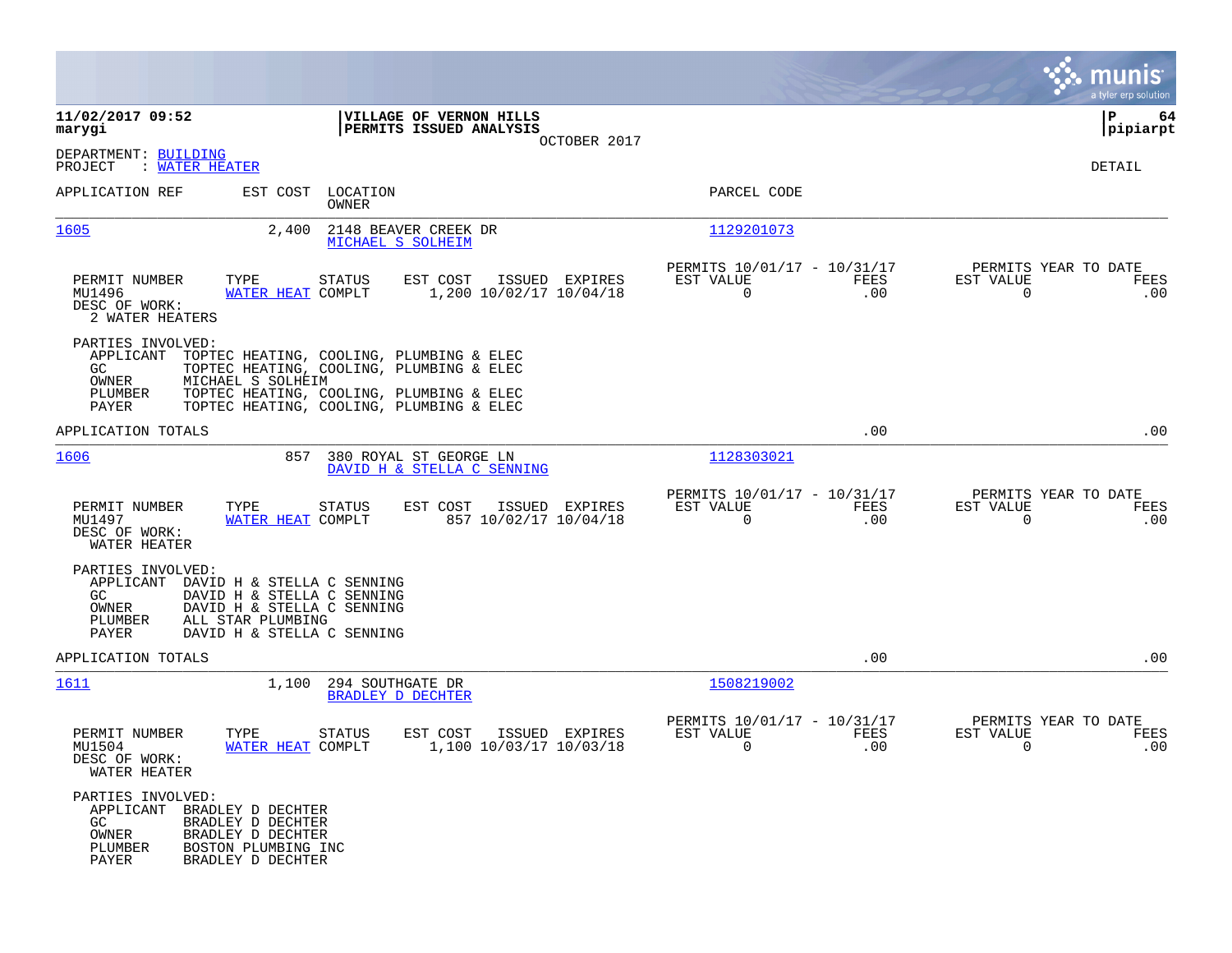|                                                                                                                                                                                                                 |                                                                                                                                  |                                                                        | munis<br>a tyler erp solution                                   |
|-----------------------------------------------------------------------------------------------------------------------------------------------------------------------------------------------------------------|----------------------------------------------------------------------------------------------------------------------------------|------------------------------------------------------------------------|-----------------------------------------------------------------|
| 11/02/2017 09:52<br>marygi                                                                                                                                                                                      | VILLAGE OF VERNON HILLS<br>PERMITS ISSUED ANALYSIS                                                                               |                                                                        | IΡ<br>64<br> pipiarpt                                           |
| DEPARTMENT: BUILDING<br>PROJECT<br>: WATER HEATER                                                                                                                                                               | OCTOBER 2017                                                                                                                     |                                                                        | DETAIL                                                          |
| APPLICATION REF                                                                                                                                                                                                 | EST COST LOCATION<br>OWNER                                                                                                       | PARCEL CODE                                                            |                                                                 |
| 1605<br>2,400                                                                                                                                                                                                   | 2148 BEAVER CREEK DR<br>MICHAEL S SOLHEIM                                                                                        | 1129201073                                                             |                                                                 |
| PERMIT NUMBER<br>TYPE<br>WATER HEAT COMPLT<br>MU1496<br>DESC OF WORK:<br>2 WATER HEATERS                                                                                                                        | STATUS<br>EST COST<br>ISSUED EXPIRES<br>1,200 10/02/17 10/04/18                                                                  | PERMITS 10/01/17 - 10/31/17<br>FEES<br>EST VALUE<br>$\mathbf 0$<br>.00 | PERMITS YEAR TO DATE<br>EST VALUE<br>FEES<br>$\mathbf 0$<br>.00 |
| PARTIES INVOLVED:<br>APPLICANT<br>GC.<br>OWNER<br>MICHAEL S SOLHEIM<br>PLUMBER                                                                                                                                  | TOPTEC HEATING, COOLING, PLUMBING & ELEC<br>TOPTEC HEATING, COOLING, PLUMBING & ELEC<br>TOPTEC HEATING, COOLING, PLUMBING & ELEC |                                                                        |                                                                 |
| PAYER                                                                                                                                                                                                           | TOPTEC HEATING, COOLING, PLUMBING & ELEC                                                                                         |                                                                        |                                                                 |
| APPLICATION TOTALS                                                                                                                                                                                              |                                                                                                                                  | .00                                                                    | .00                                                             |
| 1606<br>857                                                                                                                                                                                                     | 380 ROYAL ST GEORGE LN<br>DAVID H & STELLA C SENNING                                                                             | 1128303021                                                             |                                                                 |
| PERMIT NUMBER<br>TYPE<br>MU1497<br>WATER HEAT COMPLT<br>DESC OF WORK:<br>WATER HEATER                                                                                                                           | STATUS<br>EST COST<br>ISSUED EXPIRES<br>857 10/02/17 10/04/18                                                                    | PERMITS 10/01/17 - 10/31/17<br>EST VALUE<br>FEES<br>$\Omega$<br>.00    | PERMITS YEAR TO DATE<br>EST VALUE<br>FEES<br>$\mathbf 0$<br>.00 |
| PARTIES INVOLVED:<br>APPLICANT<br>DAVID H & STELLA C SENNING<br>DAVID H & STELLA C SENNING<br>GC.<br>DAVID H & STELLA C SENNING<br>OWNER<br>PLUMBER<br>ALL STAR PLUMBING<br>PAYER<br>DAVID H & STELLA C SENNING |                                                                                                                                  |                                                                        |                                                                 |
| APPLICATION TOTALS                                                                                                                                                                                              |                                                                                                                                  | .00                                                                    | .00                                                             |
| 1611<br>1,100                                                                                                                                                                                                   | 294 SOUTHGATE DR<br>BRADLEY D DECHTER                                                                                            | 1508219002                                                             |                                                                 |
| PERMIT NUMBER<br>TYPE<br>WATER HEAT COMPLT<br>MU1504<br>DESC OF WORK:<br>WATER HEATER                                                                                                                           | <b>STATUS</b><br>EST COST<br>ISSUED EXPIRES<br>1,100 10/03/17 10/03/18                                                           | PERMITS 10/01/17 - 10/31/17<br>EST VALUE<br><b>FEES</b><br>0<br>.00    | PERMITS YEAR TO DATE<br>EST VALUE<br>FEES<br>.00<br>0           |
| PARTIES INVOLVED:<br>APPLICANT BRADLEY D DECHTER<br>GC.<br>BRADLEY D DECHTER<br>OWNER<br>BRADLEY D DECHTER<br>PLUMBER<br>BOSTON PLUMBING INC<br>PAYER<br>BRADLEY D DECHTER                                      |                                                                                                                                  |                                                                        |                                                                 |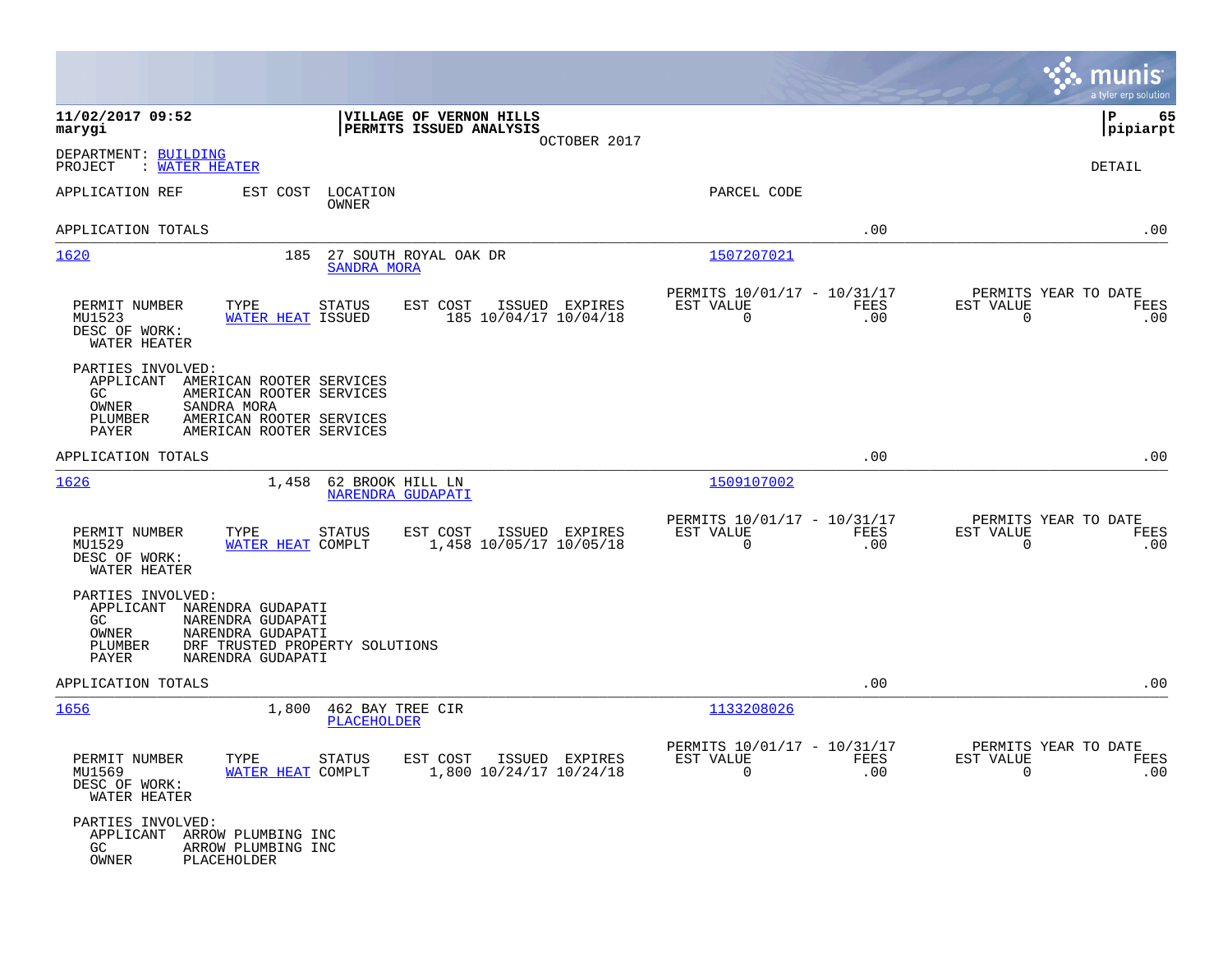|                                                                                                                                                                                                   |                                                                    |                                                         |             |                                                  | munis<br>a tyler erp solution |
|---------------------------------------------------------------------------------------------------------------------------------------------------------------------------------------------------|--------------------------------------------------------------------|---------------------------------------------------------|-------------|--------------------------------------------------|-------------------------------|
| 11/02/2017 09:52<br>marygi                                                                                                                                                                        | VILLAGE OF VERNON HILLS<br>PERMITS ISSUED ANALYSIS<br>OCTOBER 2017 |                                                         |             |                                                  | l P<br>65<br> pipiarpt        |
| DEPARTMENT: BUILDING<br>: WATER HEATER<br>PROJECT                                                                                                                                                 |                                                                    |                                                         |             |                                                  | DETAIL                        |
| APPLICATION REF<br>EST COST<br>LOCATION<br>OWNER                                                                                                                                                  |                                                                    | PARCEL CODE                                             |             |                                                  |                               |
| APPLICATION TOTALS                                                                                                                                                                                |                                                                    |                                                         | .00         |                                                  | .00                           |
| 1620<br>185                                                                                                                                                                                       | 27 SOUTH ROYAL OAK DR<br><b>SANDRA MORA</b>                        | 1507207021                                              |             |                                                  |                               |
| PERMIT NUMBER<br>TYPE<br><b>STATUS</b><br>MU1523<br>WATER HEAT ISSUED<br>DESC OF WORK:<br>WATER HEATER                                                                                            | EST COST<br>ISSUED EXPIRES<br>185 10/04/17 10/04/18                | PERMITS 10/01/17 - 10/31/17<br>EST VALUE<br>0           | FEES<br>.00 | PERMITS YEAR TO DATE<br>EST VALUE<br>$\mathbf 0$ | FEES<br>.00                   |
| PARTIES INVOLVED:<br>APPLICANT<br>AMERICAN ROOTER SERVICES<br>GC.<br>AMERICAN ROOTER SERVICES<br>OWNER<br>SANDRA MORA<br>PLUMBER<br>AMERICAN ROOTER SERVICES<br>PAYER<br>AMERICAN ROOTER SERVICES |                                                                    |                                                         |             |                                                  |                               |
| APPLICATION TOTALS                                                                                                                                                                                |                                                                    |                                                         | .00         |                                                  | .00                           |
| 1626<br>1,458                                                                                                                                                                                     | 62 BROOK HILL LN<br>NARENDRA GUDAPATI                              | 1509107002                                              |             |                                                  |                               |
| PERMIT NUMBER<br>TYPE<br>STATUS<br>MU1529<br>WATER HEAT COMPLT<br>DESC OF WORK:<br>WATER HEATER                                                                                                   | EST COST<br>ISSUED EXPIRES<br>1,458 10/05/17 10/05/18              | PERMITS 10/01/17 - 10/31/17<br>EST VALUE<br>$\mathbf 0$ | FEES<br>.00 | PERMITS YEAR TO DATE<br>EST VALUE<br>$\mathbf 0$ | FEES<br>.00                   |
| PARTIES INVOLVED:<br>APPLICANT<br>NARENDRA GUDAPATI<br>GC.<br>NARENDRA GUDAPATI<br>OWNER<br>NARENDRA GUDAPATI<br>PLUMBER<br>DRF TRUSTED PROPERTY SOLUTIONS<br>PAYER<br>NARENDRA GUDAPATI          |                                                                    |                                                         |             |                                                  |                               |
| APPLICATION TOTALS                                                                                                                                                                                |                                                                    |                                                         | .00         |                                                  | .00                           |
| <u> 1656</u><br>1,800                                                                                                                                                                             | 462 BAY TREE CIR<br><b>PLACEHOLDER</b>                             | 1133208026                                              |             |                                                  |                               |
| <b>STATUS</b><br>PERMIT NUMBER<br>TYPE<br>MU1569<br>WATER HEAT COMPLT<br>DESC OF WORK:<br>WATER HEATER                                                                                            | EST COST ISSUED EXPIRES<br>1,800 10/24/17 10/24/18                 | PERMITS 10/01/17 - 10/31/17<br>EST VALUE<br>$\Omega$    | FEES<br>.00 | PERMITS YEAR TO DATE<br>EST VALUE<br>$\Omega$    | FEES<br>.00                   |
| PARTIES INVOLVED:<br>APPLICANT ARROW PLUMBING INC<br>GC<br>ARROW PLUMBING INC<br>OWNER<br>PLACEHOLDER                                                                                             |                                                                    |                                                         |             |                                                  |                               |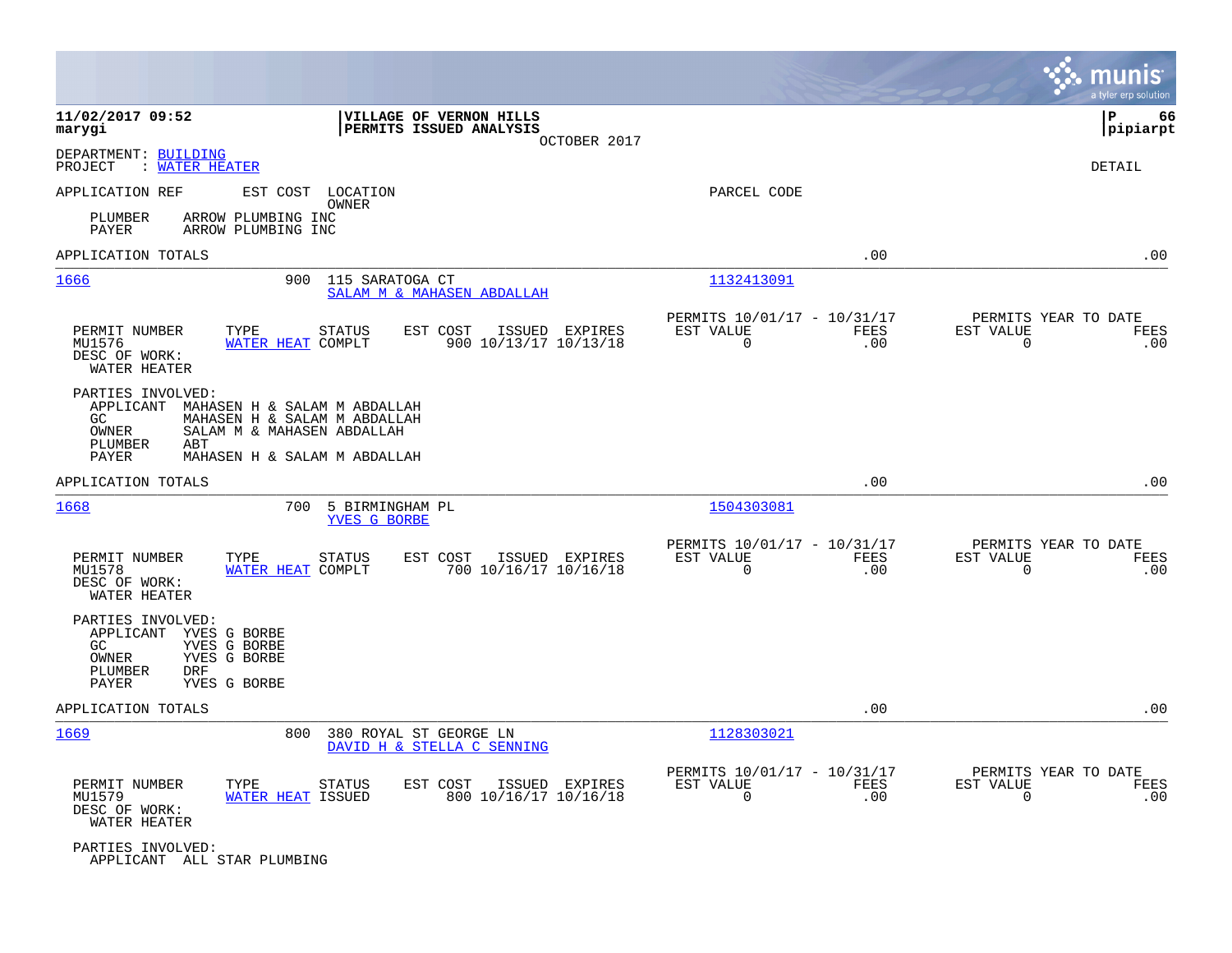|                                                                                  |                                                                                                                            |                                                                        | munis<br>a tyler erp solution                                   |
|----------------------------------------------------------------------------------|----------------------------------------------------------------------------------------------------------------------------|------------------------------------------------------------------------|-----------------------------------------------------------------|
| 11/02/2017 09:52<br>marygi                                                       | VILLAGE OF VERNON HILLS<br>PERMITS ISSUED ANALYSIS<br>OCTOBER 2017                                                         |                                                                        | P<br>66<br> pipiarpt                                            |
| DEPARTMENT: BUILDING<br>PROJECT<br>: WATER HEATER                                |                                                                                                                            |                                                                        | <b>DETAIL</b>                                                   |
| APPLICATION REF                                                                  | EST COST LOCATION<br>OWNER                                                                                                 | PARCEL CODE                                                            |                                                                 |
| PLUMBER<br>PAYER                                                                 | ARROW PLUMBING INC<br>ARROW PLUMBING INC                                                                                   |                                                                        |                                                                 |
| APPLICATION TOTALS                                                               |                                                                                                                            | .00                                                                    | .00                                                             |
| 1666                                                                             | 900<br>115 SARATOGA CT<br>SALAM M & MAHASEN ABDALLAH                                                                       | 1132413091                                                             |                                                                 |
| PERMIT NUMBER<br>MU1576<br>DESC OF WORK:<br>WATER HEATER                         | EST COST<br>ISSUED EXPIRES<br>TYPE<br><b>STATUS</b><br>WATER HEAT COMPLT<br>900 10/13/17 10/13/18                          | PERMITS 10/01/17 - 10/31/17<br>EST VALUE<br>FEES<br>0<br>.00           | PERMITS YEAR TO DATE<br>EST VALUE<br>FEES<br>$\mathbf 0$<br>.00 |
| PARTIES INVOLVED:<br>APPLICANT<br>GC.<br>OWNER<br>PLUMBER<br>ABT<br>PAYER        | MAHASEN H & SALAM M ABDALLAH<br>MAHASEN H & SALAM M ABDALLAH<br>SALAM M & MAHASEN ABDALLAH<br>MAHASEN H & SALAM M ABDALLAH |                                                                        |                                                                 |
| APPLICATION TOTALS                                                               |                                                                                                                            | .00                                                                    | .00                                                             |
| 1668                                                                             | 700<br>5 BIRMINGHAM PL<br>YVES G BORBE                                                                                     | 1504303081                                                             |                                                                 |
| PERMIT NUMBER<br>MU1578<br>DESC OF WORK:<br>WATER HEATER                         | EST COST<br>TYPE<br><b>STATUS</b><br>ISSUED EXPIRES<br>700 10/16/17 10/16/18<br>WATER HEAT COMPLT                          | PERMITS 10/01/17 - 10/31/17<br>EST VALUE<br>FEES<br>$\Omega$<br>.00    | PERMITS YEAR TO DATE<br>EST VALUE<br>FEES<br>$\Omega$<br>.00    |
| PARTIES INVOLVED:<br>APPLICANT<br>GC.<br>OWNER<br>PLUMBER<br><b>DRF</b><br>PAYER | YVES G BORBE<br>YVES G BORBE<br>YVES G BORBE<br>YVES G BORBE                                                               |                                                                        |                                                                 |
| APPLICATION TOTALS                                                               |                                                                                                                            | .00                                                                    | .00                                                             |
| 1669                                                                             | 800<br>380 ROYAL ST GEORGE LN<br>DAVID H & STELLA C SENNING                                                                | 1128303021                                                             |                                                                 |
| PERMIT NUMBER<br>MU1579<br>DESC OF WORK:<br>WATER HEATER                         | EST COST<br>ISSUED EXPIRES<br>TYPE<br>STATUS<br>800 10/16/17 10/16/18<br>WATER HEAT ISSUED                                 | PERMITS 10/01/17 - 10/31/17<br>EST VALUE<br>FEES<br>$\mathbf 0$<br>.00 | PERMITS YEAR TO DATE<br>EST VALUE<br>FEES<br>$\mathbf 0$<br>.00 |
| PARTIES INVOLVED:<br>APPLICANT ALL STAR PLUMBING                                 |                                                                                                                            |                                                                        |                                                                 |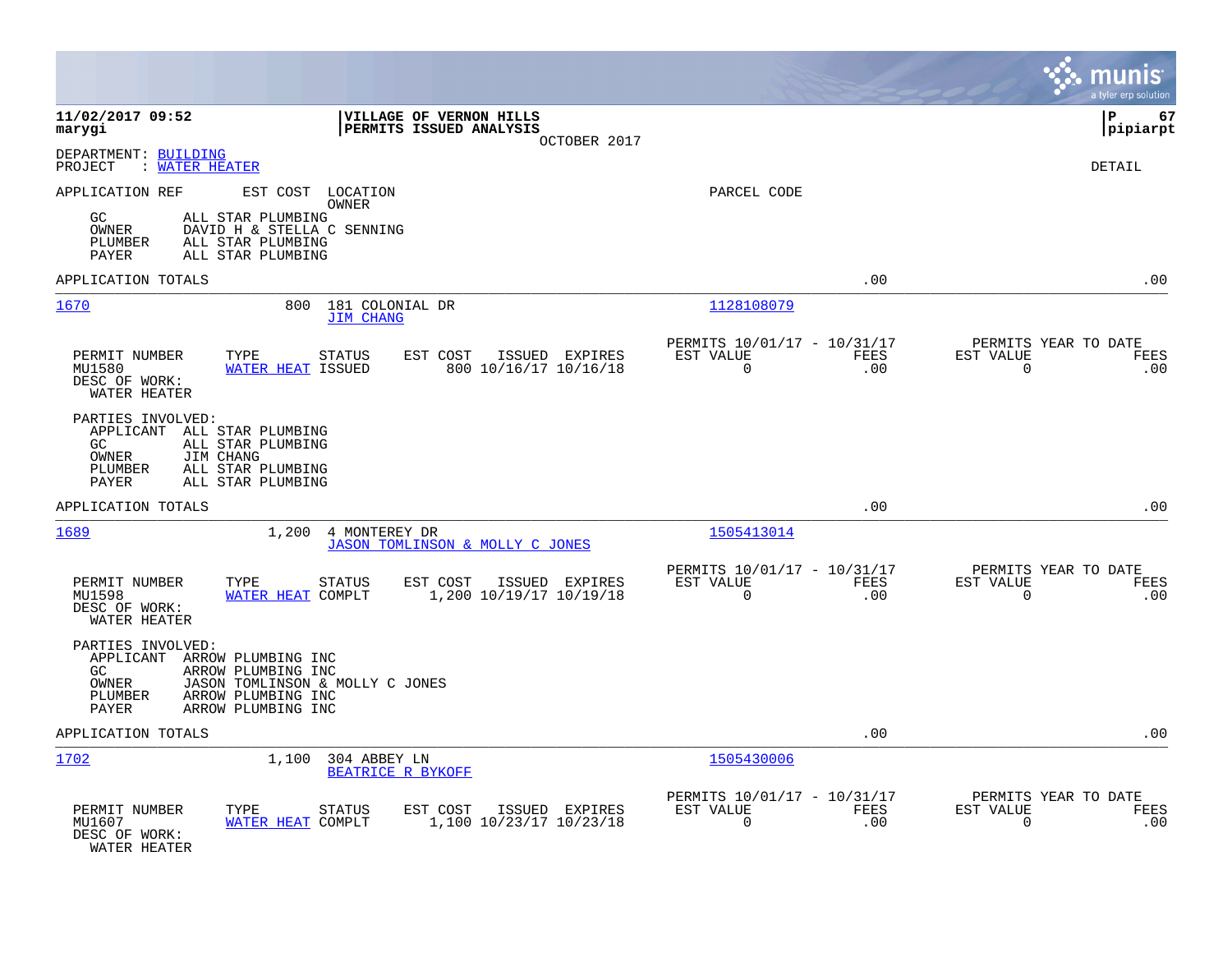|                                                                                                                                                                                                   |                                                                               | munis<br>a tyler erp solution                                   |
|---------------------------------------------------------------------------------------------------------------------------------------------------------------------------------------------------|-------------------------------------------------------------------------------|-----------------------------------------------------------------|
| 11/02/2017 09:52<br>VILLAGE OF VERNON HILLS<br>PERMITS ISSUED ANALYSIS<br>marygi<br>OCTOBER 2017                                                                                                  |                                                                               | l P<br>67<br> pipiarpt                                          |
| DEPARTMENT: BUILDING<br>: WATER HEATER<br>PROJECT                                                                                                                                                 |                                                                               | <b>DETAIL</b>                                                   |
| APPLICATION REF<br>EST COST LOCATION<br>OWNER<br>ALL STAR PLUMBING<br>GC.<br>DAVID H & STELLA C SENNING<br>OWNER<br>ALL STAR PLUMBING<br>PLUMBER<br><b>PAYER</b><br>ALL STAR PLUMBING             | PARCEL CODE                                                                   |                                                                 |
| APPLICATION TOTALS                                                                                                                                                                                | .00                                                                           | .00                                                             |
| 1670<br>800<br>181 COLONIAL DR<br><b>JIM CHANG</b>                                                                                                                                                | 1128108079                                                                    |                                                                 |
| PERMIT NUMBER<br>TYPE<br>EST COST<br>ISSUED EXPIRES<br>STATUS<br>WATER HEAT ISSUED<br>800 10/16/17 10/16/18<br>MU1580<br>DESC OF WORK:<br>WATER HEATER                                            | PERMITS 10/01/17 - 10/31/17<br>EST VALUE<br><b>FEES</b><br>$\mathbf 0$<br>.00 | PERMITS YEAR TO DATE<br>EST VALUE<br><b>FEES</b><br>0<br>.00    |
| PARTIES INVOLVED:<br>APPLICANT ALL STAR PLUMBING<br>ALL STAR PLUMBING<br>GC<br>OWNER<br>JIM CHANG<br>PLUMBER<br>ALL STAR PLUMBING<br>ALL STAR PLUMBING<br>PAYER                                   |                                                                               |                                                                 |
| APPLICATION TOTALS                                                                                                                                                                                | .00                                                                           | .00                                                             |
| 1689<br>1,200 4 MONTEREY DR<br>JASON TOMLINSON & MOLLY C JONES                                                                                                                                    | 1505413014                                                                    |                                                                 |
| <b>STATUS</b><br>EST COST<br>PERMIT NUMBER<br>TYPE<br>ISSUED EXPIRES<br>1,200 10/19/17 10/19/18<br>MU1598<br>WATER HEAT COMPLT<br>DESC OF WORK:<br>WATER HEATER                                   | PERMITS 10/01/17 - 10/31/17<br>EST VALUE<br>FEES<br>$\Omega$<br>.00           | PERMITS YEAR TO DATE<br>EST VALUE<br>FEES<br>$\mathbf 0$<br>.00 |
| PARTIES INVOLVED:<br>APPLICANT ARROW PLUMBING INC<br>GC.<br>ARROW PLUMBING INC<br>OWNER<br>JASON TOMLINSON & MOLLY C JONES<br>ARROW PLUMBING INC<br>PLUMBER<br><b>PAYER</b><br>ARROW PLUMBING INC |                                                                               |                                                                 |
| APPLICATION TOTALS                                                                                                                                                                                | .00                                                                           | .00                                                             |
| 1702<br>1,100 304 ABBEY LN<br>BEATRICE R BYKOFF                                                                                                                                                   | 1505430006                                                                    |                                                                 |
| PERMIT NUMBER<br>TYPE<br>EST COST<br>ISSUED EXPIRES<br>STATUS<br>1,100 10/23/17 10/23/18<br>MU1607<br>WATER HEAT COMPLT<br>DESC OF WORK:<br>WATER HEATER                                          | PERMITS 10/01/17 - 10/31/17<br>EST VALUE<br>FEES<br>$\Omega$<br>.00           | PERMITS YEAR TO DATE<br>EST VALUE<br>FEES<br>.00<br>0           |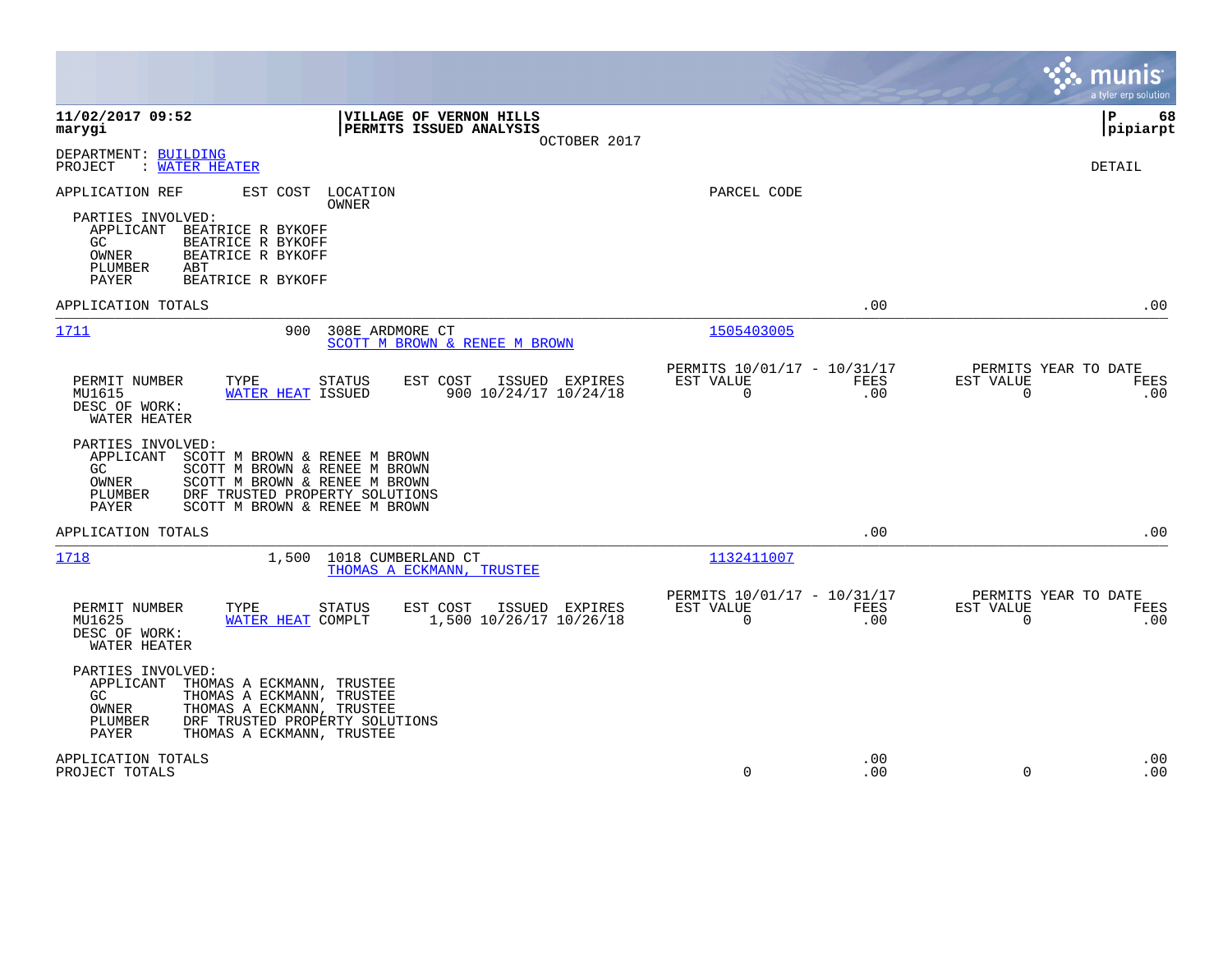|                                                                                                                                                                                                                                                |                                                         |             | munis<br>a tyler erp solution                                             |
|------------------------------------------------------------------------------------------------------------------------------------------------------------------------------------------------------------------------------------------------|---------------------------------------------------------|-------------|---------------------------------------------------------------------------|
| 11/02/2017 09:52<br>VILLAGE OF VERNON HILLS<br>marygi<br>PERMITS ISSUED ANALYSIS<br>OCTOBER 2017                                                                                                                                               |                                                         |             | lР<br>68<br> pipiarpt                                                     |
| DEPARTMENT: BUILDING<br>PROJECT<br>: WATER HEATER                                                                                                                                                                                              |                                                         |             | DETAIL                                                                    |
| APPLICATION REF<br>EST COST<br>LOCATION<br>OWNER<br>PARTIES INVOLVED:<br>APPLICANT<br>BEATRICE R BYKOFF<br>BEATRICE R BYKOFF<br>GC<br>OWNER<br>BEATRICE R BYKOFF<br>PLUMBER<br>ABT<br>PAYER<br>BEATRICE R BYKOFF                               | PARCEL CODE                                             |             |                                                                           |
| APPLICATION TOTALS                                                                                                                                                                                                                             |                                                         | .00         | .00                                                                       |
| 1711<br>900<br>308E ARDMORE CT<br>SCOTT M BROWN & RENEE M BROWN                                                                                                                                                                                | 1505403005                                              |             |                                                                           |
| PERMIT NUMBER<br>TYPE<br>EST COST<br>ISSUED EXPIRES<br>STATUS<br>900 10/24/17 10/24/18<br>MU1615<br>WATER HEAT ISSUED<br>DESC OF WORK:<br>WATER HEATER                                                                                         | PERMITS 10/01/17 - 10/31/17<br>EST VALUE<br>$\mathbf 0$ | FEES<br>.00 | PERMITS YEAR TO DATE<br>EST VALUE<br>FEES<br>$\Omega$<br>.00              |
| PARTIES INVOLVED:<br>APPLICANT<br>SCOTT M BROWN & RENEE M BROWN<br>GC<br>SCOTT M BROWN & RENEE M BROWN<br>OWNER<br>SCOTT M BROWN & RENEE M BROWN<br>DRF TRUSTED PROPERTY SOLUTIONS<br>PLUMBER<br><b>PAYER</b><br>SCOTT M BROWN & RENEE M BROWN |                                                         |             |                                                                           |
| APPLICATION TOTALS                                                                                                                                                                                                                             |                                                         | .00         | .00                                                                       |
| 1718<br>1,500<br>1018 CUMBERLAND CT<br>THOMAS A ECKMANN, TRUSTEE                                                                                                                                                                               | 1132411007                                              |             |                                                                           |
| PERMIT NUMBER<br>EST COST<br>ISSUED EXPIRES<br>TYPE<br><b>STATUS</b><br>MU1625<br>WATER HEAT COMPLT<br>1,500 10/26/17 10/26/18<br>DESC OF WORK:<br>WATER HEATER                                                                                | PERMITS 10/01/17 - 10/31/17<br>EST VALUE<br>$\mathbf 0$ | FEES<br>.00 | PERMITS YEAR TO DATE<br>EST VALUE<br><b>FEES</b><br>$\overline{0}$<br>.00 |
| PARTIES INVOLVED:<br>APPLICANT<br>THOMAS A ECKMANN, TRUSTEE<br>GC<br>THOMAS A ECKMANN, TRUSTEE<br>OWNER<br>THOMAS A ECKMANN, TRUSTEE<br>PLUMBER<br>DRF TRUSTED PROPERTY SOLUTIONS<br>PAYER<br>THOMAS A ECKMANN, TRUSTEE                        |                                                         |             |                                                                           |
| APPLICATION TOTALS<br>PROJECT TOTALS                                                                                                                                                                                                           | $\Omega$                                                | .00<br>.00  | .00<br>$\Omega$<br>.00                                                    |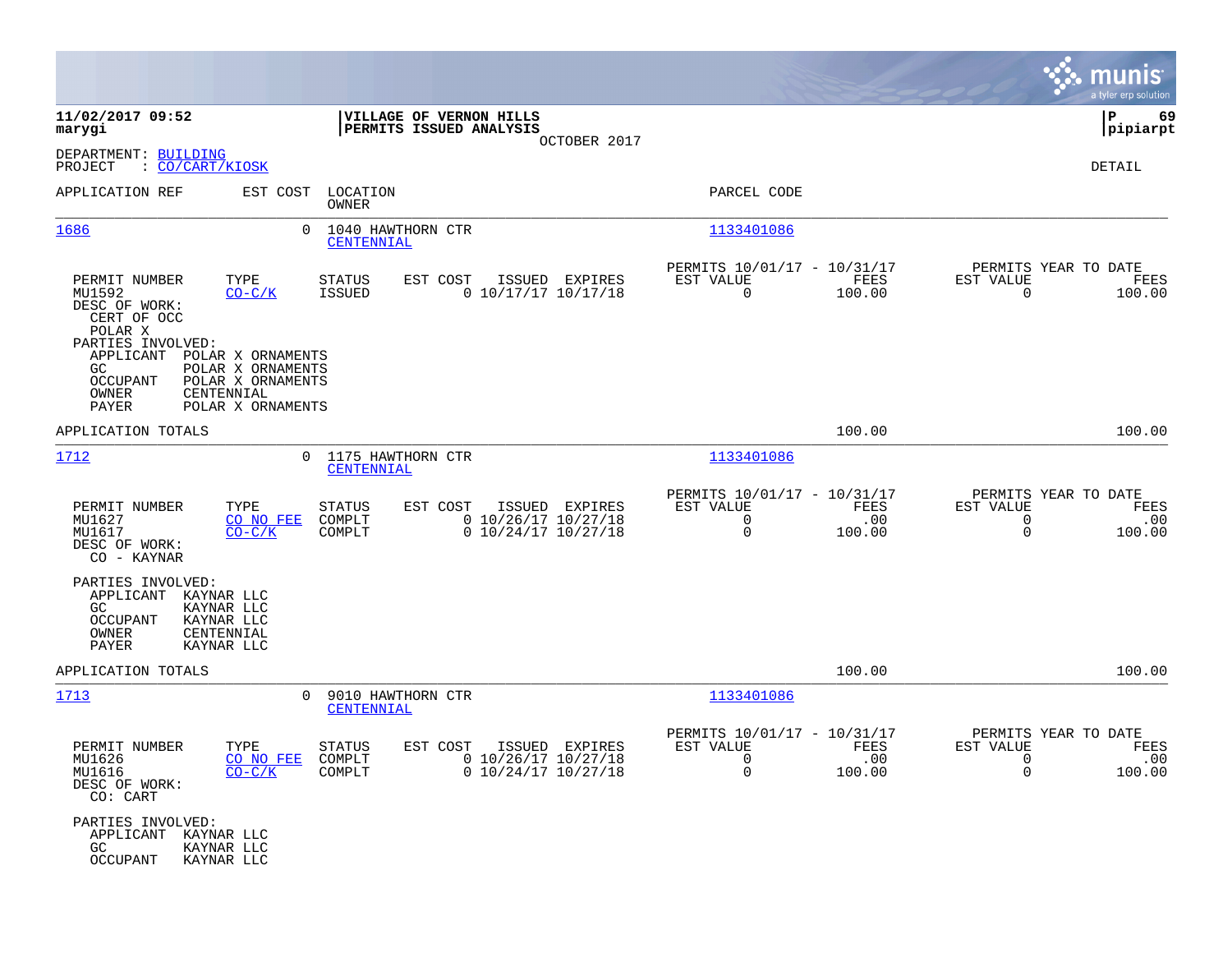|                                                                                                                                                         |                                                    |                                                                  |                                                                           |                       |                                                                 | munis<br>a tyler erp solution |
|---------------------------------------------------------------------------------------------------------------------------------------------------------|----------------------------------------------------|------------------------------------------------------------------|---------------------------------------------------------------------------|-----------------------|-----------------------------------------------------------------|-------------------------------|
| 11/02/2017 09:52<br>marygi                                                                                                                              | VILLAGE OF VERNON HILLS<br>PERMITS ISSUED ANALYSIS | OCTOBER 2017                                                     |                                                                           |                       |                                                                 | 69<br>ΙP<br> pipiarpt         |
| DEPARTMENT: BUILDING<br>PROJECT<br>: <u>CO/CART/KIOSK</u>                                                                                               |                                                    |                                                                  |                                                                           |                       |                                                                 | DETAIL                        |
| APPLICATION REF<br>EST COST                                                                                                                             | LOCATION<br>OWNER                                  |                                                                  | PARCEL CODE                                                               |                       |                                                                 |                               |
| 1686<br>$\Omega$                                                                                                                                        | 1040 HAWTHORN CTR<br>CENTENNIAL                    |                                                                  | 1133401086                                                                |                       |                                                                 |                               |
| TYPE<br>PERMIT NUMBER<br>MU1592<br>$CO-C/K$<br>DESC OF WORK:<br>CERT OF OCC<br>POLAR X<br>PARTIES INVOLVED:                                             | EST COST<br>STATUS<br><b>ISSUED</b>                | ISSUED EXPIRES<br>$0$ 10/17/17 10/17/18                          | PERMITS 10/01/17 - 10/31/17<br>EST VALUE<br>$\overline{0}$                | FEES<br>100.00        | PERMITS YEAR TO DATE<br>EST VALUE<br>$\mathbf 0$                | FEES<br>100.00                |
| APPLICANT<br>POLAR X ORNAMENTS<br>POLAR X ORNAMENTS<br>GC.<br><b>OCCUPANT</b><br>POLAR X ORNAMENTS<br>OWNER<br>CENTENNIAL<br>PAYER<br>POLAR X ORNAMENTS |                                                    |                                                                  |                                                                           |                       |                                                                 |                               |
| APPLICATION TOTALS                                                                                                                                      |                                                    |                                                                  |                                                                           | 100.00                |                                                                 | 100.00                        |
| 1712                                                                                                                                                    | 0 1175 HAWTHORN CTR<br>CENTENNIAL                  |                                                                  | 1133401086                                                                |                       |                                                                 |                               |
| PERMIT NUMBER<br>TYPE<br>MU1627<br>CO NO FEE<br>MU1617<br>$CO-C/K$<br>DESC OF WORK:<br>CO - KAYNAR                                                      | STATUS<br>EST COST<br>COMPLT<br>COMPLT             | ISSUED EXPIRES<br>$0$ 10/26/17 10/27/18<br>$0$ 10/24/17 10/27/18 | PERMITS 10/01/17 - 10/31/17<br>EST VALUE<br>$\mathbf 0$<br>$\mathbf 0$    | FEES<br>.00<br>100.00 | PERMITS YEAR TO DATE<br>EST VALUE<br>$\mathbf 0$<br>$\mathbf 0$ | FEES<br>.00<br>100.00         |
| PARTIES INVOLVED:<br>APPLICANT<br>KAYNAR LLC<br>GC<br>KAYNAR LLC<br><b>OCCUPANT</b><br>KAYNAR LLC<br>OWNER<br>CENTENNIAL<br><b>PAYER</b><br>KAYNAR LLC  |                                                    |                                                                  |                                                                           |                       |                                                                 |                               |
| APPLICATION TOTALS                                                                                                                                      |                                                    |                                                                  |                                                                           | 100.00                |                                                                 | 100.00                        |
| 1713<br>$\Omega$                                                                                                                                        | 9010 HAWTHORN CTR<br>CENTENNIAL                    |                                                                  | 1133401086                                                                |                       |                                                                 |                               |
| PERMIT NUMBER<br>TYPE<br>MU1626<br>CO NO FEE<br>MU1616<br>$CO-C/K$<br>DESC OF WORK:<br>CO: CART                                                         | <b>STATUS</b><br>EST COST<br>COMPLT<br>COMPLT      | ISSUED EXPIRES<br>0 10/26/17 10/27/18<br>$0$ 10/24/17 10/27/18   | PERMITS 10/01/17 - 10/31/17<br>EST VALUE<br>$\overline{\phantom{0}}$<br>0 | FEES<br>.00<br>100.00 | PERMITS YEAR TO DATE<br>EST VALUE<br>$\overline{0}$<br>0        | FEES<br>.00<br>100.00         |
| PARTIES INVOLVED:<br>APPLICANT<br>KAYNAR LLC<br>GC<br>KAYNAR LLC<br>OCCUPANT<br>KAYNAR LLC                                                              |                                                    |                                                                  |                                                                           |                       |                                                                 |                               |

**Contract**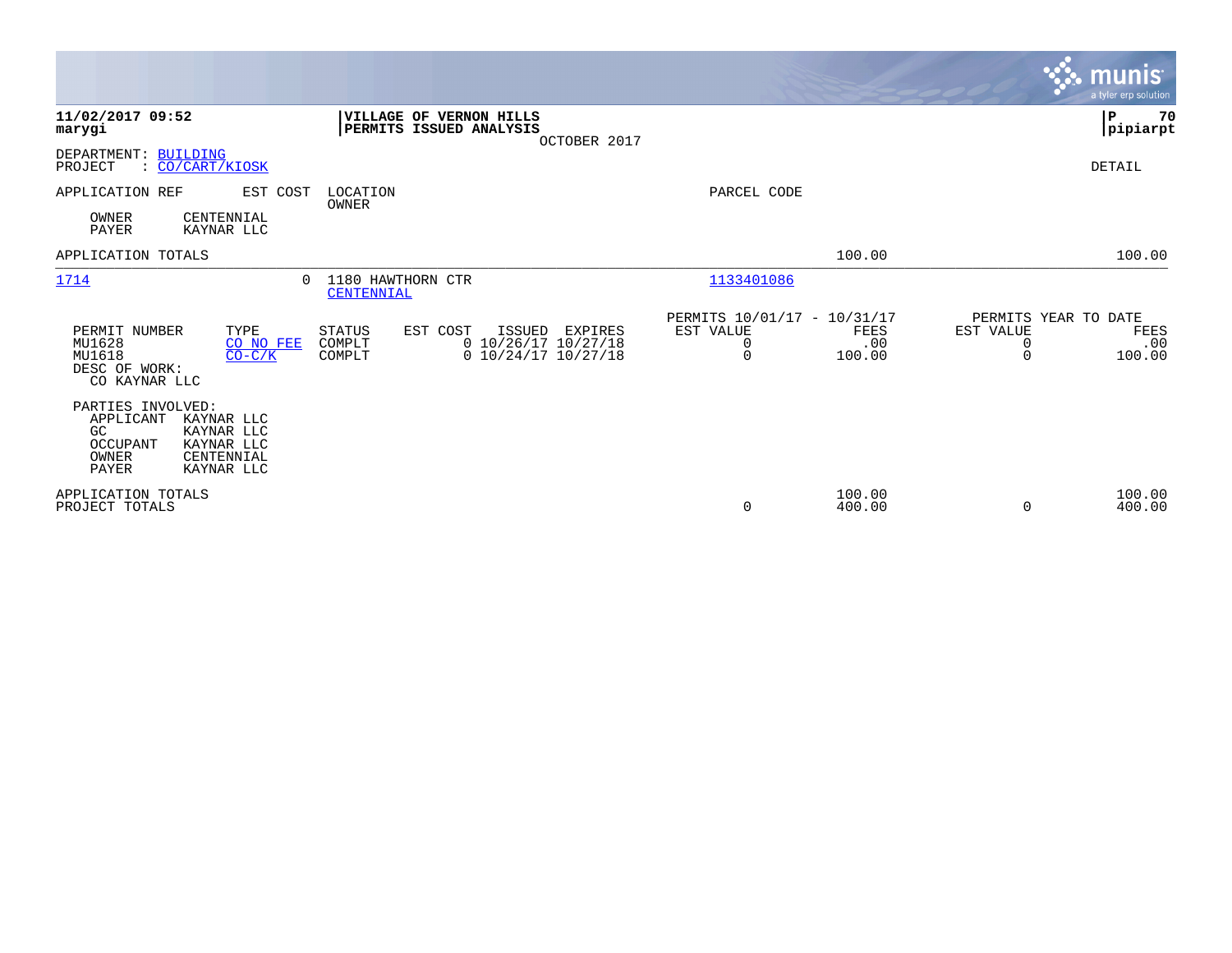|                                                                                                                                                                 |                                                                                                                        |                       |                                             | <b>munis</b><br>a tyler erp solution |
|-----------------------------------------------------------------------------------------------------------------------------------------------------------------|------------------------------------------------------------------------------------------------------------------------|-----------------------|---------------------------------------------|--------------------------------------|
| 11/02/2017 09:52<br>VILLAGE OF VERNON HILLS<br>PERMITS ISSUED ANALYSIS<br>marygi                                                                                | OCTOBER 2017                                                                                                           |                       |                                             | 70<br>P<br> pipiarpt                 |
| DEPARTMENT: BUILDING<br>: CO/CART/KIOSK<br>PROJECT                                                                                                              |                                                                                                                        |                       |                                             | <b>DETAIL</b>                        |
| APPLICATION REF<br>EST COST<br>LOCATION<br>OWNER<br>OWNER<br>CENTENNIAL<br><b>PAYER</b><br>KAYNAR LLC                                                           | PARCEL CODE                                                                                                            |                       |                                             |                                      |
| APPLICATION TOTALS                                                                                                                                              |                                                                                                                        | 100.00                |                                             | 100.00                               |
| 1714<br>1180 HAWTHORN CTR<br>$\Omega$<br>CENTENNIAL                                                                                                             | 1133401086                                                                                                             |                       |                                             |                                      |
| PERMIT NUMBER<br>TYPE<br><b>STATUS</b><br>EST COST<br>ISSUED<br>MU1628<br>COMPLT<br>CO NO FEE<br>MU1618<br>$CO-C/K$<br>COMPLT<br>DESC OF WORK:<br>CO KAYNAR LLC | PERMITS 10/01/17 - 10/31/17<br>EST VALUE<br>EXPIRES<br>$0$ 10/26/17 10/27/18<br>0<br>$0$ 10/24/17 10/27/18<br>$\Omega$ | FEES<br>.00<br>100.00 | PERMITS YEAR TO DATE<br>EST VALUE<br>0<br>0 | FEES<br>.00<br>100.00                |
| PARTIES INVOLVED:<br>APPLICANT<br>KAYNAR LLC<br>GC<br>KAYNAR LLC<br>OCCUPANT<br>KAYNAR LLC<br>OWNER<br>CENTENNIAL<br>PAYER<br>KAYNAR LLC                        |                                                                                                                        |                       |                                             |                                      |
| APPLICATION TOTALS<br>PROJECT TOTALS                                                                                                                            | 0                                                                                                                      | 100.00<br>400.00      | 0                                           | 100.00<br>400.00                     |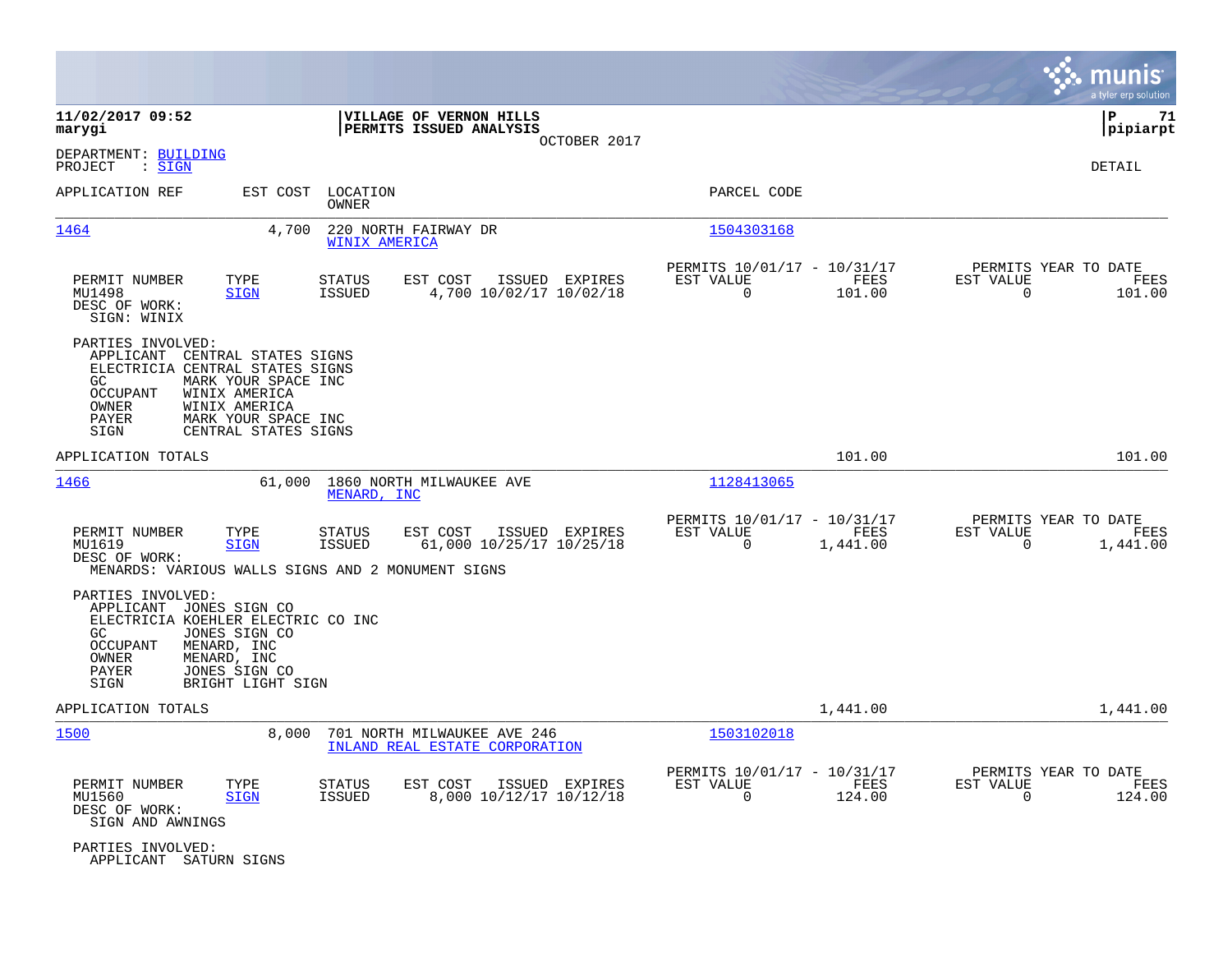|                                                                                                                   |                                                                                                                              |                                |                                                               |              |                                                         |                  |                                                  | munis<br>a tyler erp solution |
|-------------------------------------------------------------------------------------------------------------------|------------------------------------------------------------------------------------------------------------------------------|--------------------------------|---------------------------------------------------------------|--------------|---------------------------------------------------------|------------------|--------------------------------------------------|-------------------------------|
| 11/02/2017 09:52<br>marygi                                                                                        |                                                                                                                              |                                | VILLAGE OF VERNON HILLS<br>PERMITS ISSUED ANALYSIS            | OCTOBER 2017 |                                                         |                  |                                                  | ∣P<br>71<br> pipiarpt         |
| DEPARTMENT: BUILDING<br>PROJECT<br>: <u>SIGN</u>                                                                  |                                                                                                                              |                                |                                                               |              |                                                         |                  |                                                  | DETAIL                        |
| APPLICATION REF                                                                                                   | EST COST                                                                                                                     | LOCATION<br>OWNER              |                                                               |              | PARCEL CODE                                             |                  |                                                  |                               |
| 1464                                                                                                              | 4,700                                                                                                                        | WINIX AMERICA                  | 220 NORTH FAIRWAY DR                                          |              | 1504303168                                              |                  |                                                  |                               |
| PERMIT NUMBER<br>MU1498<br>DESC OF WORK:<br>SIGN: WINIX                                                           | TYPE<br><b>SIGN</b>                                                                                                          | <b>STATUS</b><br><b>ISSUED</b> | ISSUED EXPIRES<br>EST COST<br>4,700 10/02/17 10/02/18         |              | PERMITS 10/01/17 - 10/31/17<br>EST VALUE<br>$\mathbf 0$ | FEES<br>101.00   | PERMITS YEAR TO DATE<br>EST VALUE<br>$\Omega$    | FEES<br>101.00                |
| PARTIES INVOLVED:<br>APPLICANT<br>ELECTRICIA CENTRAL STATES SIGNS<br>GC.<br>OCCUPANT<br>OWNER<br>PAYER<br>SIGN    | CENTRAL STATES SIGNS<br>MARK YOUR SPACE INC<br>WINIX AMERICA<br>WINIX AMERICA<br>MARK YOUR SPACE INC<br>CENTRAL STATES SIGNS |                                |                                                               |              |                                                         |                  |                                                  |                               |
| APPLICATION TOTALS                                                                                                |                                                                                                                              |                                |                                                               |              |                                                         | 101.00           |                                                  | 101.00                        |
| 1466                                                                                                              | 61,000                                                                                                                       | MENARD, INC                    | 1860 NORTH MILWAUKEE AVE                                      |              | 1128413065                                              |                  |                                                  |                               |
| PERMIT NUMBER<br>MU1619<br>DESC OF WORK:<br>MENARDS: VARIOUS WALLS SIGNS AND 2 MONUMENT SIGNS                     | TYPE<br><b>SIGN</b>                                                                                                          | <b>STATUS</b><br><b>ISSUED</b> | ISSUED EXPIRES<br>EST COST<br>61,000 10/25/17 10/25/18        |              | PERMITS 10/01/17 - 10/31/17<br>EST VALUE<br>$\Omega$    | FEES<br>1,441.00 | PERMITS YEAR TO DATE<br>EST VALUE<br>$\mathbf 0$ | FEES<br>1,441.00              |
| PARTIES INVOLVED:<br>APPLICANT<br>ELECTRICIA KOEHLER ELECTRIC CO INC<br>GC.<br>OCCUPANT<br>OWNER<br>PAYER<br>SIGN | JONES SIGN CO<br>JONES SIGN CO<br>MENARD, INC<br>MENARD, INC<br>JONES SIGN CO<br>BRIGHT LIGHT SIGN                           |                                |                                                               |              |                                                         |                  |                                                  |                               |
| APPLICATION TOTALS                                                                                                |                                                                                                                              |                                |                                                               |              |                                                         | 1,441.00         |                                                  | 1,441.00                      |
| 1500                                                                                                              | 8,000                                                                                                                        |                                | 701 NORTH MILWAUKEE AVE 246<br>INLAND REAL ESTATE CORPORATION |              | 1503102018                                              |                  |                                                  |                               |
| PERMIT NUMBER<br>MU1560<br>DESC OF WORK:<br>SIGN AND AWNINGS                                                      | TYPE<br><b>SIGN</b>                                                                                                          | STATUS<br><b>ISSUED</b>        | EST COST<br>ISSUED EXPIRES<br>8,000 10/12/17 10/12/18         |              | PERMITS 10/01/17 - 10/31/17<br>EST VALUE<br>$\mathbf 0$ | FEES<br>124.00   | PERMITS YEAR TO DATE<br>EST VALUE<br>$\mathbf 0$ | FEES<br>124.00                |
| PARTIES INVOLVED:<br>APPLICANT SATURN SIGNS                                                                       |                                                                                                                              |                                |                                                               |              |                                                         |                  |                                                  |                               |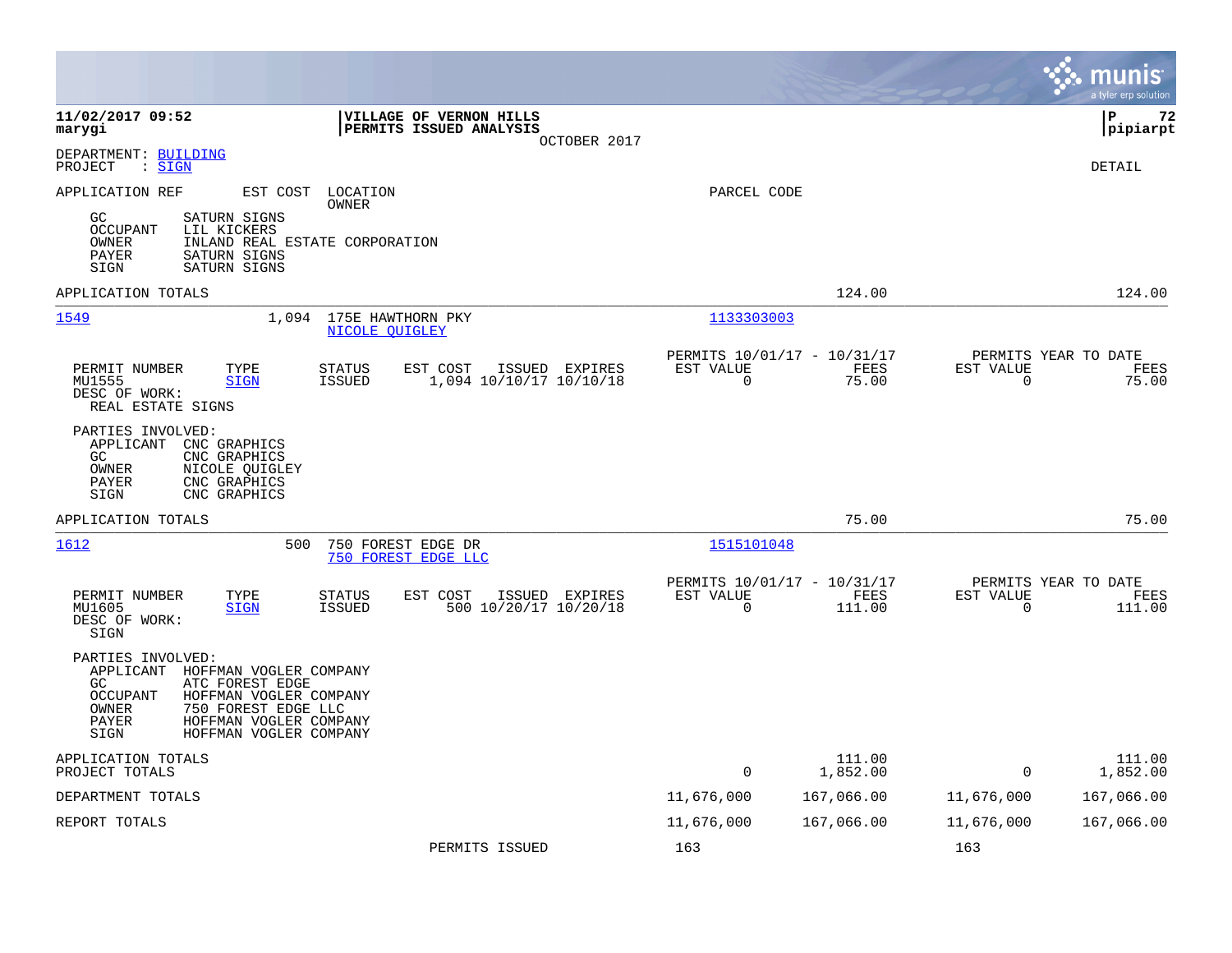|                                                                                                                                                                                                                                     |                                                                                  |                                                         |                    |                          | munis<br>a tyler erp solution          |
|-------------------------------------------------------------------------------------------------------------------------------------------------------------------------------------------------------------------------------------|----------------------------------------------------------------------------------|---------------------------------------------------------|--------------------|--------------------------|----------------------------------------|
| 11/02/2017 09:52<br>marygi                                                                                                                                                                                                          | VILLAGE OF VERNON HILLS<br>PERMITS ISSUED ANALYSIS<br>OCTOBER 2017               |                                                         |                    |                          | lР<br>72<br> pipiarpt                  |
| DEPARTMENT: BUILDING<br>: <u>SIGN</u><br>PROJECT                                                                                                                                                                                    |                                                                                  |                                                         |                    |                          | <b>DETAIL</b>                          |
| APPLICATION REF<br>EST COST                                                                                                                                                                                                         | LOCATION<br>OWNER                                                                | PARCEL CODE                                             |                    |                          |                                        |
| SATURN SIGNS<br>GC<br><b>OCCUPANT</b><br>LIL KICKERS<br>OWNER<br>INLAND REAL ESTATE CORPORATION<br><b>PAYER</b><br>SATURN SIGNS<br>SATURN SIGNS<br>SIGN                                                                             |                                                                                  |                                                         |                    |                          |                                        |
| APPLICATION TOTALS                                                                                                                                                                                                                  |                                                                                  |                                                         | 124.00             |                          | 124.00                                 |
| 1549<br>1,094                                                                                                                                                                                                                       | 175E HAWTHORN PKY<br><b>NICOLE OUIGLEY</b>                                       | 1133303003                                              |                    |                          |                                        |
| PERMIT NUMBER<br>TYPE<br>MU1555<br><b>SIGN</b><br>DESC OF WORK:<br>REAL ESTATE SIGNS                                                                                                                                                | STATUS<br>EST COST<br>ISSUED EXPIRES<br><b>ISSUED</b><br>1,094 10/10/17 10/10/18 | PERMITS 10/01/17 - 10/31/17<br>EST VALUE<br>$\Omega$    | FEES<br>75.00      | EST VALUE<br>$\Omega$    | PERMITS YEAR TO DATE<br>FEES<br>75.00  |
| PARTIES INVOLVED:<br>APPLICANT CNC GRAPHICS<br>GC<br>CNC GRAPHICS<br>OWNER<br>NICOLE QUIGLEY<br>CNC GRAPHICS<br><b>PAYER</b><br>CNC GRAPHICS<br>SIGN                                                                                |                                                                                  |                                                         |                    |                          |                                        |
| APPLICATION TOTALS                                                                                                                                                                                                                  |                                                                                  |                                                         | 75.00              |                          | 75.00                                  |
| 1612<br>500                                                                                                                                                                                                                         | 750 FOREST EDGE DR<br>750 FOREST EDGE LLC                                        | 1515101048                                              |                    |                          |                                        |
| PERMIT NUMBER<br>TYPE<br>MU1605<br><b>SIGN</b><br>DESC OF WORK:<br>SIGN                                                                                                                                                             | ISSUED EXPIRES<br>STATUS<br>EST COST<br><b>ISSUED</b><br>500 10/20/17 10/20/18   | PERMITS 10/01/17 - 10/31/17<br>EST VALUE<br>$\mathbf 0$ | FEES<br>111.00     | EST VALUE<br>$\mathbf 0$ | PERMITS YEAR TO DATE<br>FEES<br>111.00 |
| PARTIES INVOLVED:<br>APPLICANT<br>HOFFMAN VOGLER COMPANY<br>GC<br>ATC FOREST EDGE<br><b>OCCUPANT</b><br>HOFFMAN VOGLER COMPANY<br>OWNER<br>750 FOREST EDGE LLC<br>PAYER<br>HOFFMAN VOGLER COMPANY<br>HOFFMAN VOGLER COMPANY<br>SIGN |                                                                                  |                                                         |                    |                          |                                        |
| APPLICATION TOTALS<br>PROJECT TOTALS                                                                                                                                                                                                |                                                                                  | $\mathbf 0$                                             | 111.00<br>1,852.00 | $\Omega$                 | 111.00<br>1,852.00                     |
| DEPARTMENT TOTALS                                                                                                                                                                                                                   |                                                                                  | 11,676,000                                              | 167,066.00         | 11,676,000               | 167,066.00                             |
| REPORT TOTALS                                                                                                                                                                                                                       |                                                                                  | 11,676,000                                              | 167,066.00         | 11,676,000               | 167,066.00                             |
|                                                                                                                                                                                                                                     | PERMITS ISSUED                                                                   | 163                                                     |                    | 163                      |                                        |